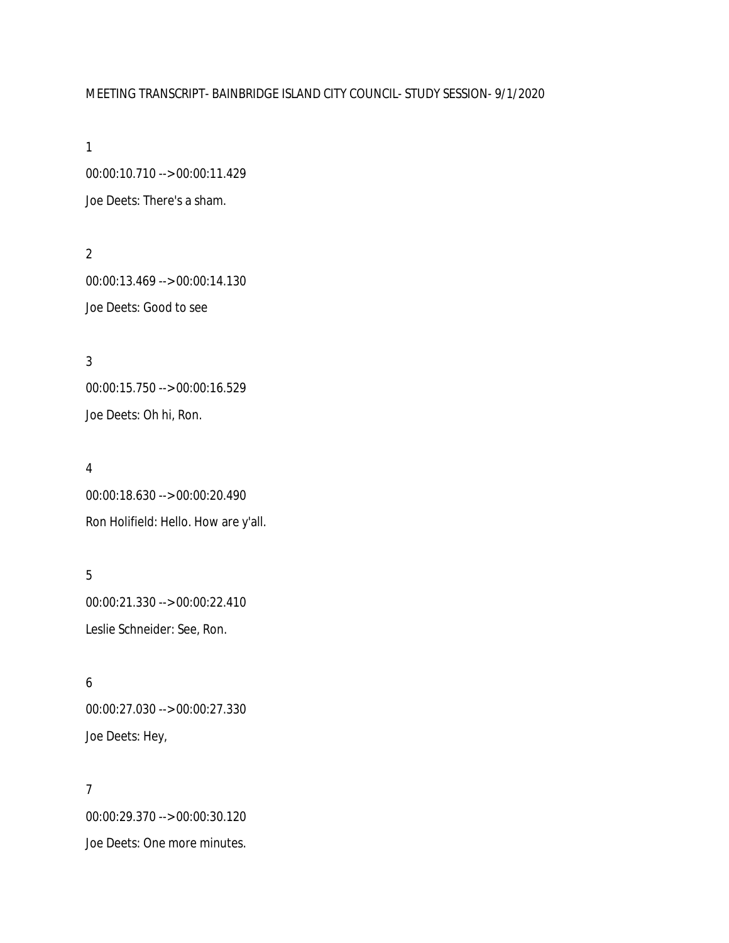## MEETING TRANSCRIPT- BAINBRIDGE ISLAND CITY COUNCIL- STUDY SESSION- 9/1/2020

1

00:00:10.710 --> 00:00:11.429 Joe Deets: There's a sham.

2 00:00:13.469 --> 00:00:14.130 Joe Deets: Good to see

3 00:00:15.750 --> 00:00:16.529 Joe Deets: Oh hi, Ron.

### 4

00:00:18.630 --> 00:00:20.490 Ron Holifield: Hello. How are y'all.

5 00:00:21.330 --> 00:00:22.410 Leslie Schneider: See, Ron.

6 00:00:27.030 --> 00:00:27.330 Joe Deets: Hey,

7 00:00:29.370 --> 00:00:30.120 Joe Deets: One more minutes.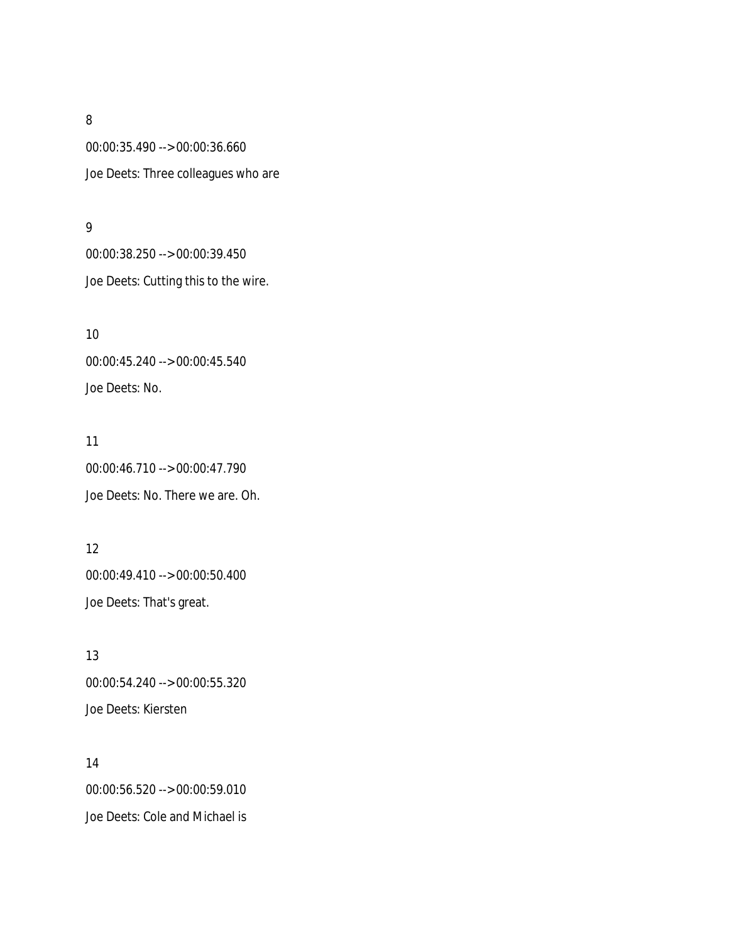00:00:35.490 --> 00:00:36.660 Joe Deets: Three colleagues who are

### 9

00:00:38.250 --> 00:00:39.450 Joe Deets: Cutting this to the wire.

10 00:00:45.240 --> 00:00:45.540 Joe Deets: No.

### 11

00:00:46.710 --> 00:00:47.790 Joe Deets: No. There we are. Oh.

## 12

00:00:49.410 --> 00:00:50.400 Joe Deets: That's great.

13 00:00:54.240 --> 00:00:55.320 Joe Deets: Kiersten

14 00:00:56.520 --> 00:00:59.010 Joe Deets: Cole and Michael is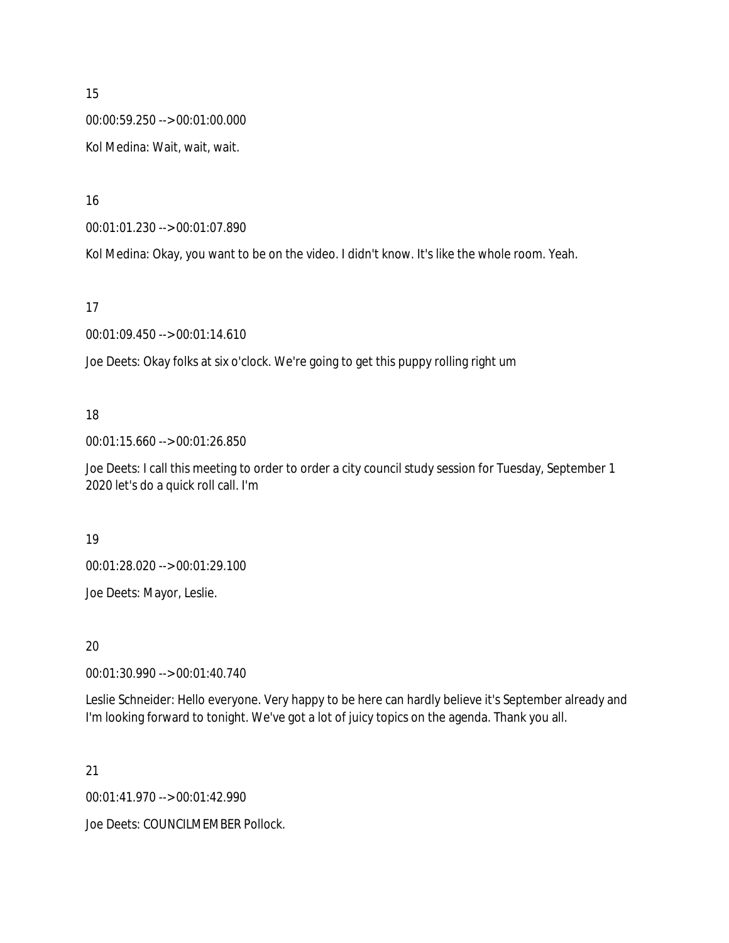00:00:59.250 --> 00:01:00.000

Kol Medina: Wait, wait, wait.

16

00:01:01.230 --> 00:01:07.890

Kol Medina: Okay, you want to be on the video. I didn't know. It's like the whole room. Yeah.

17

00:01:09.450 --> 00:01:14.610

Joe Deets: Okay folks at six o'clock. We're going to get this puppy rolling right um

## 18

00:01:15.660 --> 00:01:26.850

Joe Deets: I call this meeting to order to order a city council study session for Tuesday, September 1 2020 let's do a quick roll call. I'm

## 19

00:01:28.020 --> 00:01:29.100

Joe Deets: Mayor, Leslie.

20

00:01:30.990 --> 00:01:40.740

Leslie Schneider: Hello everyone. Very happy to be here can hardly believe it's September already and I'm looking forward to tonight. We've got a lot of juicy topics on the agenda. Thank you all.

## 21

00:01:41.970 --> 00:01:42.990

Joe Deets: COUNCILMEMBER Pollock.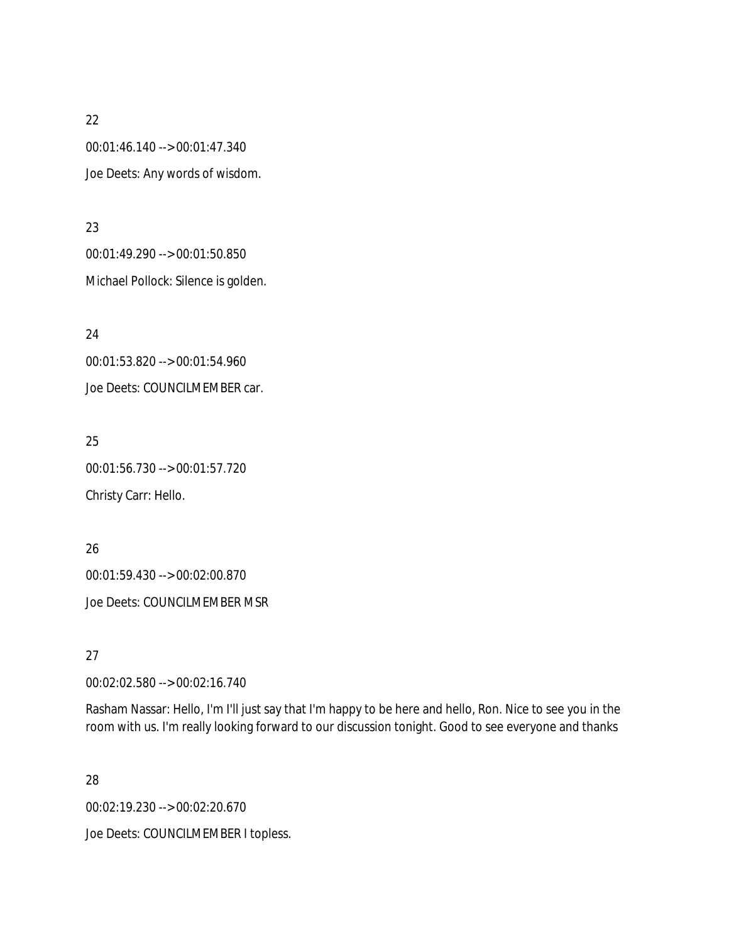00:01:46.140 --> 00:01:47.340 Joe Deets: Any words of wisdom.

23

00:01:49.290 --> 00:01:50.850 Michael Pollock: Silence is golden.

24 00:01:53.820 --> 00:01:54.960 Joe Deets: COUNCILMEMBER car.

25 00:01:56.730 --> 00:01:57.720 Christy Carr: Hello.

26 00:01:59.430 --> 00:02:00.870 Joe Deets: COUNCILMEMBER MSR

27

00:02:02.580 --> 00:02:16.740

Rasham Nassar: Hello, I'm I'll just say that I'm happy to be here and hello, Ron. Nice to see you in the room with us. I'm really looking forward to our discussion tonight. Good to see everyone and thanks

28

00:02:19.230 --> 00:02:20.670

Joe Deets: COUNCILMEMBER I topless.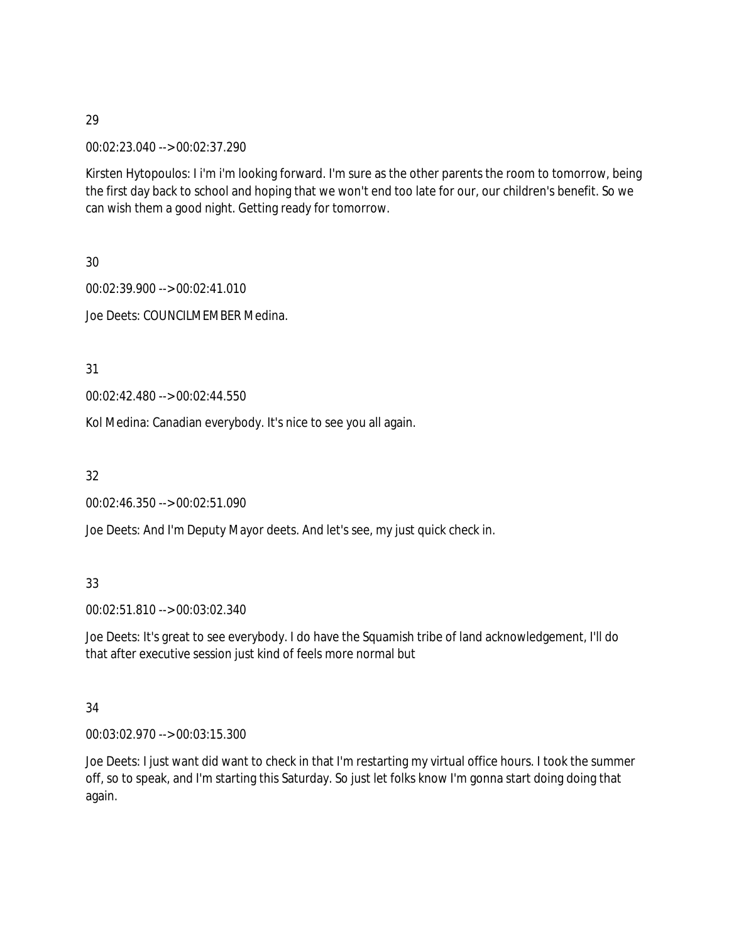00:02:23.040 --> 00:02:37.290

Kirsten Hytopoulos: I i'm i'm looking forward. I'm sure as the other parents the room to tomorrow, being the first day back to school and hoping that we won't end too late for our, our children's benefit. So we can wish them a good night. Getting ready for tomorrow.

30

00:02:39.900 --> 00:02:41.010 Joe Deets: COUNCILMEMBER Medina.

31

00:02:42.480 --> 00:02:44.550

Kol Medina: Canadian everybody. It's nice to see you all again.

32

00:02:46.350 --> 00:02:51.090

Joe Deets: And I'm Deputy Mayor deets. And let's see, my just quick check in.

33

00:02:51.810 --> 00:03:02.340

Joe Deets: It's great to see everybody. I do have the Squamish tribe of land acknowledgement, I'll do that after executive session just kind of feels more normal but

## 34

00:03:02.970 --> 00:03:15.300

Joe Deets: I just want did want to check in that I'm restarting my virtual office hours. I took the summer off, so to speak, and I'm starting this Saturday. So just let folks know I'm gonna start doing doing that again.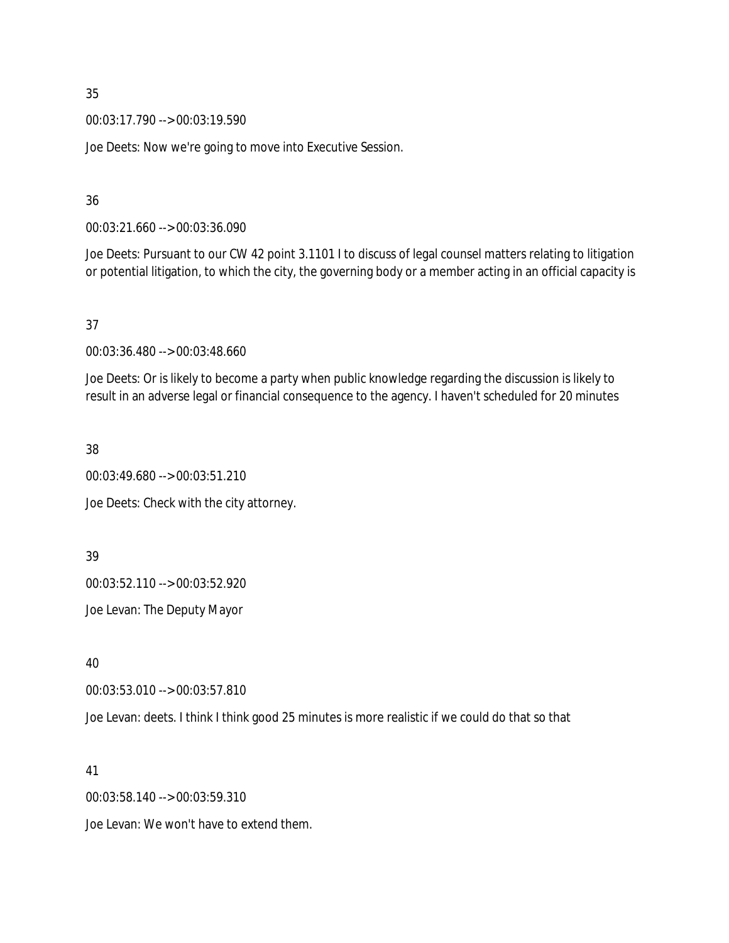00:03:17.790 --> 00:03:19.590

Joe Deets: Now we're going to move into Executive Session.

36

00:03:21.660 --> 00:03:36.090

Joe Deets: Pursuant to our CW 42 point 3.1101 I to discuss of legal counsel matters relating to litigation or potential litigation, to which the city, the governing body or a member acting in an official capacity is

37

00:03:36.480 --> 00:03:48.660

Joe Deets: Or is likely to become a party when public knowledge regarding the discussion is likely to result in an adverse legal or financial consequence to the agency. I haven't scheduled for 20 minutes

38

00:03:49.680 --> 00:03:51.210

Joe Deets: Check with the city attorney.

39

00:03:52.110 --> 00:03:52.920

Joe Levan: The Deputy Mayor

40

00:03:53.010 --> 00:03:57.810

Joe Levan: deets. I think I think good 25 minutes is more realistic if we could do that so that

41

00:03:58.140 --> 00:03:59.310

Joe Levan: We won't have to extend them.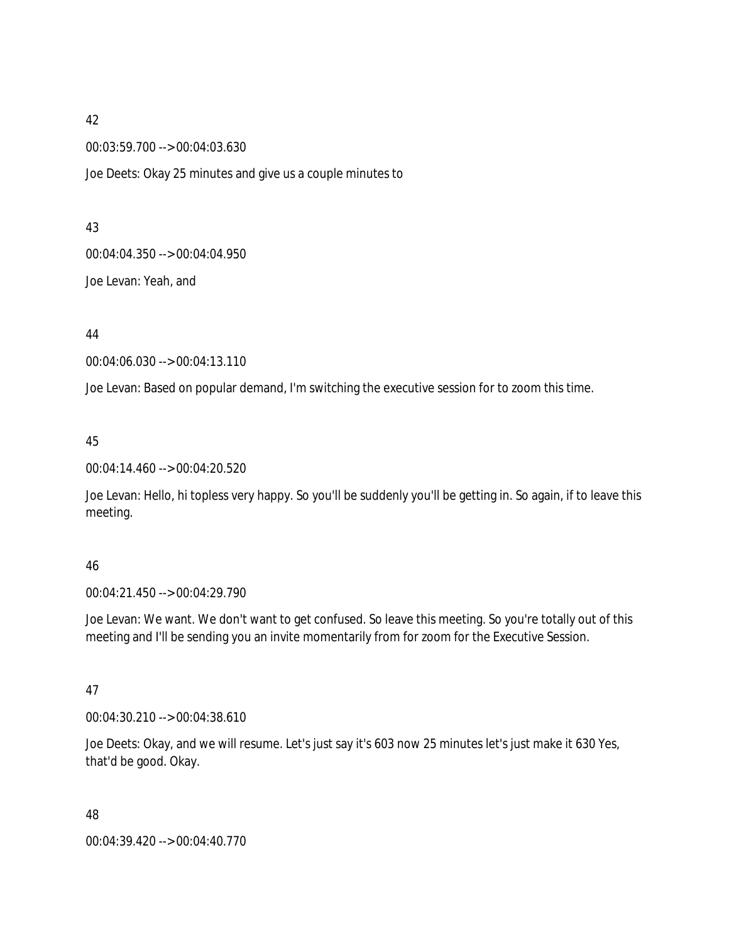00:03:59.700 --> 00:04:03.630

Joe Deets: Okay 25 minutes and give us a couple minutes to

### 43

00:04:04.350 --> 00:04:04.950

Joe Levan: Yeah, and

## 44

00:04:06.030 --> 00:04:13.110

Joe Levan: Based on popular demand, I'm switching the executive session for to zoom this time.

## 45

00:04:14.460 --> 00:04:20.520

Joe Levan: Hello, hi topless very happy. So you'll be suddenly you'll be getting in. So again, if to leave this meeting.

## 46

00:04:21.450 --> 00:04:29.790

Joe Levan: We want. We don't want to get confused. So leave this meeting. So you're totally out of this meeting and I'll be sending you an invite momentarily from for zoom for the Executive Session.

## 47

00:04:30.210 --> 00:04:38.610

Joe Deets: Okay, and we will resume. Let's just say it's 603 now 25 minutes let's just make it 630 Yes, that'd be good. Okay.

48

00:04:39.420 --> 00:04:40.770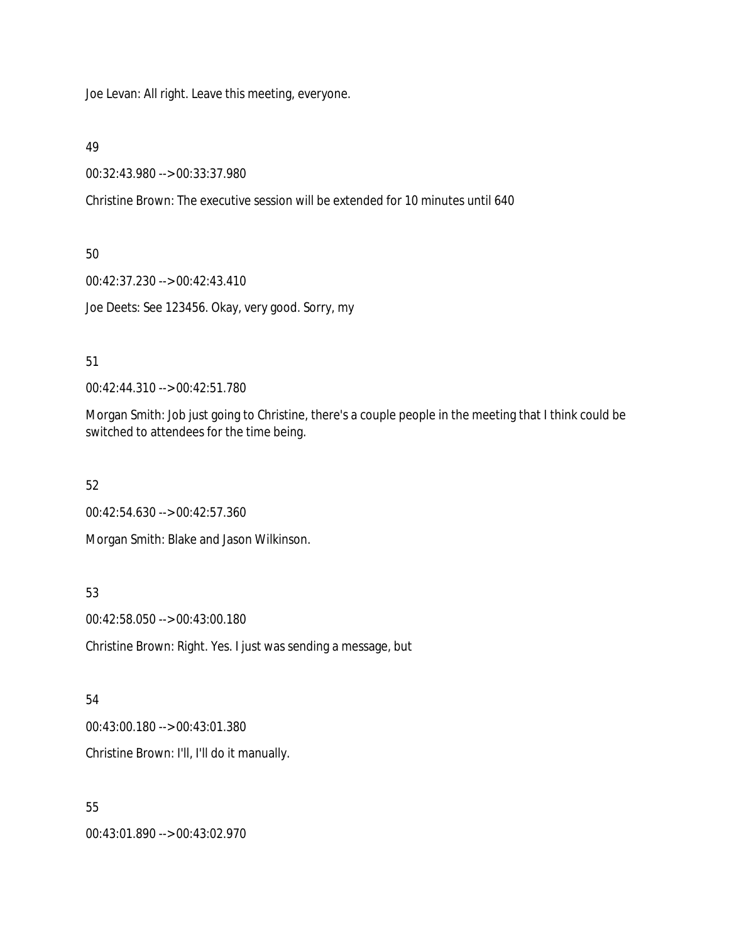Joe Levan: All right. Leave this meeting, everyone.

49

00:32:43.980 --> 00:33:37.980

Christine Brown: The executive session will be extended for 10 minutes until 640

50

00:42:37.230 --> 00:42:43.410

Joe Deets: See 123456. Okay, very good. Sorry, my

51

00:42:44.310 --> 00:42:51.780

Morgan Smith: Job just going to Christine, there's a couple people in the meeting that I think could be switched to attendees for the time being.

52

00:42:54.630 --> 00:42:57.360

Morgan Smith: Blake and Jason Wilkinson.

53

00:42:58.050 --> 00:43:00.180

Christine Brown: Right. Yes. I just was sending a message, but

54

00:43:00.180 --> 00:43:01.380

Christine Brown: I'll, I'll do it manually.

55

00:43:01.890 --> 00:43:02.970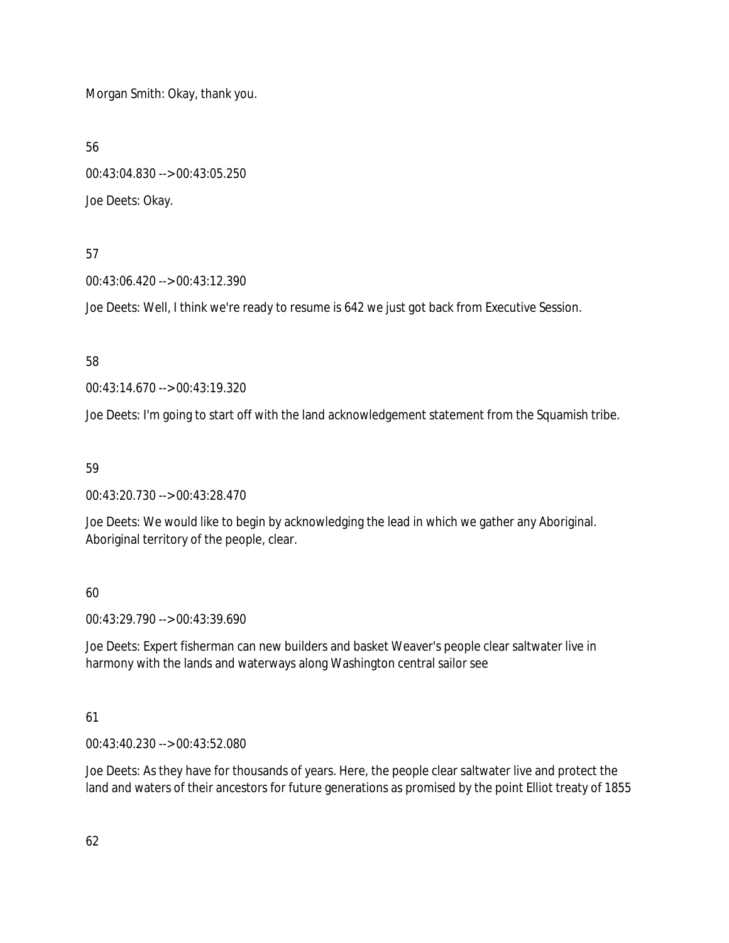Morgan Smith: Okay, thank you.

56

00:43:04.830 --> 00:43:05.250 Joe Deets: Okay.

## 57

00:43:06.420 --> 00:43:12.390

Joe Deets: Well, I think we're ready to resume is 642 we just got back from Executive Session.

# 58

00:43:14.670 --> 00:43:19.320

Joe Deets: I'm going to start off with the land acknowledgement statement from the Squamish tribe.

# 59

00:43:20.730 --> 00:43:28.470

Joe Deets: We would like to begin by acknowledging the lead in which we gather any Aboriginal. Aboriginal territory of the people, clear.

# 60

00:43:29.790 --> 00:43:39.690

Joe Deets: Expert fisherman can new builders and basket Weaver's people clear saltwater live in harmony with the lands and waterways along Washington central sailor see

# 61

00:43:40.230 --> 00:43:52.080

Joe Deets: As they have for thousands of years. Here, the people clear saltwater live and protect the land and waters of their ancestors for future generations as promised by the point Elliot treaty of 1855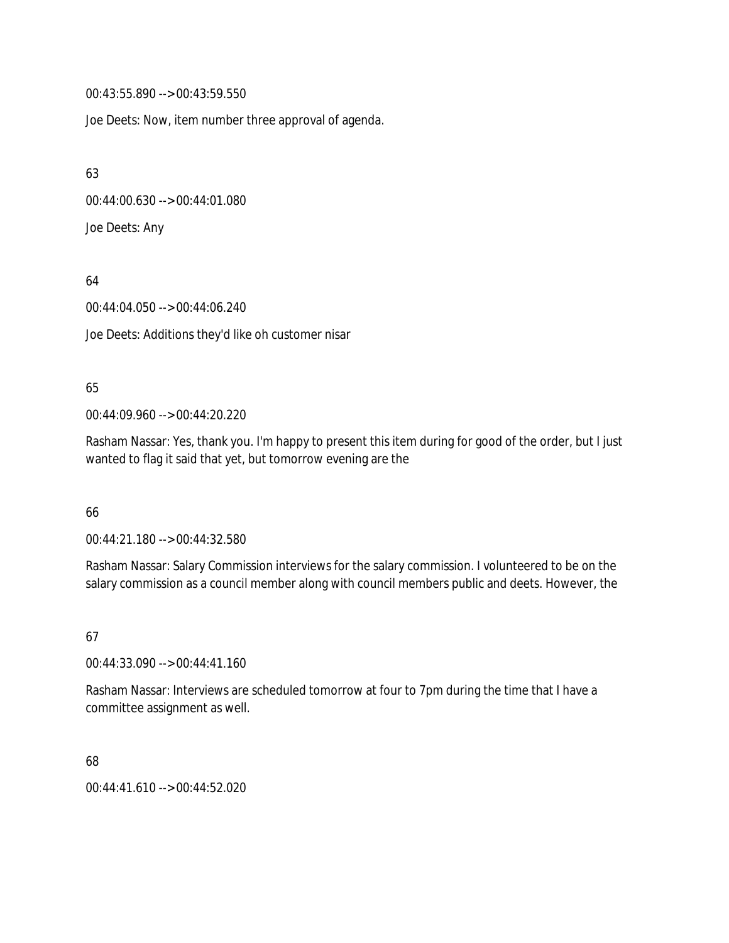00:43:55.890 --> 00:43:59.550

Joe Deets: Now, item number three approval of agenda.

63

00:44:00.630 --> 00:44:01.080

Joe Deets: Any

64

00:44:04.050 --> 00:44:06.240

Joe Deets: Additions they'd like oh customer nisar

## 65

00:44:09.960 --> 00:44:20.220

Rasham Nassar: Yes, thank you. I'm happy to present this item during for good of the order, but I just wanted to flag it said that yet, but tomorrow evening are the

66

00:44:21.180 --> 00:44:32.580

Rasham Nassar: Salary Commission interviews for the salary commission. I volunteered to be on the salary commission as a council member along with council members public and deets. However, the

67

00:44:33.090 --> 00:44:41.160

Rasham Nassar: Interviews are scheduled tomorrow at four to 7pm during the time that I have a committee assignment as well.

68

00:44:41.610 --> 00:44:52.020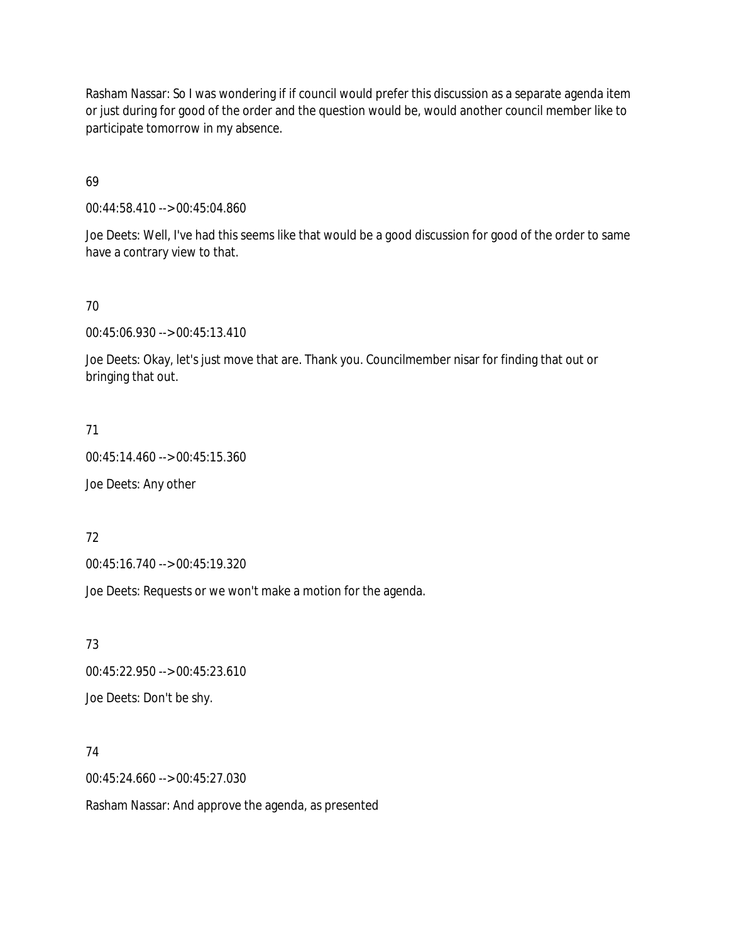Rasham Nassar: So I was wondering if if council would prefer this discussion as a separate agenda item or just during for good of the order and the question would be, would another council member like to participate tomorrow in my absence.

69

00:44:58.410 --> 00:45:04.860

Joe Deets: Well, I've had this seems like that would be a good discussion for good of the order to same have a contrary view to that.

70

00:45:06.930 --> 00:45:13.410

Joe Deets: Okay, let's just move that are. Thank you. Councilmember nisar for finding that out or bringing that out.

71

00:45:14.460 --> 00:45:15.360

Joe Deets: Any other

72

00:45:16.740 --> 00:45:19.320

Joe Deets: Requests or we won't make a motion for the agenda.

73

00:45:22.950 --> 00:45:23.610

Joe Deets: Don't be shy.

74

00:45:24.660 --> 00:45:27.030

Rasham Nassar: And approve the agenda, as presented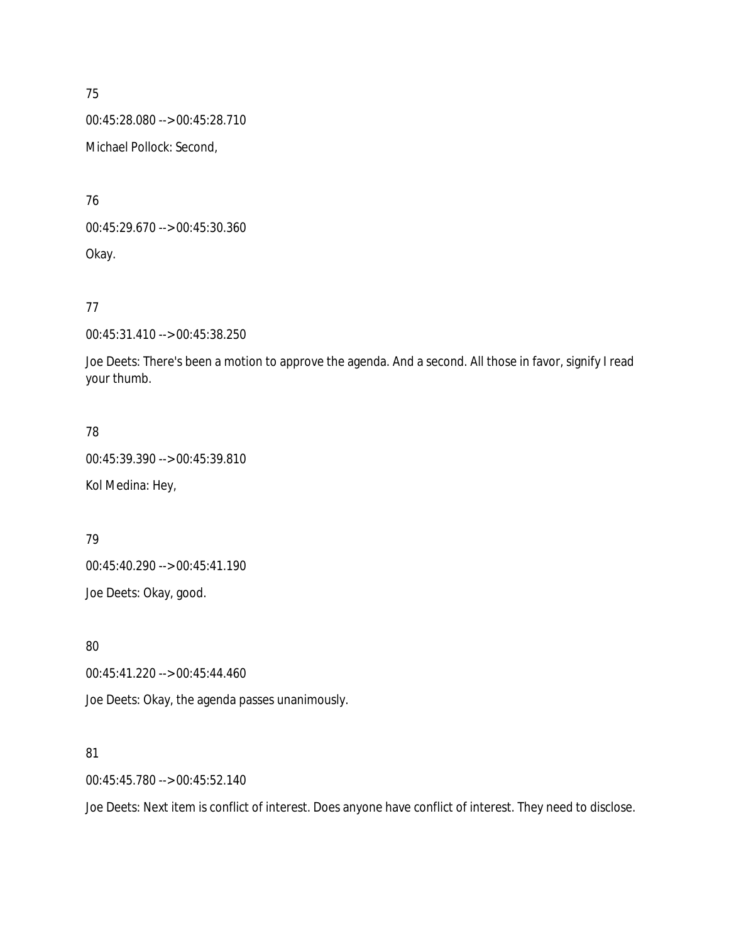00:45:28.080 --> 00:45:28.710

Michael Pollock: Second,

76

00:45:29.670 --> 00:45:30.360 Okay.

77

00:45:31.410 --> 00:45:38.250

Joe Deets: There's been a motion to approve the agenda. And a second. All those in favor, signify I read your thumb.

# 78

00:45:39.390 --> 00:45:39.810 Kol Medina: Hey,

# 79

00:45:40.290 --> 00:45:41.190

Joe Deets: Okay, good.

80

00:45:41.220 --> 00:45:44.460

Joe Deets: Okay, the agenda passes unanimously.

## 81

00:45:45.780 --> 00:45:52.140

Joe Deets: Next item is conflict of interest. Does anyone have conflict of interest. They need to disclose.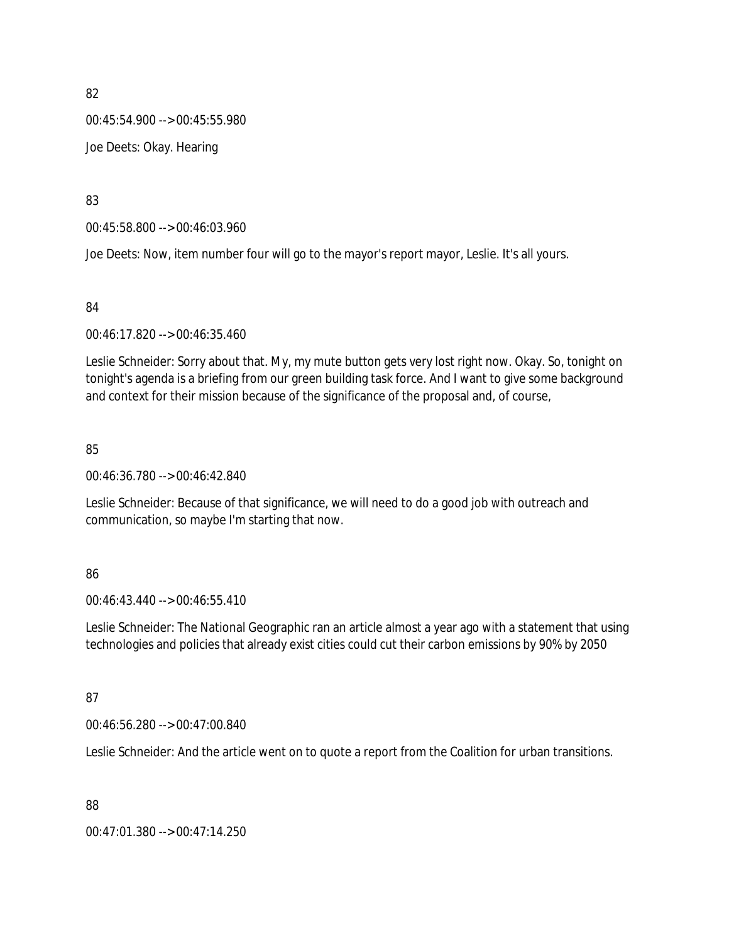00:45:54.900 --> 00:45:55.980

Joe Deets: Okay. Hearing

83

00:45:58.800 --> 00:46:03.960

Joe Deets: Now, item number four will go to the mayor's report mayor, Leslie. It's all yours.

84

00:46:17.820 --> 00:46:35.460

Leslie Schneider: Sorry about that. My, my mute button gets very lost right now. Okay. So, tonight on tonight's agenda is a briefing from our green building task force. And I want to give some background and context for their mission because of the significance of the proposal and, of course,

85

00:46:36.780 --> 00:46:42.840

Leslie Schneider: Because of that significance, we will need to do a good job with outreach and communication, so maybe I'm starting that now.

## 86

00:46:43.440 --> 00:46:55.410

Leslie Schneider: The National Geographic ran an article almost a year ago with a statement that using technologies and policies that already exist cities could cut their carbon emissions by 90% by 2050

# 87

00:46:56.280 --> 00:47:00.840

Leslie Schneider: And the article went on to quote a report from the Coalition for urban transitions.

88

00:47:01.380 --> 00:47:14.250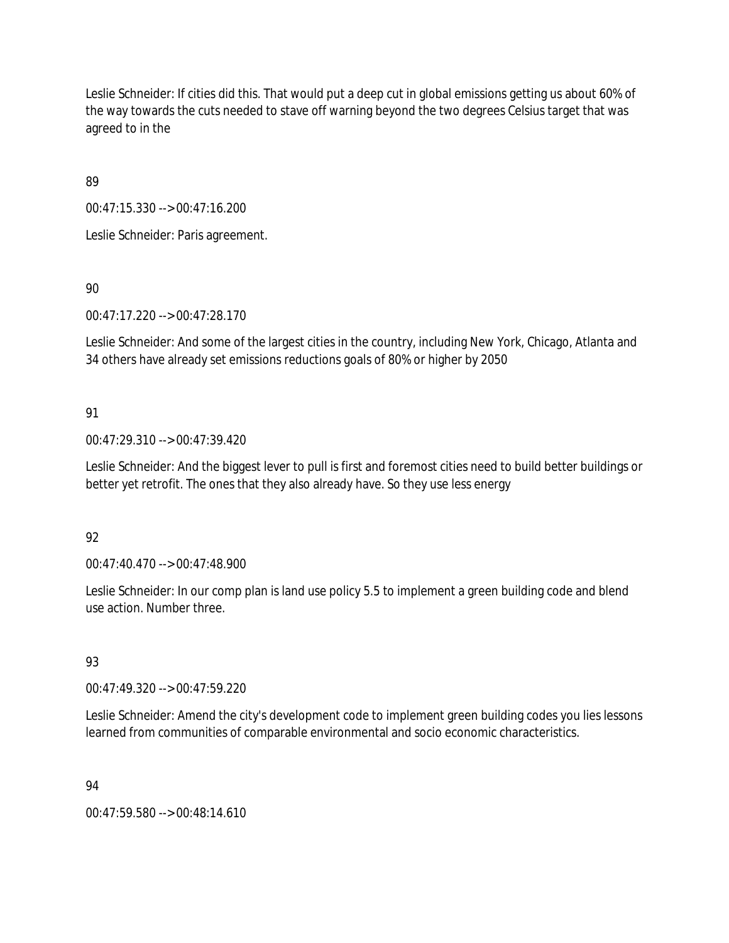Leslie Schneider: If cities did this. That would put a deep cut in global emissions getting us about 60% of the way towards the cuts needed to stave off warning beyond the two degrees Celsius target that was agreed to in the

89

00:47:15.330 --> 00:47:16.200

Leslie Schneider: Paris agreement.

90

00:47:17.220 --> 00:47:28.170

Leslie Schneider: And some of the largest cities in the country, including New York, Chicago, Atlanta and 34 others have already set emissions reductions goals of 80% or higher by 2050

# 91

00:47:29.310 --> 00:47:39.420

Leslie Schneider: And the biggest lever to pull is first and foremost cities need to build better buildings or better yet retrofit. The ones that they also already have. So they use less energy

## 92

00:47:40.470 --> 00:47:48.900

Leslie Schneider: In our comp plan is land use policy 5.5 to implement a green building code and blend use action. Number three.

## 93

00:47:49.320 --> 00:47:59.220

Leslie Schneider: Amend the city's development code to implement green building codes you lies lessons learned from communities of comparable environmental and socio economic characteristics.

## 94

00:47:59.580 --> 00:48:14.610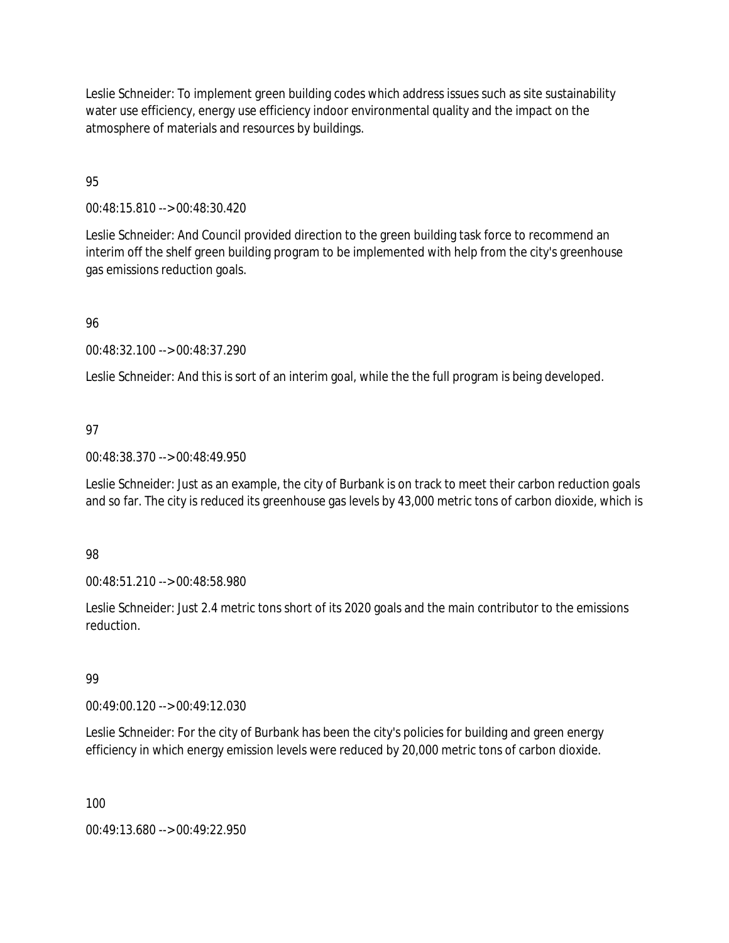Leslie Schneider: To implement green building codes which address issues such as site sustainability water use efficiency, energy use efficiency indoor environmental quality and the impact on the atmosphere of materials and resources by buildings.

95

00:48:15.810 --> 00:48:30.420

Leslie Schneider: And Council provided direction to the green building task force to recommend an interim off the shelf green building program to be implemented with help from the city's greenhouse gas emissions reduction goals.

96

00:48:32.100 --> 00:48:37.290

Leslie Schneider: And this is sort of an interim goal, while the the full program is being developed.

## 97

00:48:38.370 --> 00:48:49.950

Leslie Schneider: Just as an example, the city of Burbank is on track to meet their carbon reduction goals and so far. The city is reduced its greenhouse gas levels by 43,000 metric tons of carbon dioxide, which is

## 98

00:48:51.210 --> 00:48:58.980

Leslie Schneider: Just 2.4 metric tons short of its 2020 goals and the main contributor to the emissions reduction.

## 99

00:49:00.120 --> 00:49:12.030

Leslie Schneider: For the city of Burbank has been the city's policies for building and green energy efficiency in which energy emission levels were reduced by 20,000 metric tons of carbon dioxide.

100

00:49:13.680 --> 00:49:22.950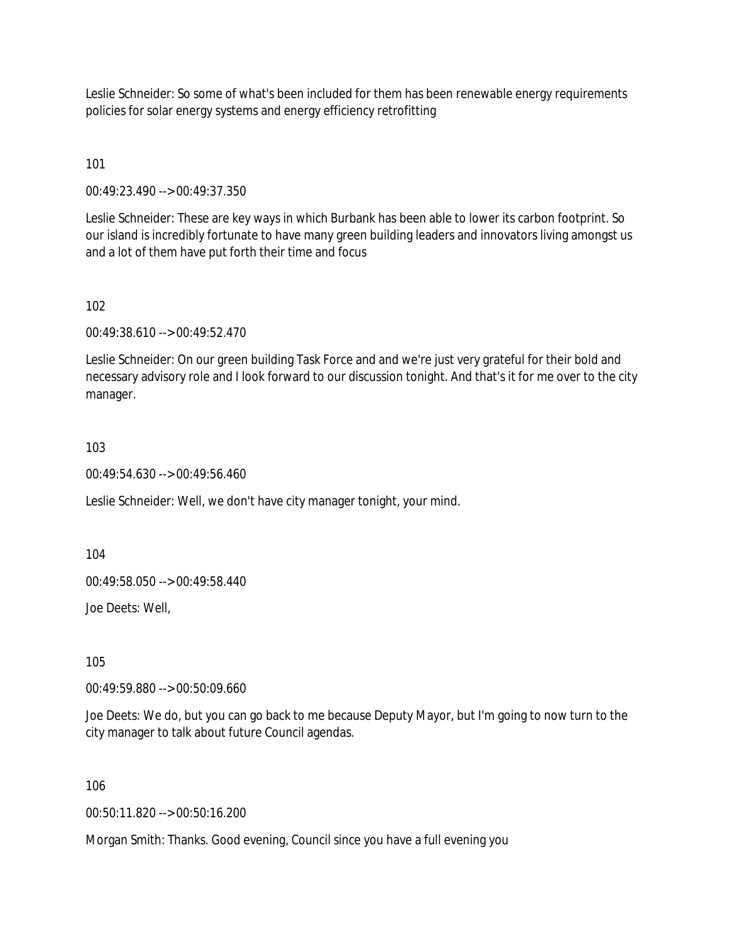Leslie Schneider: So some of what's been included for them has been renewable energy requirements policies for solar energy systems and energy efficiency retrofitting

101

00:49:23.490 --> 00:49:37.350

Leslie Schneider: These are key ways in which Burbank has been able to lower its carbon footprint. So our island is incredibly fortunate to have many green building leaders and innovators living amongst us and a lot of them have put forth their time and focus

102

00:49:38.610 --> 00:49:52.470

Leslie Schneider: On our green building Task Force and and we're just very grateful for their bold and necessary advisory role and I look forward to our discussion tonight. And that's it for me over to the city manager.

103

00:49:54.630 --> 00:49:56.460

Leslie Schneider: Well, we don't have city manager tonight, your mind.

104

00:49:58.050 --> 00:49:58.440

Joe Deets: Well,

105

00:49:59.880 --> 00:50:09.660

Joe Deets: We do, but you can go back to me because Deputy Mayor, but I'm going to now turn to the city manager to talk about future Council agendas.

106

00:50:11.820 --> 00:50:16.200

Morgan Smith: Thanks. Good evening, Council since you have a full evening you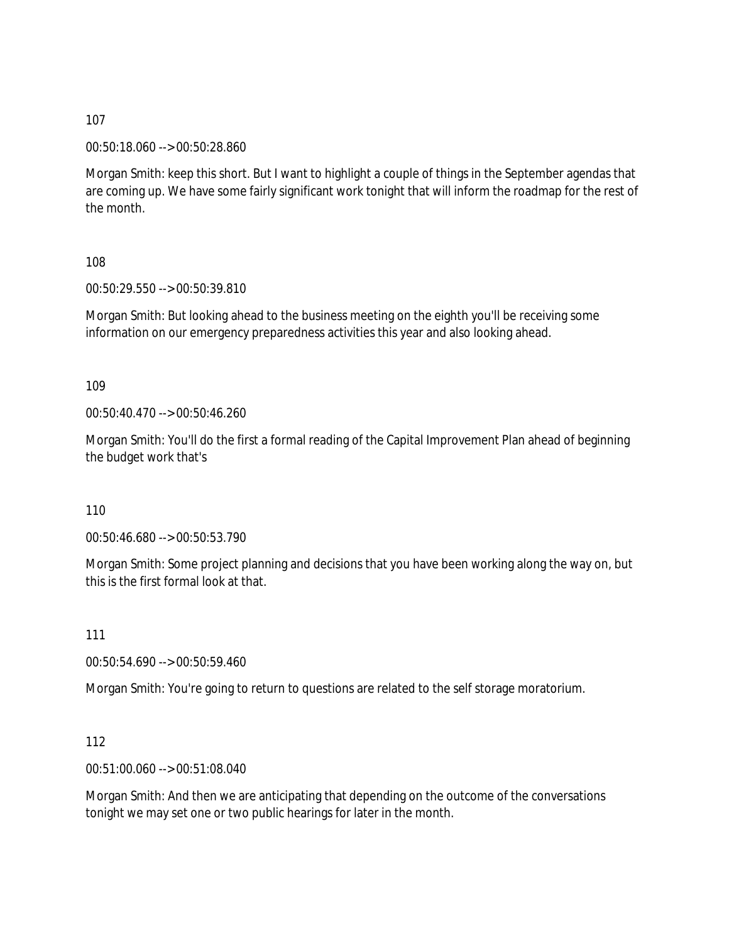00:50:18.060 --> 00:50:28.860

Morgan Smith: keep this short. But I want to highlight a couple of things in the September agendas that are coming up. We have some fairly significant work tonight that will inform the roadmap for the rest of the month.

108

00:50:29.550 --> 00:50:39.810

Morgan Smith: But looking ahead to the business meeting on the eighth you'll be receiving some information on our emergency preparedness activities this year and also looking ahead.

109

00:50:40.470 --> 00:50:46.260

Morgan Smith: You'll do the first a formal reading of the Capital Improvement Plan ahead of beginning the budget work that's

110

00:50:46.680 --> 00:50:53.790

Morgan Smith: Some project planning and decisions that you have been working along the way on, but this is the first formal look at that.

111

00:50:54.690 --> 00:50:59.460

Morgan Smith: You're going to return to questions are related to the self storage moratorium.

112

00:51:00.060 --> 00:51:08.040

Morgan Smith: And then we are anticipating that depending on the outcome of the conversations tonight we may set one or two public hearings for later in the month.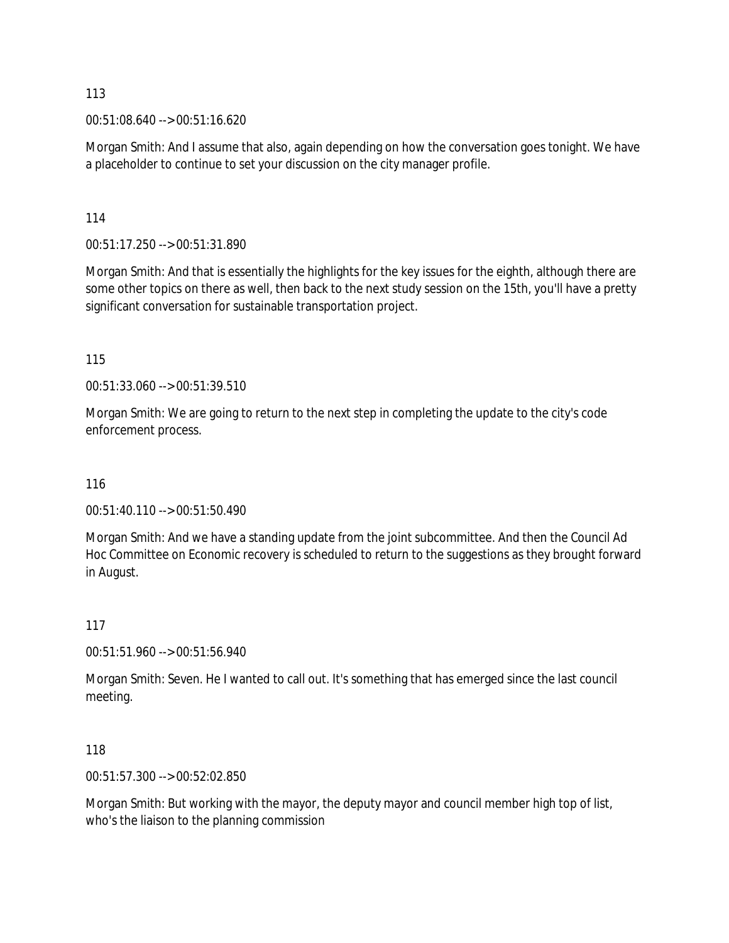00:51:08.640 --> 00:51:16.620

Morgan Smith: And I assume that also, again depending on how the conversation goes tonight. We have a placeholder to continue to set your discussion on the city manager profile.

114

00:51:17.250 --> 00:51:31.890

Morgan Smith: And that is essentially the highlights for the key issues for the eighth, although there are some other topics on there as well, then back to the next study session on the 15th, you'll have a pretty significant conversation for sustainable transportation project.

115

00:51:33.060 --> 00:51:39.510

Morgan Smith: We are going to return to the next step in completing the update to the city's code enforcement process.

116

00:51:40.110 --> 00:51:50.490

Morgan Smith: And we have a standing update from the joint subcommittee. And then the Council Ad Hoc Committee on Economic recovery is scheduled to return to the suggestions as they brought forward in August.

117

00:51:51.960 --> 00:51:56.940

Morgan Smith: Seven. He I wanted to call out. It's something that has emerged since the last council meeting.

118

00:51:57.300 --> 00:52:02.850

Morgan Smith: But working with the mayor, the deputy mayor and council member high top of list, who's the liaison to the planning commission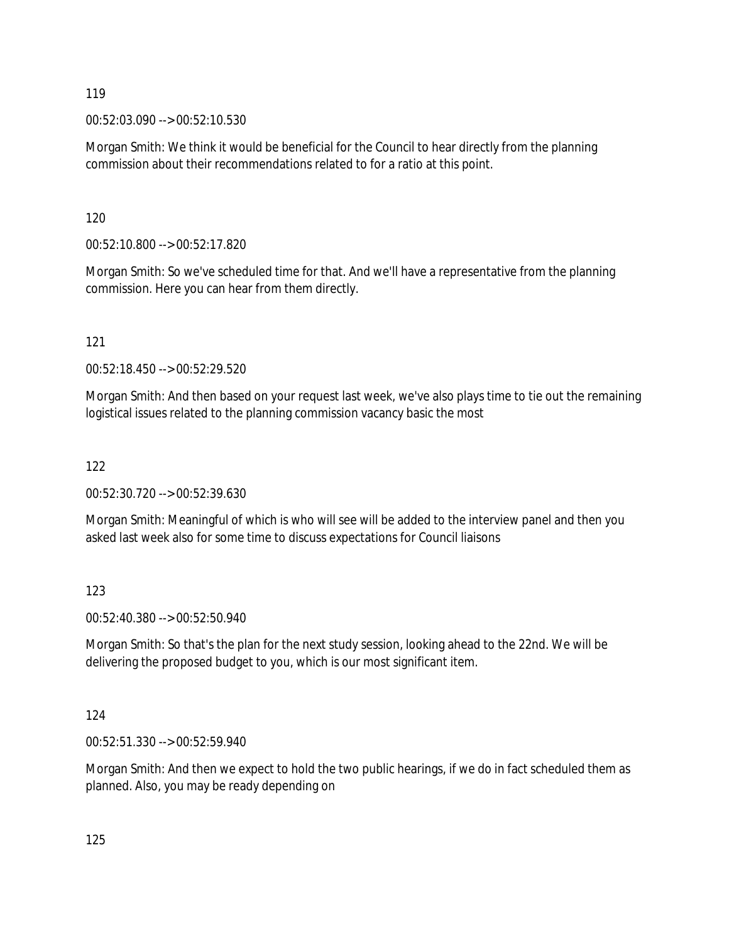00:52:03.090 --> 00:52:10.530

Morgan Smith: We think it would be beneficial for the Council to hear directly from the planning commission about their recommendations related to for a ratio at this point.

120

00:52:10.800 --> 00:52:17.820

Morgan Smith: So we've scheduled time for that. And we'll have a representative from the planning commission. Here you can hear from them directly.

121

00:52:18.450 --> 00:52:29.520

Morgan Smith: And then based on your request last week, we've also plays time to tie out the remaining logistical issues related to the planning commission vacancy basic the most

122

00:52:30.720 --> 00:52:39.630

Morgan Smith: Meaningful of which is who will see will be added to the interview panel and then you asked last week also for some time to discuss expectations for Council liaisons

123

00:52:40.380 --> 00:52:50.940

Morgan Smith: So that's the plan for the next study session, looking ahead to the 22nd. We will be delivering the proposed budget to you, which is our most significant item.

124

00:52:51.330 --> 00:52:59.940

Morgan Smith: And then we expect to hold the two public hearings, if we do in fact scheduled them as planned. Also, you may be ready depending on

125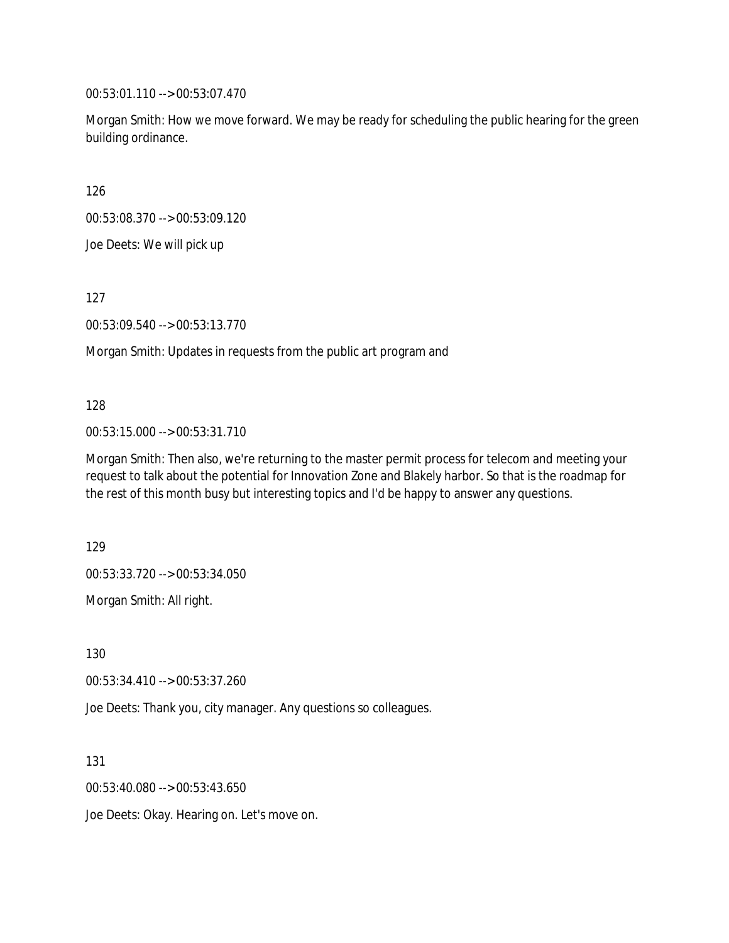00:53:01.110 --> 00:53:07.470

Morgan Smith: How we move forward. We may be ready for scheduling the public hearing for the green building ordinance.

126

00:53:08.370 --> 00:53:09.120

Joe Deets: We will pick up

127

00:53:09.540 --> 00:53:13.770

Morgan Smith: Updates in requests from the public art program and

### 128

00:53:15.000 --> 00:53:31.710

Morgan Smith: Then also, we're returning to the master permit process for telecom and meeting your request to talk about the potential for Innovation Zone and Blakely harbor. So that is the roadmap for the rest of this month busy but interesting topics and I'd be happy to answer any questions.

129

00:53:33.720 --> 00:53:34.050

Morgan Smith: All right.

130

00:53:34.410 --> 00:53:37.260

Joe Deets: Thank you, city manager. Any questions so colleagues.

131

00:53:40.080 --> 00:53:43.650

Joe Deets: Okay. Hearing on. Let's move on.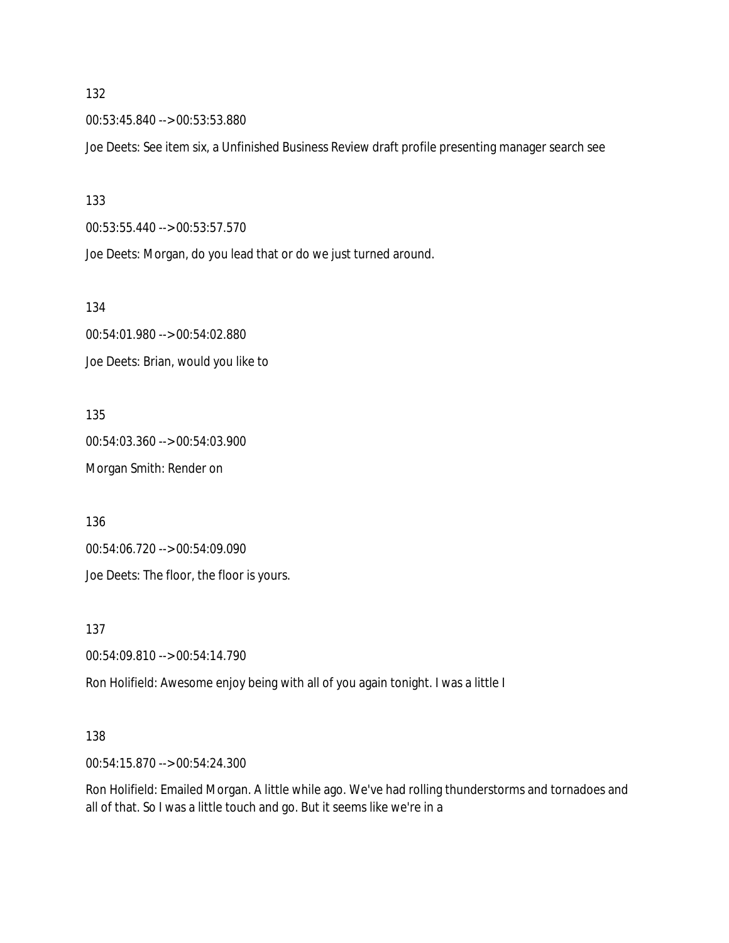00:53:45.840 --> 00:53:53.880

Joe Deets: See item six, a Unfinished Business Review draft profile presenting manager search see

133

00:53:55.440 --> 00:53:57.570

Joe Deets: Morgan, do you lead that or do we just turned around.

134

00:54:01.980 --> 00:54:02.880 Joe Deets: Brian, would you like to

135 00:54:03.360 --> 00:54:03.900 Morgan Smith: Render on

136

00:54:06.720 --> 00:54:09.090

Joe Deets: The floor, the floor is yours.

137

00:54:09.810 --> 00:54:14.790

Ron Holifield: Awesome enjoy being with all of you again tonight. I was a little I

#### 138

00:54:15.870 --> 00:54:24.300

Ron Holifield: Emailed Morgan. A little while ago. We've had rolling thunderstorms and tornadoes and all of that. So I was a little touch and go. But it seems like we're in a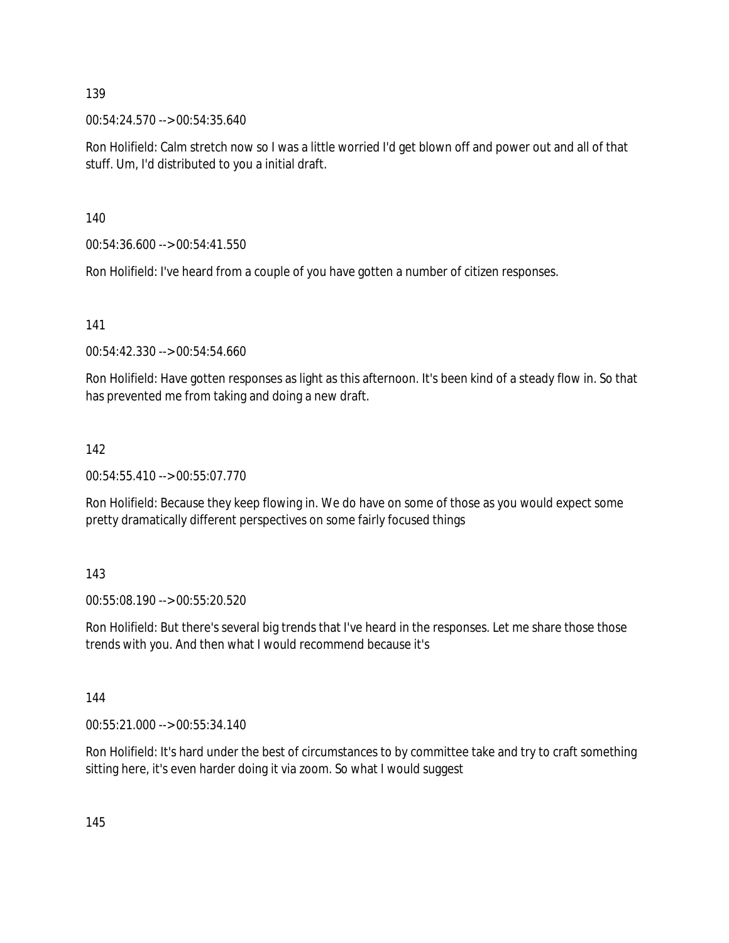00:54:24.570 --> 00:54:35.640

Ron Holifield: Calm stretch now so I was a little worried I'd get blown off and power out and all of that stuff. Um, I'd distributed to you a initial draft.

140

00:54:36.600 --> 00:54:41.550

Ron Holifield: I've heard from a couple of you have gotten a number of citizen responses.

141

00:54:42.330 --> 00:54:54.660

Ron Holifield: Have gotten responses as light as this afternoon. It's been kind of a steady flow in. So that has prevented me from taking and doing a new draft.

## 142

00:54:55.410 --> 00:55:07.770

Ron Holifield: Because they keep flowing in. We do have on some of those as you would expect some pretty dramatically different perspectives on some fairly focused things

143

00:55:08.190 --> 00:55:20.520

Ron Holifield: But there's several big trends that I've heard in the responses. Let me share those those trends with you. And then what I would recommend because it's

144

00:55:21.000 --> 00:55:34.140

Ron Holifield: It's hard under the best of circumstances to by committee take and try to craft something sitting here, it's even harder doing it via zoom. So what I would suggest

145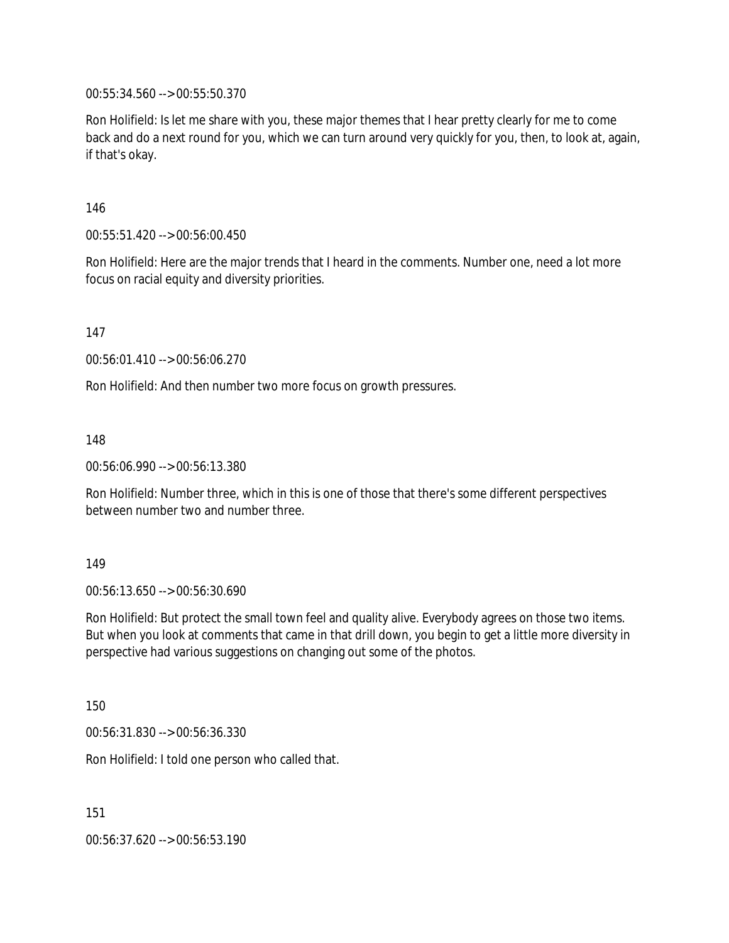00:55:34.560 --> 00:55:50.370

Ron Holifield: Is let me share with you, these major themes that I hear pretty clearly for me to come back and do a next round for you, which we can turn around very quickly for you, then, to look at, again, if that's okay.

146

00:55:51.420 --> 00:56:00.450

Ron Holifield: Here are the major trends that I heard in the comments. Number one, need a lot more focus on racial equity and diversity priorities.

147

00:56:01.410 --> 00:56:06.270

Ron Holifield: And then number two more focus on growth pressures.

148

00:56:06.990 --> 00:56:13.380

Ron Holifield: Number three, which in this is one of those that there's some different perspectives between number two and number three.

149

00:56:13.650 --> 00:56:30.690

Ron Holifield: But protect the small town feel and quality alive. Everybody agrees on those two items. But when you look at comments that came in that drill down, you begin to get a little more diversity in perspective had various suggestions on changing out some of the photos.

150

00:56:31.830 --> 00:56:36.330

Ron Holifield: I told one person who called that.

151

00:56:37.620 --> 00:56:53.190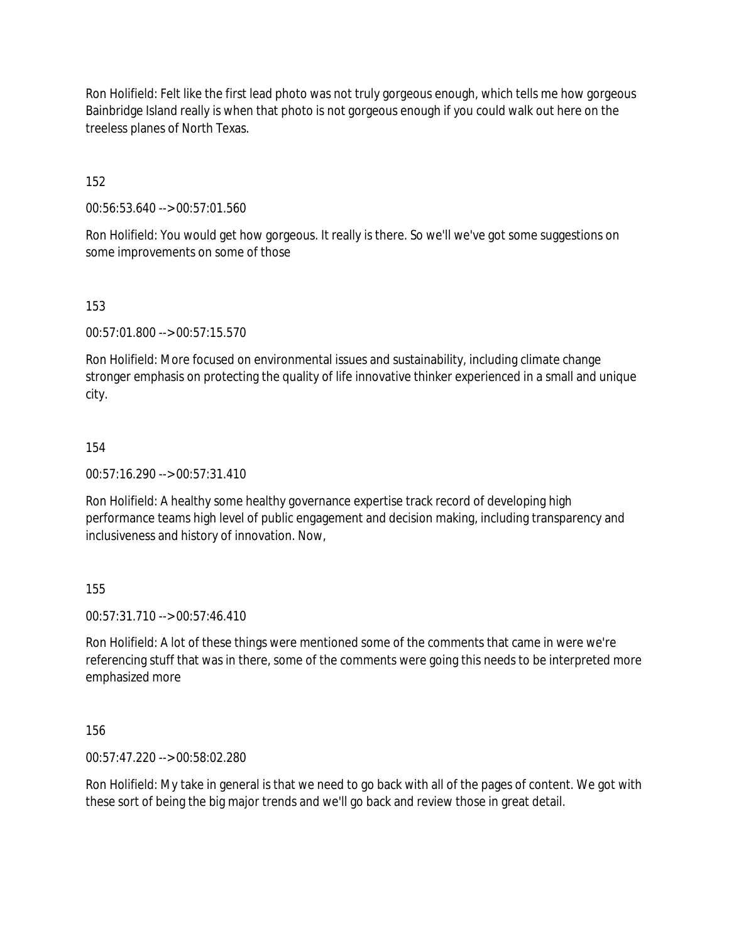Ron Holifield: Felt like the first lead photo was not truly gorgeous enough, which tells me how gorgeous Bainbridge Island really is when that photo is not gorgeous enough if you could walk out here on the treeless planes of North Texas.

152

00:56:53.640 --> 00:57:01.560

Ron Holifield: You would get how gorgeous. It really is there. So we'll we've got some suggestions on some improvements on some of those

## 153

00:57:01.800 --> 00:57:15.570

Ron Holifield: More focused on environmental issues and sustainability, including climate change stronger emphasis on protecting the quality of life innovative thinker experienced in a small and unique city.

## 154

00:57:16.290 --> 00:57:31.410

Ron Holifield: A healthy some healthy governance expertise track record of developing high performance teams high level of public engagement and decision making, including transparency and inclusiveness and history of innovation. Now,

## 155

00:57:31.710 --> 00:57:46.410

Ron Holifield: A lot of these things were mentioned some of the comments that came in were we're referencing stuff that was in there, some of the comments were going this needs to be interpreted more emphasized more

156

00:57:47.220 --> 00:58:02.280

Ron Holifield: My take in general is that we need to go back with all of the pages of content. We got with these sort of being the big major trends and we'll go back and review those in great detail.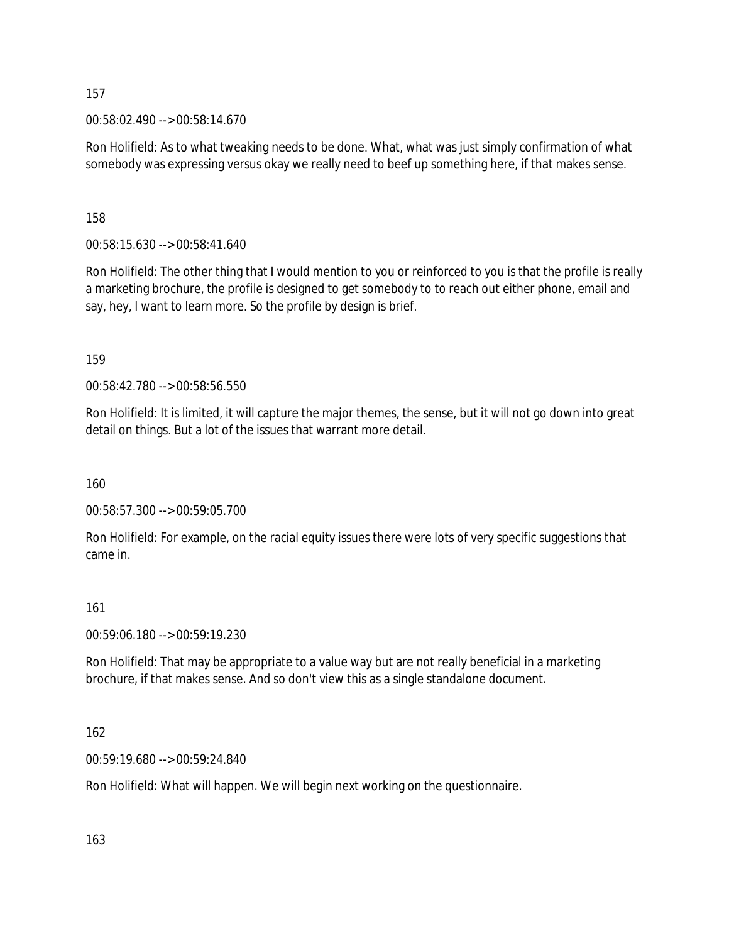00:58:02.490 --> 00:58:14.670

Ron Holifield: As to what tweaking needs to be done. What, what was just simply confirmation of what somebody was expressing versus okay we really need to beef up something here, if that makes sense.

158

00:58:15.630 --> 00:58:41.640

Ron Holifield: The other thing that I would mention to you or reinforced to you is that the profile is really a marketing brochure, the profile is designed to get somebody to to reach out either phone, email and say, hey, I want to learn more. So the profile by design is brief.

159

00:58:42.780 --> 00:58:56.550

Ron Holifield: It is limited, it will capture the major themes, the sense, but it will not go down into great detail on things. But a lot of the issues that warrant more detail.

160

00:58:57.300 --> 00:59:05.700

Ron Holifield: For example, on the racial equity issues there were lots of very specific suggestions that came in.

#### 161

00:59:06.180 --> 00:59:19.230

Ron Holifield: That may be appropriate to a value way but are not really beneficial in a marketing brochure, if that makes sense. And so don't view this as a single standalone document.

162

00:59:19.680 --> 00:59:24.840

Ron Holifield: What will happen. We will begin next working on the questionnaire.

163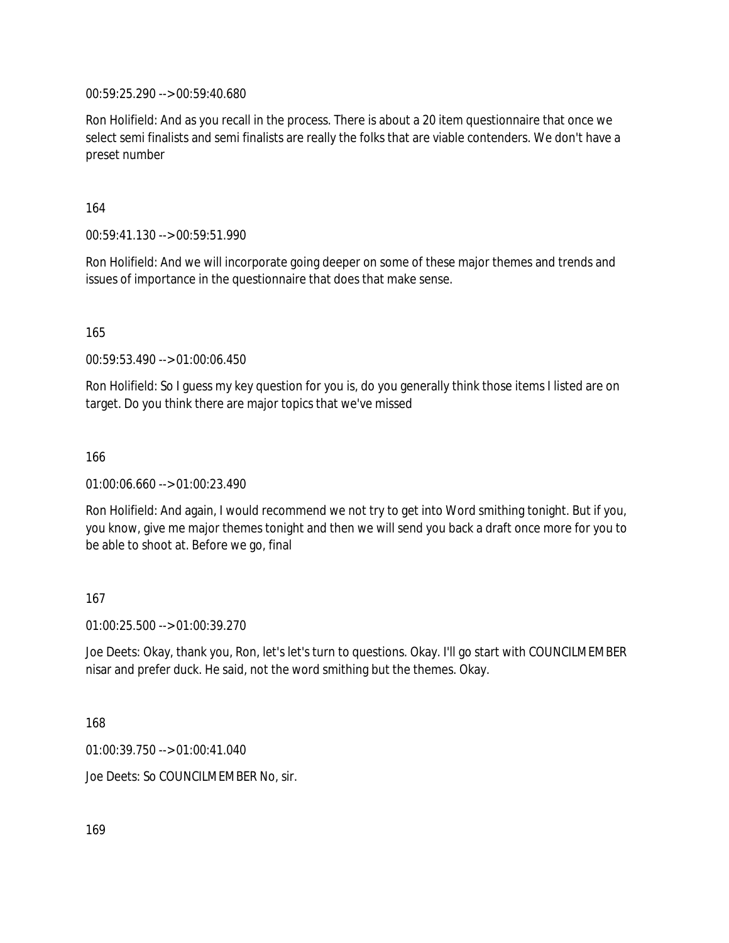00:59:25.290 --> 00:59:40.680

Ron Holifield: And as you recall in the process. There is about a 20 item questionnaire that once we select semi finalists and semi finalists are really the folks that are viable contenders. We don't have a preset number

164

00:59:41.130 --> 00:59:51.990

Ron Holifield: And we will incorporate going deeper on some of these major themes and trends and issues of importance in the questionnaire that does that make sense.

165

00:59:53.490 --> 01:00:06.450

Ron Holifield: So I guess my key question for you is, do you generally think those items I listed are on target. Do you think there are major topics that we've missed

166

01:00:06.660 --> 01:00:23.490

Ron Holifield: And again, I would recommend we not try to get into Word smithing tonight. But if you, you know, give me major themes tonight and then we will send you back a draft once more for you to be able to shoot at. Before we go, final

167

01:00:25.500 --> 01:00:39.270

Joe Deets: Okay, thank you, Ron, let's let's turn to questions. Okay. I'll go start with COUNCILMEMBER nisar and prefer duck. He said, not the word smithing but the themes. Okay.

168

01:00:39.750 --> 01:00:41.040

Joe Deets: So COUNCILMEMBER No, sir.

169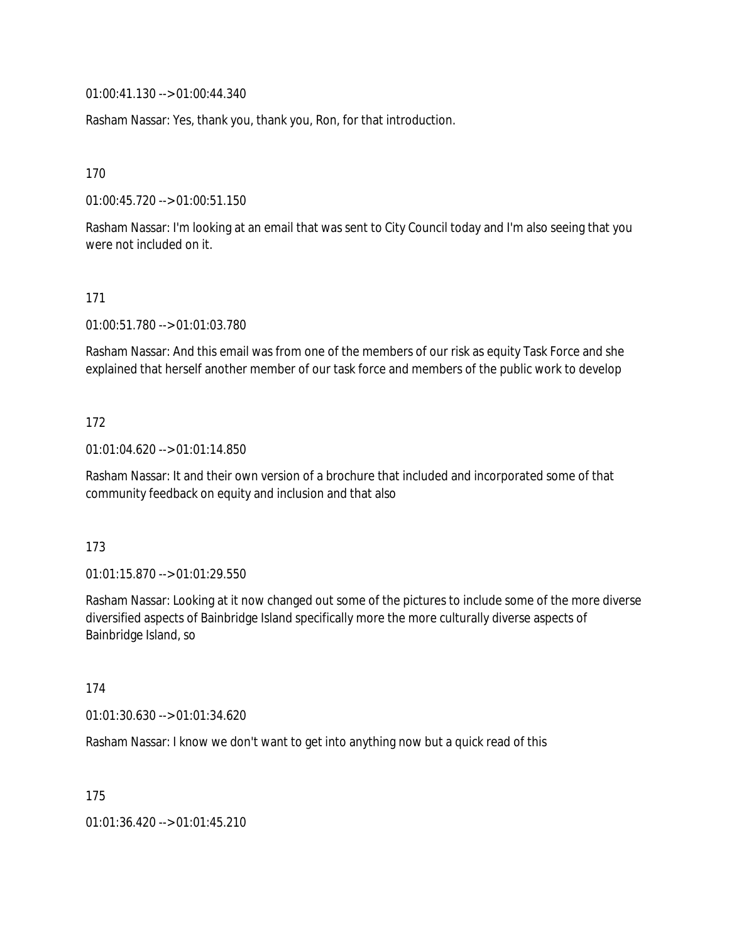01:00:41.130 --> 01:00:44.340

Rasham Nassar: Yes, thank you, thank you, Ron, for that introduction.

170

01:00:45.720 --> 01:00:51.150

Rasham Nassar: I'm looking at an email that was sent to City Council today and I'm also seeing that you were not included on it.

### 171

01:00:51.780 --> 01:01:03.780

Rasham Nassar: And this email was from one of the members of our risk as equity Task Force and she explained that herself another member of our task force and members of the public work to develop

### 172

01:01:04.620 --> 01:01:14.850

Rasham Nassar: It and their own version of a brochure that included and incorporated some of that community feedback on equity and inclusion and that also

#### 173

01:01:15.870 --> 01:01:29.550

Rasham Nassar: Looking at it now changed out some of the pictures to include some of the more diverse diversified aspects of Bainbridge Island specifically more the more culturally diverse aspects of Bainbridge Island, so

#### 174

01:01:30.630 --> 01:01:34.620

Rasham Nassar: I know we don't want to get into anything now but a quick read of this

175

01:01:36.420 --> 01:01:45.210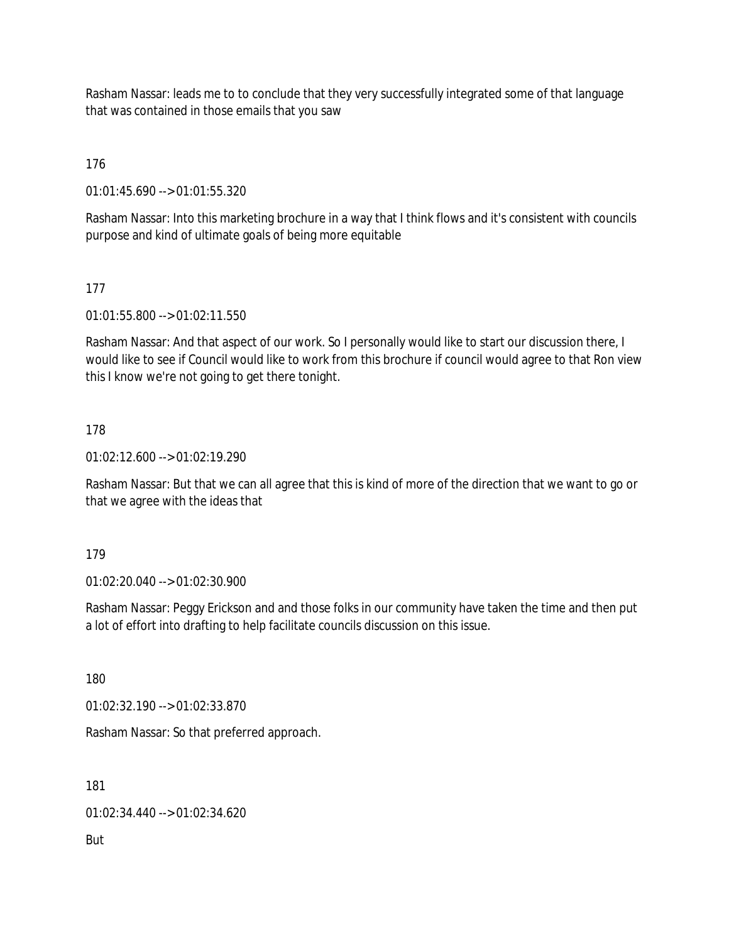Rasham Nassar: leads me to to conclude that they very successfully integrated some of that language that was contained in those emails that you saw

176

01:01:45.690 --> 01:01:55.320

Rasham Nassar: Into this marketing brochure in a way that I think flows and it's consistent with councils purpose and kind of ultimate goals of being more equitable

177

01:01:55.800 --> 01:02:11.550

Rasham Nassar: And that aspect of our work. So I personally would like to start our discussion there, I would like to see if Council would like to work from this brochure if council would agree to that Ron view this I know we're not going to get there tonight.

## 178

01:02:12.600 --> 01:02:19.290

Rasham Nassar: But that we can all agree that this is kind of more of the direction that we want to go or that we agree with the ideas that

179

01:02:20.040 --> 01:02:30.900

Rasham Nassar: Peggy Erickson and and those folks in our community have taken the time and then put a lot of effort into drafting to help facilitate councils discussion on this issue.

180

01:02:32.190 --> 01:02:33.870

Rasham Nassar: So that preferred approach.

181

01:02:34.440 --> 01:02:34.620

But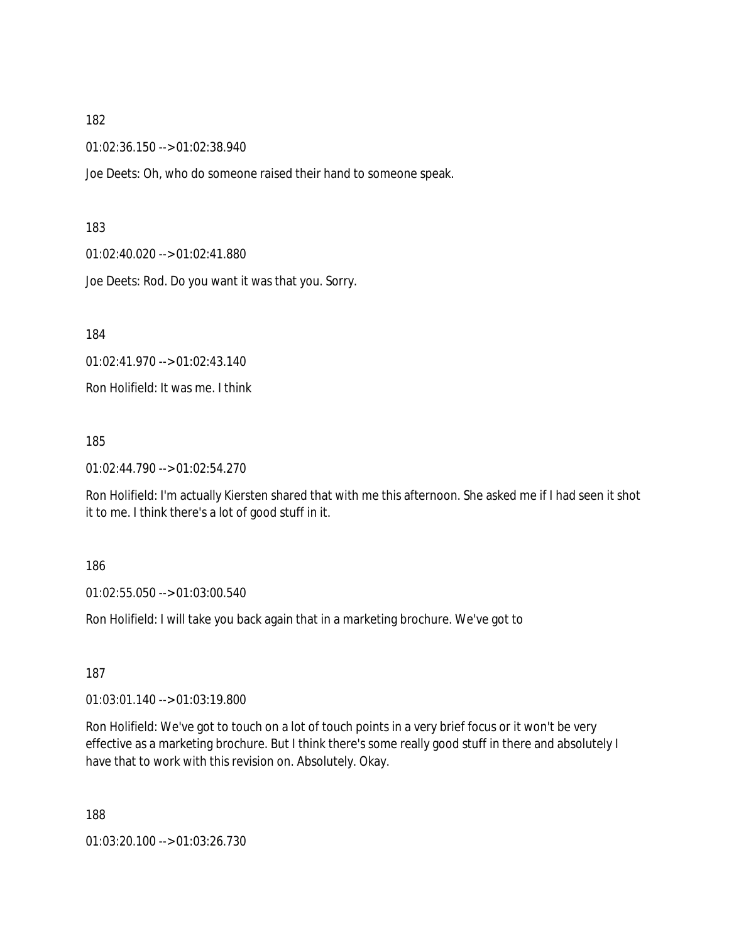01:02:36.150 --> 01:02:38.940

Joe Deets: Oh, who do someone raised their hand to someone speak.

#### 183

01:02:40.020 --> 01:02:41.880

Joe Deets: Rod. Do you want it was that you. Sorry.

184

01:02:41.970 --> 01:02:43.140

Ron Holifield: It was me. I think

185

01:02:44.790 --> 01:02:54.270

Ron Holifield: I'm actually Kiersten shared that with me this afternoon. She asked me if I had seen it shot it to me. I think there's a lot of good stuff in it.

#### 186

01:02:55.050 --> 01:03:00.540

Ron Holifield: I will take you back again that in a marketing brochure. We've got to

187

01:03:01.140 --> 01:03:19.800

Ron Holifield: We've got to touch on a lot of touch points in a very brief focus or it won't be very effective as a marketing brochure. But I think there's some really good stuff in there and absolutely I have that to work with this revision on. Absolutely. Okay.

188

01:03:20.100 --> 01:03:26.730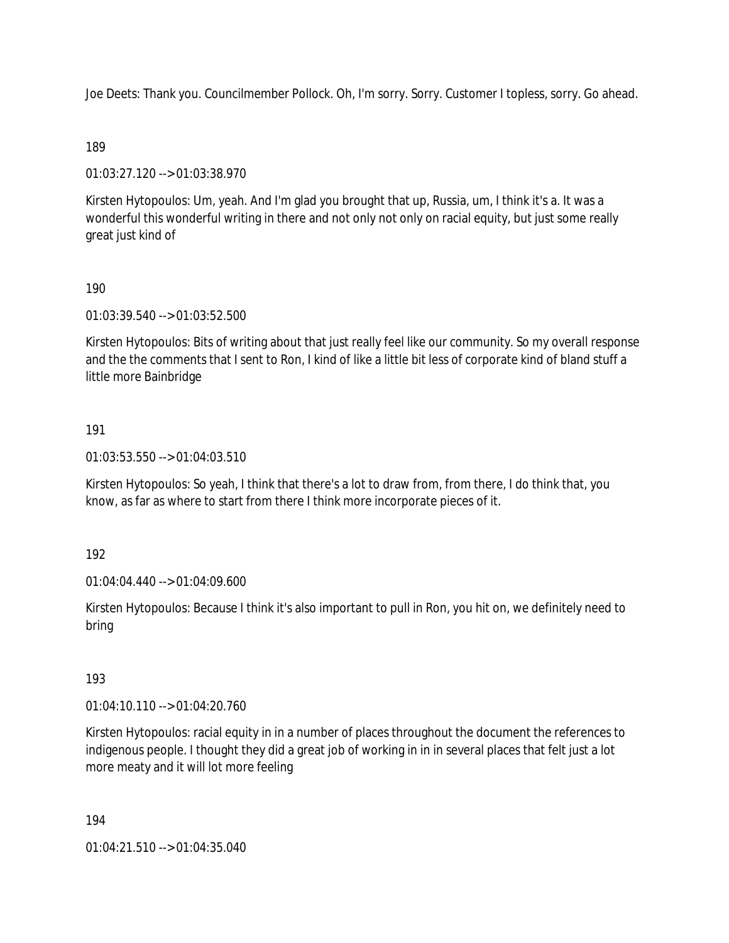Joe Deets: Thank you. Councilmember Pollock. Oh, I'm sorry. Sorry. Customer I topless, sorry. Go ahead.

## 189

01:03:27.120 --> 01:03:38.970

Kirsten Hytopoulos: Um, yeah. And I'm glad you brought that up, Russia, um, I think it's a. It was a wonderful this wonderful writing in there and not only not only on racial equity, but just some really great just kind of

## 190

01:03:39.540 --> 01:03:52.500

Kirsten Hytopoulos: Bits of writing about that just really feel like our community. So my overall response and the the comments that I sent to Ron, I kind of like a little bit less of corporate kind of bland stuff a little more Bainbridge

## 191

01:03:53.550 --> 01:04:03.510

Kirsten Hytopoulos: So yeah, I think that there's a lot to draw from, from there, I do think that, you know, as far as where to start from there I think more incorporate pieces of it.

## 192

01:04:04.440 --> 01:04:09.600

Kirsten Hytopoulos: Because I think it's also important to pull in Ron, you hit on, we definitely need to bring

# 193

01:04:10.110 --> 01:04:20.760

Kirsten Hytopoulos: racial equity in in a number of places throughout the document the references to indigenous people. I thought they did a great job of working in in in several places that felt just a lot more meaty and it will lot more feeling

194

01:04:21.510 --> 01:04:35.040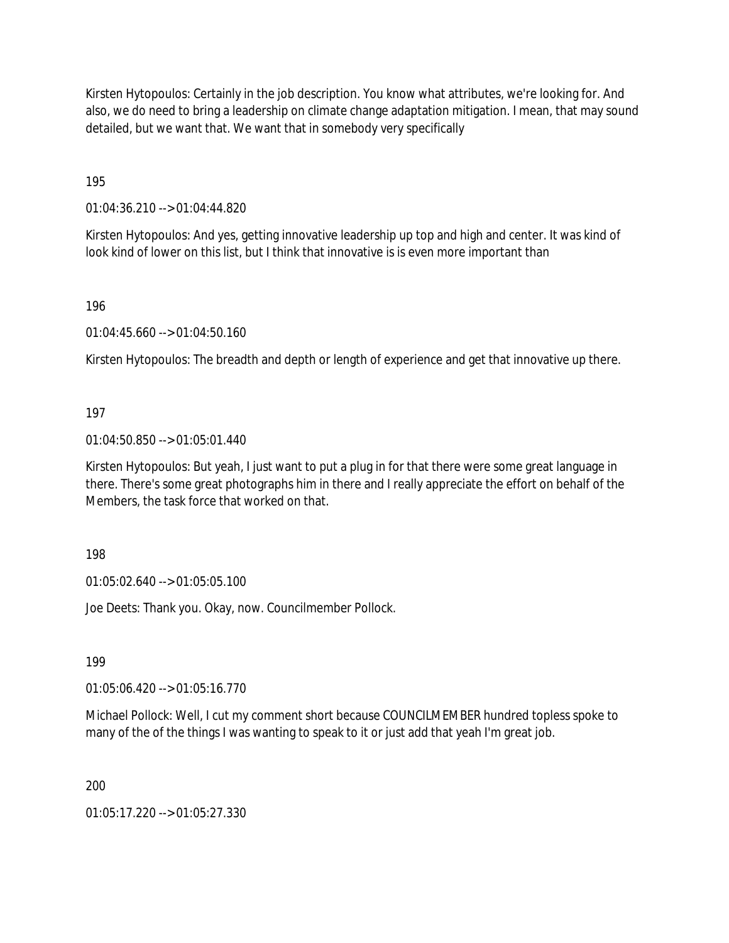Kirsten Hytopoulos: Certainly in the job description. You know what attributes, we're looking for. And also, we do need to bring a leadership on climate change adaptation mitigation. I mean, that may sound detailed, but we want that. We want that in somebody very specifically

195

01:04:36.210 --> 01:04:44.820

Kirsten Hytopoulos: And yes, getting innovative leadership up top and high and center. It was kind of look kind of lower on this list, but I think that innovative is is even more important than

196

01:04:45.660 --> 01:04:50.160

Kirsten Hytopoulos: The breadth and depth or length of experience and get that innovative up there.

## 197

01:04:50.850 --> 01:05:01.440

Kirsten Hytopoulos: But yeah, I just want to put a plug in for that there were some great language in there. There's some great photographs him in there and I really appreciate the effort on behalf of the Members, the task force that worked on that.

198

01:05:02.640 --> 01:05:05.100

Joe Deets: Thank you. Okay, now. Councilmember Pollock.

199

01:05:06.420 --> 01:05:16.770

Michael Pollock: Well, I cut my comment short because COUNCILMEMBER hundred topless spoke to many of the of the things I was wanting to speak to it or just add that yeah I'm great job.

200

01:05:17.220 --> 01:05:27.330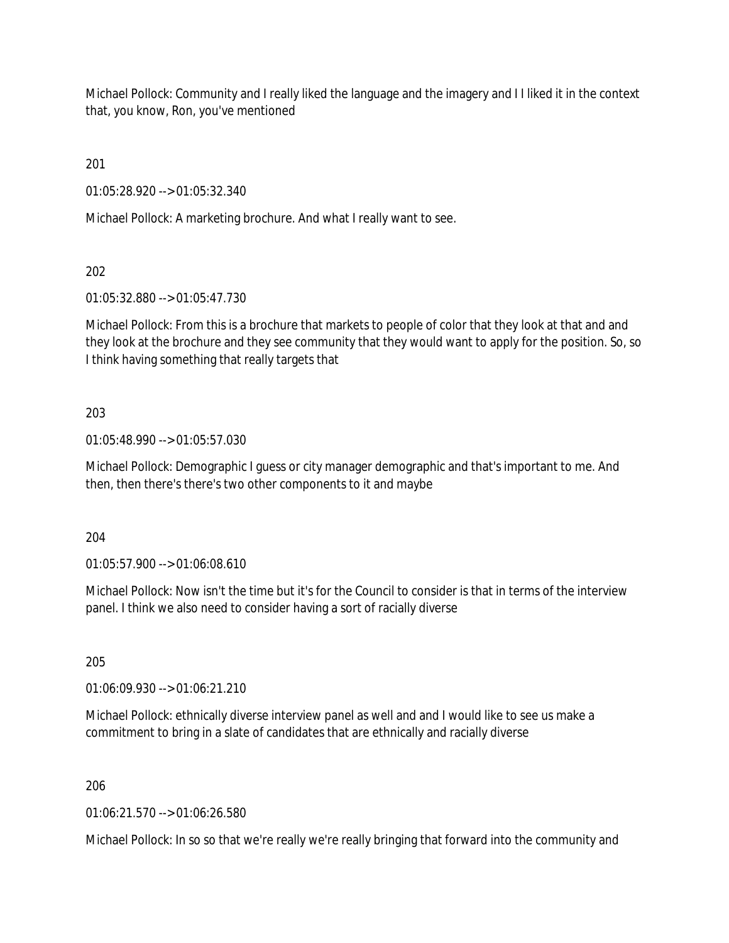Michael Pollock: Community and I really liked the language and the imagery and I I liked it in the context that, you know, Ron, you've mentioned

201

01:05:28.920 --> 01:05:32.340

Michael Pollock: A marketing brochure. And what I really want to see.

202

01:05:32.880 --> 01:05:47.730

Michael Pollock: From this is a brochure that markets to people of color that they look at that and and they look at the brochure and they see community that they would want to apply for the position. So, so I think having something that really targets that

## 203

01:05:48.990 --> 01:05:57.030

Michael Pollock: Demographic I guess or city manager demographic and that's important to me. And then, then there's there's two other components to it and maybe

204

01:05:57.900 --> 01:06:08.610

Michael Pollock: Now isn't the time but it's for the Council to consider is that in terms of the interview panel. I think we also need to consider having a sort of racially diverse

205

01:06:09.930 --> 01:06:21.210

Michael Pollock: ethnically diverse interview panel as well and and I would like to see us make a commitment to bring in a slate of candidates that are ethnically and racially diverse

206

01:06:21.570 --> 01:06:26.580

Michael Pollock: In so so that we're really we're really bringing that forward into the community and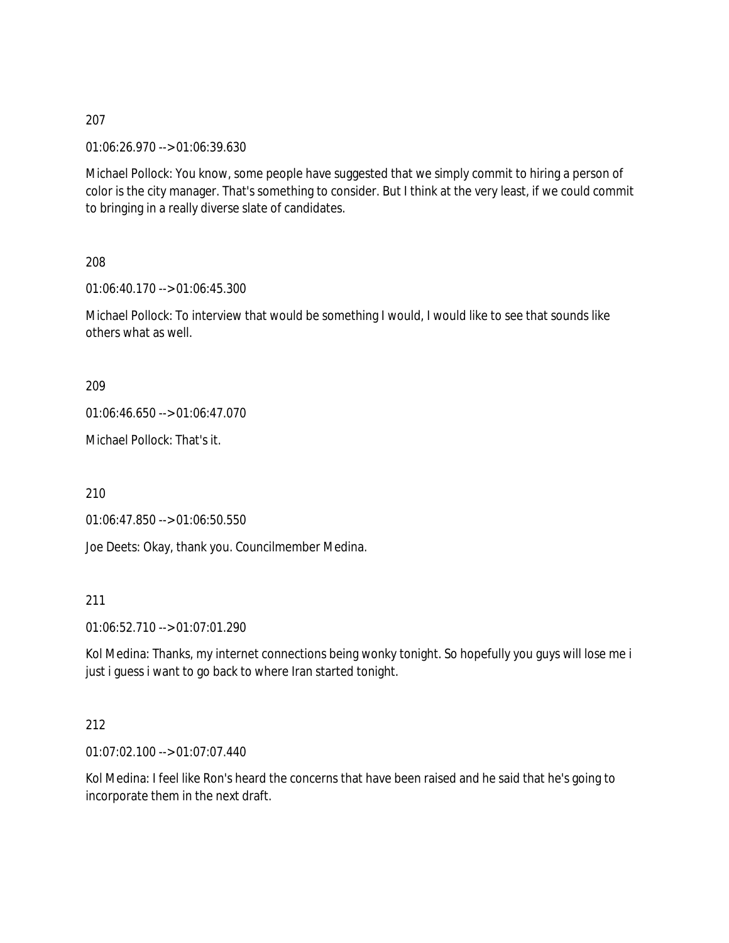01:06:26.970 --> 01:06:39.630

Michael Pollock: You know, some people have suggested that we simply commit to hiring a person of color is the city manager. That's something to consider. But I think at the very least, if we could commit to bringing in a really diverse slate of candidates.

208

01:06:40.170 --> 01:06:45.300

Michael Pollock: To interview that would be something I would, I would like to see that sounds like others what as well.

209

01:06:46.650 --> 01:06:47.070

Michael Pollock: That's it.

210

01:06:47.850 --> 01:06:50.550

Joe Deets: Okay, thank you. Councilmember Medina.

211

01:06:52.710 --> 01:07:01.290

Kol Medina: Thanks, my internet connections being wonky tonight. So hopefully you guys will lose me i just i guess i want to go back to where Iran started tonight.

## 212

01:07:02.100 --> 01:07:07.440

Kol Medina: I feel like Ron's heard the concerns that have been raised and he said that he's going to incorporate them in the next draft.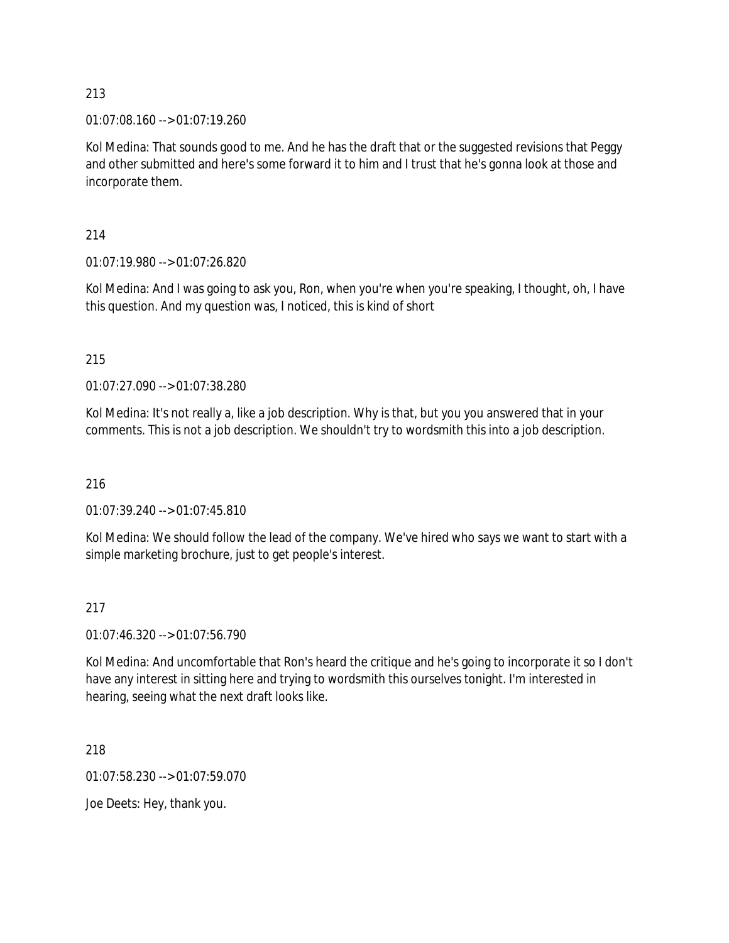01:07:08.160 --> 01:07:19.260

Kol Medina: That sounds good to me. And he has the draft that or the suggested revisions that Peggy and other submitted and here's some forward it to him and I trust that he's gonna look at those and incorporate them.

214

01:07:19.980 --> 01:07:26.820

Kol Medina: And I was going to ask you, Ron, when you're when you're speaking, I thought, oh, I have this question. And my question was, I noticed, this is kind of short

215

01:07:27.090 --> 01:07:38.280

Kol Medina: It's not really a, like a job description. Why is that, but you you answered that in your comments. This is not a job description. We shouldn't try to wordsmith this into a job description.

216

01:07:39.240 --> 01:07:45.810

Kol Medina: We should follow the lead of the company. We've hired who says we want to start with a simple marketing brochure, just to get people's interest.

## 217

01:07:46.320 --> 01:07:56.790

Kol Medina: And uncomfortable that Ron's heard the critique and he's going to incorporate it so I don't have any interest in sitting here and trying to wordsmith this ourselves tonight. I'm interested in hearing, seeing what the next draft looks like.

218

01:07:58.230 --> 01:07:59.070

Joe Deets: Hey, thank you.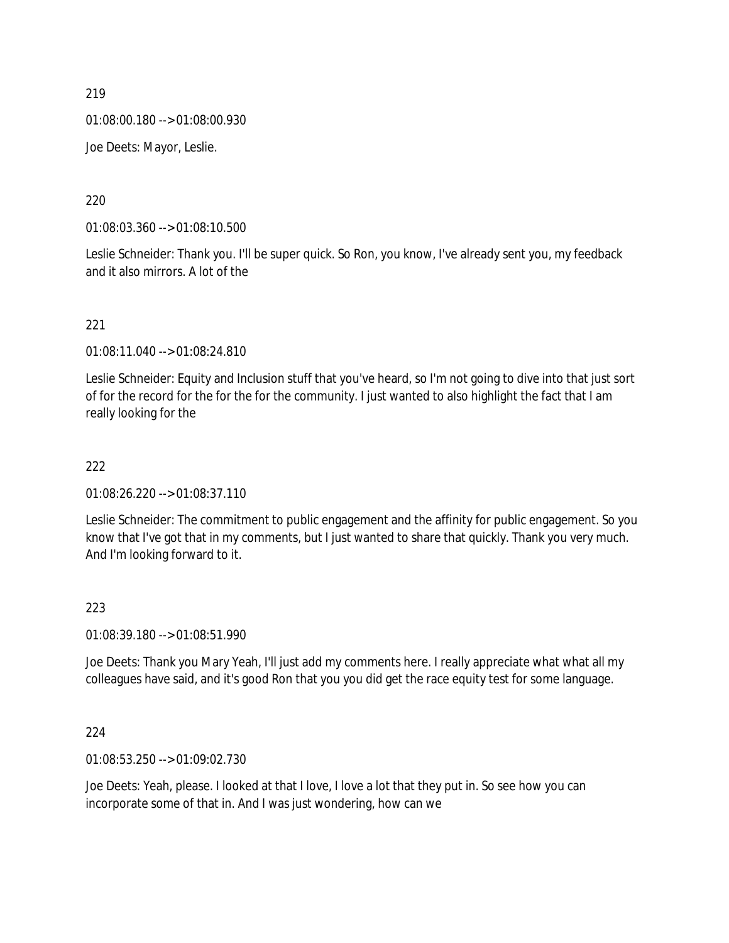01:08:00.180 --> 01:08:00.930

Joe Deets: Mayor, Leslie.

220

01:08:03.360 --> 01:08:10.500

Leslie Schneider: Thank you. I'll be super quick. So Ron, you know, I've already sent you, my feedback and it also mirrors. A lot of the

221

01:08:11.040 --> 01:08:24.810

Leslie Schneider: Equity and Inclusion stuff that you've heard, so I'm not going to dive into that just sort of for the record for the for the for the community. I just wanted to also highlight the fact that I am really looking for the

### 222

01:08:26.220 --> 01:08:37.110

Leslie Schneider: The commitment to public engagement and the affinity for public engagement. So you know that I've got that in my comments, but I just wanted to share that quickly. Thank you very much. And I'm looking forward to it.

## 223

01:08:39.180 --> 01:08:51.990

Joe Deets: Thank you Mary Yeah, I'll just add my comments here. I really appreciate what what all my colleagues have said, and it's good Ron that you you did get the race equity test for some language.

## 224

01:08:53.250 --> 01:09:02.730

Joe Deets: Yeah, please. I looked at that I love, I love a lot that they put in. So see how you can incorporate some of that in. And I was just wondering, how can we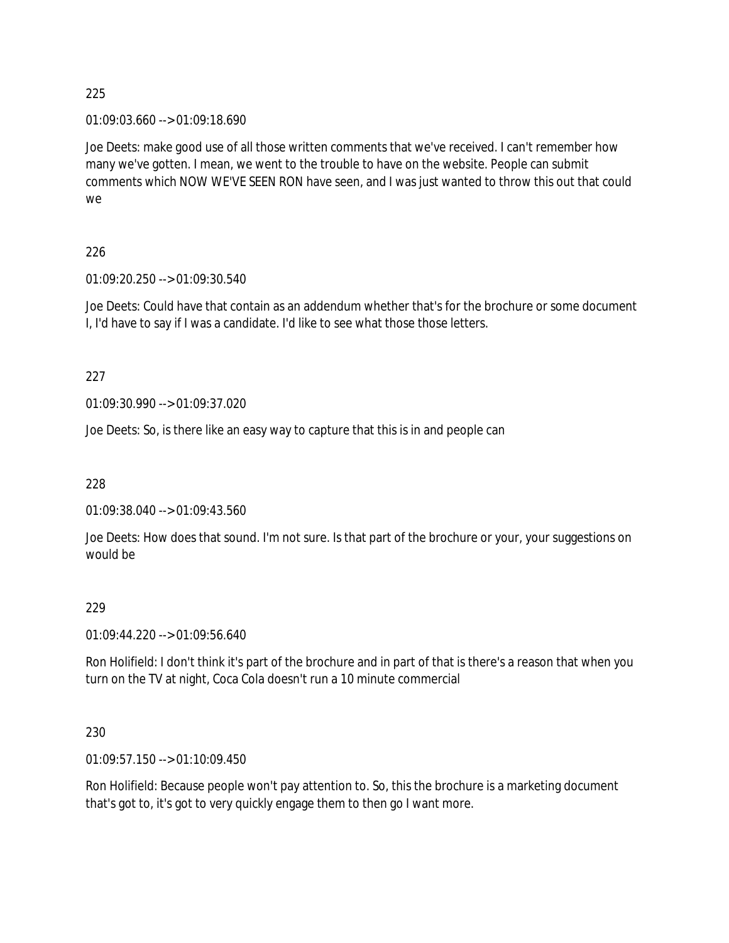01:09:03.660 --> 01:09:18.690

Joe Deets: make good use of all those written comments that we've received. I can't remember how many we've gotten. I mean, we went to the trouble to have on the website. People can submit comments which NOW WE'VE SEEN RON have seen, and I was just wanted to throw this out that could we

## 226

01:09:20.250 --> 01:09:30.540

Joe Deets: Could have that contain as an addendum whether that's for the brochure or some document I, I'd have to say if I was a candidate. I'd like to see what those those letters.

227

01:09:30.990 --> 01:09:37.020

Joe Deets: So, is there like an easy way to capture that this is in and people can

228

01:09:38.040 --> 01:09:43.560

Joe Deets: How does that sound. I'm not sure. Is that part of the brochure or your, your suggestions on would be

## 229

01:09:44.220 --> 01:09:56.640

Ron Holifield: I don't think it's part of the brochure and in part of that is there's a reason that when you turn on the TV at night, Coca Cola doesn't run a 10 minute commercial

## 230

01:09:57.150 --> 01:10:09.450

Ron Holifield: Because people won't pay attention to. So, this the brochure is a marketing document that's got to, it's got to very quickly engage them to then go I want more.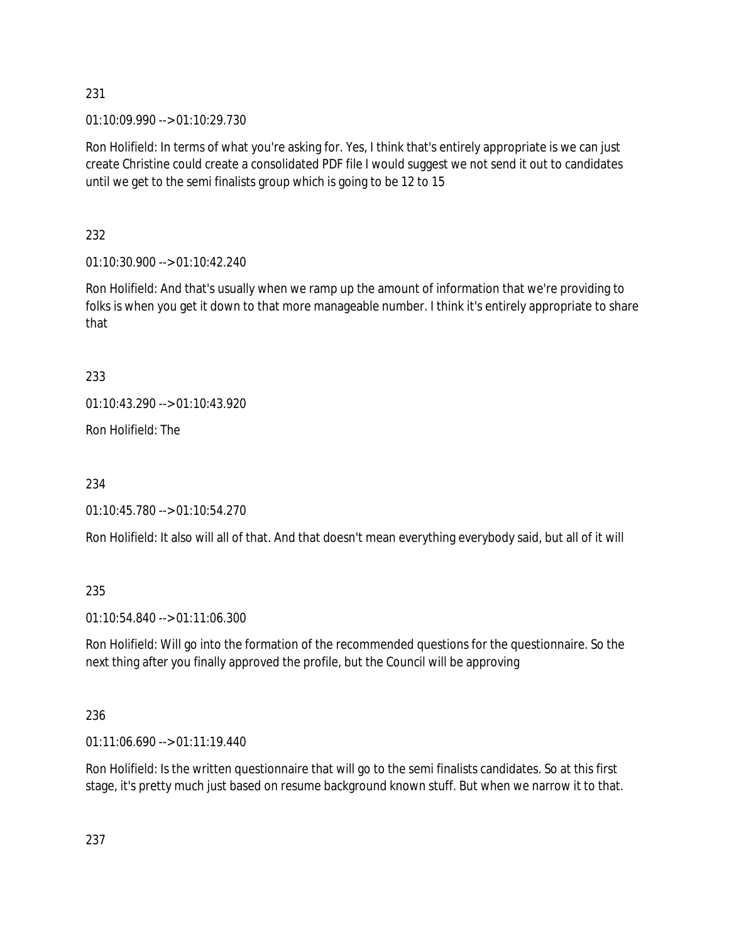01:10:09.990 --> 01:10:29.730

Ron Holifield: In terms of what you're asking for. Yes, I think that's entirely appropriate is we can just create Christine could create a consolidated PDF file I would suggest we not send it out to candidates until we get to the semi finalists group which is going to be 12 to 15

232

01:10:30.900 --> 01:10:42.240

Ron Holifield: And that's usually when we ramp up the amount of information that we're providing to folks is when you get it down to that more manageable number. I think it's entirely appropriate to share that

233

01:10:43.290 --> 01:10:43.920

Ron Holifield: The

234

01:10:45.780 --> 01:10:54.270

Ron Holifield: It also will all of that. And that doesn't mean everything everybody said, but all of it will

235

01:10:54.840 --> 01:11:06.300

Ron Holifield: Will go into the formation of the recommended questions for the questionnaire. So the next thing after you finally approved the profile, but the Council will be approving

236

01:11:06.690 --> 01:11:19.440

Ron Holifield: Is the written questionnaire that will go to the semi finalists candidates. So at this first stage, it's pretty much just based on resume background known stuff. But when we narrow it to that.

237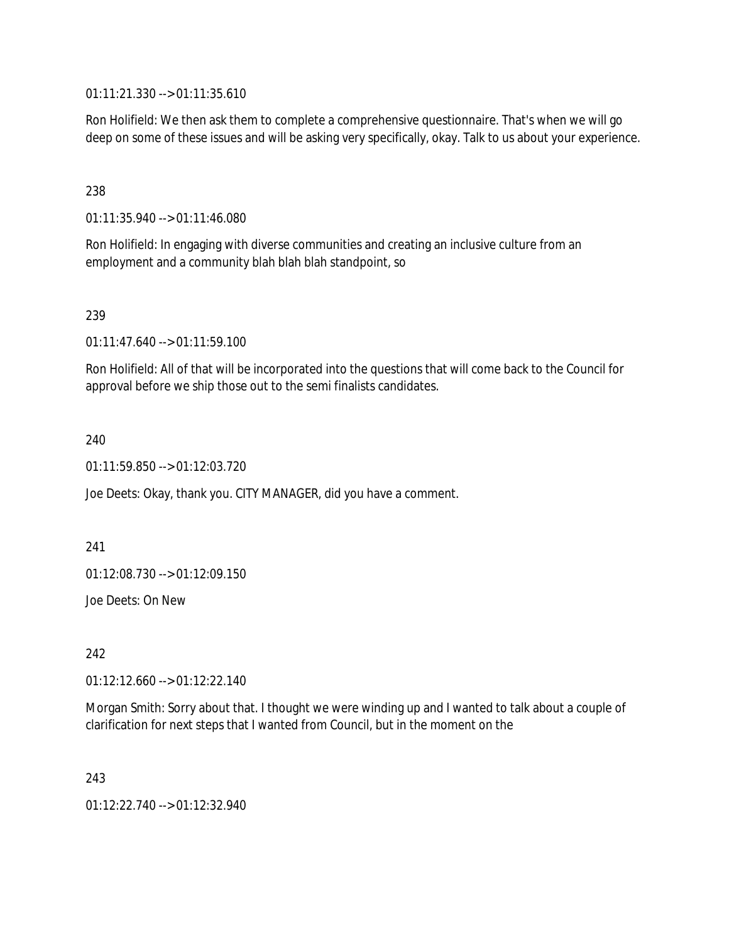01:11:21.330 --> 01:11:35.610

Ron Holifield: We then ask them to complete a comprehensive questionnaire. That's when we will go deep on some of these issues and will be asking very specifically, okay. Talk to us about your experience.

238

01:11:35.940 --> 01:11:46.080

Ron Holifield: In engaging with diverse communities and creating an inclusive culture from an employment and a community blah blah blah standpoint, so

239

01:11:47.640 --> 01:11:59.100

Ron Holifield: All of that will be incorporated into the questions that will come back to the Council for approval before we ship those out to the semi finalists candidates.

240

01:11:59.850 --> 01:12:03.720

Joe Deets: Okay, thank you. CITY MANAGER, did you have a comment.

241

01:12:08.730 --> 01:12:09.150

Joe Deets: On New

242

01:12:12.660 --> 01:12:22.140

Morgan Smith: Sorry about that. I thought we were winding up and I wanted to talk about a couple of clarification for next steps that I wanted from Council, but in the moment on the

243

01:12:22.740 --> 01:12:32.940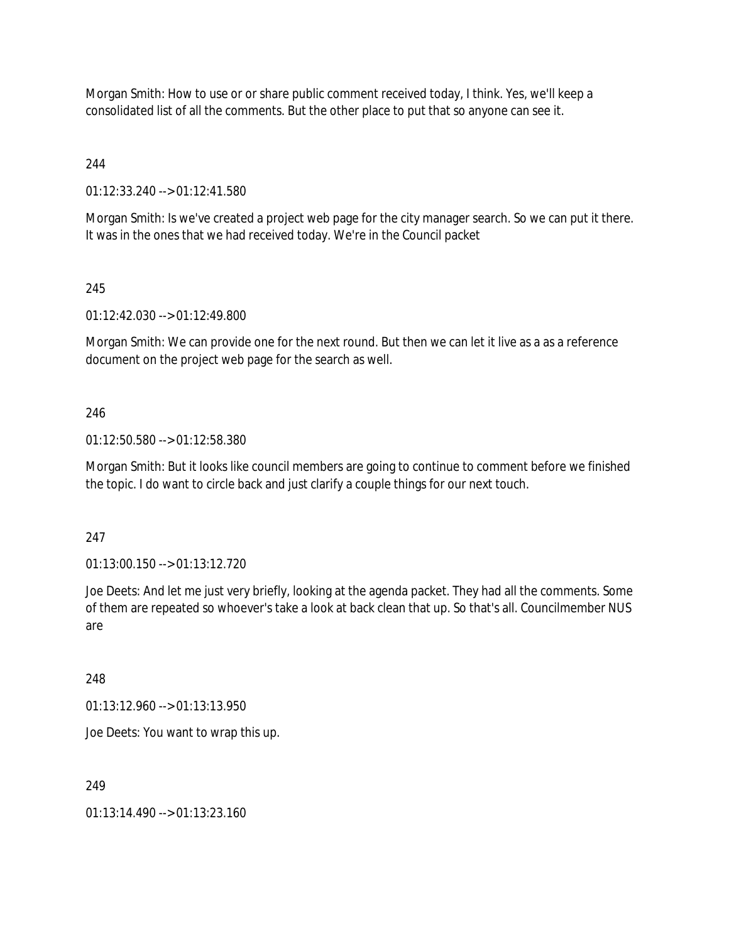Morgan Smith: How to use or or share public comment received today, I think. Yes, we'll keep a consolidated list of all the comments. But the other place to put that so anyone can see it.

244

01:12:33.240 --> 01:12:41.580

Morgan Smith: Is we've created a project web page for the city manager search. So we can put it there. It was in the ones that we had received today. We're in the Council packet

245

01:12:42.030 --> 01:12:49.800

Morgan Smith: We can provide one for the next round. But then we can let it live as a as a reference document on the project web page for the search as well.

### 246

01:12:50.580 --> 01:12:58.380

Morgan Smith: But it looks like council members are going to continue to comment before we finished the topic. I do want to circle back and just clarify a couple things for our next touch.

247

01:13:00.150 --> 01:13:12.720

Joe Deets: And let me just very briefly, looking at the agenda packet. They had all the comments. Some of them are repeated so whoever's take a look at back clean that up. So that's all. Councilmember NUS are

248

01:13:12.960 --> 01:13:13.950

Joe Deets: You want to wrap this up.

### 249

01:13:14.490 --> 01:13:23.160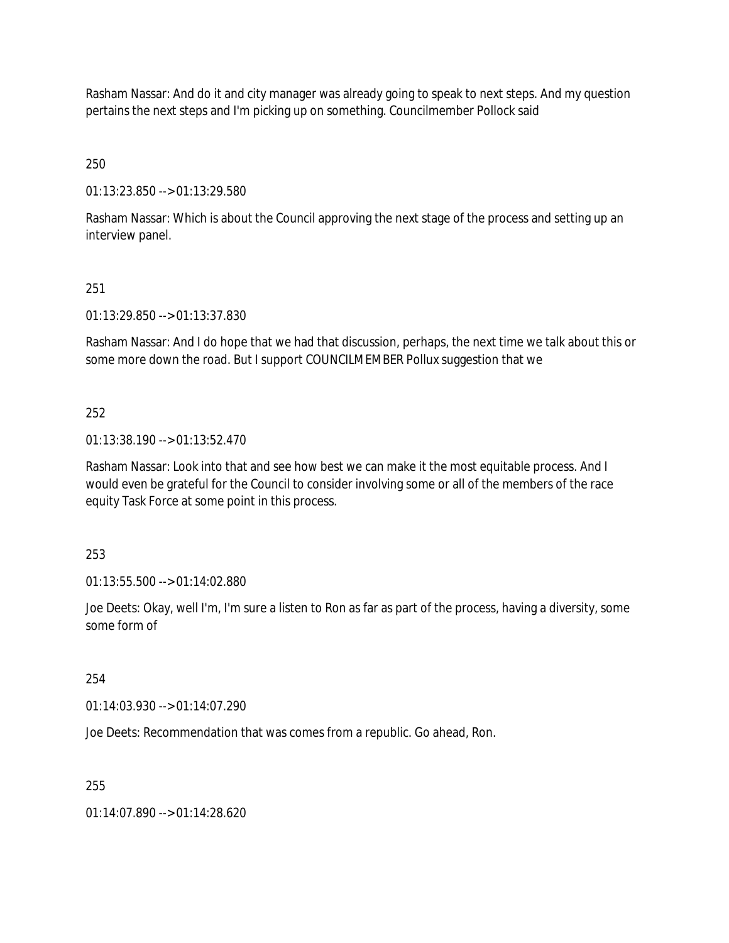Rasham Nassar: And do it and city manager was already going to speak to next steps. And my question pertains the next steps and I'm picking up on something. Councilmember Pollock said

250

01:13:23.850 --> 01:13:29.580

Rasham Nassar: Which is about the Council approving the next stage of the process and setting up an interview panel.

## 251

01:13:29.850 --> 01:13:37.830

Rasham Nassar: And I do hope that we had that discussion, perhaps, the next time we talk about this or some more down the road. But I support COUNCILMEMBER Pollux suggestion that we

## 252

01:13:38.190 --> 01:13:52.470

Rasham Nassar: Look into that and see how best we can make it the most equitable process. And I would even be grateful for the Council to consider involving some or all of the members of the race equity Task Force at some point in this process.

253

01:13:55.500 --> 01:14:02.880

Joe Deets: Okay, well I'm, I'm sure a listen to Ron as far as part of the process, having a diversity, some some form of

254

01:14:03.930 --> 01:14:07.290

Joe Deets: Recommendation that was comes from a republic. Go ahead, Ron.

255

01:14:07.890 --> 01:14:28.620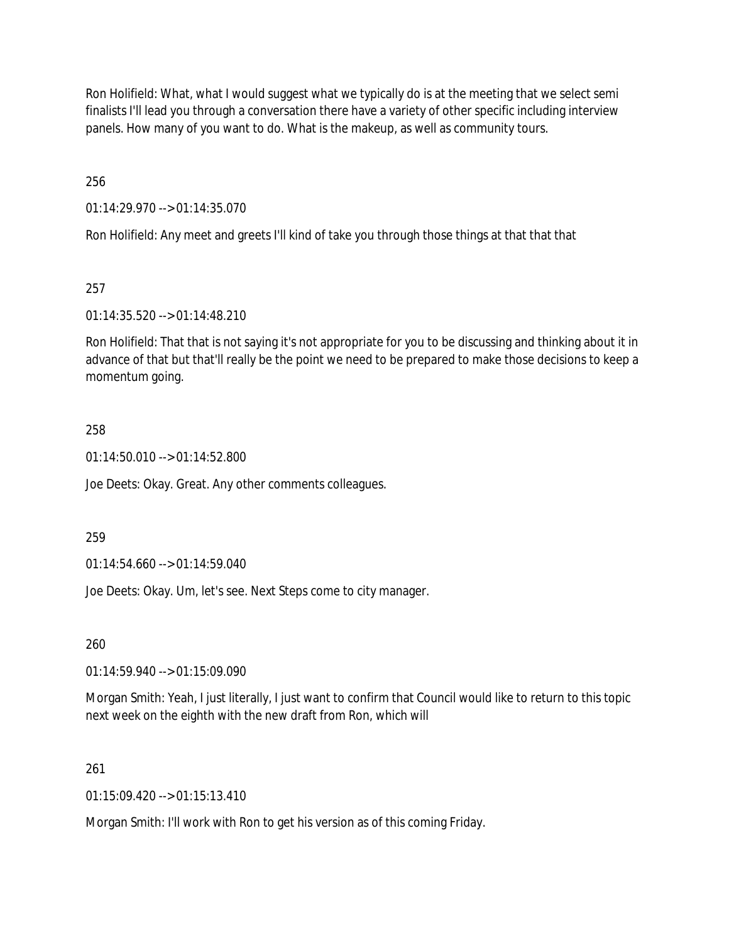Ron Holifield: What, what I would suggest what we typically do is at the meeting that we select semi finalists I'll lead you through a conversation there have a variety of other specific including interview panels. How many of you want to do. What is the makeup, as well as community tours.

256

01:14:29.970 --> 01:14:35.070

Ron Holifield: Any meet and greets I'll kind of take you through those things at that that that

## 257

01:14:35.520 --> 01:14:48.210

Ron Holifield: That that is not saying it's not appropriate for you to be discussing and thinking about it in advance of that but that'll really be the point we need to be prepared to make those decisions to keep a momentum going.

## 258

01:14:50.010 --> 01:14:52.800

Joe Deets: Okay. Great. Any other comments colleagues.

### 259

01:14:54.660 --> 01:14:59.040

Joe Deets: Okay. Um, let's see. Next Steps come to city manager.

260

01:14:59.940 --> 01:15:09.090

Morgan Smith: Yeah, I just literally, I just want to confirm that Council would like to return to this topic next week on the eighth with the new draft from Ron, which will

### 261

 $01:15:09.420 \rightarrow 01:15:13.410$ 

Morgan Smith: I'll work with Ron to get his version as of this coming Friday.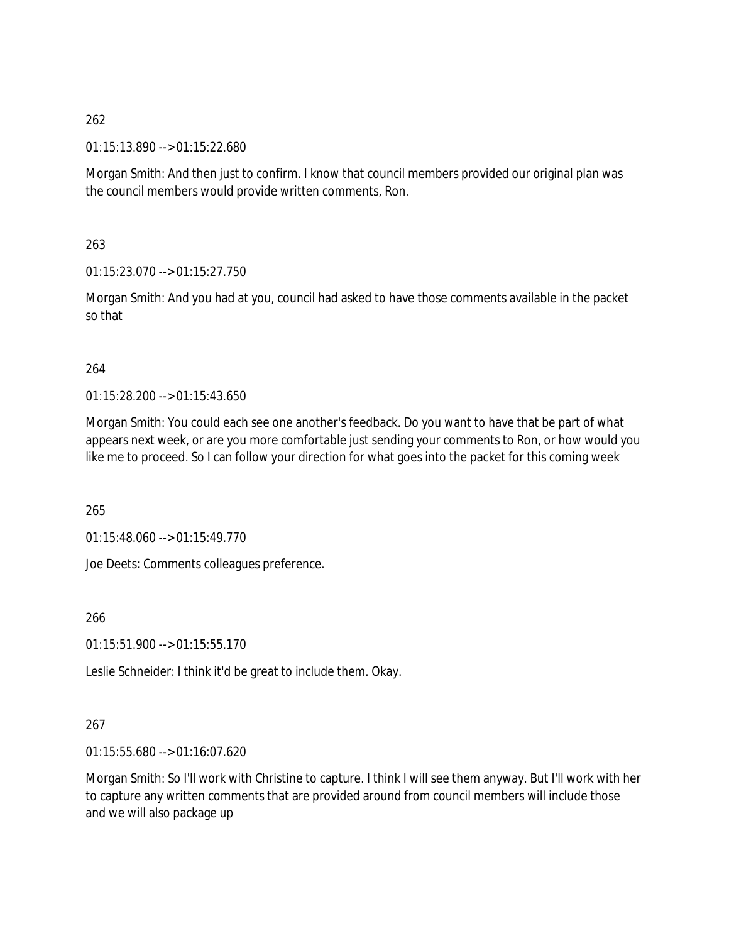01:15:13.890 --> 01:15:22.680

Morgan Smith: And then just to confirm. I know that council members provided our original plan was the council members would provide written comments, Ron.

263

01:15:23.070 --> 01:15:27.750

Morgan Smith: And you had at you, council had asked to have those comments available in the packet so that

### 264

01:15:28.200 --> 01:15:43.650

Morgan Smith: You could each see one another's feedback. Do you want to have that be part of what appears next week, or are you more comfortable just sending your comments to Ron, or how would you like me to proceed. So I can follow your direction for what goes into the packet for this coming week

265

01:15:48.060 --> 01:15:49.770

Joe Deets: Comments colleagues preference.

266

 $01:15:51.900 \rightarrow 01:15:55.170$ 

Leslie Schneider: I think it'd be great to include them. Okay.

# 267

01:15:55.680 --> 01:16:07.620

Morgan Smith: So I'll work with Christine to capture. I think I will see them anyway. But I'll work with her to capture any written comments that are provided around from council members will include those and we will also package up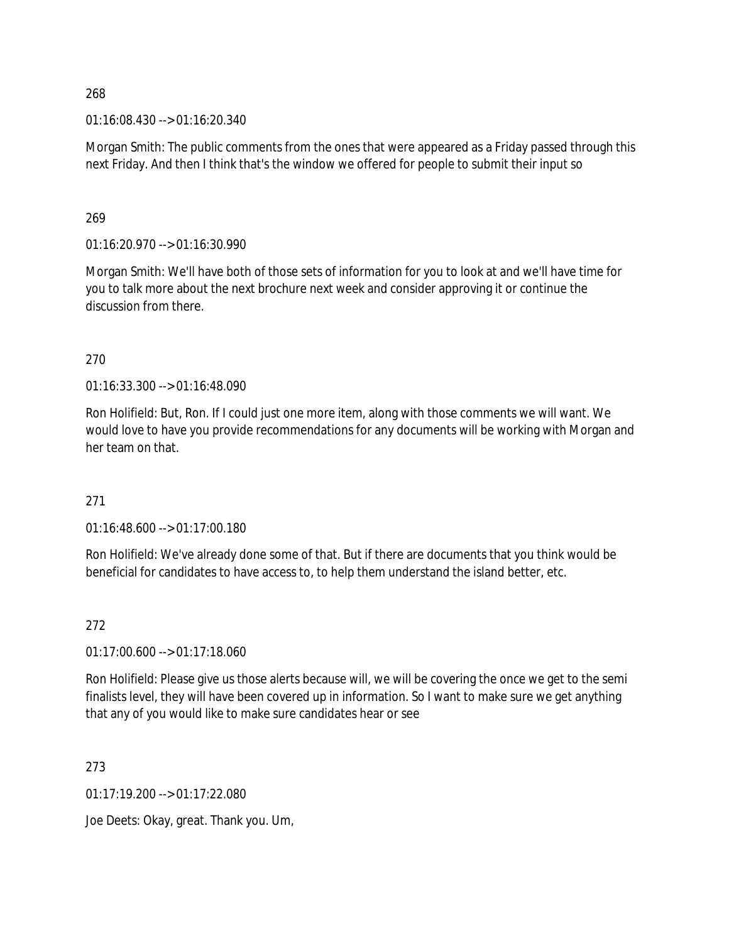01:16:08.430 --> 01:16:20.340

Morgan Smith: The public comments from the ones that were appeared as a Friday passed through this next Friday. And then I think that's the window we offered for people to submit their input so

#### 269

01:16:20.970 --> 01:16:30.990

Morgan Smith: We'll have both of those sets of information for you to look at and we'll have time for you to talk more about the next brochure next week and consider approving it or continue the discussion from there.

### 270

01:16:33.300 --> 01:16:48.090

Ron Holifield: But, Ron. If I could just one more item, along with those comments we will want. We would love to have you provide recommendations for any documents will be working with Morgan and her team on that.

### 271

01:16:48.600 --> 01:17:00.180

Ron Holifield: We've already done some of that. But if there are documents that you think would be beneficial for candidates to have access to, to help them understand the island better, etc.

### 272

01:17:00.600 --> 01:17:18.060

Ron Holifield: Please give us those alerts because will, we will be covering the once we get to the semi finalists level, they will have been covered up in information. So I want to make sure we get anything that any of you would like to make sure candidates hear or see

273

01:17:19.200 --> 01:17:22.080

Joe Deets: Okay, great. Thank you. Um,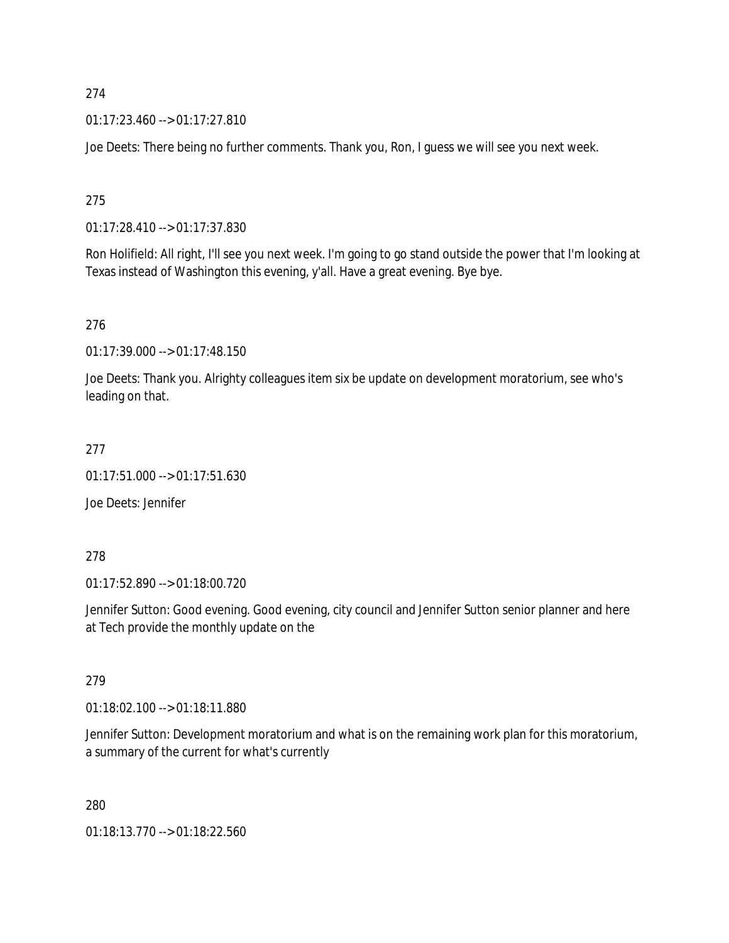01:17:23.460 --> 01:17:27.810

Joe Deets: There being no further comments. Thank you, Ron, I guess we will see you next week.

275

01:17:28.410 --> 01:17:37.830

Ron Holifield: All right, I'll see you next week. I'm going to go stand outside the power that I'm looking at Texas instead of Washington this evening, y'all. Have a great evening. Bye bye.

276

01:17:39.000 --> 01:17:48.150

Joe Deets: Thank you. Alrighty colleagues item six be update on development moratorium, see who's leading on that.

277

01:17:51.000 --> 01:17:51.630

Joe Deets: Jennifer

278

01:17:52.890 --> 01:18:00.720

Jennifer Sutton: Good evening. Good evening, city council and Jennifer Sutton senior planner and here at Tech provide the monthly update on the

279

01:18:02.100 --> 01:18:11.880

Jennifer Sutton: Development moratorium and what is on the remaining work plan for this moratorium, a summary of the current for what's currently

280

01:18:13.770 --> 01:18:22.560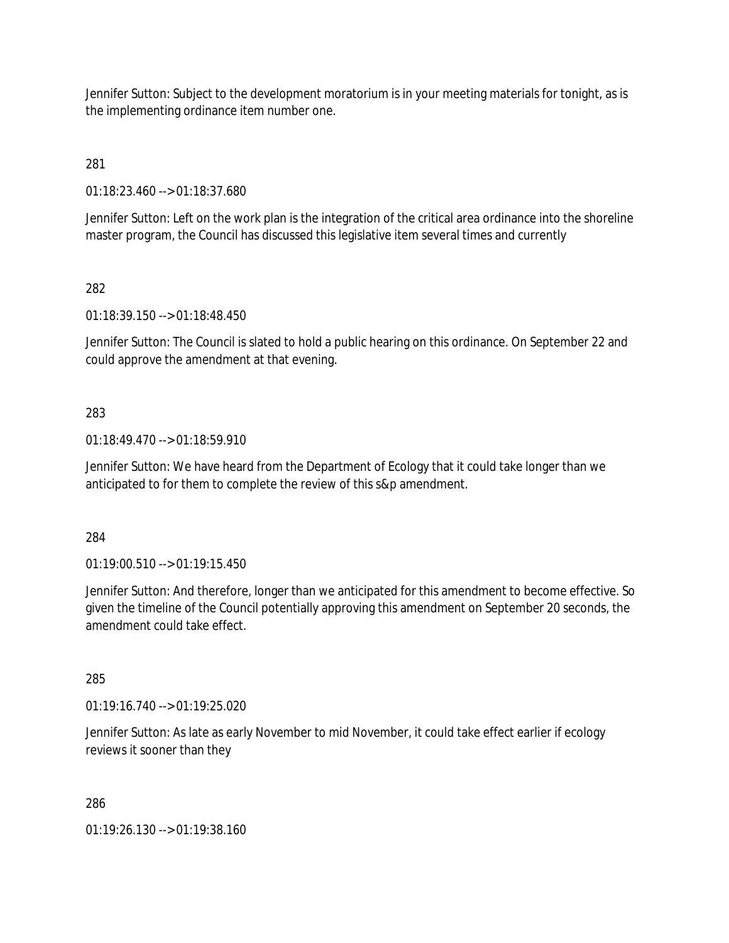Jennifer Sutton: Subject to the development moratorium is in your meeting materials for tonight, as is the implementing ordinance item number one.

281

01:18:23.460 --> 01:18:37.680

Jennifer Sutton: Left on the work plan is the integration of the critical area ordinance into the shoreline master program, the Council has discussed this legislative item several times and currently

## 282

01:18:39.150 --> 01:18:48.450

Jennifer Sutton: The Council is slated to hold a public hearing on this ordinance. On September 22 and could approve the amendment at that evening.

## 283

01:18:49.470 --> 01:18:59.910

Jennifer Sutton: We have heard from the Department of Ecology that it could take longer than we anticipated to for them to complete the review of this s&p amendment.

### 284

01:19:00.510 --> 01:19:15.450

Jennifer Sutton: And therefore, longer than we anticipated for this amendment to become effective. So given the timeline of the Council potentially approving this amendment on September 20 seconds, the amendment could take effect.

### 285

01:19:16.740 --> 01:19:25.020

Jennifer Sutton: As late as early November to mid November, it could take effect earlier if ecology reviews it sooner than they

286

01:19:26.130 --> 01:19:38.160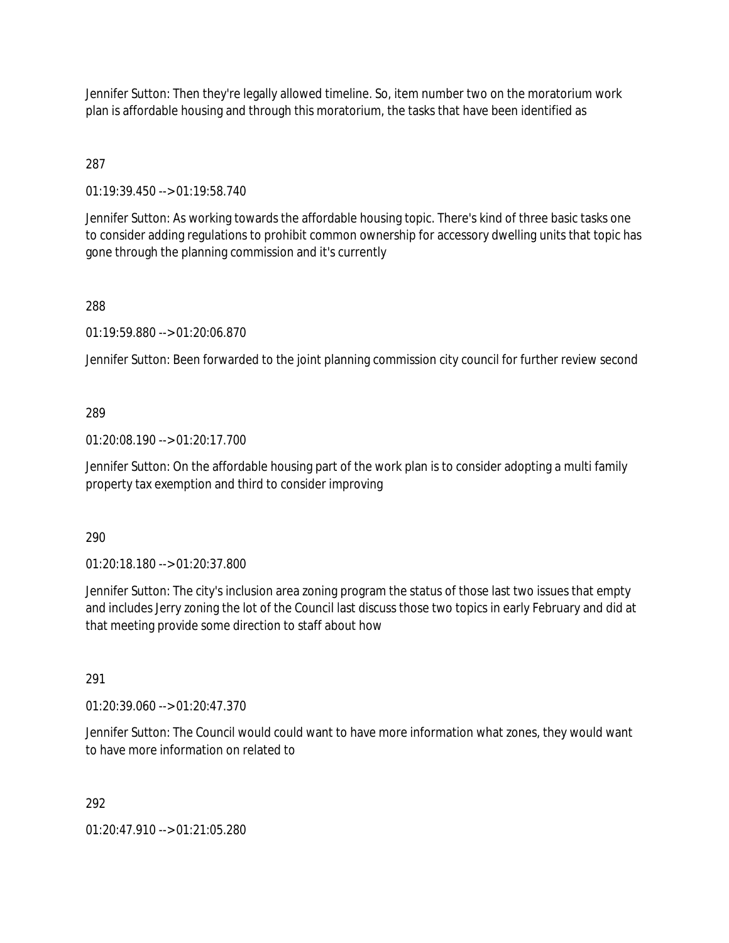Jennifer Sutton: Then they're legally allowed timeline. So, item number two on the moratorium work plan is affordable housing and through this moratorium, the tasks that have been identified as

287

01:19:39.450 --> 01:19:58.740

Jennifer Sutton: As working towards the affordable housing topic. There's kind of three basic tasks one to consider adding regulations to prohibit common ownership for accessory dwelling units that topic has gone through the planning commission and it's currently

288

01:19:59.880 --> 01:20:06.870

Jennifer Sutton: Been forwarded to the joint planning commission city council for further review second

# 289

01:20:08.190 --> 01:20:17.700

Jennifer Sutton: On the affordable housing part of the work plan is to consider adopting a multi family property tax exemption and third to consider improving

290

01:20:18.180 --> 01:20:37.800

Jennifer Sutton: The city's inclusion area zoning program the status of those last two issues that empty and includes Jerry zoning the lot of the Council last discuss those two topics in early February and did at that meeting provide some direction to staff about how

291

01:20:39.060 --> 01:20:47.370

Jennifer Sutton: The Council would could want to have more information what zones, they would want to have more information on related to

292

01:20:47.910 --> 01:21:05.280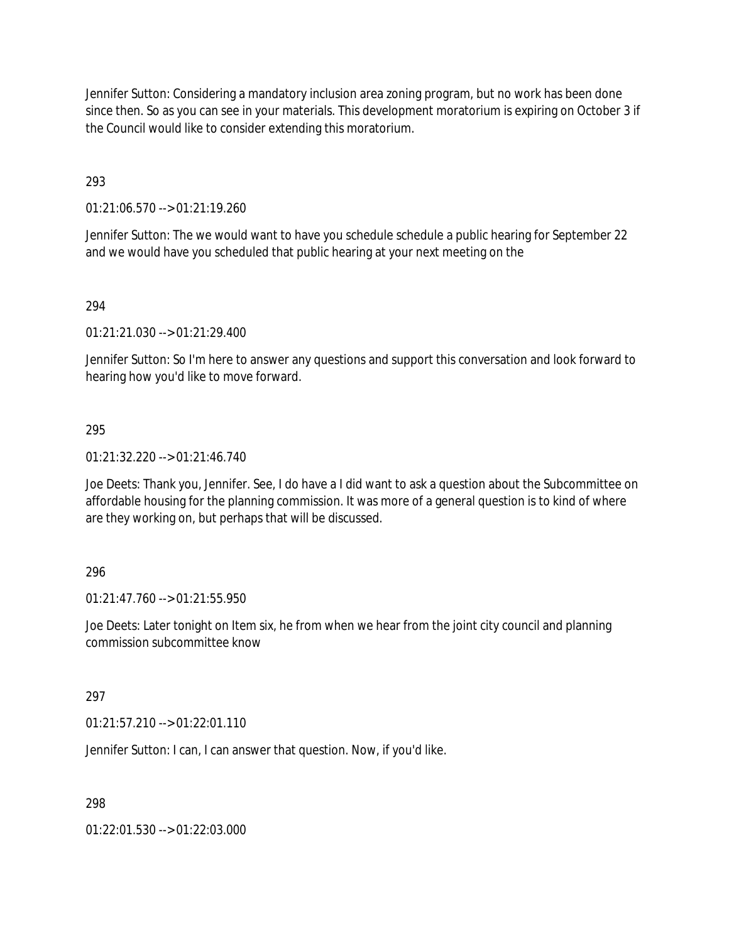Jennifer Sutton: Considering a mandatory inclusion area zoning program, but no work has been done since then. So as you can see in your materials. This development moratorium is expiring on October 3 if the Council would like to consider extending this moratorium.

293

01:21:06.570 --> 01:21:19.260

Jennifer Sutton: The we would want to have you schedule schedule a public hearing for September 22 and we would have you scheduled that public hearing at your next meeting on the

## 294

01:21:21.030 --> 01:21:29.400

Jennifer Sutton: So I'm here to answer any questions and support this conversation and look forward to hearing how you'd like to move forward.

### 295

01:21:32.220 --> 01:21:46.740

Joe Deets: Thank you, Jennifer. See, I do have a I did want to ask a question about the Subcommittee on affordable housing for the planning commission. It was more of a general question is to kind of where are they working on, but perhaps that will be discussed.

### 296

01:21:47.760 --> 01:21:55.950

Joe Deets: Later tonight on Item six, he from when we hear from the joint city council and planning commission subcommittee know

### 297

01:21:57.210 --> 01:22:01.110

Jennifer Sutton: I can, I can answer that question. Now, if you'd like.

298

01:22:01.530 --> 01:22:03.000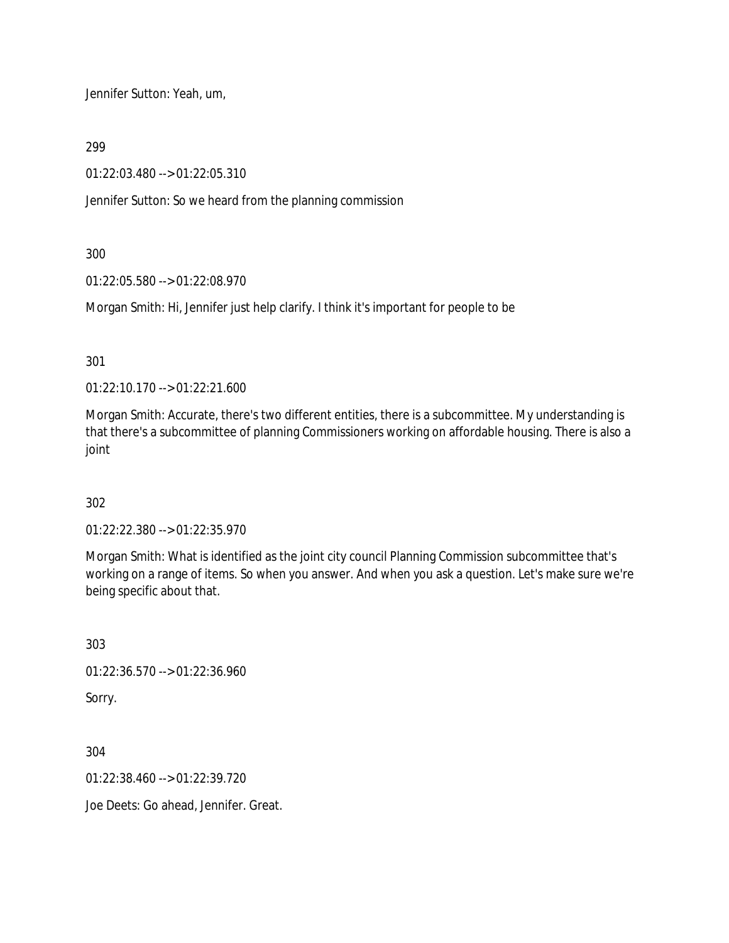Jennifer Sutton: Yeah, um,

299

01:22:03.480 --> 01:22:05.310

Jennifer Sutton: So we heard from the planning commission

300

01:22:05.580 --> 01:22:08.970

Morgan Smith: Hi, Jennifer just help clarify. I think it's important for people to be

301

01:22:10.170 --> 01:22:21.600

Morgan Smith: Accurate, there's two different entities, there is a subcommittee. My understanding is that there's a subcommittee of planning Commissioners working on affordable housing. There is also a joint

302

01:22:22.380 --> 01:22:35.970

Morgan Smith: What is identified as the joint city council Planning Commission subcommittee that's working on a range of items. So when you answer. And when you ask a question. Let's make sure we're being specific about that.

303 01:22:36.570 --> 01:22:36.960 Sorry.

304

01:22:38.460 --> 01:22:39.720

Joe Deets: Go ahead, Jennifer. Great.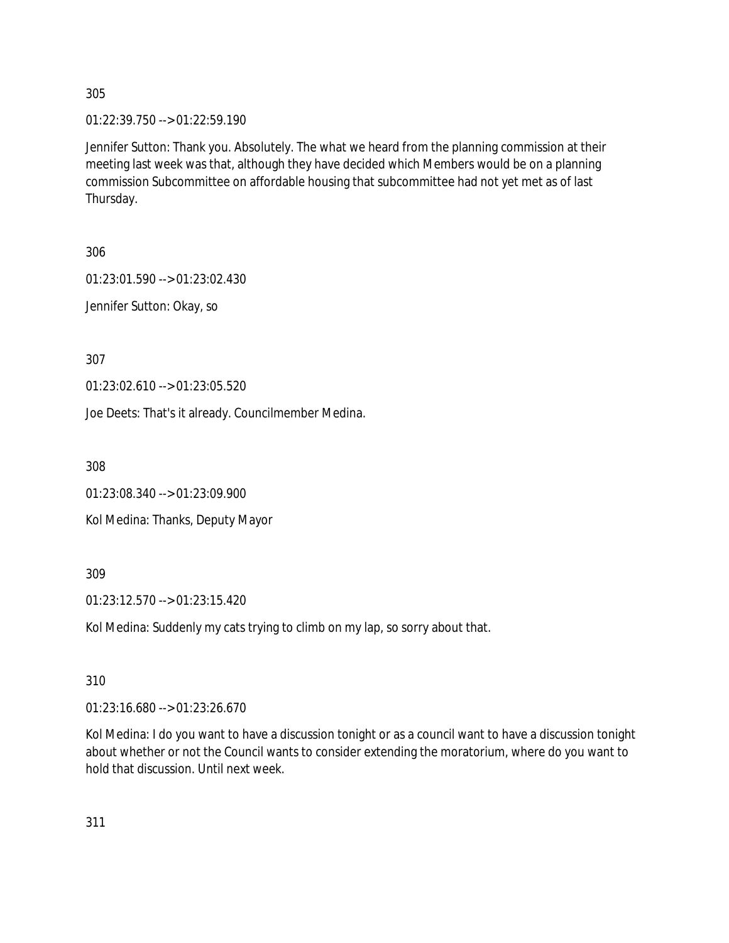01:22:39.750 --> 01:22:59.190

Jennifer Sutton: Thank you. Absolutely. The what we heard from the planning commission at their meeting last week was that, although they have decided which Members would be on a planning commission Subcommittee on affordable housing that subcommittee had not yet met as of last Thursday.

306

01:23:01.590 --> 01:23:02.430

Jennifer Sutton: Okay, so

307

01:23:02.610 --> 01:23:05.520

Joe Deets: That's it already. Councilmember Medina.

308

01:23:08.340 --> 01:23:09.900

Kol Medina: Thanks, Deputy Mayor

309

01:23:12.570 --> 01:23:15.420

Kol Medina: Suddenly my cats trying to climb on my lap, so sorry about that.

310

01:23:16.680 --> 01:23:26.670

Kol Medina: I do you want to have a discussion tonight or as a council want to have a discussion tonight about whether or not the Council wants to consider extending the moratorium, where do you want to hold that discussion. Until next week.

311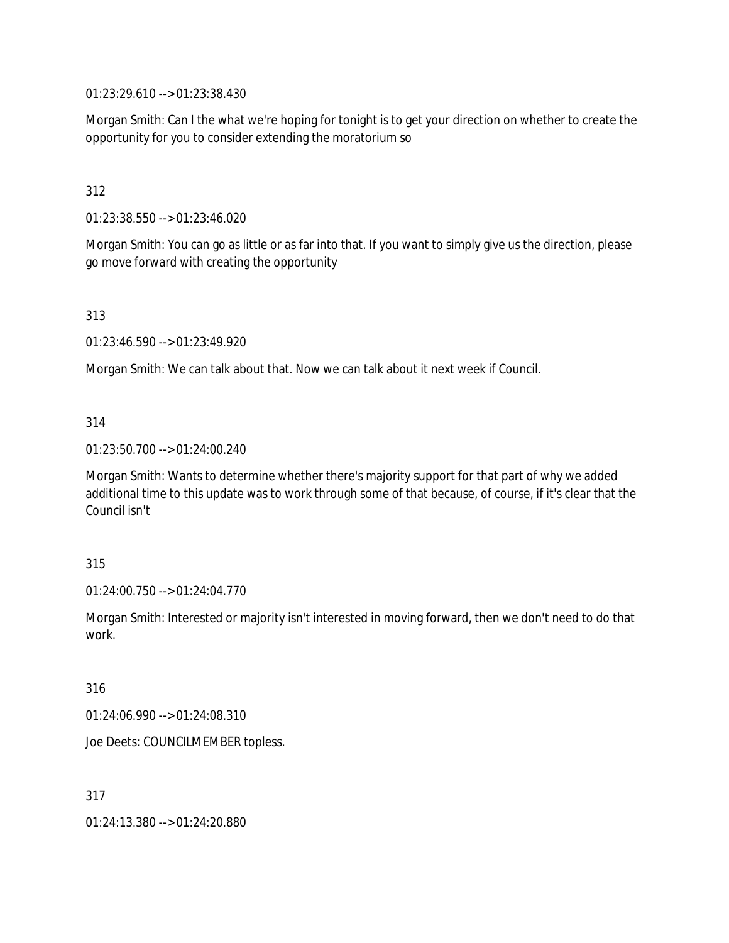01:23:29.610 --> 01:23:38.430

Morgan Smith: Can I the what we're hoping for tonight is to get your direction on whether to create the opportunity for you to consider extending the moratorium so

## 312

01:23:38.550 --> 01:23:46.020

Morgan Smith: You can go as little or as far into that. If you want to simply give us the direction, please go move forward with creating the opportunity

313

01:23:46.590 --> 01:23:49.920

Morgan Smith: We can talk about that. Now we can talk about it next week if Council.

### 314

01:23:50.700 --> 01:24:00.240

Morgan Smith: Wants to determine whether there's majority support for that part of why we added additional time to this update was to work through some of that because, of course, if it's clear that the Council isn't

#### 315

01:24:00.750 --> 01:24:04.770

Morgan Smith: Interested or majority isn't interested in moving forward, then we don't need to do that work.

#### 316

01:24:06.990 --> 01:24:08.310

Joe Deets: COUNCILMEMBER topless.

317

01:24:13.380 --> 01:24:20.880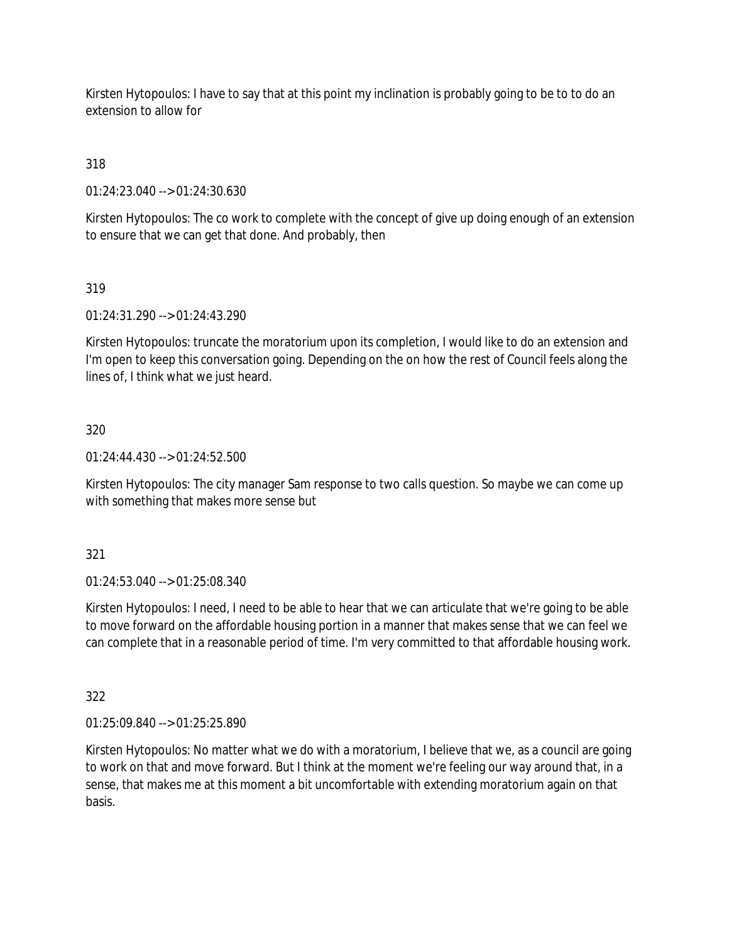Kirsten Hytopoulos: I have to say that at this point my inclination is probably going to be to to do an extension to allow for

318

01:24:23.040 --> 01:24:30.630

Kirsten Hytopoulos: The co work to complete with the concept of give up doing enough of an extension to ensure that we can get that done. And probably, then

# 319

01:24:31.290 --> 01:24:43.290

Kirsten Hytopoulos: truncate the moratorium upon its completion, I would like to do an extension and I'm open to keep this conversation going. Depending on the on how the rest of Council feels along the lines of, I think what we just heard.

# 320

01:24:44.430 --> 01:24:52.500

Kirsten Hytopoulos: The city manager Sam response to two calls question. So maybe we can come up with something that makes more sense but

### 321

01:24:53.040 --> 01:25:08.340

Kirsten Hytopoulos: I need, I need to be able to hear that we can articulate that we're going to be able to move forward on the affordable housing portion in a manner that makes sense that we can feel we can complete that in a reasonable period of time. I'm very committed to that affordable housing work.

322

01:25:09.840 --> 01:25:25.890

Kirsten Hytopoulos: No matter what we do with a moratorium, I believe that we, as a council are going to work on that and move forward. But I think at the moment we're feeling our way around that, in a sense, that makes me at this moment a bit uncomfortable with extending moratorium again on that basis.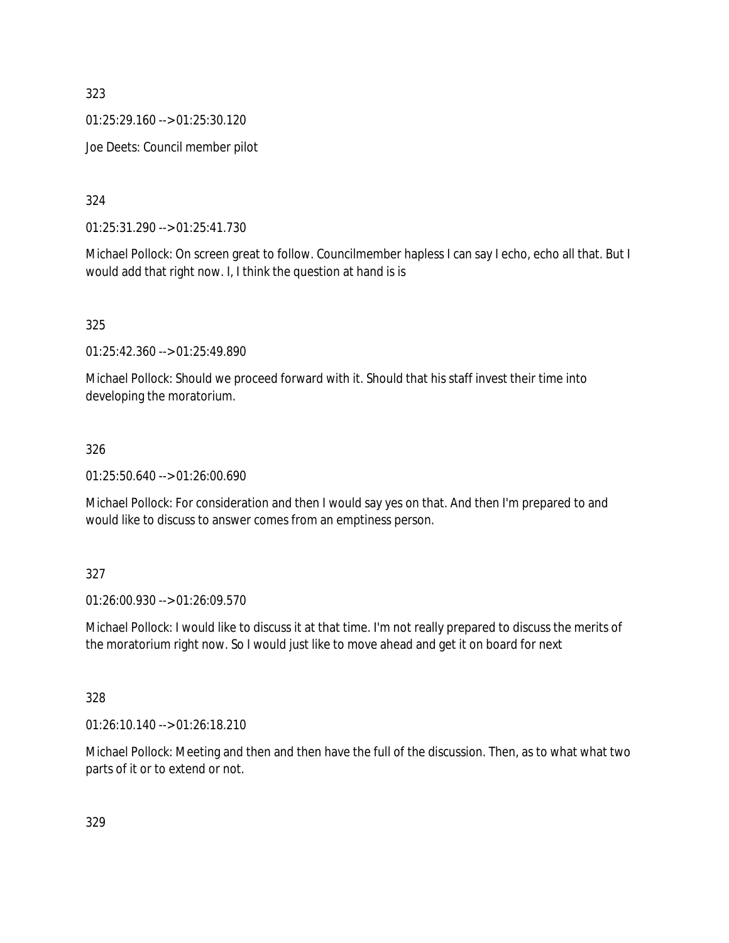01:25:29.160 --> 01:25:30.120

Joe Deets: Council member pilot

324

01:25:31.290 --> 01:25:41.730

Michael Pollock: On screen great to follow. Councilmember hapless I can say I echo, echo all that. But I would add that right now. I, I think the question at hand is is

325

01:25:42.360 --> 01:25:49.890

Michael Pollock: Should we proceed forward with it. Should that his staff invest their time into developing the moratorium.

## 326

01:25:50.640 --> 01:26:00.690

Michael Pollock: For consideration and then I would say yes on that. And then I'm prepared to and would like to discuss to answer comes from an emptiness person.

### 327

01:26:00.930 --> 01:26:09.570

Michael Pollock: I would like to discuss it at that time. I'm not really prepared to discuss the merits of the moratorium right now. So I would just like to move ahead and get it on board for next

### 328

01:26:10.140 --> 01:26:18.210

Michael Pollock: Meeting and then and then have the full of the discussion. Then, as to what what two parts of it or to extend or not.

329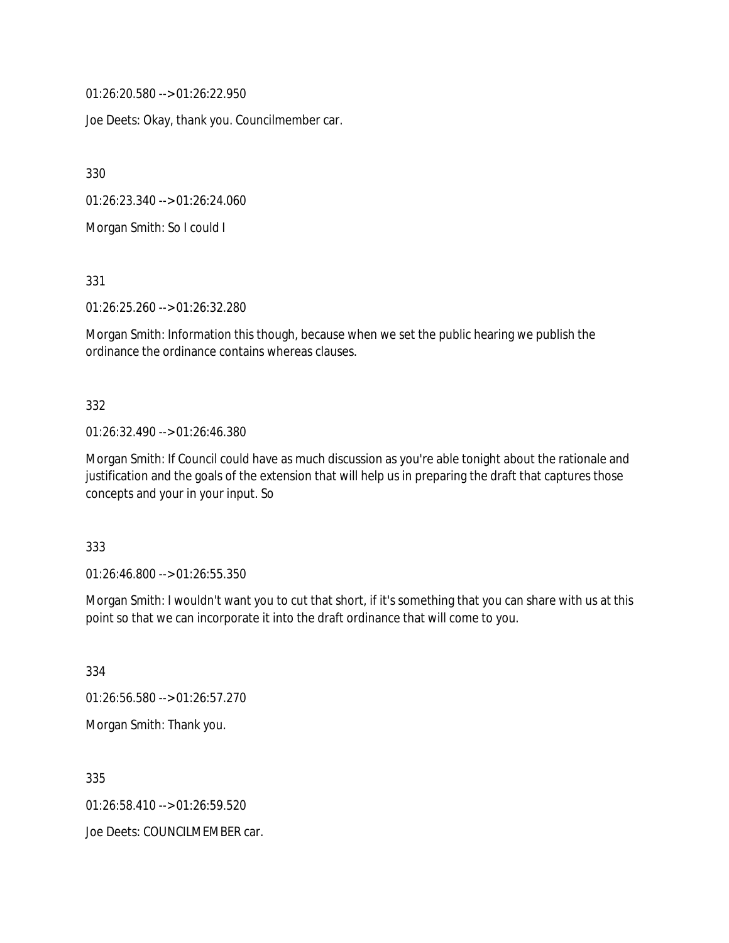01:26:20.580 --> 01:26:22.950

Joe Deets: Okay, thank you. Councilmember car.

330

01:26:23.340 --> 01:26:24.060

Morgan Smith: So I could I

331

01:26:25.260 --> 01:26:32.280

Morgan Smith: Information this though, because when we set the public hearing we publish the ordinance the ordinance contains whereas clauses.

#### 332

#### 01:26:32.490 --> 01:26:46.380

Morgan Smith: If Council could have as much discussion as you're able tonight about the rationale and justification and the goals of the extension that will help us in preparing the draft that captures those concepts and your in your input. So

#### 333

01:26:46.800 --> 01:26:55.350

Morgan Smith: I wouldn't want you to cut that short, if it's something that you can share with us at this point so that we can incorporate it into the draft ordinance that will come to you.

334

01:26:56.580 --> 01:26:57.270

Morgan Smith: Thank you.

335

01:26:58.410 --> 01:26:59.520

Joe Deets: COUNCILMEMBER car.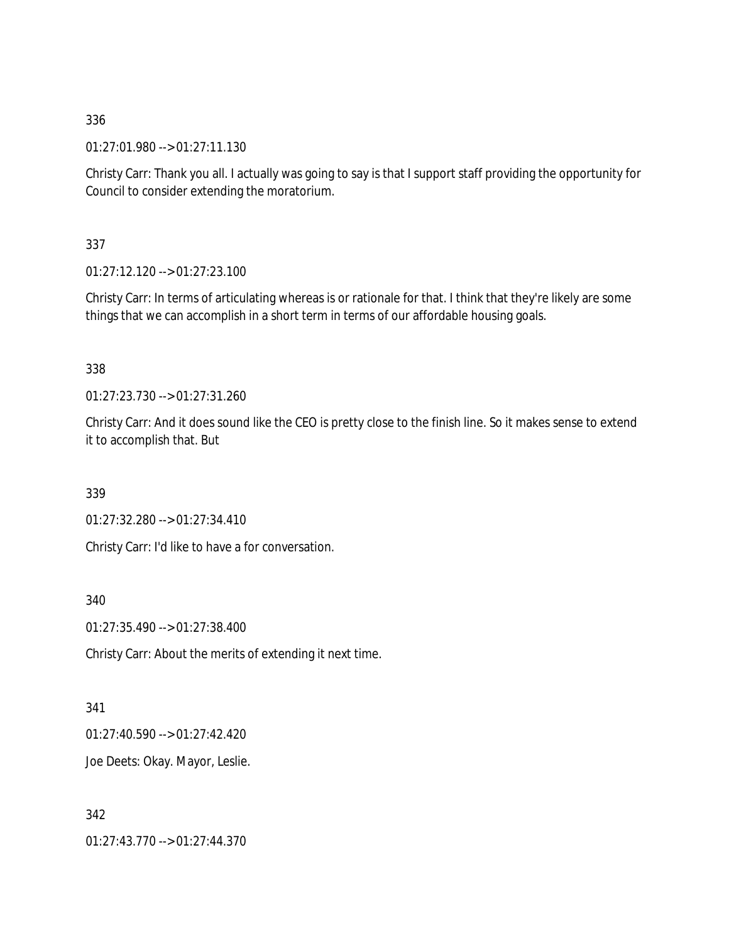01:27:01.980 --> 01:27:11.130

Christy Carr: Thank you all. I actually was going to say is that I support staff providing the opportunity for Council to consider extending the moratorium.

337

01:27:12.120 --> 01:27:23.100

Christy Carr: In terms of articulating whereas is or rationale for that. I think that they're likely are some things that we can accomplish in a short term in terms of our affordable housing goals.

338

01:27:23.730 --> 01:27:31.260

Christy Carr: And it does sound like the CEO is pretty close to the finish line. So it makes sense to extend it to accomplish that. But

339

01:27:32.280 --> 01:27:34.410

Christy Carr: I'd like to have a for conversation.

340

01:27:35.490 --> 01:27:38.400

Christy Carr: About the merits of extending it next time.

341

01:27:40.590 --> 01:27:42.420

Joe Deets: Okay. Mayor, Leslie.

342 01:27:43.770 --> 01:27:44.370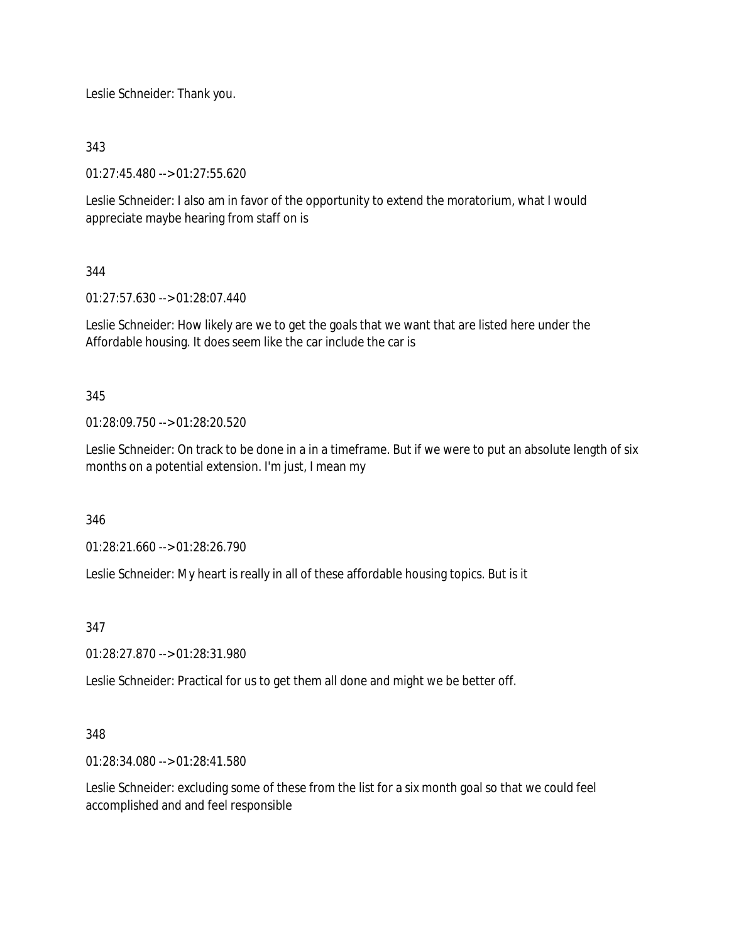Leslie Schneider: Thank you.

343

01:27:45.480 --> 01:27:55.620

Leslie Schneider: I also am in favor of the opportunity to extend the moratorium, what I would appreciate maybe hearing from staff on is

344

01:27:57.630 --> 01:28:07.440

Leslie Schneider: How likely are we to get the goals that we want that are listed here under the Affordable housing. It does seem like the car include the car is

345

01:28:09.750 --> 01:28:20.520

Leslie Schneider: On track to be done in a in a timeframe. But if we were to put an absolute length of six months on a potential extension. I'm just, I mean my

346

01:28:21.660 --> 01:28:26.790

Leslie Schneider: My heart is really in all of these affordable housing topics. But is it

347

01:28:27.870 --> 01:28:31.980

Leslie Schneider: Practical for us to get them all done and might we be better off.

### 348

01:28:34.080 --> 01:28:41.580

Leslie Schneider: excluding some of these from the list for a six month goal so that we could feel accomplished and and feel responsible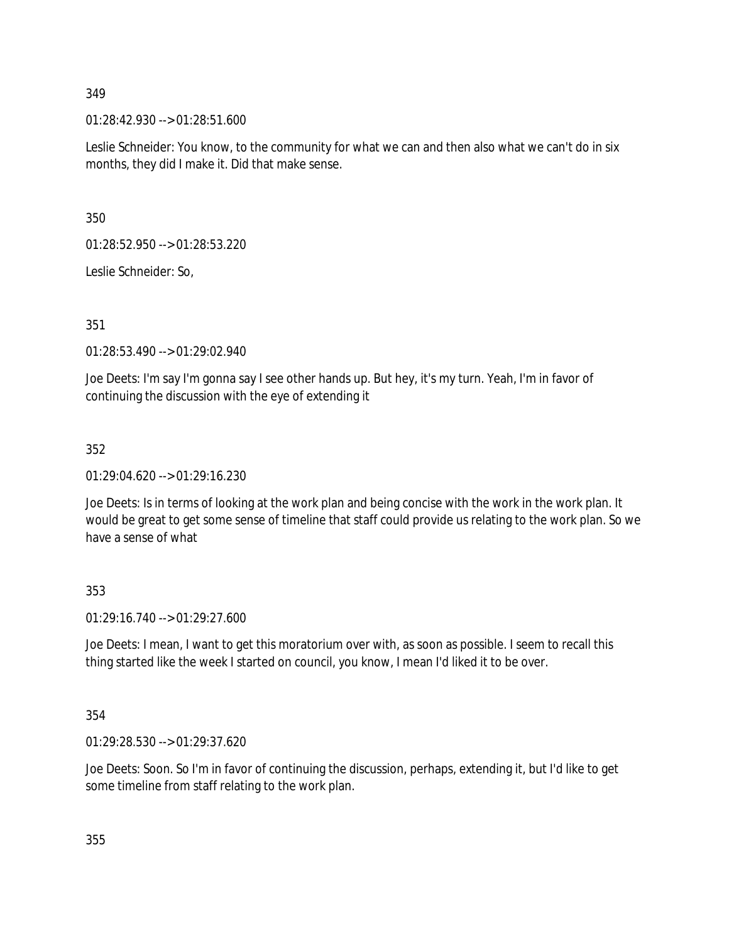01:28:42.930 --> 01:28:51.600

Leslie Schneider: You know, to the community for what we can and then also what we can't do in six months, they did I make it. Did that make sense.

350

01:28:52.950 --> 01:28:53.220

Leslie Schneider: So,

351

01:28:53.490 --> 01:29:02.940

Joe Deets: I'm say I'm gonna say I see other hands up. But hey, it's my turn. Yeah, I'm in favor of continuing the discussion with the eye of extending it

352

01:29:04.620 --> 01:29:16.230

Joe Deets: Is in terms of looking at the work plan and being concise with the work in the work plan. It would be great to get some sense of timeline that staff could provide us relating to the work plan. So we have a sense of what

353

01:29:16.740 --> 01:29:27.600

Joe Deets: I mean, I want to get this moratorium over with, as soon as possible. I seem to recall this thing started like the week I started on council, you know, I mean I'd liked it to be over.

354

01:29:28.530 --> 01:29:37.620

Joe Deets: Soon. So I'm in favor of continuing the discussion, perhaps, extending it, but I'd like to get some timeline from staff relating to the work plan.

355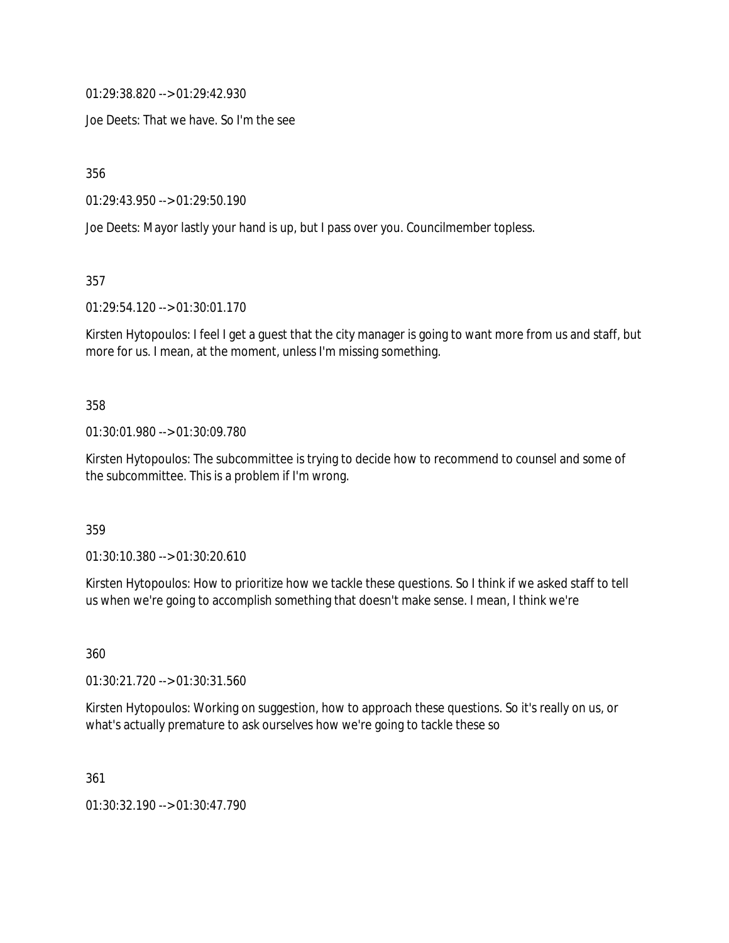01:29:38.820 --> 01:29:42.930

Joe Deets: That we have. So I'm the see

356

01:29:43.950 --> 01:29:50.190

Joe Deets: Mayor lastly your hand is up, but I pass over you. Councilmember topless.

357

01:29:54.120 --> 01:30:01.170

Kirsten Hytopoulos: I feel I get a guest that the city manager is going to want more from us and staff, but more for us. I mean, at the moment, unless I'm missing something.

#### 358

01:30:01.980 --> 01:30:09.780

Kirsten Hytopoulos: The subcommittee is trying to decide how to recommend to counsel and some of the subcommittee. This is a problem if I'm wrong.

359

01:30:10.380 --> 01:30:20.610

Kirsten Hytopoulos: How to prioritize how we tackle these questions. So I think if we asked staff to tell us when we're going to accomplish something that doesn't make sense. I mean, I think we're

360

01:30:21.720 --> 01:30:31.560

Kirsten Hytopoulos: Working on suggestion, how to approach these questions. So it's really on us, or what's actually premature to ask ourselves how we're going to tackle these so

361

01:30:32.190 --> 01:30:47.790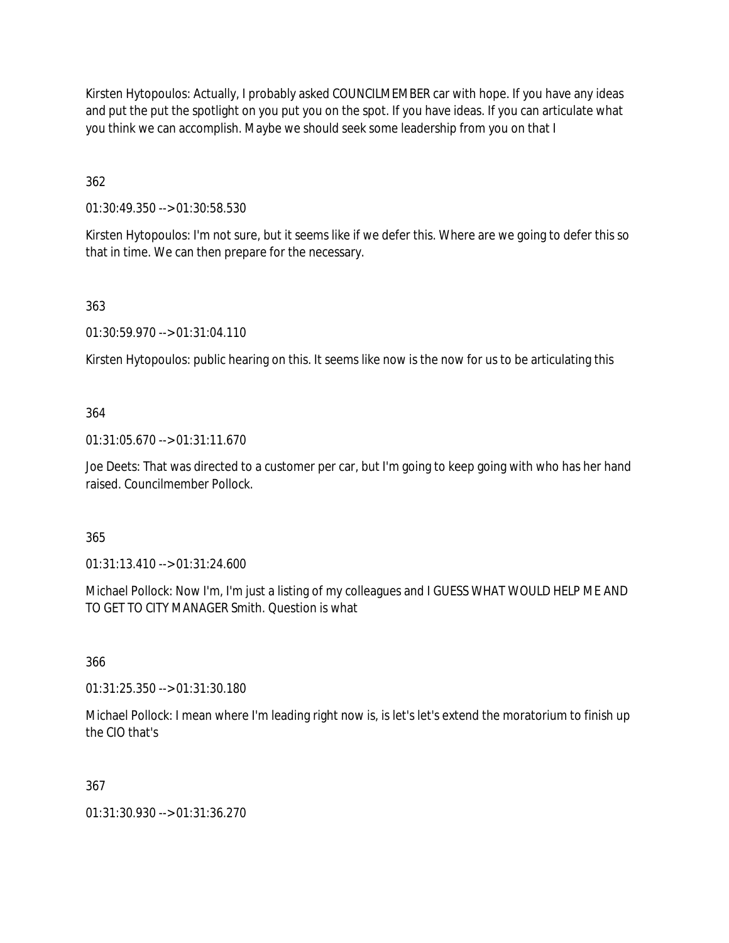Kirsten Hytopoulos: Actually, I probably asked COUNCILMEMBER car with hope. If you have any ideas and put the put the spotlight on you put you on the spot. If you have ideas. If you can articulate what you think we can accomplish. Maybe we should seek some leadership from you on that I

362

01:30:49.350 --> 01:30:58.530

Kirsten Hytopoulos: I'm not sure, but it seems like if we defer this. Where are we going to defer this so that in time. We can then prepare for the necessary.

363

01:30:59.970 --> 01:31:04.110

Kirsten Hytopoulos: public hearing on this. It seems like now is the now for us to be articulating this

### 364

01:31:05.670 --> 01:31:11.670

Joe Deets: That was directed to a customer per car, but I'm going to keep going with who has her hand raised. Councilmember Pollock.

### 365

01:31:13.410 --> 01:31:24.600

Michael Pollock: Now I'm, I'm just a listing of my colleagues and I GUESS WHAT WOULD HELP ME AND TO GET TO CITY MANAGER Smith. Question is what

366

01:31:25.350 --> 01:31:30.180

Michael Pollock: I mean where I'm leading right now is, is let's let's extend the moratorium to finish up the CIO that's

### 367

01:31:30.930 --> 01:31:36.270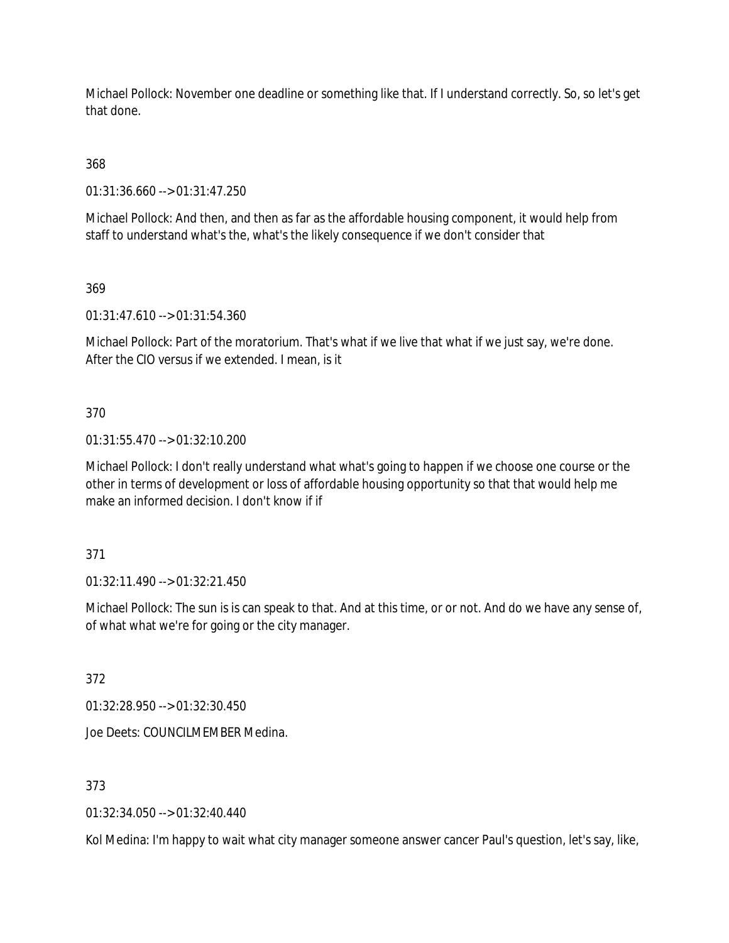Michael Pollock: November one deadline or something like that. If I understand correctly. So, so let's get that done.

368

01:31:36.660 --> 01:31:47.250

Michael Pollock: And then, and then as far as the affordable housing component, it would help from staff to understand what's the, what's the likely consequence if we don't consider that

369

01:31:47.610 --> 01:31:54.360

Michael Pollock: Part of the moratorium. That's what if we live that what if we just say, we're done. After the CIO versus if we extended. I mean, is it

370

01:31:55.470 --> 01:32:10.200

Michael Pollock: I don't really understand what what's going to happen if we choose one course or the other in terms of development or loss of affordable housing opportunity so that that would help me make an informed decision. I don't know if if

371

01:32:11.490 --> 01:32:21.450

Michael Pollock: The sun is is can speak to that. And at this time, or or not. And do we have any sense of, of what what we're for going or the city manager.

372

01:32:28.950 --> 01:32:30.450

Joe Deets: COUNCILMEMBER Medina.

373

01:32:34.050 --> 01:32:40.440

Kol Medina: I'm happy to wait what city manager someone answer cancer Paul's question, let's say, like,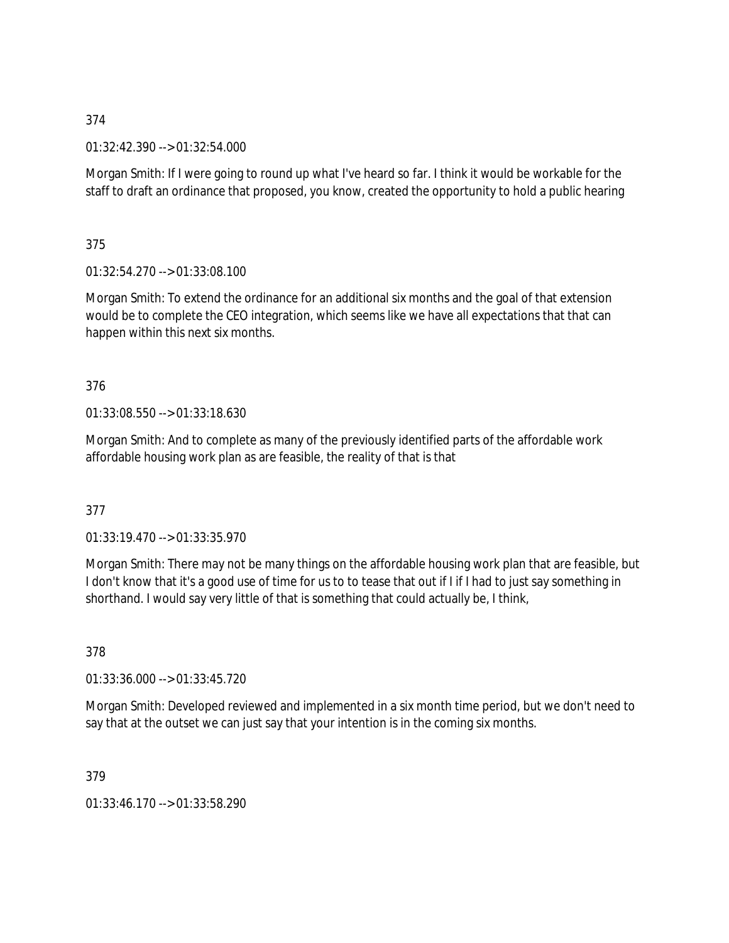01:32:42.390 --> 01:32:54.000

Morgan Smith: If I were going to round up what I've heard so far. I think it would be workable for the staff to draft an ordinance that proposed, you know, created the opportunity to hold a public hearing

375

01:32:54.270 --> 01:33:08.100

Morgan Smith: To extend the ordinance for an additional six months and the goal of that extension would be to complete the CEO integration, which seems like we have all expectations that that can happen within this next six months.

376

01:33:08.550 --> 01:33:18.630

Morgan Smith: And to complete as many of the previously identified parts of the affordable work affordable housing work plan as are feasible, the reality of that is that

377

01:33:19.470 --> 01:33:35.970

Morgan Smith: There may not be many things on the affordable housing work plan that are feasible, but I don't know that it's a good use of time for us to to tease that out if I if I had to just say something in shorthand. I would say very little of that is something that could actually be, I think,

378

01:33:36.000 --> 01:33:45.720

Morgan Smith: Developed reviewed and implemented in a six month time period, but we don't need to say that at the outset we can just say that your intention is in the coming six months.

379

01:33:46.170 --> 01:33:58.290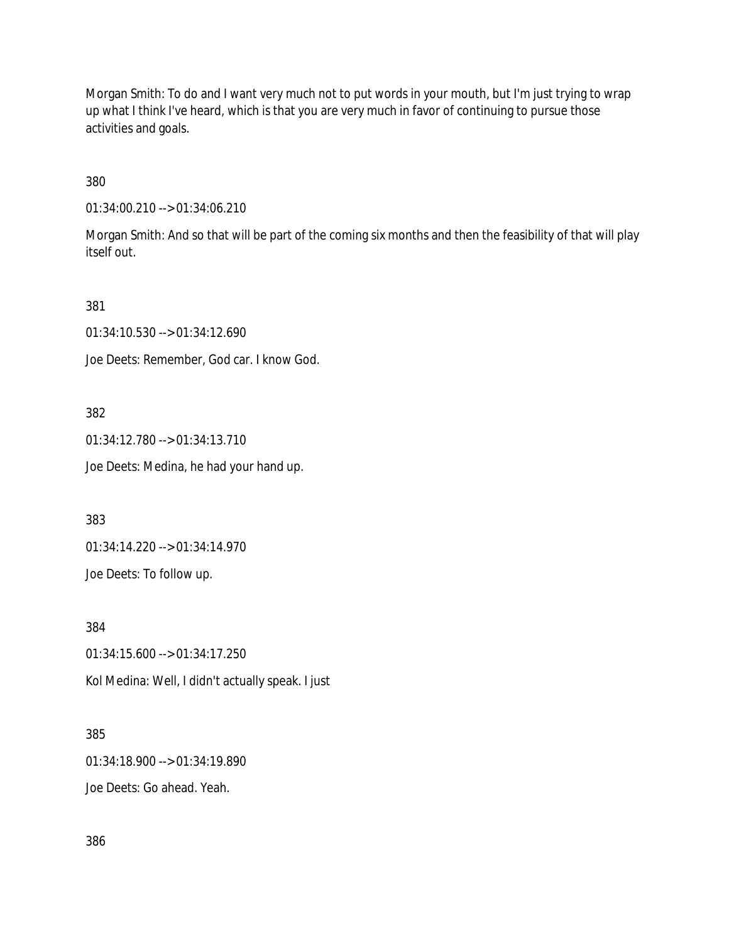Morgan Smith: To do and I want very much not to put words in your mouth, but I'm just trying to wrap up what I think I've heard, which is that you are very much in favor of continuing to pursue those activities and goals.

380

01:34:00.210 --> 01:34:06.210

Morgan Smith: And so that will be part of the coming six months and then the feasibility of that will play itself out.

381

01:34:10.530 --> 01:34:12.690

Joe Deets: Remember, God car. I know God.

382

01:34:12.780 --> 01:34:13.710

Joe Deets: Medina, he had your hand up.

383

01:34:14.220 --> 01:34:14.970

Joe Deets: To follow up.

384

01:34:15.600 --> 01:34:17.250 Kol Medina: Well, I didn't actually speak. I just

385

01:34:18.900 --> 01:34:19.890

Joe Deets: Go ahead. Yeah.

386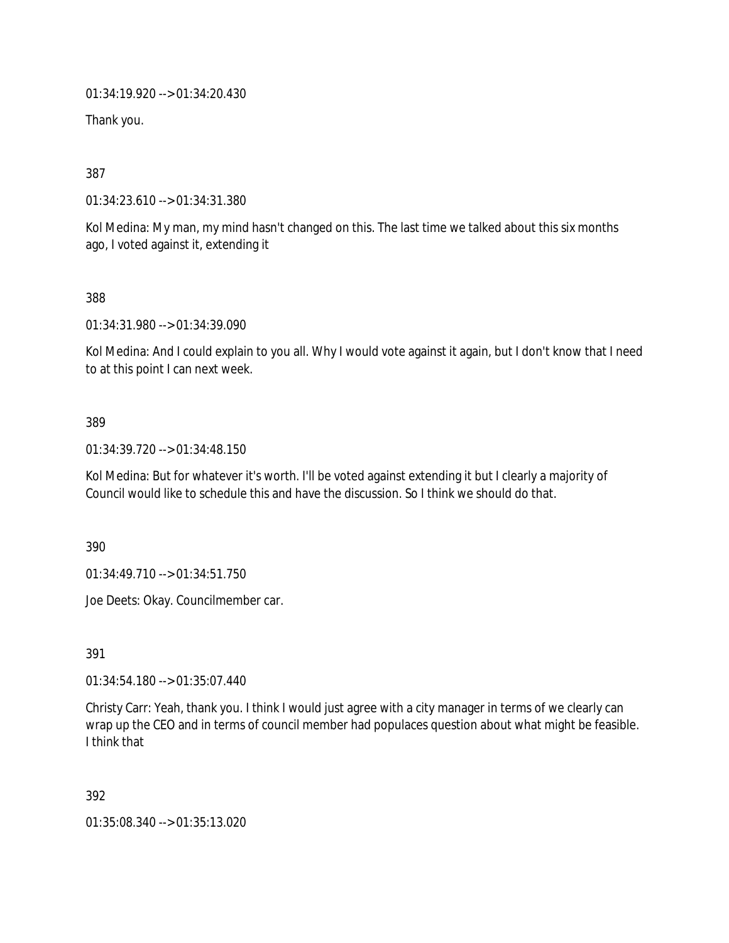01:34:19.920 --> 01:34:20.430

Thank you.

387

01:34:23.610 --> 01:34:31.380

Kol Medina: My man, my mind hasn't changed on this. The last time we talked about this six months ago, I voted against it, extending it

388

01:34:31.980 --> 01:34:39.090

Kol Medina: And I could explain to you all. Why I would vote against it again, but I don't know that I need to at this point I can next week.

#### 389

01:34:39.720 --> 01:34:48.150

Kol Medina: But for whatever it's worth. I'll be voted against extending it but I clearly a majority of Council would like to schedule this and have the discussion. So I think we should do that.

390

01:34:49.710 --> 01:34:51.750

Joe Deets: Okay. Councilmember car.

391

01:34:54.180 --> 01:35:07.440

Christy Carr: Yeah, thank you. I think I would just agree with a city manager in terms of we clearly can wrap up the CEO and in terms of council member had populaces question about what might be feasible. I think that

392

01:35:08.340 --> 01:35:13.020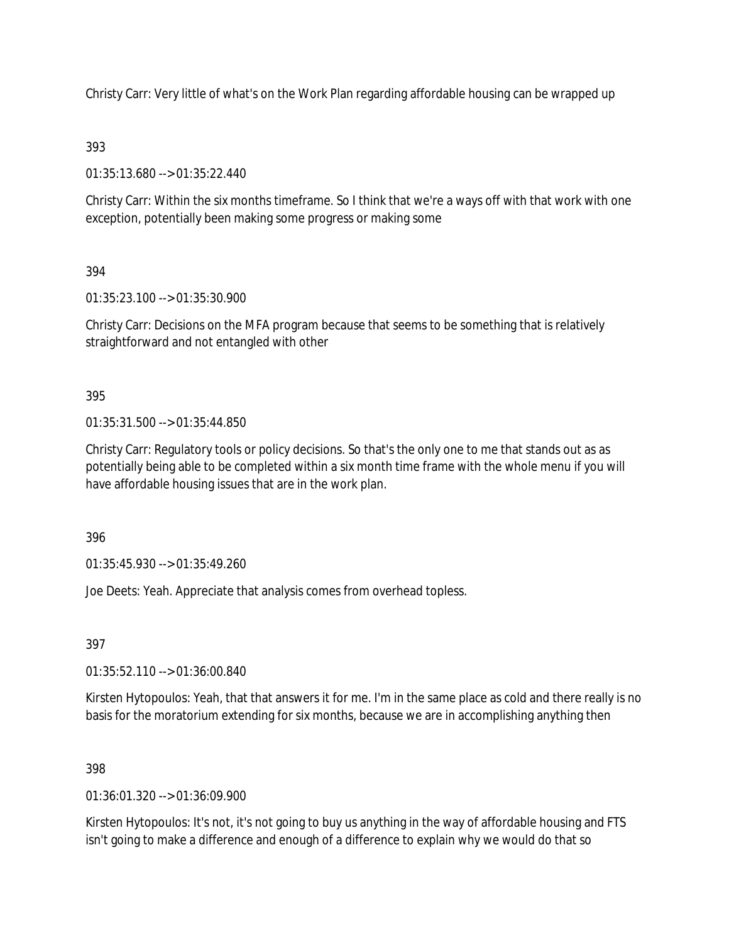Christy Carr: Very little of what's on the Work Plan regarding affordable housing can be wrapped up

# 393

01:35:13.680 --> 01:35:22.440

Christy Carr: Within the six months timeframe. So I think that we're a ways off with that work with one exception, potentially been making some progress or making some

# 394

01:35:23.100 --> 01:35:30.900

Christy Carr: Decisions on the MFA program because that seems to be something that is relatively straightforward and not entangled with other

# 395

01:35:31.500 --> 01:35:44.850

Christy Carr: Regulatory tools or policy decisions. So that's the only one to me that stands out as as potentially being able to be completed within a six month time frame with the whole menu if you will have affordable housing issues that are in the work plan.

396

01:35:45.930 --> 01:35:49.260

Joe Deets: Yeah. Appreciate that analysis comes from overhead topless.

# 397

01:35:52.110 --> 01:36:00.840

Kirsten Hytopoulos: Yeah, that that answers it for me. I'm in the same place as cold and there really is no basis for the moratorium extending for six months, because we are in accomplishing anything then

# 398

01:36:01.320 --> 01:36:09.900

Kirsten Hytopoulos: It's not, it's not going to buy us anything in the way of affordable housing and FTS isn't going to make a difference and enough of a difference to explain why we would do that so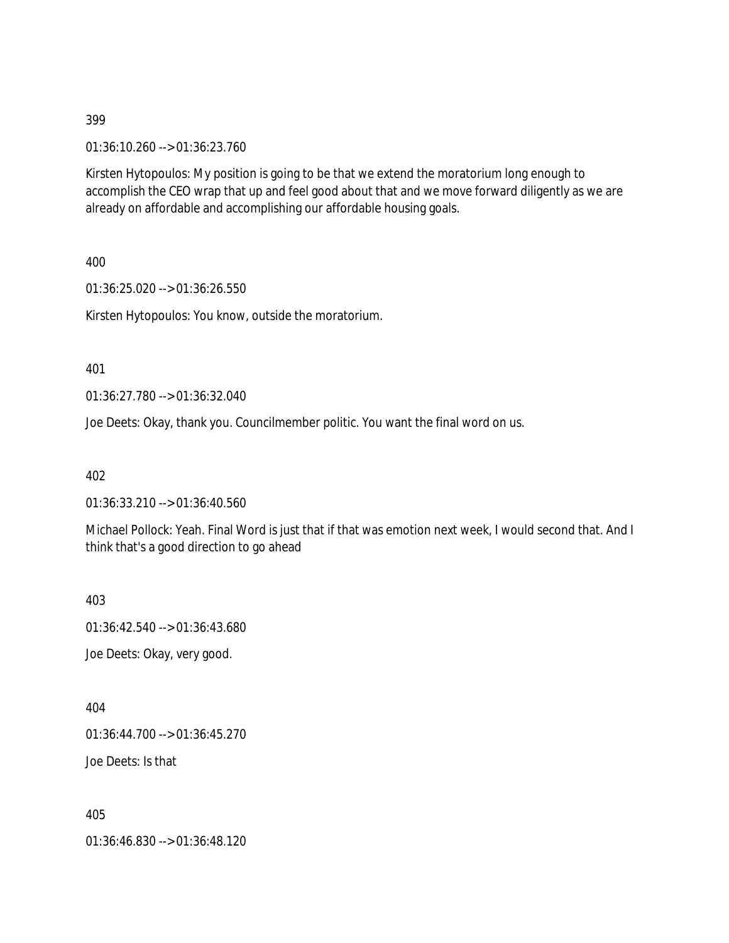01:36:10.260 --> 01:36:23.760

Kirsten Hytopoulos: My position is going to be that we extend the moratorium long enough to accomplish the CEO wrap that up and feel good about that and we move forward diligently as we are already on affordable and accomplishing our affordable housing goals.

400

01:36:25.020 --> 01:36:26.550

Kirsten Hytopoulos: You know, outside the moratorium.

401

01:36:27.780 --> 01:36:32.040

Joe Deets: Okay, thank you. Councilmember politic. You want the final word on us.

402

01:36:33.210 --> 01:36:40.560

Michael Pollock: Yeah. Final Word is just that if that was emotion next week, I would second that. And I think that's a good direction to go ahead

403

01:36:42.540 --> 01:36:43.680

Joe Deets: Okay, very good.

404

01:36:44.700 --> 01:36:45.270

Joe Deets: Is that

405

01:36:46.830 --> 01:36:48.120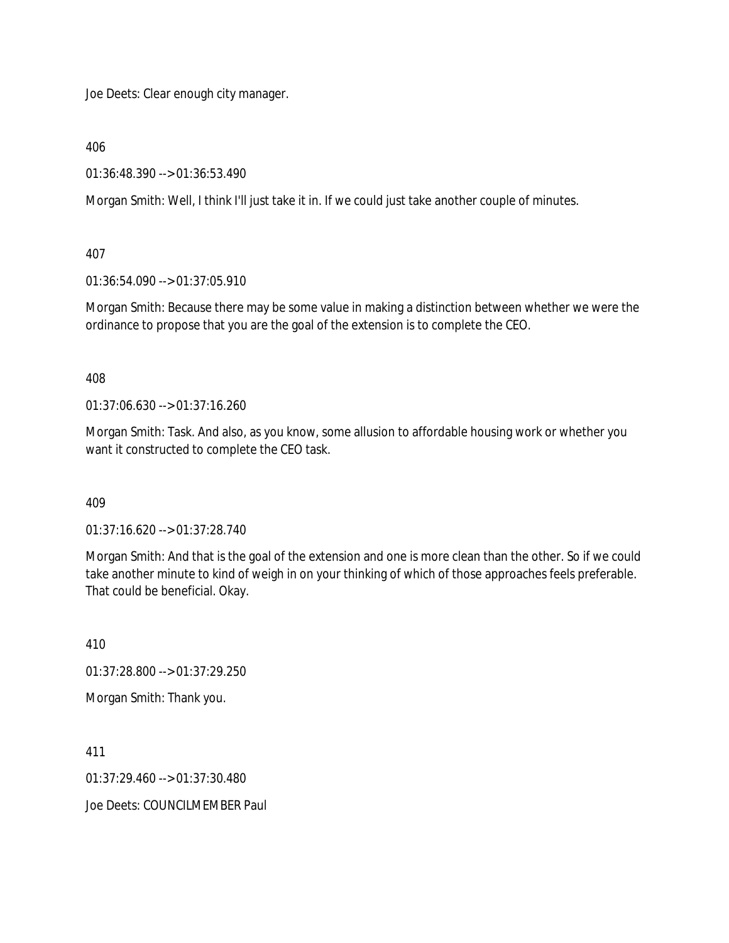Joe Deets: Clear enough city manager.

406

01:36:48.390 --> 01:36:53.490

Morgan Smith: Well, I think I'll just take it in. If we could just take another couple of minutes.

407

01:36:54.090 --> 01:37:05.910

Morgan Smith: Because there may be some value in making a distinction between whether we were the ordinance to propose that you are the goal of the extension is to complete the CEO.

408

01:37:06.630 --> 01:37:16.260

Morgan Smith: Task. And also, as you know, some allusion to affordable housing work or whether you want it constructed to complete the CEO task.

409

01:37:16.620 --> 01:37:28.740

Morgan Smith: And that is the goal of the extension and one is more clean than the other. So if we could take another minute to kind of weigh in on your thinking of which of those approaches feels preferable. That could be beneficial. Okay.

410

01:37:28.800 --> 01:37:29.250

Morgan Smith: Thank you.

411

01:37:29.460 --> 01:37:30.480

Joe Deets: COUNCILMEMBER Paul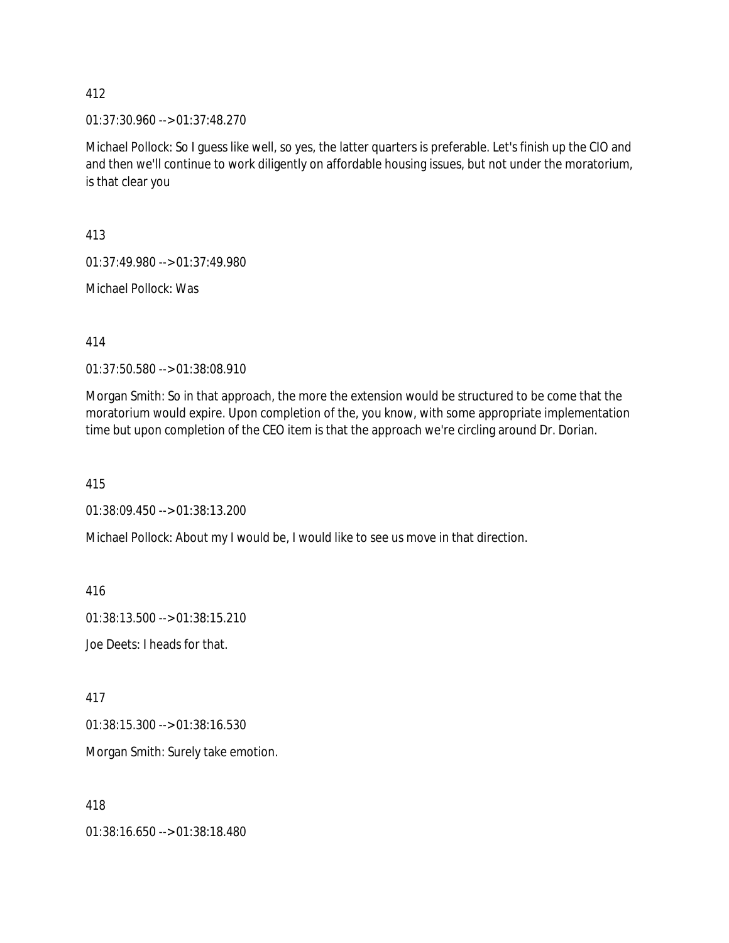01:37:30.960 --> 01:37:48.270

Michael Pollock: So I guess like well, so yes, the latter quarters is preferable. Let's finish up the CIO and and then we'll continue to work diligently on affordable housing issues, but not under the moratorium, is that clear you

413

01:37:49.980 --> 01:37:49.980

Michael Pollock: Was

414

01:37:50.580 --> 01:38:08.910

Morgan Smith: So in that approach, the more the extension would be structured to be come that the moratorium would expire. Upon completion of the, you know, with some appropriate implementation time but upon completion of the CEO item is that the approach we're circling around Dr. Dorian.

415

01:38:09.450 --> 01:38:13.200

Michael Pollock: About my I would be, I would like to see us move in that direction.

416

01:38:13.500 --> 01:38:15.210

Joe Deets: I heads for that.

417

01:38:15.300 --> 01:38:16.530

Morgan Smith: Surely take emotion.

418

01:38:16.650 --> 01:38:18.480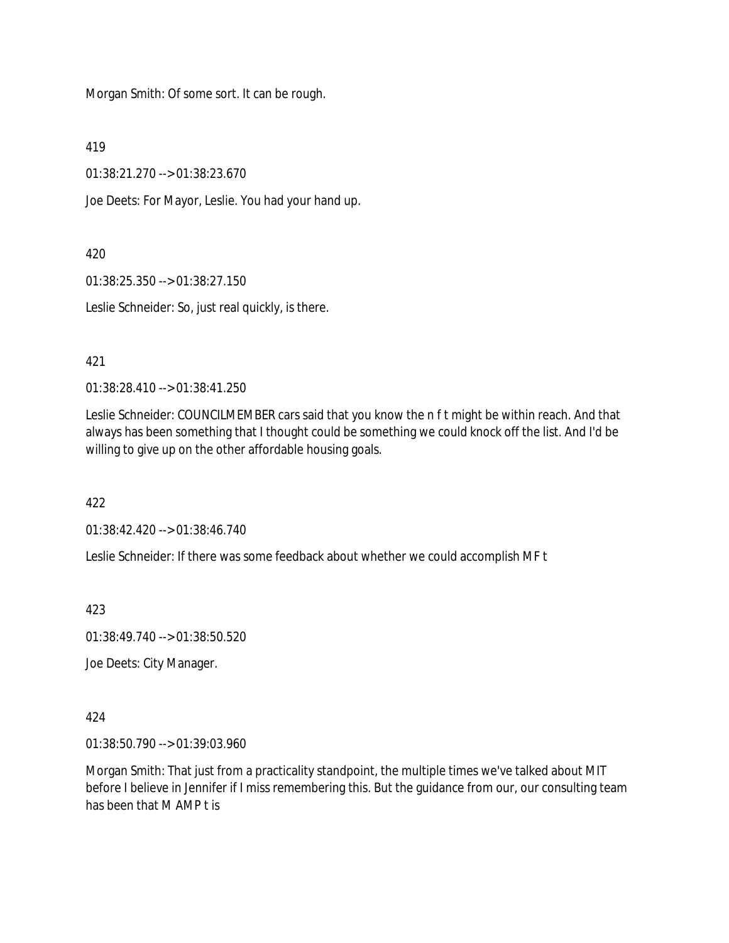Morgan Smith: Of some sort. It can be rough.

419

01:38:21.270 --> 01:38:23.670

Joe Deets: For Mayor, Leslie. You had your hand up.

### 420

01:38:25.350 --> 01:38:27.150

Leslie Schneider: So, just real quickly, is there.

## 421

01:38:28.410 --> 01:38:41.250

Leslie Schneider: COUNCILMEMBER cars said that you know the n f t might be within reach. And that always has been something that I thought could be something we could knock off the list. And I'd be willing to give up on the other affordable housing goals.

422

01:38:42.420 --> 01:38:46.740

Leslie Schneider: If there was some feedback about whether we could accomplish MF t

423

01:38:49.740 --> 01:38:50.520

Joe Deets: City Manager.

### 424

01:38:50.790 --> 01:39:03.960

Morgan Smith: That just from a practicality standpoint, the multiple times we've talked about MIT before I believe in Jennifer if I miss remembering this. But the guidance from our, our consulting team has been that M AMP t is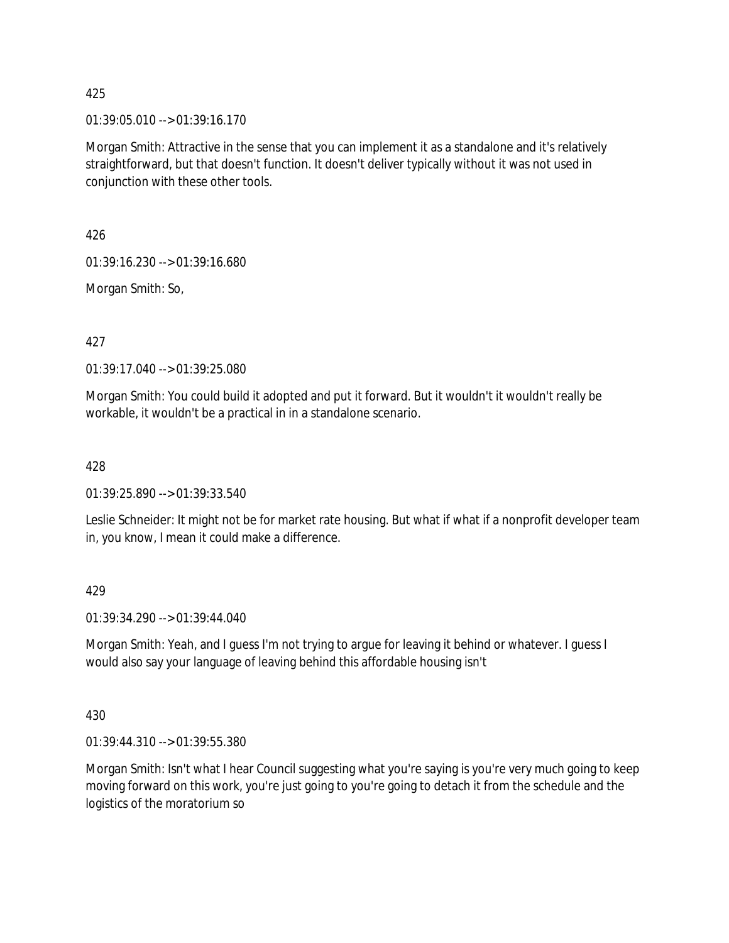$01:39:05.010 \rightarrow 01:39:16.170$ 

Morgan Smith: Attractive in the sense that you can implement it as a standalone and it's relatively straightforward, but that doesn't function. It doesn't deliver typically without it was not used in conjunction with these other tools.

426

01:39:16.230 --> 01:39:16.680

Morgan Smith: So,

427

01:39:17.040 --> 01:39:25.080

Morgan Smith: You could build it adopted and put it forward. But it wouldn't it wouldn't really be workable, it wouldn't be a practical in in a standalone scenario.

428

01:39:25.890 --> 01:39:33.540

Leslie Schneider: It might not be for market rate housing. But what if what if a nonprofit developer team in, you know, I mean it could make a difference.

429

01:39:34.290 --> 01:39:44.040

Morgan Smith: Yeah, and I guess I'm not trying to argue for leaving it behind or whatever. I guess I would also say your language of leaving behind this affordable housing isn't

430

01:39:44.310 --> 01:39:55.380

Morgan Smith: Isn't what I hear Council suggesting what you're saying is you're very much going to keep moving forward on this work, you're just going to you're going to detach it from the schedule and the logistics of the moratorium so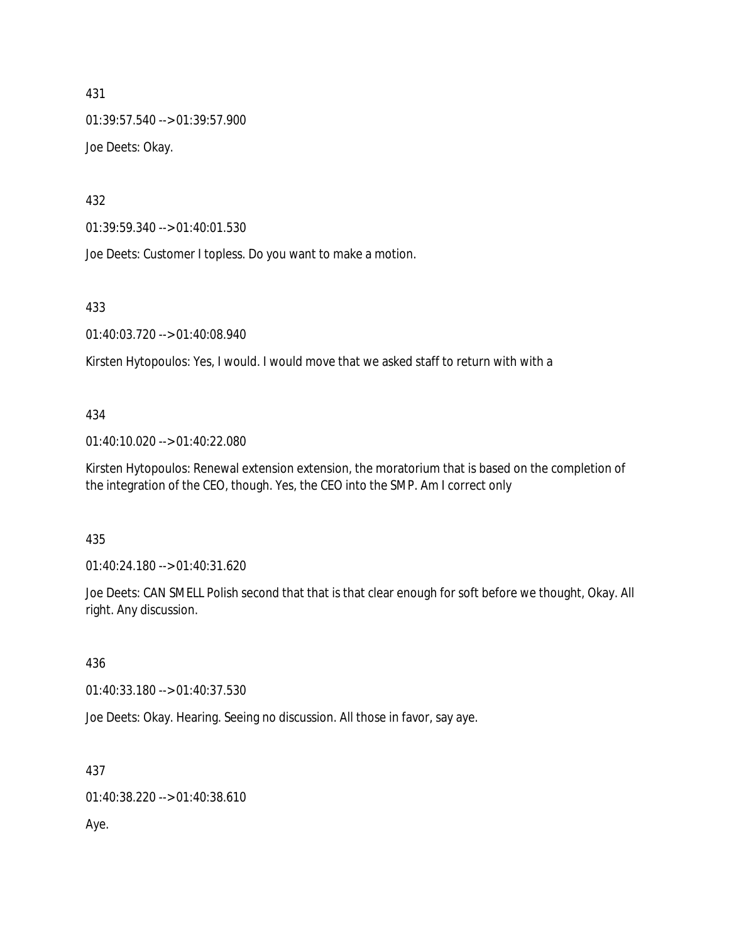01:39:57.540 --> 01:39:57.900 Joe Deets: Okay.

432

01:39:59.340 --> 01:40:01.530

Joe Deets: Customer I topless. Do you want to make a motion.

433

01:40:03.720 --> 01:40:08.940

Kirsten Hytopoulos: Yes, I would. I would move that we asked staff to return with with a

#### 434

01:40:10.020 --> 01:40:22.080

Kirsten Hytopoulos: Renewal extension extension, the moratorium that is based on the completion of the integration of the CEO, though. Yes, the CEO into the SMP. Am I correct only

### 435

01:40:24.180 --> 01:40:31.620

Joe Deets: CAN SMELL Polish second that that is that clear enough for soft before we thought, Okay. All right. Any discussion.

436

01:40:33.180 --> 01:40:37.530

Joe Deets: Okay. Hearing. Seeing no discussion. All those in favor, say aye.

437

01:40:38.220 --> 01:40:38.610

Aye.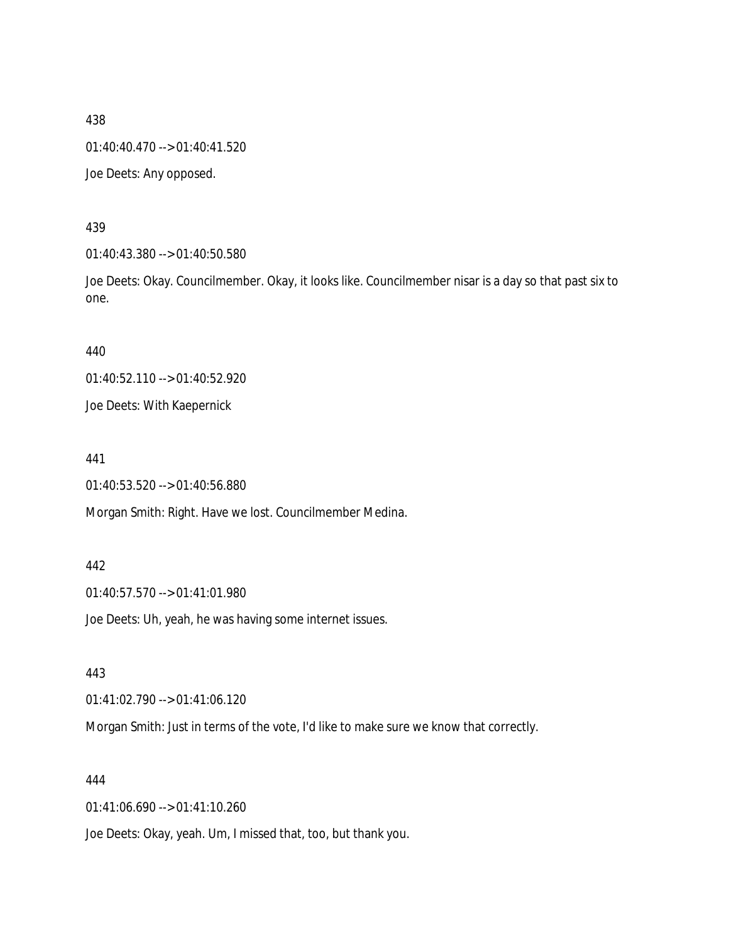01:40:40.470 --> 01:40:41.520

Joe Deets: Any opposed.

#### 439

01:40:43.380 --> 01:40:50.580

Joe Deets: Okay. Councilmember. Okay, it looks like. Councilmember nisar is a day so that past six to one.

440

01:40:52.110 --> 01:40:52.920

Joe Deets: With Kaepernick

441

01:40:53.520 --> 01:40:56.880

Morgan Smith: Right. Have we lost. Councilmember Medina.

#### 442

01:40:57.570 --> 01:41:01.980

Joe Deets: Uh, yeah, he was having some internet issues.

#### 443

01:41:02.790 --> 01:41:06.120

Morgan Smith: Just in terms of the vote, I'd like to make sure we know that correctly.

#### 444

01:41:06.690 --> 01:41:10.260

Joe Deets: Okay, yeah. Um, I missed that, too, but thank you.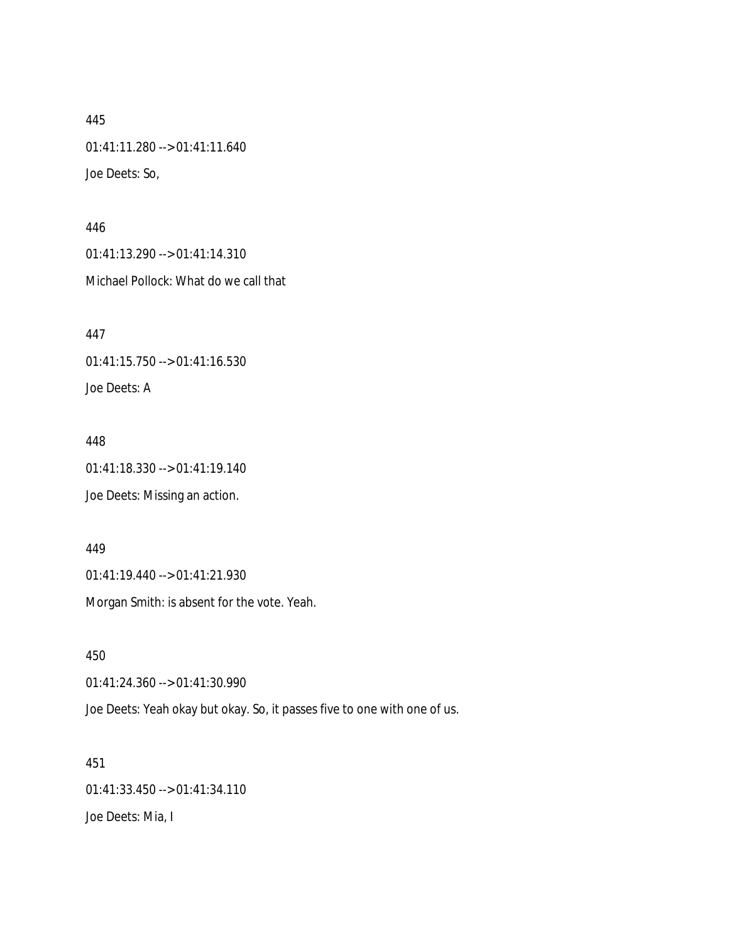445 01:41:11.280 --> 01:41:11.640 Joe Deets: So,

446 01:41:13.290 --> 01:41:14.310 Michael Pollock: What do we call that

447 01:41:15.750 --> 01:41:16.530 Joe Deets: A

448 01:41:18.330 --> 01:41:19.140 Joe Deets: Missing an action.

449 01:41:19.440 --> 01:41:21.930

Morgan Smith: is absent for the vote. Yeah.

450

01:41:24.360 --> 01:41:30.990

Joe Deets: Yeah okay but okay. So, it passes five to one with one of us.

451 01:41:33.450 --> 01:41:34.110 Joe Deets: Mia, I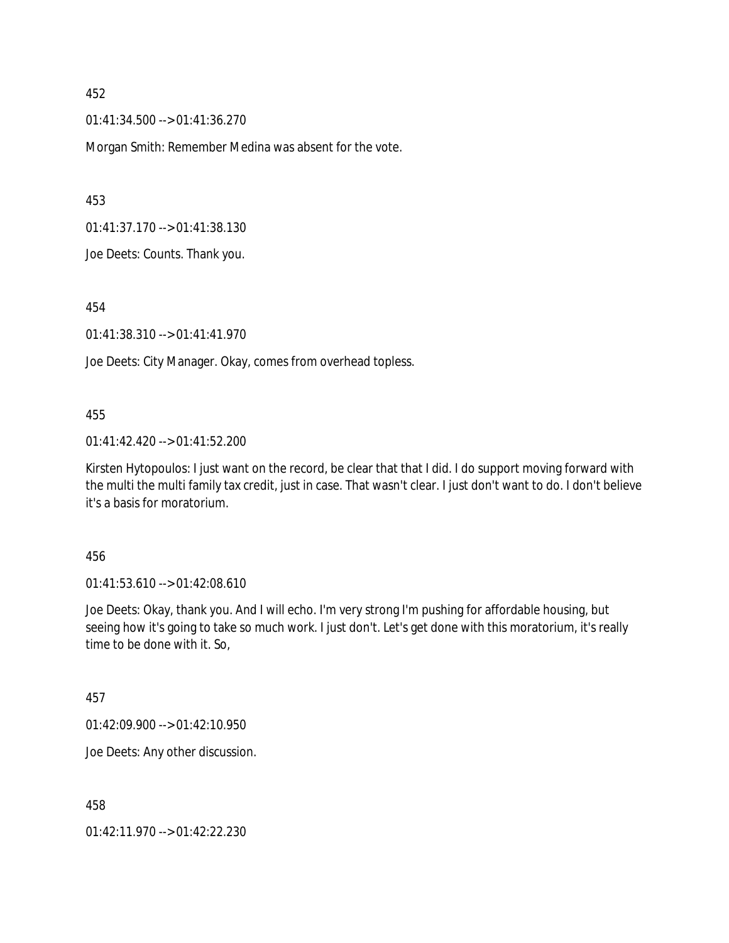01:41:34.500 --> 01:41:36.270

Morgan Smith: Remember Medina was absent for the vote.

453

01:41:37.170 --> 01:41:38.130

Joe Deets: Counts. Thank you.

454

01:41:38.310 --> 01:41:41.970

Joe Deets: City Manager. Okay, comes from overhead topless.

#### 455

01:41:42.420 --> 01:41:52.200

Kirsten Hytopoulos: I just want on the record, be clear that that I did. I do support moving forward with the multi the multi family tax credit, just in case. That wasn't clear. I just don't want to do. I don't believe it's a basis for moratorium.

#### 456

01:41:53.610 --> 01:42:08.610

Joe Deets: Okay, thank you. And I will echo. I'm very strong I'm pushing for affordable housing, but seeing how it's going to take so much work. I just don't. Let's get done with this moratorium, it's really time to be done with it. So,

#### 457

01:42:09.900 --> 01:42:10.950

Joe Deets: Any other discussion.

458

01:42:11.970 --> 01:42:22.230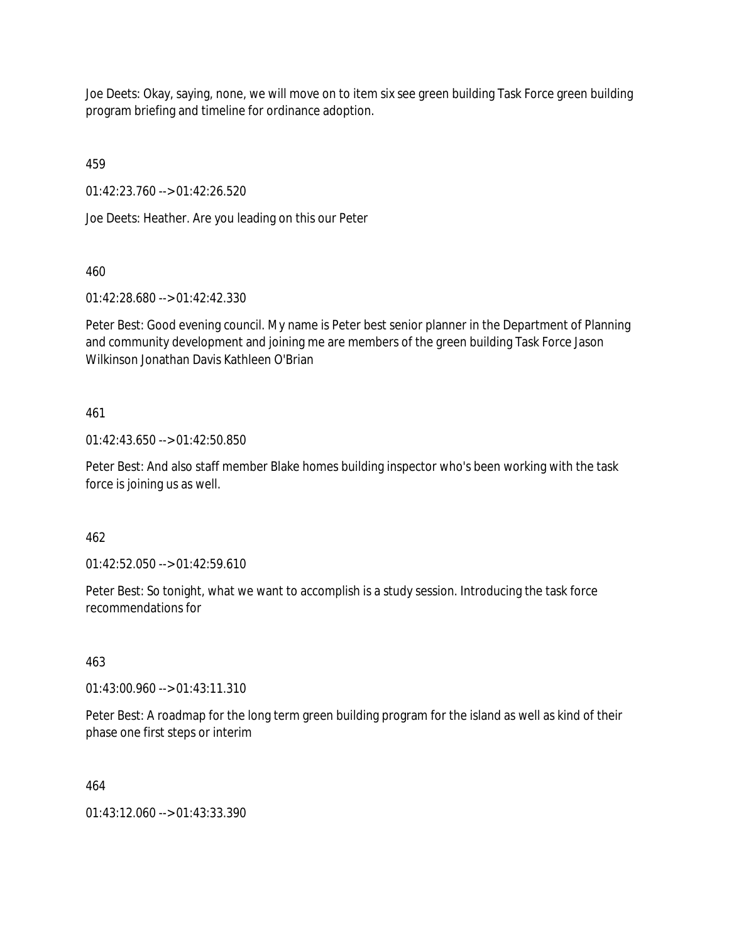Joe Deets: Okay, saying, none, we will move on to item six see green building Task Force green building program briefing and timeline for ordinance adoption.

459

01:42:23.760 --> 01:42:26.520

Joe Deets: Heather. Are you leading on this our Peter

460

01:42:28.680 --> 01:42:42.330

Peter Best: Good evening council. My name is Peter best senior planner in the Department of Planning and community development and joining me are members of the green building Task Force Jason Wilkinson Jonathan Davis Kathleen O'Brian

# 461

01:42:43.650 --> 01:42:50.850

Peter Best: And also staff member Blake homes building inspector who's been working with the task force is joining us as well.

462

01:42:52.050 --> 01:42:59.610

Peter Best: So tonight, what we want to accomplish is a study session. Introducing the task force recommendations for

463

01:43:00.960 --> 01:43:11.310

Peter Best: A roadmap for the long term green building program for the island as well as kind of their phase one first steps or interim

464

01:43:12.060 --> 01:43:33.390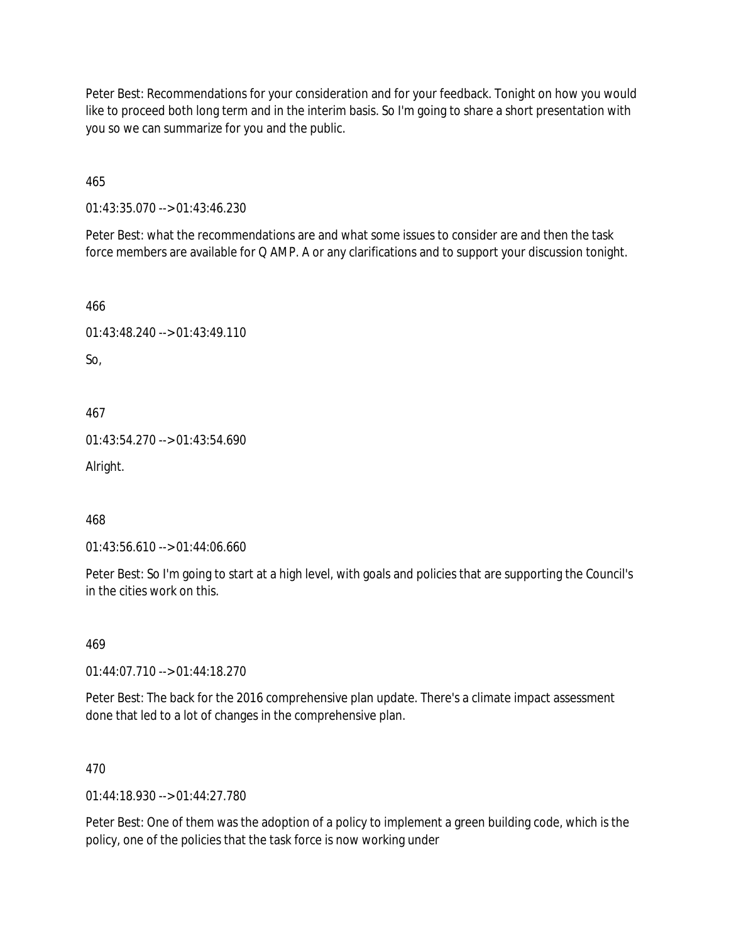Peter Best: Recommendations for your consideration and for your feedback. Tonight on how you would like to proceed both long term and in the interim basis. So I'm going to share a short presentation with you so we can summarize for you and the public.

465

01:43:35.070 --> 01:43:46.230

Peter Best: what the recommendations are and what some issues to consider are and then the task force members are available for Q AMP. A or any clarifications and to support your discussion tonight.

466

```
01:43:48.240 --> 01:43:49.110
```
So,

467

01:43:54.270 --> 01:43:54.690

Alright.

468

```
01:43:56.610 --> 01:44:06.660
```
Peter Best: So I'm going to start at a high level, with goals and policies that are supporting the Council's in the cities work on this.

469

01:44:07.710 --> 01:44:18.270

Peter Best: The back for the 2016 comprehensive plan update. There's a climate impact assessment done that led to a lot of changes in the comprehensive plan.

470

 $01:44:18.930 \rightarrow 01:44:27.780$ 

Peter Best: One of them was the adoption of a policy to implement a green building code, which is the policy, one of the policies that the task force is now working under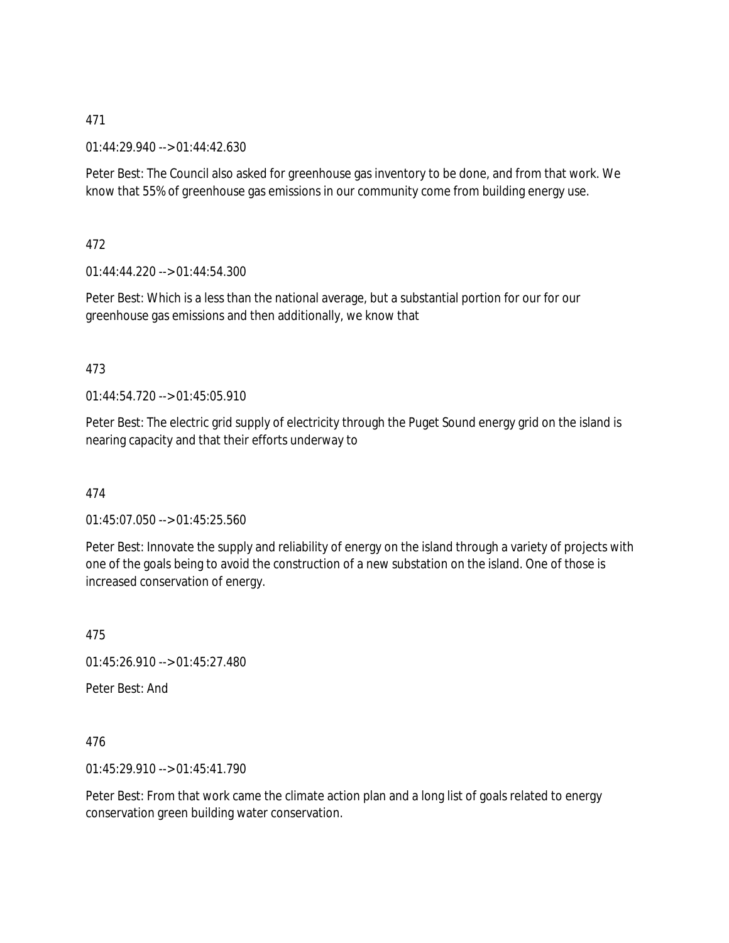01:44:29.940 --> 01:44:42.630

Peter Best: The Council also asked for greenhouse gas inventory to be done, and from that work. We know that 55% of greenhouse gas emissions in our community come from building energy use.

472

01:44:44.220 --> 01:44:54.300

Peter Best: Which is a less than the national average, but a substantial portion for our for our greenhouse gas emissions and then additionally, we know that

#### 473

01:44:54.720 --> 01:45:05.910

Peter Best: The electric grid supply of electricity through the Puget Sound energy grid on the island is nearing capacity and that their efforts underway to

474

01:45:07.050 --> 01:45:25.560

Peter Best: Innovate the supply and reliability of energy on the island through a variety of projects with one of the goals being to avoid the construction of a new substation on the island. One of those is increased conservation of energy.

475

01:45:26.910 --> 01:45:27.480

Peter Best: And

476

01:45:29.910 --> 01:45:41.790

Peter Best: From that work came the climate action plan and a long list of goals related to energy conservation green building water conservation.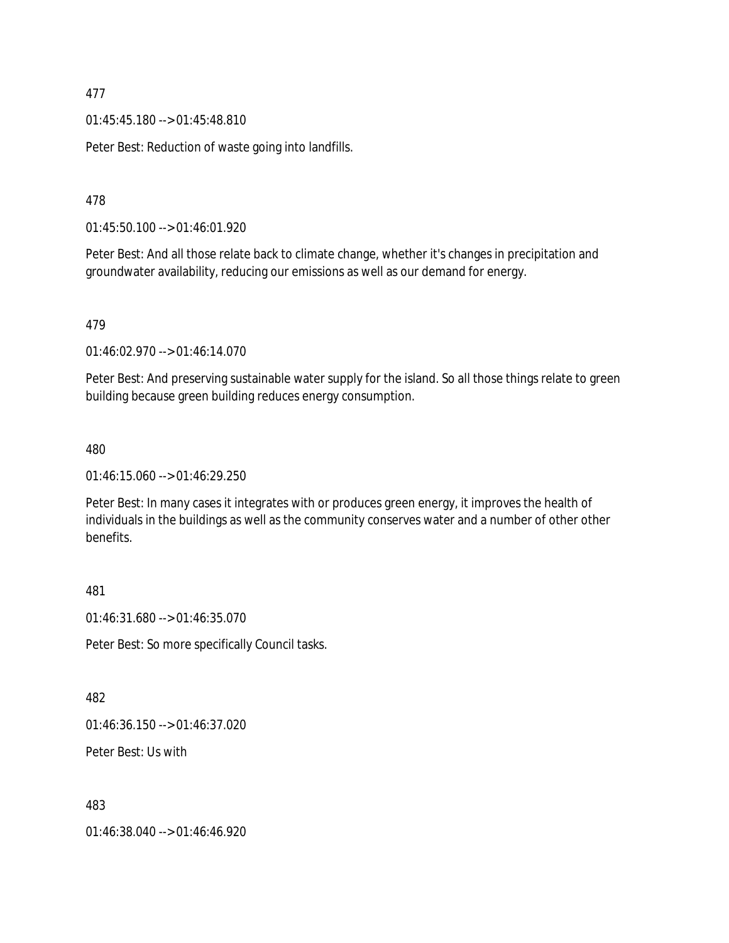01:45:45.180 --> 01:45:48.810

Peter Best: Reduction of waste going into landfills.

478

01:45:50.100 --> 01:46:01.920

Peter Best: And all those relate back to climate change, whether it's changes in precipitation and groundwater availability, reducing our emissions as well as our demand for energy.

479

01:46:02.970 --> 01:46:14.070

Peter Best: And preserving sustainable water supply for the island. So all those things relate to green building because green building reduces energy consumption.

480

01:46:15.060 --> 01:46:29.250

Peter Best: In many cases it integrates with or produces green energy, it improves the health of individuals in the buildings as well as the community conserves water and a number of other other benefits.

481

01:46:31.680 --> 01:46:35.070

Peter Best: So more specifically Council tasks.

482

01:46:36.150 --> 01:46:37.020

Peter Best: Us with

483

01:46:38.040 --> 01:46:46.920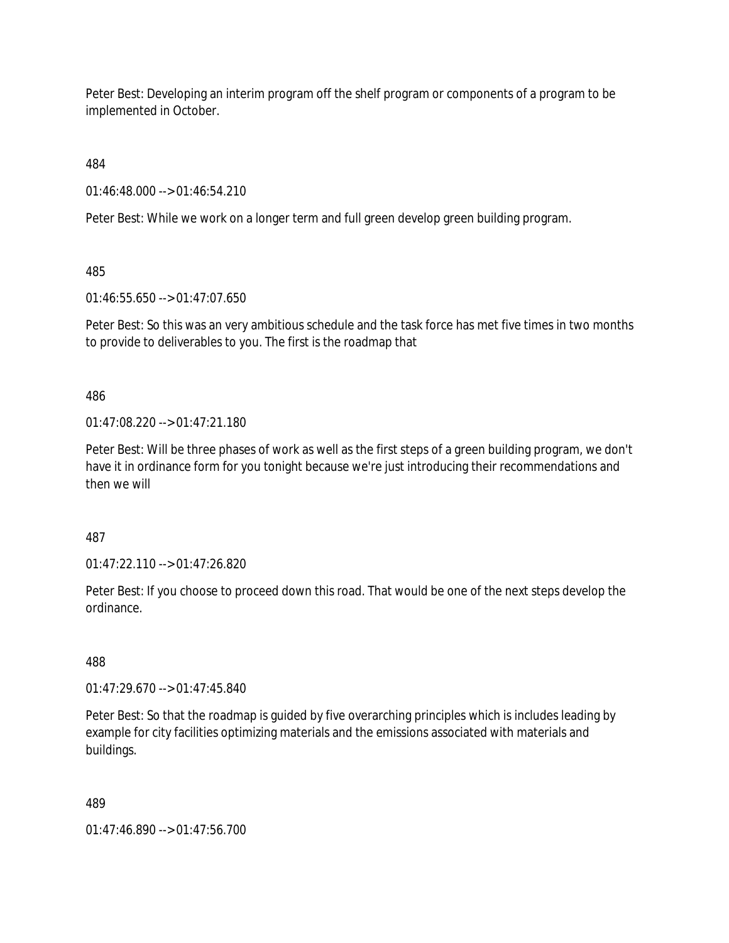Peter Best: Developing an interim program off the shelf program or components of a program to be implemented in October.

484

01:46:48.000 --> 01:46:54.210

Peter Best: While we work on a longer term and full green develop green building program.

485

01:46:55.650 --> 01:47:07.650

Peter Best: So this was an very ambitious schedule and the task force has met five times in two months to provide to deliverables to you. The first is the roadmap that

486

01:47:08.220 --> 01:47:21.180

Peter Best: Will be three phases of work as well as the first steps of a green building program, we don't have it in ordinance form for you tonight because we're just introducing their recommendations and then we will

487

01:47:22.110 --> 01:47:26.820

Peter Best: If you choose to proceed down this road. That would be one of the next steps develop the ordinance.

488

01:47:29.670 --> 01:47:45.840

Peter Best: So that the roadmap is guided by five overarching principles which is includes leading by example for city facilities optimizing materials and the emissions associated with materials and buildings.

489

01:47:46.890 --> 01:47:56.700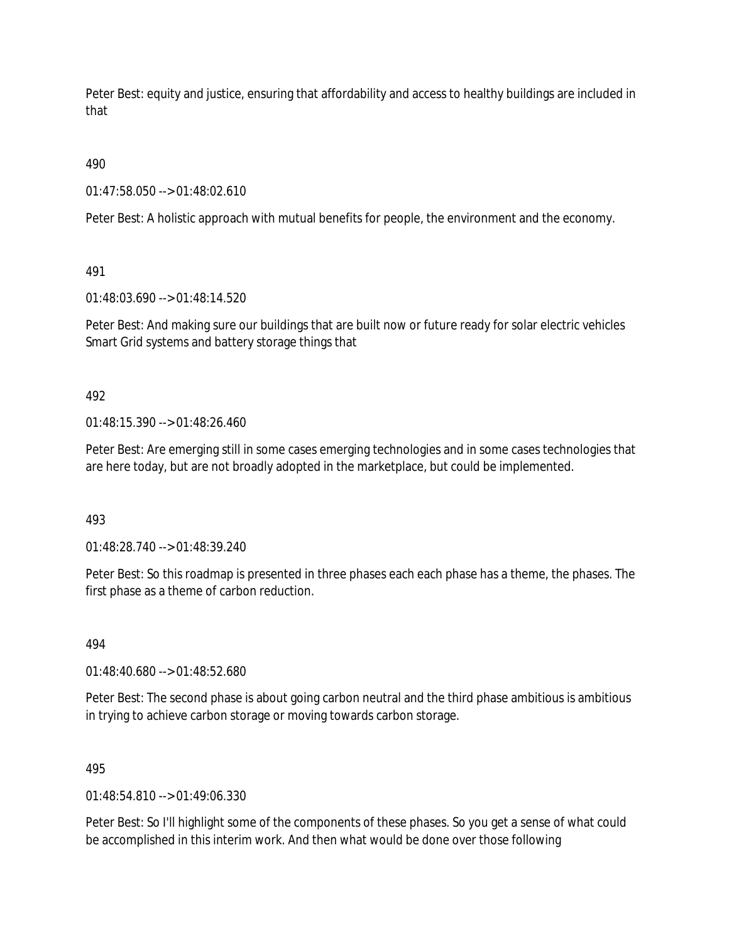Peter Best: equity and justice, ensuring that affordability and access to healthy buildings are included in that

490

01:47:58.050 --> 01:48:02.610

Peter Best: A holistic approach with mutual benefits for people, the environment and the economy.

491

01:48:03.690 --> 01:48:14.520

Peter Best: And making sure our buildings that are built now or future ready for solar electric vehicles Smart Grid systems and battery storage things that

492

 $01.48.15.390 -> 01.48.26.460$ 

Peter Best: Are emerging still in some cases emerging technologies and in some cases technologies that are here today, but are not broadly adopted in the marketplace, but could be implemented.

493

01:48:28.740 --> 01:48:39.240

Peter Best: So this roadmap is presented in three phases each each phase has a theme, the phases. The first phase as a theme of carbon reduction.

494

01:48:40.680 --> 01:48:52.680

Peter Best: The second phase is about going carbon neutral and the third phase ambitious is ambitious in trying to achieve carbon storage or moving towards carbon storage.

495

 $01.48.54.810 -> 01.49.06.330$ 

Peter Best: So I'll highlight some of the components of these phases. So you get a sense of what could be accomplished in this interim work. And then what would be done over those following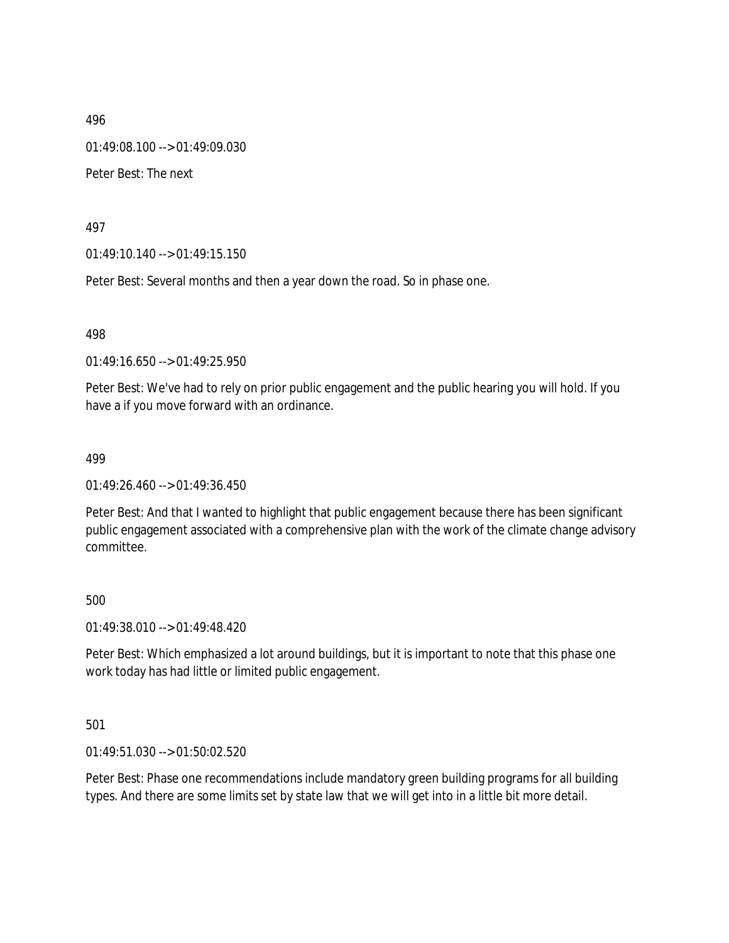01:49:08.100 --> 01:49:09.030

Peter Best: The next

497

01:49:10.140 --> 01:49:15.150

Peter Best: Several months and then a year down the road. So in phase one.

498

01:49:16.650 --> 01:49:25.950

Peter Best: We've had to rely on prior public engagement and the public hearing you will hold. If you have a if you move forward with an ordinance.

499

01:49:26.460 --> 01:49:36.450

Peter Best: And that I wanted to highlight that public engagement because there has been significant public engagement associated with a comprehensive plan with the work of the climate change advisory committee.

500

01:49:38.010 --> 01:49:48.420

Peter Best: Which emphasized a lot around buildings, but it is important to note that this phase one work today has had little or limited public engagement.

501

01:49:51.030 --> 01:50:02.520

Peter Best: Phase one recommendations include mandatory green building programs for all building types. And there are some limits set by state law that we will get into in a little bit more detail.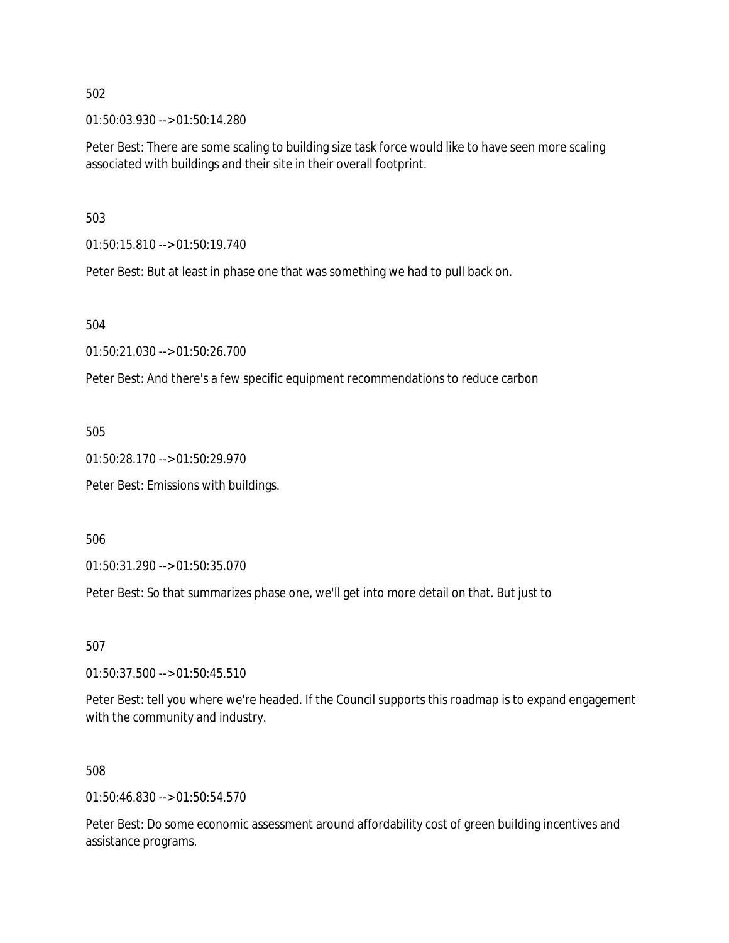01:50:03.930 --> 01:50:14.280

Peter Best: There are some scaling to building size task force would like to have seen more scaling associated with buildings and their site in their overall footprint.

503

01:50:15.810 --> 01:50:19.740

Peter Best: But at least in phase one that was something we had to pull back on.

504

01:50:21.030 --> 01:50:26.700

Peter Best: And there's a few specific equipment recommendations to reduce carbon

505

01:50:28.170 --> 01:50:29.970

Peter Best: Emissions with buildings.

506

01:50:31.290 --> 01:50:35.070

Peter Best: So that summarizes phase one, we'll get into more detail on that. But just to

507

01:50:37.500 --> 01:50:45.510

Peter Best: tell you where we're headed. If the Council supports this roadmap is to expand engagement with the community and industry.

#### 508

01:50:46.830 --> 01:50:54.570

Peter Best: Do some economic assessment around affordability cost of green building incentives and assistance programs.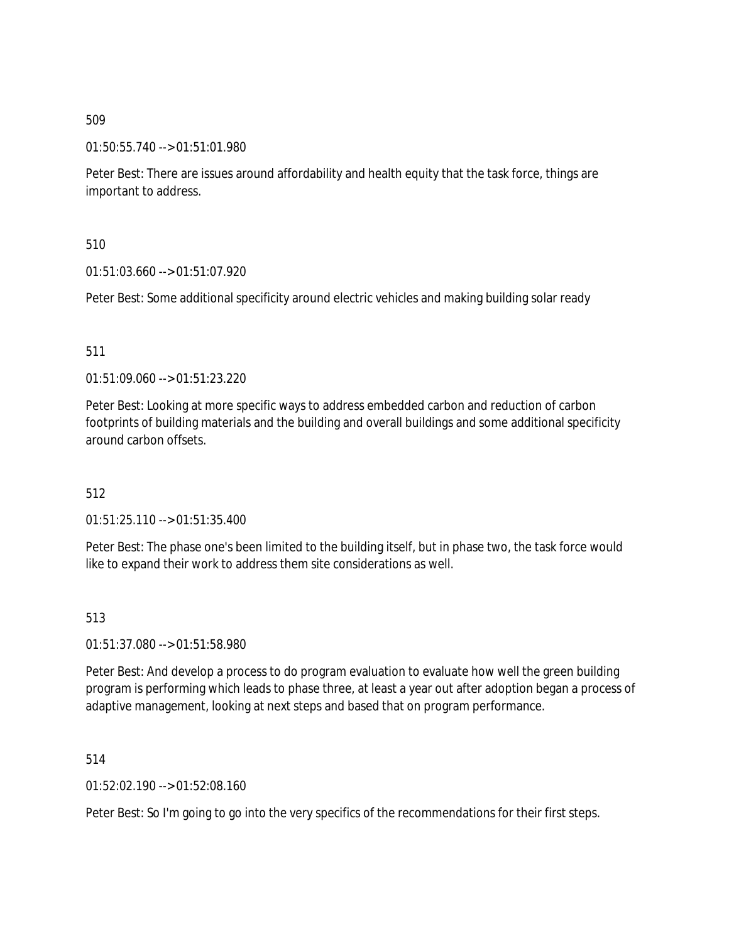01:50:55.740 --> 01:51:01.980

Peter Best: There are issues around affordability and health equity that the task force, things are important to address.

510

01:51:03.660 --> 01:51:07.920

Peter Best: Some additional specificity around electric vehicles and making building solar ready

### 511

01:51:09.060 --> 01:51:23.220

Peter Best: Looking at more specific ways to address embedded carbon and reduction of carbon footprints of building materials and the building and overall buildings and some additional specificity around carbon offsets.

#### 512

01:51:25.110 --> 01:51:35.400

Peter Best: The phase one's been limited to the building itself, but in phase two, the task force would like to expand their work to address them site considerations as well.

#### 513

01:51:37.080 --> 01:51:58.980

Peter Best: And develop a process to do program evaluation to evaluate how well the green building program is performing which leads to phase three, at least a year out after adoption began a process of adaptive management, looking at next steps and based that on program performance.

514

01:52:02.190 --> 01:52:08.160

Peter Best: So I'm going to go into the very specifics of the recommendations for their first steps.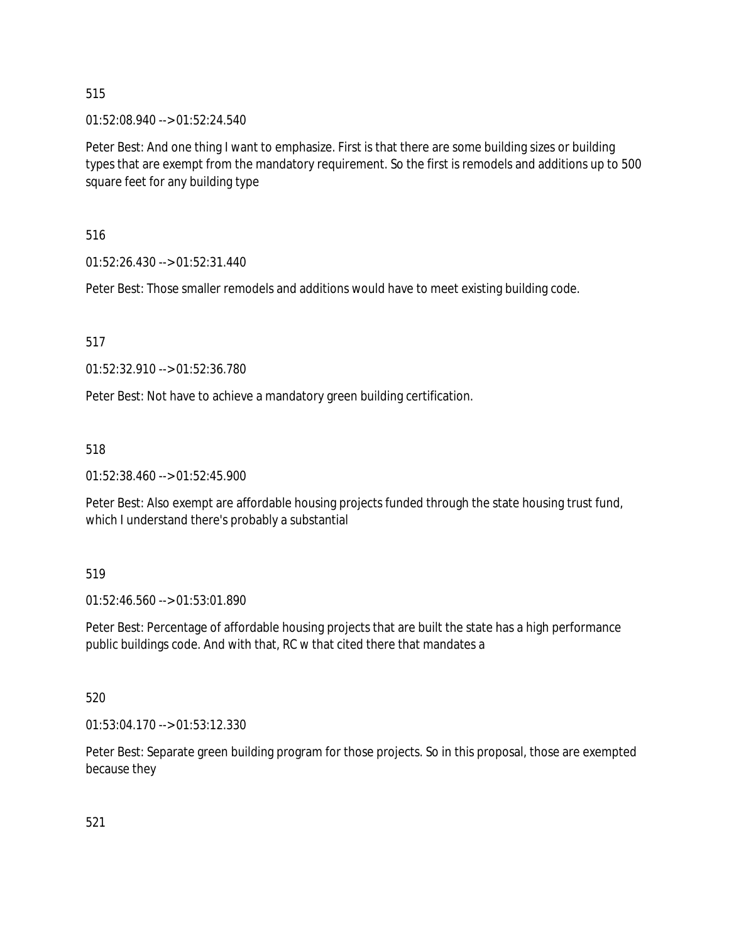01:52:08.940 --> 01:52:24.540

Peter Best: And one thing I want to emphasize. First is that there are some building sizes or building types that are exempt from the mandatory requirement. So the first is remodels and additions up to 500 square feet for any building type

516

01:52:26.430 --> 01:52:31.440

Peter Best: Those smaller remodels and additions would have to meet existing building code.

517

01:52:32.910 --> 01:52:36.780

Peter Best: Not have to achieve a mandatory green building certification.

518

01:52:38.460 --> 01:52:45.900

Peter Best: Also exempt are affordable housing projects funded through the state housing trust fund, which I understand there's probably a substantial

519

01:52:46.560 --> 01:53:01.890

Peter Best: Percentage of affordable housing projects that are built the state has a high performance public buildings code. And with that, RC w that cited there that mandates a

520

01:53:04.170 --> 01:53:12.330

Peter Best: Separate green building program for those projects. So in this proposal, those are exempted because they

521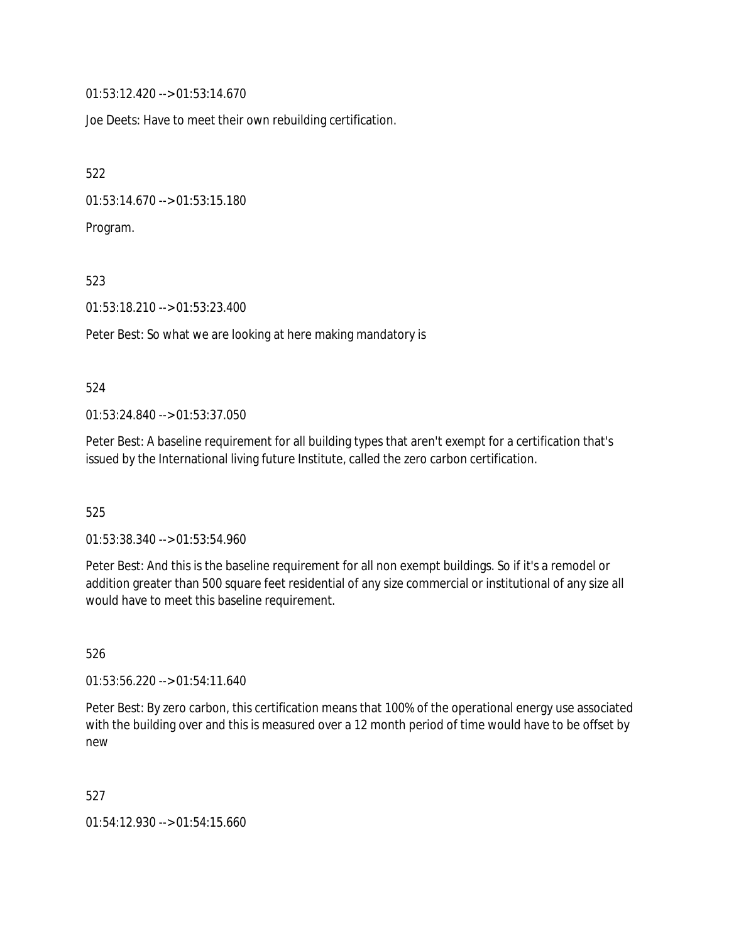01:53:12.420 --> 01:53:14.670

Joe Deets: Have to meet their own rebuilding certification.

522

01:53:14.670 --> 01:53:15.180

Program.

523

01:53:18.210 --> 01:53:23.400

Peter Best: So what we are looking at here making mandatory is

#### 524

01:53:24.840 --> 01:53:37.050

Peter Best: A baseline requirement for all building types that aren't exempt for a certification that's issued by the International living future Institute, called the zero carbon certification.

525

01:53:38.340 --> 01:53:54.960

Peter Best: And this is the baseline requirement for all non exempt buildings. So if it's a remodel or addition greater than 500 square feet residential of any size commercial or institutional of any size all would have to meet this baseline requirement.

526

01:53:56.220 --> 01:54:11.640

Peter Best: By zero carbon, this certification means that 100% of the operational energy use associated with the building over and this is measured over a 12 month period of time would have to be offset by new

527

01:54:12.930 --> 01:54:15.660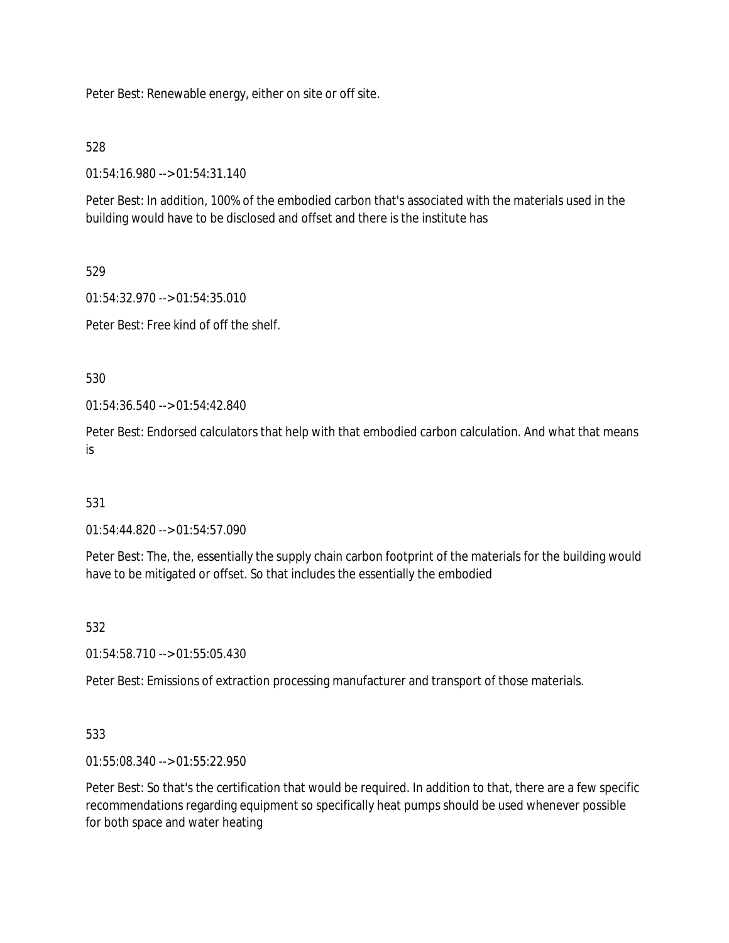Peter Best: Renewable energy, either on site or off site.

528

01:54:16.980 --> 01:54:31.140

Peter Best: In addition, 100% of the embodied carbon that's associated with the materials used in the building would have to be disclosed and offset and there is the institute has

529

01:54:32.970 --> 01:54:35.010

Peter Best: Free kind of off the shelf.

530

01:54:36.540 --> 01:54:42.840

Peter Best: Endorsed calculators that help with that embodied carbon calculation. And what that means is

# 531

01:54:44.820 --> 01:54:57.090

Peter Best: The, the, essentially the supply chain carbon footprint of the materials for the building would have to be mitigated or offset. So that includes the essentially the embodied

532

01:54:58.710 --> 01:55:05.430

Peter Best: Emissions of extraction processing manufacturer and transport of those materials.

#### 533

01:55:08.340 --> 01:55:22.950

Peter Best: So that's the certification that would be required. In addition to that, there are a few specific recommendations regarding equipment so specifically heat pumps should be used whenever possible for both space and water heating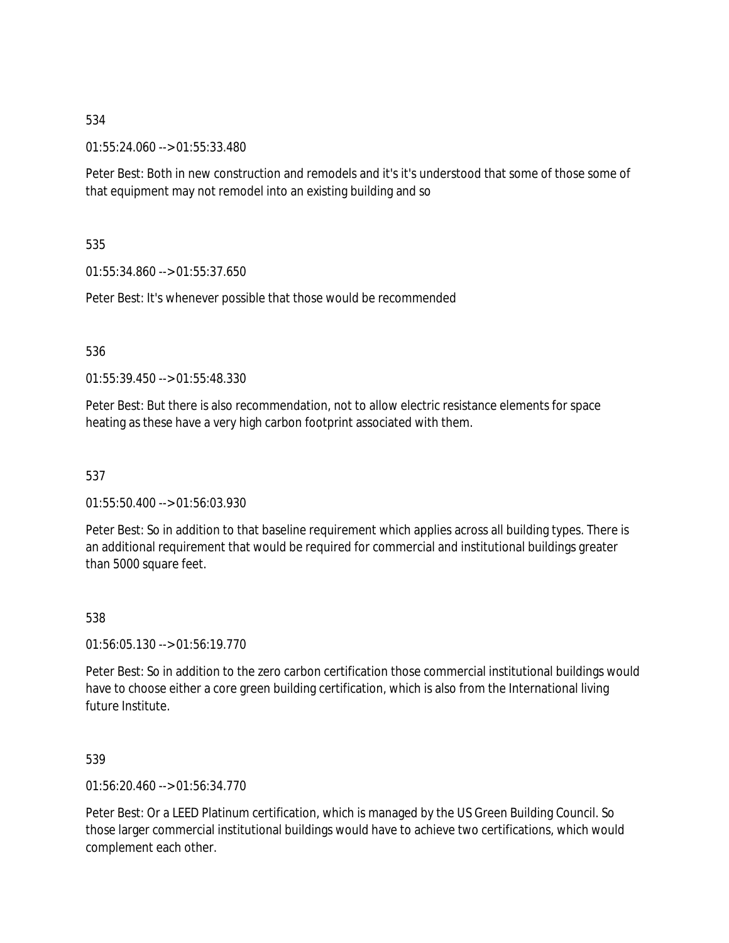01:55:24.060 --> 01:55:33.480

Peter Best: Both in new construction and remodels and it's it's understood that some of those some of that equipment may not remodel into an existing building and so

535

01:55:34.860 --> 01:55:37.650

Peter Best: It's whenever possible that those would be recommended

536

01:55:39.450 --> 01:55:48.330

Peter Best: But there is also recommendation, not to allow electric resistance elements for space heating as these have a very high carbon footprint associated with them.

537

01:55:50.400 --> 01:56:03.930

Peter Best: So in addition to that baseline requirement which applies across all building types. There is an additional requirement that would be required for commercial and institutional buildings greater than 5000 square feet.

538

01:56:05.130 --> 01:56:19.770

Peter Best: So in addition to the zero carbon certification those commercial institutional buildings would have to choose either a core green building certification, which is also from the International living future Institute.

539

01:56:20.460 --> 01:56:34.770

Peter Best: Or a LEED Platinum certification, which is managed by the US Green Building Council. So those larger commercial institutional buildings would have to achieve two certifications, which would complement each other.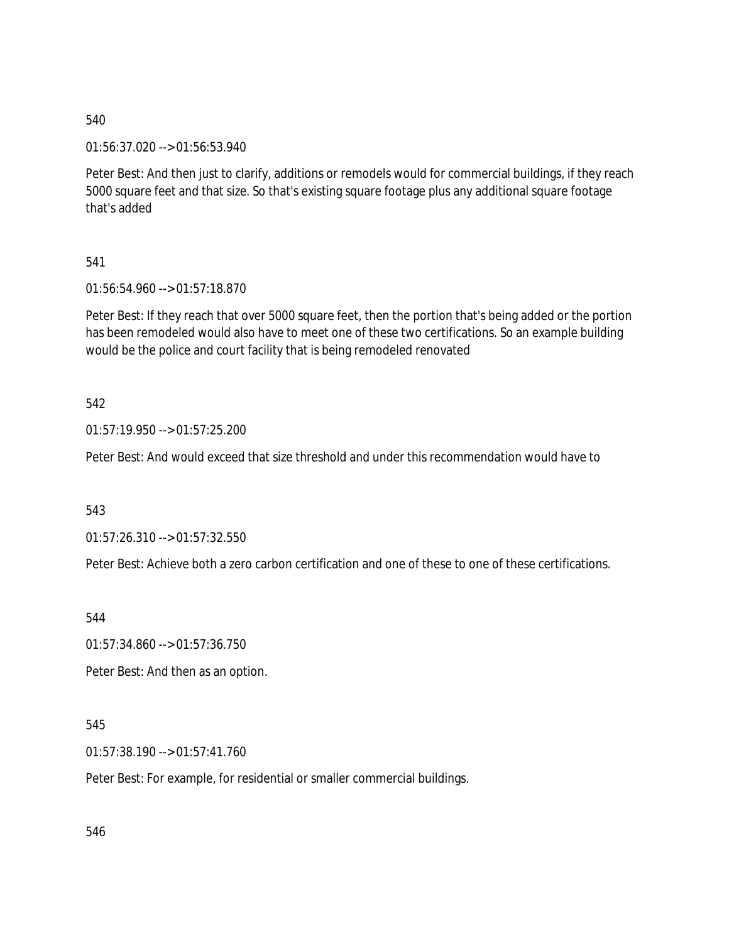01:56:37.020 --> 01:56:53.940

Peter Best: And then just to clarify, additions or remodels would for commercial buildings, if they reach 5000 square feet and that size. So that's existing square footage plus any additional square footage that's added

541

01:56:54.960 --> 01:57:18.870

Peter Best: If they reach that over 5000 square feet, then the portion that's being added or the portion has been remodeled would also have to meet one of these two certifications. So an example building would be the police and court facility that is being remodeled renovated

542

01:57:19.950 --> 01:57:25.200

Peter Best: And would exceed that size threshold and under this recommendation would have to

543

01:57:26.310 --> 01:57:32.550

Peter Best: Achieve both a zero carbon certification and one of these to one of these certifications.

544

01:57:34.860 --> 01:57:36.750

Peter Best: And then as an option.

545

01:57:38.190 --> 01:57:41.760

Peter Best: For example, for residential or smaller commercial buildings.

546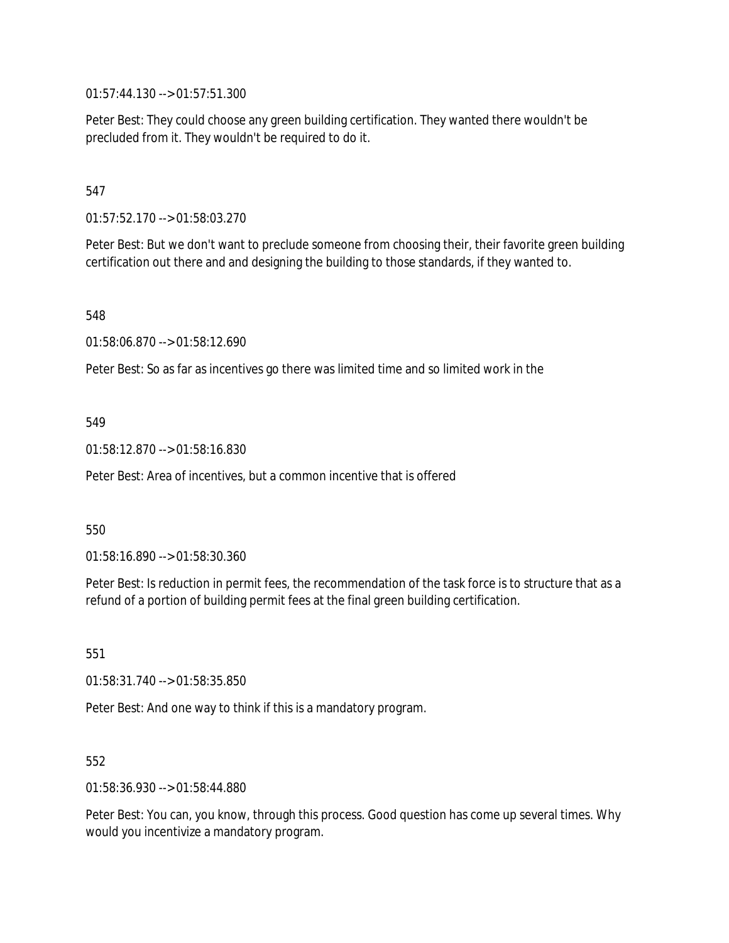01:57:44.130 --> 01:57:51.300

Peter Best: They could choose any green building certification. They wanted there wouldn't be precluded from it. They wouldn't be required to do it.

### 547

01:57:52.170 --> 01:58:03.270

Peter Best: But we don't want to preclude someone from choosing their, their favorite green building certification out there and and designing the building to those standards, if they wanted to.

548

01:58:06.870 --> 01:58:12.690

Peter Best: So as far as incentives go there was limited time and so limited work in the

#### 549

01:58:12.870 --> 01:58:16.830

Peter Best: Area of incentives, but a common incentive that is offered

#### 550

01:58:16.890 --> 01:58:30.360

Peter Best: Is reduction in permit fees, the recommendation of the task force is to structure that as a refund of a portion of building permit fees at the final green building certification.

551

01:58:31.740 --> 01:58:35.850

Peter Best: And one way to think if this is a mandatory program.

552

01:58:36.930 --> 01:58:44.880

Peter Best: You can, you know, through this process. Good question has come up several times. Why would you incentivize a mandatory program.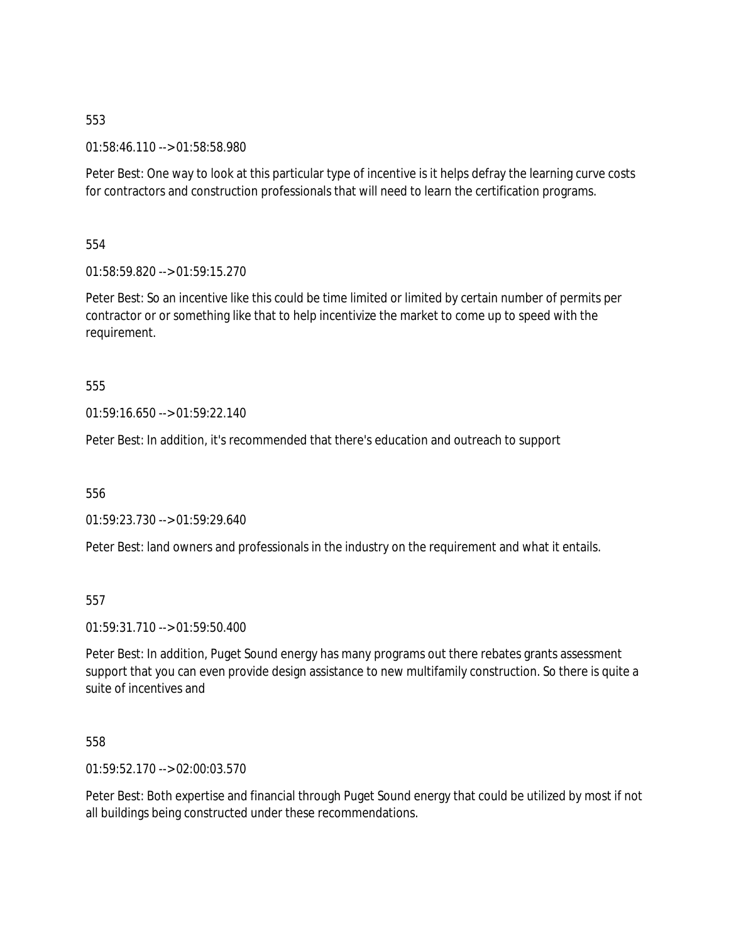01:58:46.110 --> 01:58:58.980

Peter Best: One way to look at this particular type of incentive is it helps defray the learning curve costs for contractors and construction professionals that will need to learn the certification programs.

554

01:58:59.820 --> 01:59:15.270

Peter Best: So an incentive like this could be time limited or limited by certain number of permits per contractor or or something like that to help incentivize the market to come up to speed with the requirement.

555

01:59:16.650 --> 01:59:22.140

Peter Best: In addition, it's recommended that there's education and outreach to support

556

01:59:23.730 --> 01:59:29.640

Peter Best: land owners and professionals in the industry on the requirement and what it entails.

557

01:59:31.710 --> 01:59:50.400

Peter Best: In addition, Puget Sound energy has many programs out there rebates grants assessment support that you can even provide design assistance to new multifamily construction. So there is quite a suite of incentives and

558

01:59:52.170 --> 02:00:03.570

Peter Best: Both expertise and financial through Puget Sound energy that could be utilized by most if not all buildings being constructed under these recommendations.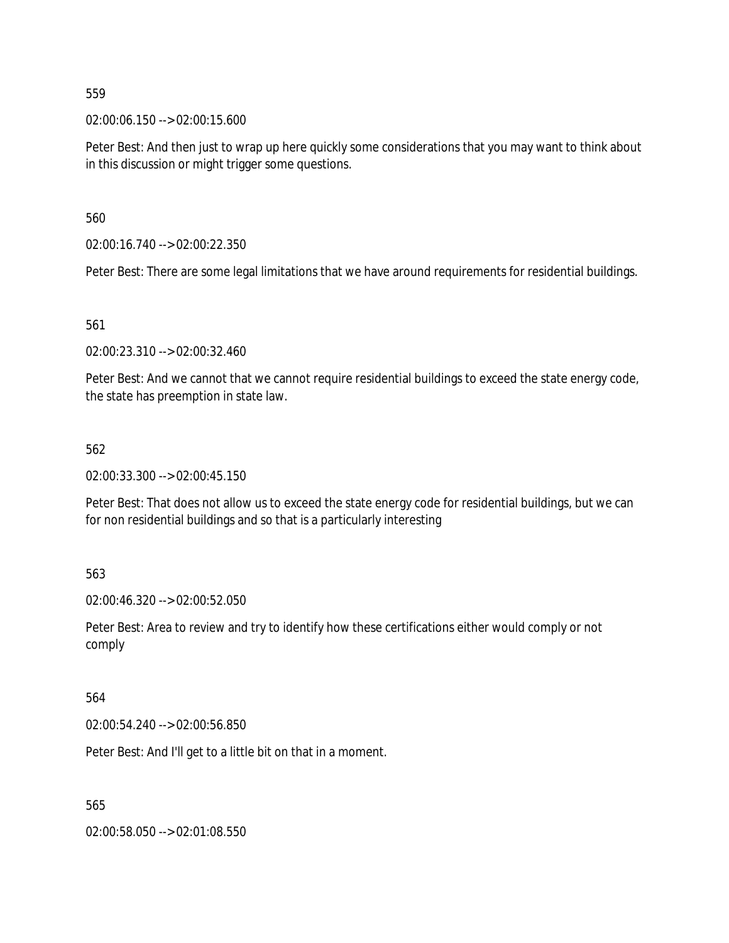02:00:06.150 --> 02:00:15.600

Peter Best: And then just to wrap up here quickly some considerations that you may want to think about in this discussion or might trigger some questions.

560

02:00:16.740 --> 02:00:22.350

Peter Best: There are some legal limitations that we have around requirements for residential buildings.

561

02:00:23.310 --> 02:00:32.460

Peter Best: And we cannot that we cannot require residential buildings to exceed the state energy code, the state has preemption in state law.

#### 562

02:00:33.300 --> 02:00:45.150

Peter Best: That does not allow us to exceed the state energy code for residential buildings, but we can for non residential buildings and so that is a particularly interesting

563

02:00:46.320 --> 02:00:52.050

Peter Best: Area to review and try to identify how these certifications either would comply or not comply

564

02:00:54.240 --> 02:00:56.850

Peter Best: And I'll get to a little bit on that in a moment.

565

02:00:58.050 --> 02:01:08.550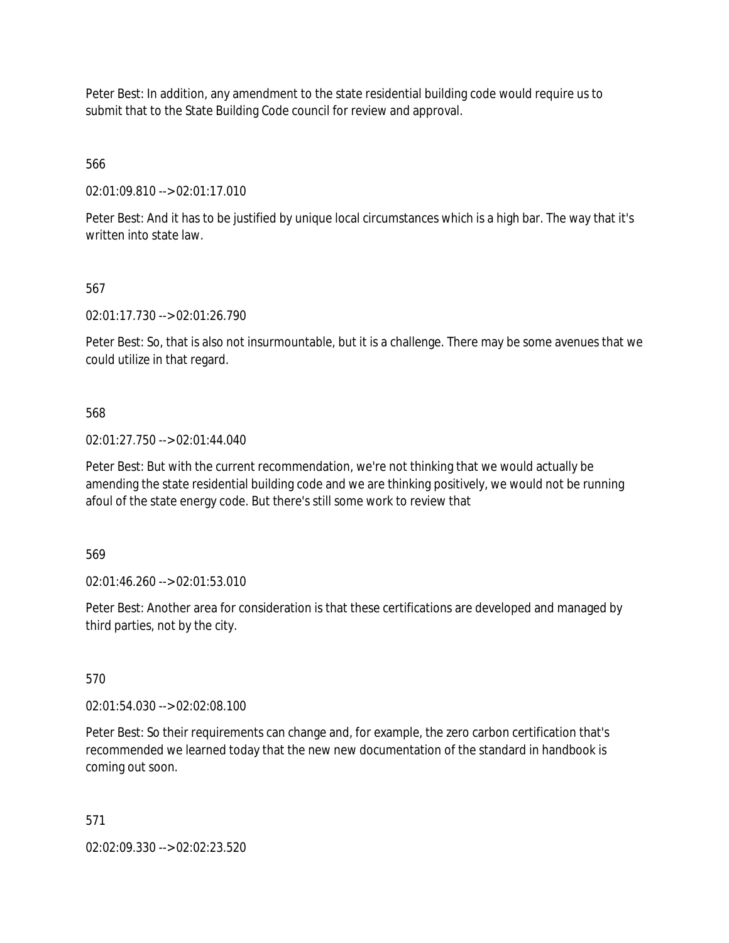Peter Best: In addition, any amendment to the state residential building code would require us to submit that to the State Building Code council for review and approval.

566

02:01:09.810 --> 02:01:17.010

Peter Best: And it has to be justified by unique local circumstances which is a high bar. The way that it's written into state law.

# 567

02:01:17.730 --> 02:01:26.790

Peter Best: So, that is also not insurmountable, but it is a challenge. There may be some avenues that we could utilize in that regard.

568

02:01:27.750 --> 02:01:44.040

Peter Best: But with the current recommendation, we're not thinking that we would actually be amending the state residential building code and we are thinking positively, we would not be running afoul of the state energy code. But there's still some work to review that

569

02:01:46.260 --> 02:01:53.010

Peter Best: Another area for consideration is that these certifications are developed and managed by third parties, not by the city.

570

02:01:54.030 --> 02:02:08.100

Peter Best: So their requirements can change and, for example, the zero carbon certification that's recommended we learned today that the new new documentation of the standard in handbook is coming out soon.

571

02:02:09.330 --> 02:02:23.520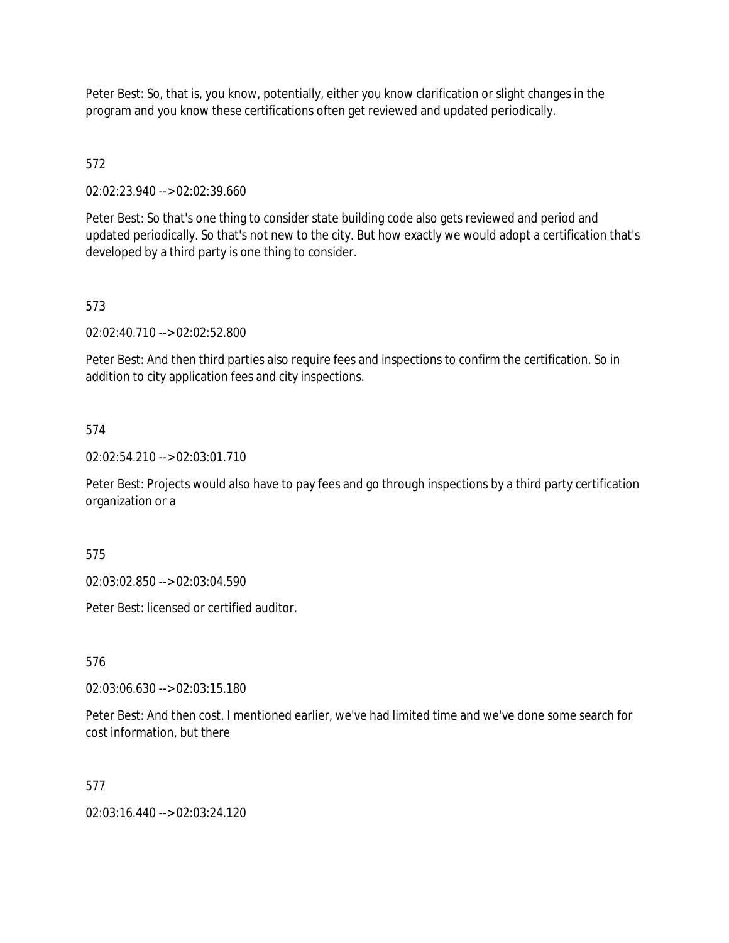Peter Best: So, that is, you know, potentially, either you know clarification or slight changes in the program and you know these certifications often get reviewed and updated periodically.

# 572

02:02:23.940 --> 02:02:39.660

Peter Best: So that's one thing to consider state building code also gets reviewed and period and updated periodically. So that's not new to the city. But how exactly we would adopt a certification that's developed by a third party is one thing to consider.

# 573

02:02:40.710 --> 02:02:52.800

Peter Best: And then third parties also require fees and inspections to confirm the certification. So in addition to city application fees and city inspections.

# 574

02:02:54.210 --> 02:03:01.710

Peter Best: Projects would also have to pay fees and go through inspections by a third party certification organization or a

#### 575

02:03:02.850 --> 02:03:04.590

Peter Best: licensed or certified auditor.

#### 576

02:03:06.630 --> 02:03:15.180

Peter Best: And then cost. I mentioned earlier, we've had limited time and we've done some search for cost information, but there

#### 577

02:03:16.440 --> 02:03:24.120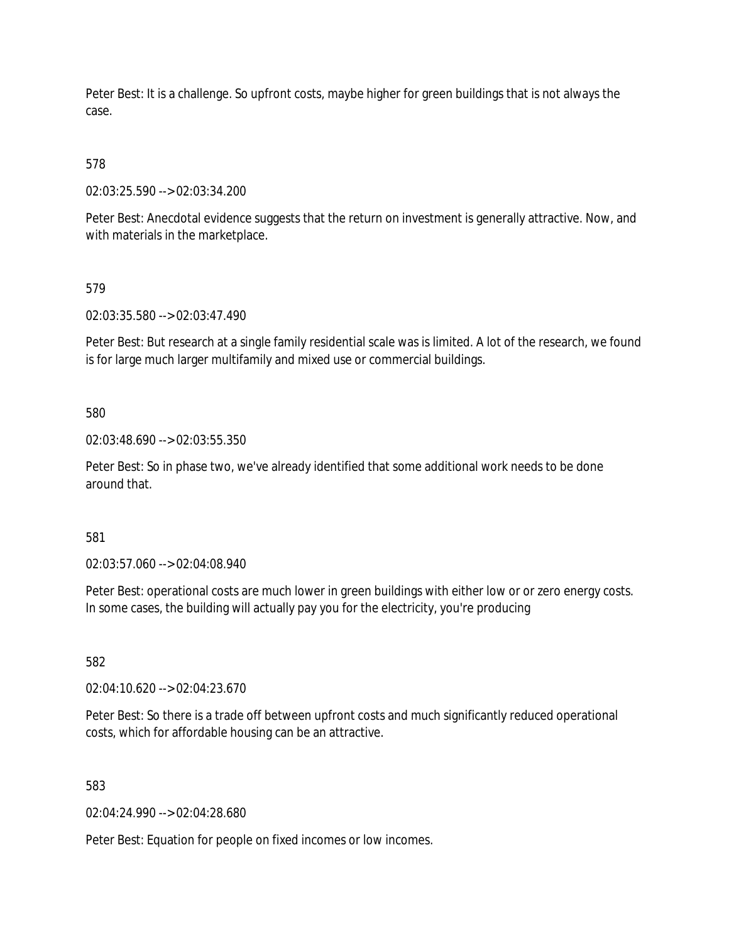Peter Best: It is a challenge. So upfront costs, maybe higher for green buildings that is not always the case.

# 578

02:03:25.590 --> 02:03:34.200

Peter Best: Anecdotal evidence suggests that the return on investment is generally attractive. Now, and with materials in the marketplace.

### 579

02:03:35.580 --> 02:03:47.490

Peter Best: But research at a single family residential scale was is limited. A lot of the research, we found is for large much larger multifamily and mixed use or commercial buildings.

### 580

02:03:48.690 --> 02:03:55.350

Peter Best: So in phase two, we've already identified that some additional work needs to be done around that.

#### 581

02:03:57.060 --> 02:04:08.940

Peter Best: operational costs are much lower in green buildings with either low or or zero energy costs. In some cases, the building will actually pay you for the electricity, you're producing

#### 582

02:04:10.620 --> 02:04:23.670

Peter Best: So there is a trade off between upfront costs and much significantly reduced operational costs, which for affordable housing can be an attractive.

#### 583

02:04:24.990 --> 02:04:28.680

Peter Best: Equation for people on fixed incomes or low incomes.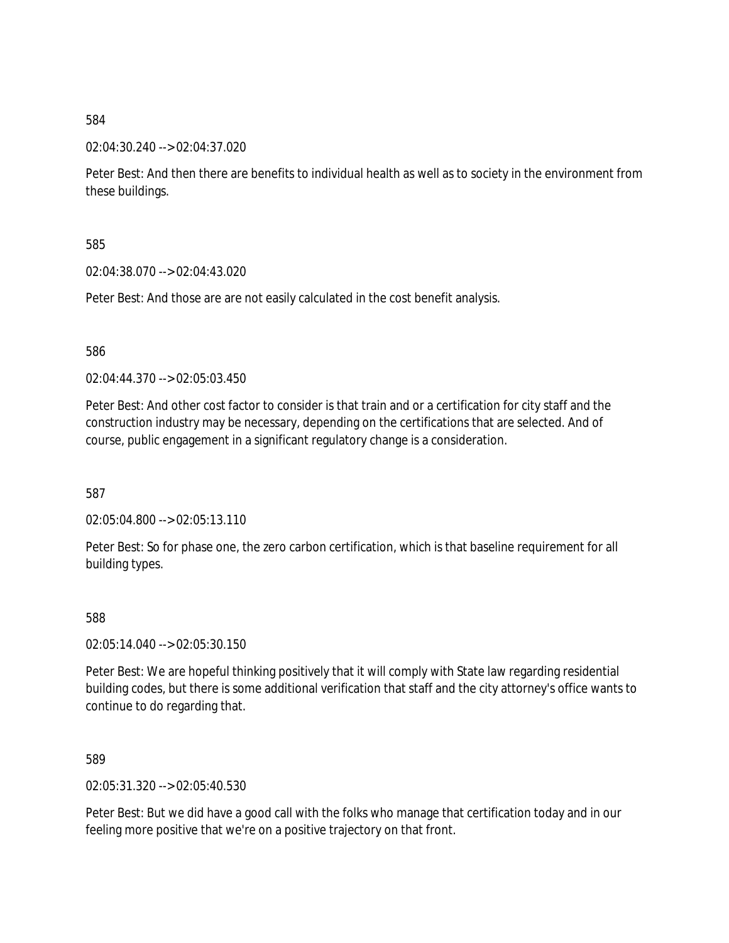02:04:30.240 --> 02:04:37.020

Peter Best: And then there are benefits to individual health as well as to society in the environment from these buildings.

585

02:04:38.070 --> 02:04:43.020

Peter Best: And those are are not easily calculated in the cost benefit analysis.

586

02:04:44.370 --> 02:05:03.450

Peter Best: And other cost factor to consider is that train and or a certification for city staff and the construction industry may be necessary, depending on the certifications that are selected. And of course, public engagement in a significant regulatory change is a consideration.

587

02:05:04.800 --> 02:05:13.110

Peter Best: So for phase one, the zero carbon certification, which is that baseline requirement for all building types.

588

02:05:14.040 --> 02:05:30.150

Peter Best: We are hopeful thinking positively that it will comply with State law regarding residential building codes, but there is some additional verification that staff and the city attorney's office wants to continue to do regarding that.

589

02:05:31.320 --> 02:05:40.530

Peter Best: But we did have a good call with the folks who manage that certification today and in our feeling more positive that we're on a positive trajectory on that front.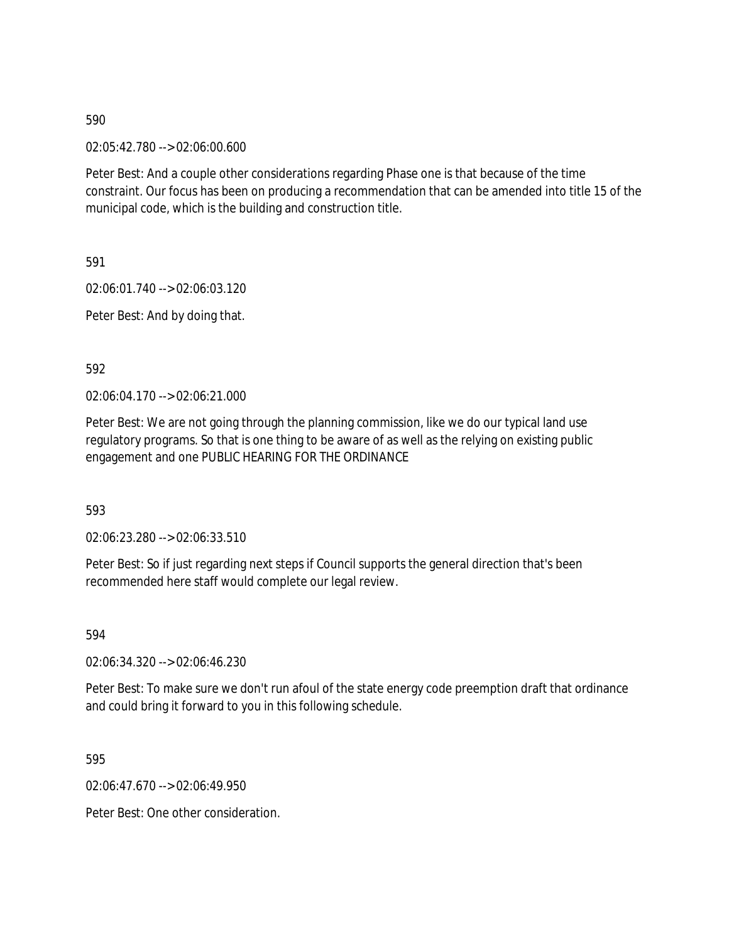02:05:42.780 --> 02:06:00.600

Peter Best: And a couple other considerations regarding Phase one is that because of the time constraint. Our focus has been on producing a recommendation that can be amended into title 15 of the municipal code, which is the building and construction title.

591

02:06:01.740 --> 02:06:03.120

Peter Best: And by doing that.

592

02:06:04.170 --> 02:06:21.000

Peter Best: We are not going through the planning commission, like we do our typical land use regulatory programs. So that is one thing to be aware of as well as the relying on existing public engagement and one PUBLIC HEARING FOR THE ORDINANCE

593

02:06:23.280 --> 02:06:33.510

Peter Best: So if just regarding next steps if Council supports the general direction that's been recommended here staff would complete our legal review.

594

02:06:34.320 --> 02:06:46.230

Peter Best: To make sure we don't run afoul of the state energy code preemption draft that ordinance and could bring it forward to you in this following schedule.

595

02:06:47.670 --> 02:06:49.950

Peter Best: One other consideration.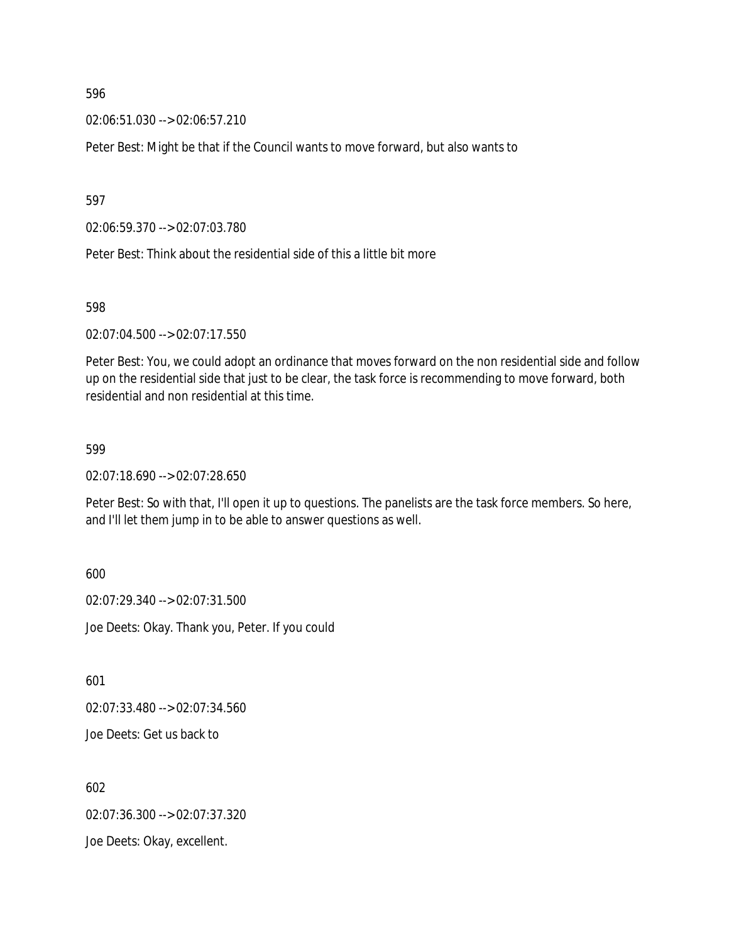02:06:51.030 --> 02:06:57.210

Peter Best: Might be that if the Council wants to move forward, but also wants to

597

02:06:59.370 --> 02:07:03.780

Peter Best: Think about the residential side of this a little bit more

598

02:07:04.500 --> 02:07:17.550

Peter Best: You, we could adopt an ordinance that moves forward on the non residential side and follow up on the residential side that just to be clear, the task force is recommending to move forward, both residential and non residential at this time.

599

02:07:18.690 --> 02:07:28.650

Peter Best: So with that, I'll open it up to questions. The panelists are the task force members. So here, and I'll let them jump in to be able to answer questions as well.

600

02:07:29.340 --> 02:07:31.500 Joe Deets: Okay. Thank you, Peter. If you could

601

02:07:33.480 --> 02:07:34.560

Joe Deets: Get us back to

602 02:07:36.300 --> 02:07:37.320

Joe Deets: Okay, excellent.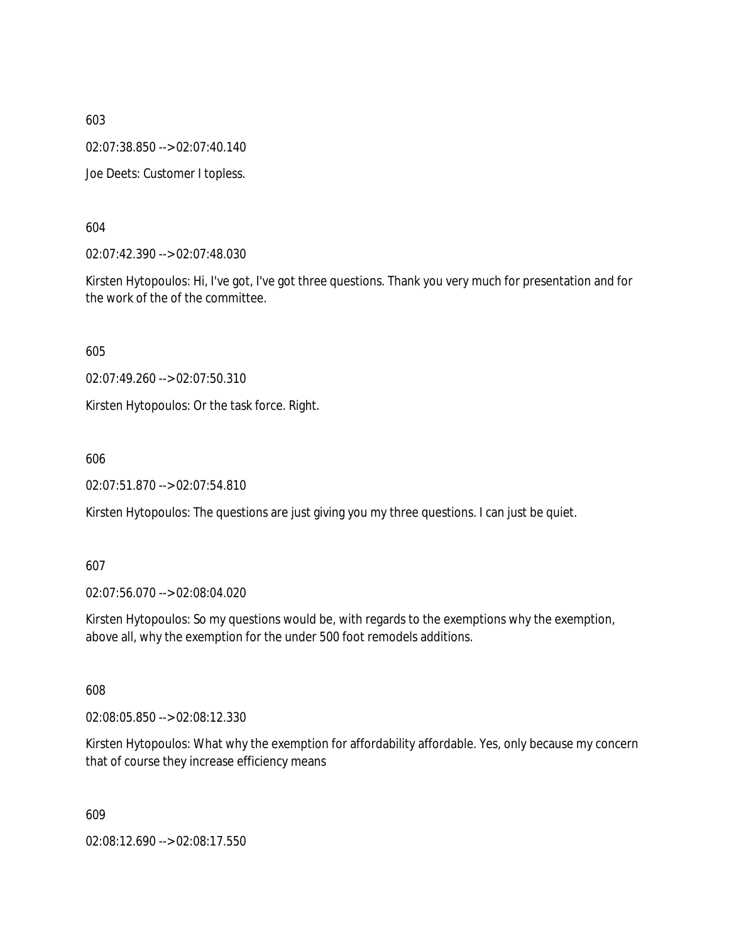02:07:38.850 --> 02:07:40.140

Joe Deets: Customer I topless.

604

02:07:42.390 --> 02:07:48.030

Kirsten Hytopoulos: Hi, I've got, I've got three questions. Thank you very much for presentation and for the work of the of the committee.

605

02:07:49.260 --> 02:07:50.310

Kirsten Hytopoulos: Or the task force. Right.

606

02:07:51.870 --> 02:07:54.810

Kirsten Hytopoulos: The questions are just giving you my three questions. I can just be quiet.

#### 607

02:07:56.070 --> 02:08:04.020

Kirsten Hytopoulos: So my questions would be, with regards to the exemptions why the exemption, above all, why the exemption for the under 500 foot remodels additions.

608

02:08:05.850 --> 02:08:12.330

Kirsten Hytopoulos: What why the exemption for affordability affordable. Yes, only because my concern that of course they increase efficiency means

609

02:08:12.690 --> 02:08:17.550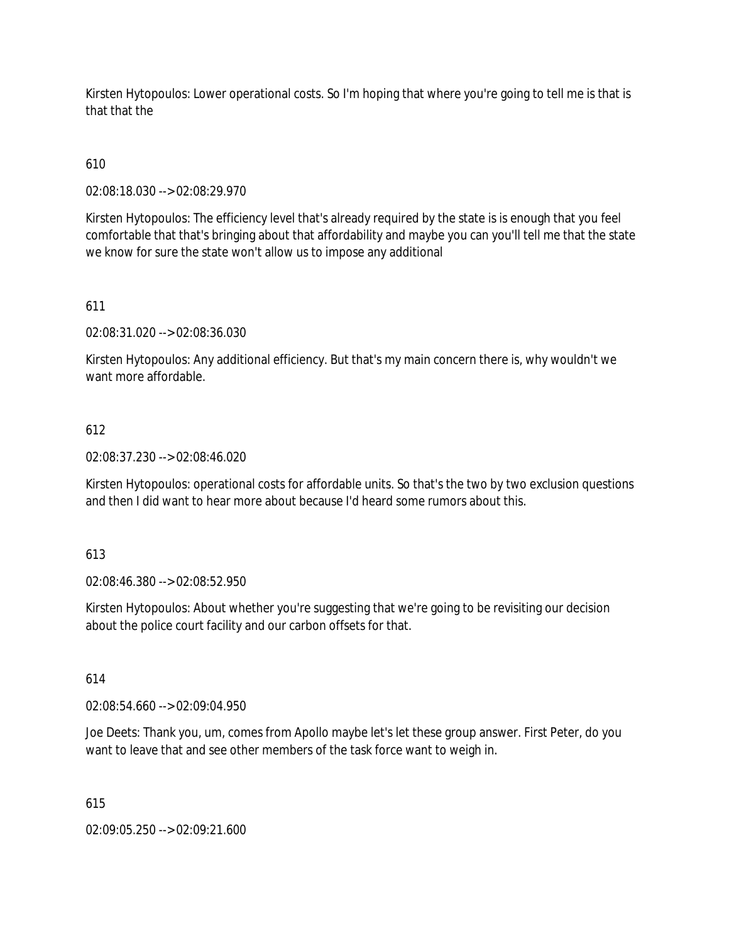Kirsten Hytopoulos: Lower operational costs. So I'm hoping that where you're going to tell me is that is that that the

# 610

02:08:18.030 --> 02:08:29.970

Kirsten Hytopoulos: The efficiency level that's already required by the state is is enough that you feel comfortable that that's bringing about that affordability and maybe you can you'll tell me that the state we know for sure the state won't allow us to impose any additional

# 611

02:08:31.020 --> 02:08:36.030

Kirsten Hytopoulos: Any additional efficiency. But that's my main concern there is, why wouldn't we want more affordable.

### 612

02:08:37.230 --> 02:08:46.020

Kirsten Hytopoulos: operational costs for affordable units. So that's the two by two exclusion questions and then I did want to hear more about because I'd heard some rumors about this.

#### 613

02:08:46.380 --> 02:08:52.950

Kirsten Hytopoulos: About whether you're suggesting that we're going to be revisiting our decision about the police court facility and our carbon offsets for that.

# 614

02:08:54.660 --> 02:09:04.950

Joe Deets: Thank you, um, comes from Apollo maybe let's let these group answer. First Peter, do you want to leave that and see other members of the task force want to weigh in.

#### 615

02:09:05.250 --> 02:09:21.600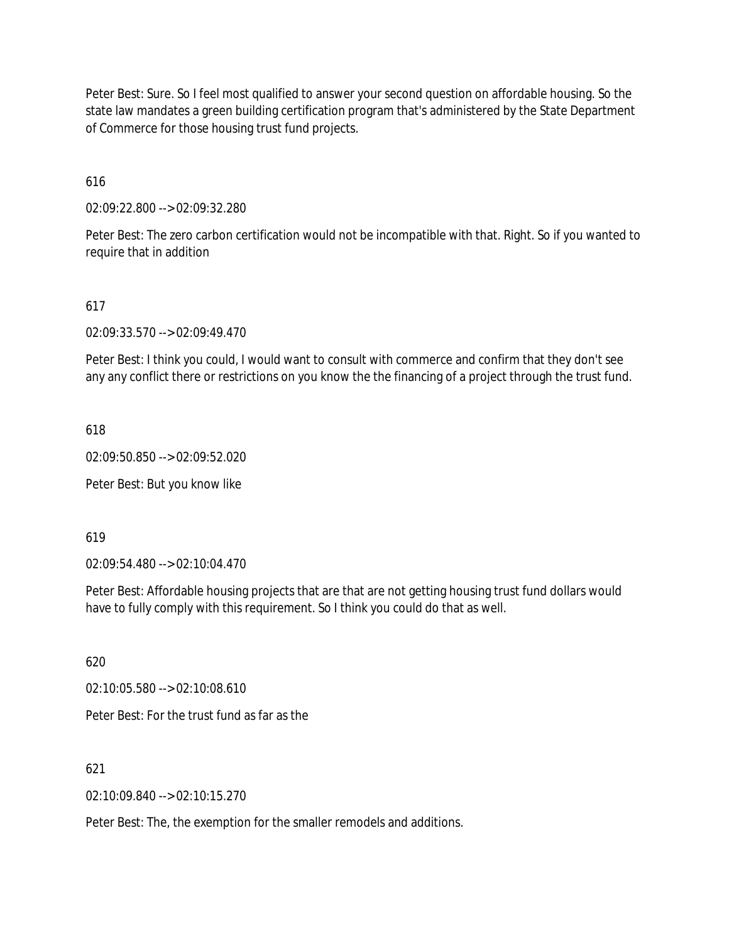Peter Best: Sure. So I feel most qualified to answer your second question on affordable housing. So the state law mandates a green building certification program that's administered by the State Department of Commerce for those housing trust fund projects.

616

02:09:22.800 --> 02:09:32.280

Peter Best: The zero carbon certification would not be incompatible with that. Right. So if you wanted to require that in addition

#### 617

02:09:33.570 --> 02:09:49.470

Peter Best: I think you could, I would want to consult with commerce and confirm that they don't see any any conflict there or restrictions on you know the the financing of a project through the trust fund.

618

02:09:50.850 --> 02:09:52.020

Peter Best: But you know like

619

02:09:54.480 --> 02:10:04.470

Peter Best: Affordable housing projects that are that are not getting housing trust fund dollars would have to fully comply with this requirement. So I think you could do that as well.

620

02:10:05.580 --> 02:10:08.610

Peter Best: For the trust fund as far as the

621

02:10:09.840 --> 02:10:15.270

Peter Best: The, the exemption for the smaller remodels and additions.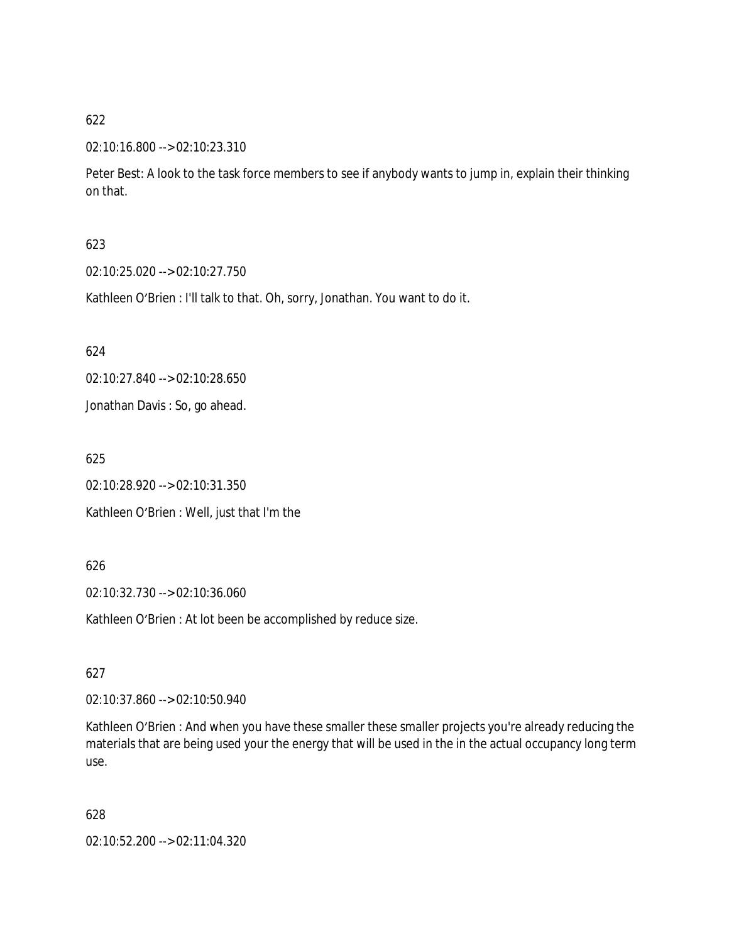#### 02:10:16.800 --> 02:10:23.310

Peter Best: A look to the task force members to see if anybody wants to jump in, explain their thinking on that.

#### 623

02:10:25.020 --> 02:10:27.750

Kathleen O'Brien : I'll talk to that. Oh, sorry, Jonathan. You want to do it.

#### 624

02:10:27.840 --> 02:10:28.650

Jonathan Davis : So, go ahead.

625

02:10:28.920 --> 02:10:31.350

Kathleen O'Brien : Well, just that I'm the

#### 626

02:10:32.730 --> 02:10:36.060

Kathleen O'Brien : At lot been be accomplished by reduce size.

#### 627

02:10:37.860 --> 02:10:50.940

Kathleen O'Brien : And when you have these smaller these smaller projects you're already reducing the materials that are being used your the energy that will be used in the in the actual occupancy long term use.

#### 628

02:10:52.200 --> 02:11:04.320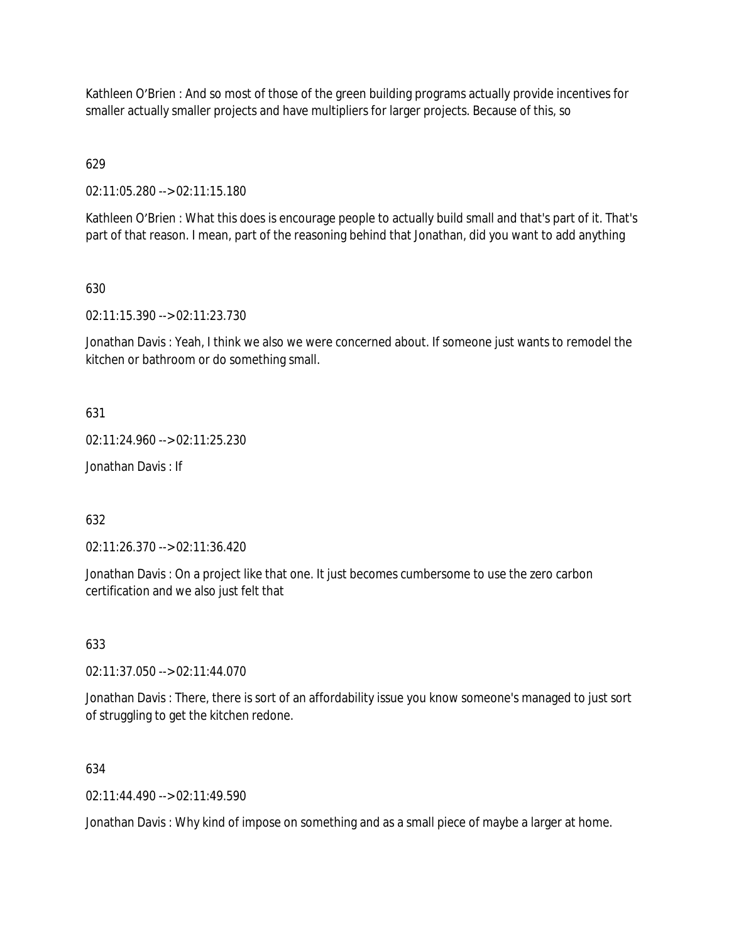Kathleen O'Brien : And so most of those of the green building programs actually provide incentives for smaller actually smaller projects and have multipliers for larger projects. Because of this, so

629

02:11:05.280 --> 02:11:15.180

Kathleen O'Brien : What this does is encourage people to actually build small and that's part of it. That's part of that reason. I mean, part of the reasoning behind that Jonathan, did you want to add anything

### 630

02:11:15.390 --> 02:11:23.730

Jonathan Davis : Yeah, I think we also we were concerned about. If someone just wants to remodel the kitchen or bathroom or do something small.

#### 631

02:11:24.960 --> 02:11:25.230

Jonathan Davis : If

#### 632

02:11:26.370 --> 02:11:36.420

Jonathan Davis : On a project like that one. It just becomes cumbersome to use the zero carbon certification and we also just felt that

#### 633

02:11:37.050 --> 02:11:44.070

Jonathan Davis : There, there is sort of an affordability issue you know someone's managed to just sort of struggling to get the kitchen redone.

#### 634

 $02.11:44.490 \rightarrow 02.11:49.590$ 

Jonathan Davis : Why kind of impose on something and as a small piece of maybe a larger at home.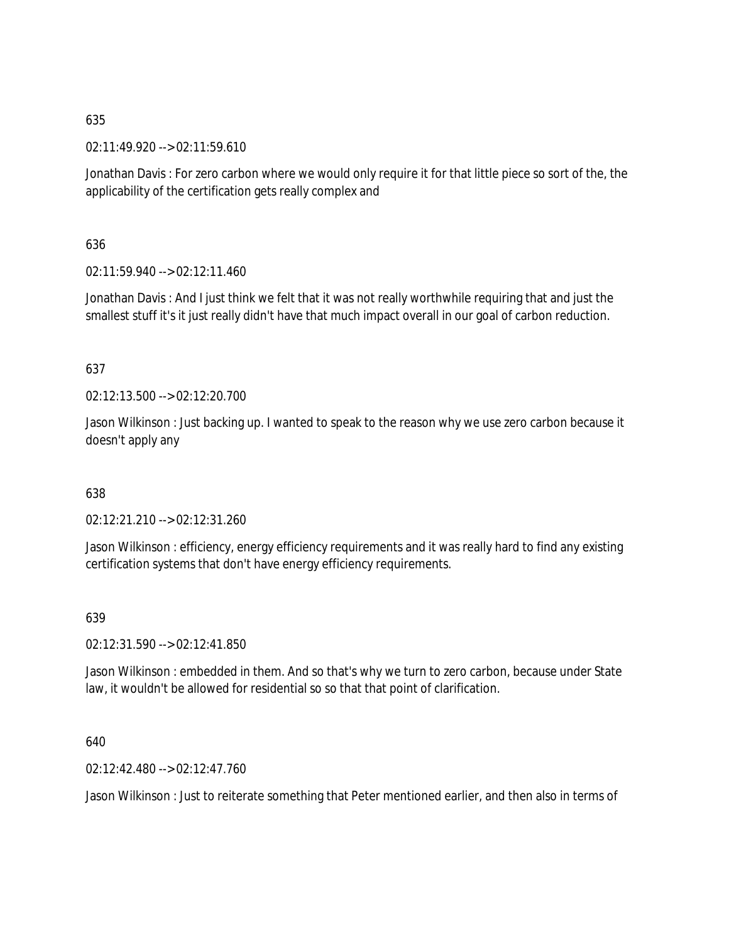02:11:49.920 --> 02:11:59.610

Jonathan Davis : For zero carbon where we would only require it for that little piece so sort of the, the applicability of the certification gets really complex and

### 636

02:11:59.940 --> 02:12:11.460

Jonathan Davis : And I just think we felt that it was not really worthwhile requiring that and just the smallest stuff it's it just really didn't have that much impact overall in our goal of carbon reduction.

### 637

02:12:13.500 --> 02:12:20.700

Jason Wilkinson : Just backing up. I wanted to speak to the reason why we use zero carbon because it doesn't apply any

#### 638

02:12:21.210 --> 02:12:31.260

Jason Wilkinson : efficiency, energy efficiency requirements and it was really hard to find any existing certification systems that don't have energy efficiency requirements.

# 639

02:12:31.590 --> 02:12:41.850

Jason Wilkinson : embedded in them. And so that's why we turn to zero carbon, because under State law, it wouldn't be allowed for residential so so that that point of clarification.

#### 640

02:12:42.480 --> 02:12:47.760

Jason Wilkinson : Just to reiterate something that Peter mentioned earlier, and then also in terms of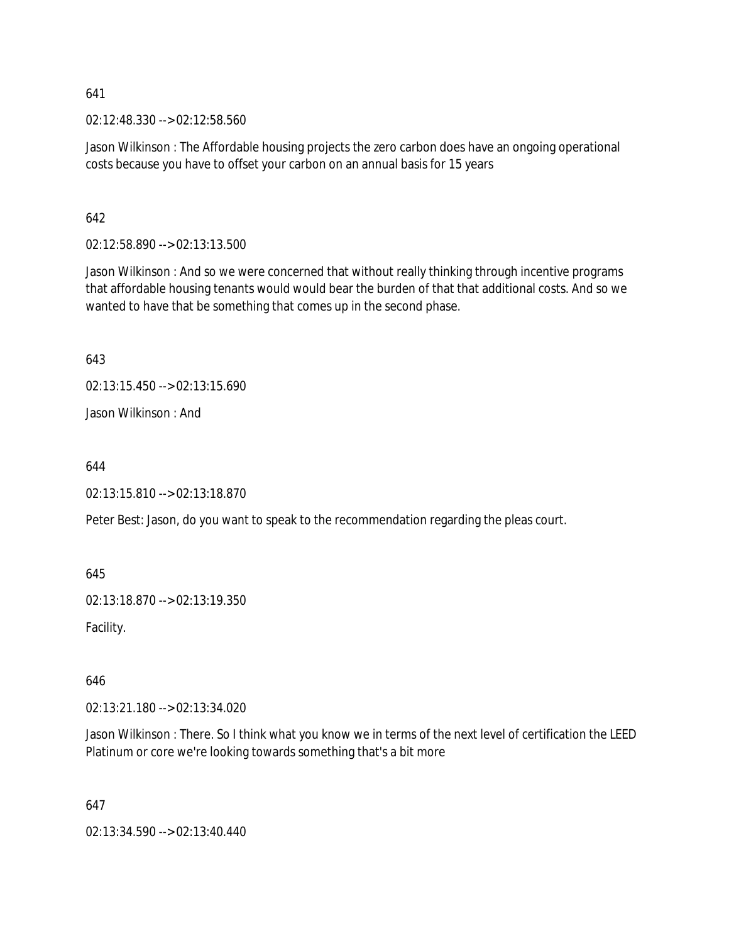02:12:48.330 --> 02:12:58.560

Jason Wilkinson : The Affordable housing projects the zero carbon does have an ongoing operational costs because you have to offset your carbon on an annual basis for 15 years

642

02:12:58.890 --> 02:13:13.500

Jason Wilkinson : And so we were concerned that without really thinking through incentive programs that affordable housing tenants would would bear the burden of that that additional costs. And so we wanted to have that be something that comes up in the second phase.

643

02:13:15.450 --> 02:13:15.690 Jason Wilkinson : And

644

02:13:15.810 --> 02:13:18.870

Peter Best: Jason, do you want to speak to the recommendation regarding the pleas court.

645

02:13:18.870 --> 02:13:19.350

Facility.

646

02:13:21.180 --> 02:13:34.020

Jason Wilkinson : There. So I think what you know we in terms of the next level of certification the LEED Platinum or core we're looking towards something that's a bit more

647

02:13:34.590 --> 02:13:40.440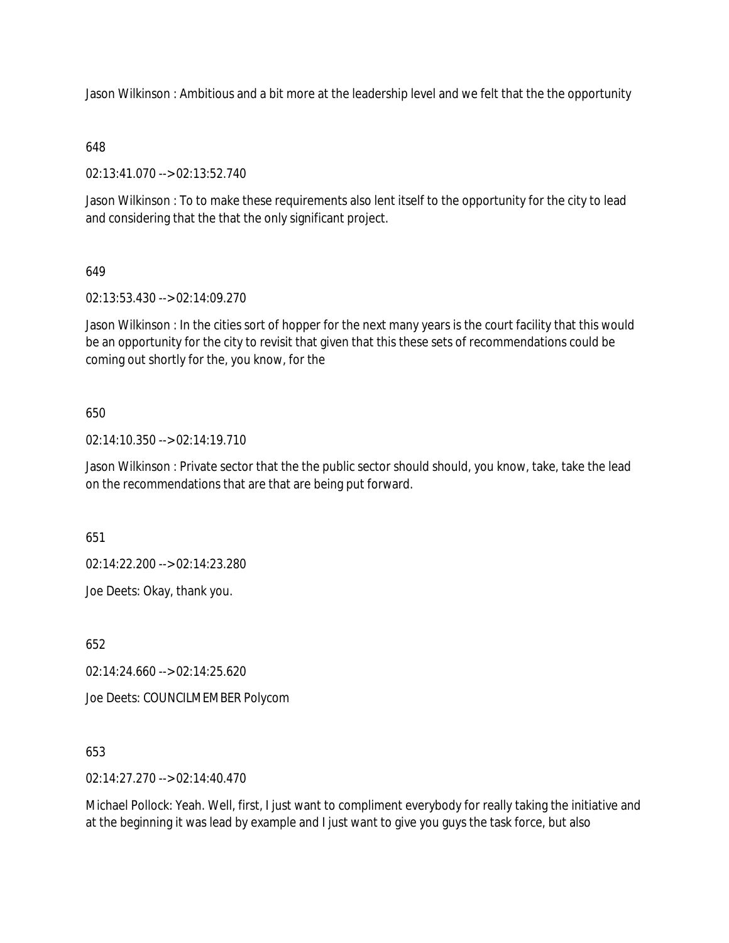Jason Wilkinson : Ambitious and a bit more at the leadership level and we felt that the the opportunity

#### 648

02:13:41.070 --> 02:13:52.740

Jason Wilkinson : To to make these requirements also lent itself to the opportunity for the city to lead and considering that the that the only significant project.

### 649

02:13:53.430 --> 02:14:09.270

Jason Wilkinson : In the cities sort of hopper for the next many years is the court facility that this would be an opportunity for the city to revisit that given that this these sets of recommendations could be coming out shortly for the, you know, for the

### 650

02:14:10.350 --> 02:14:19.710

Jason Wilkinson : Private sector that the the public sector should should, you know, take, take the lead on the recommendations that are that are being put forward.

651

02:14:22.200 --> 02:14:23.280

Joe Deets: Okay, thank you.

652

02:14:24.660 --> 02:14:25.620

Joe Deets: COUNCILMEMBER Polycom

653

02:14:27.270 --> 02:14:40.470

Michael Pollock: Yeah. Well, first, I just want to compliment everybody for really taking the initiative and at the beginning it was lead by example and I just want to give you guys the task force, but also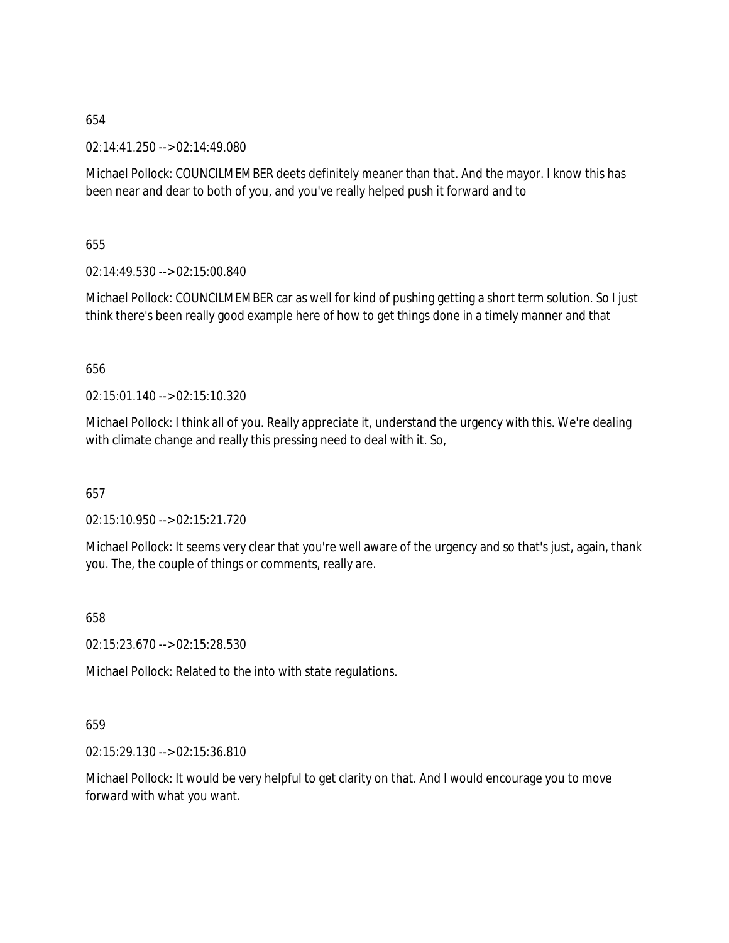02:14:41.250 --> 02:14:49.080

Michael Pollock: COUNCILMEMBER deets definitely meaner than that. And the mayor. I know this has been near and dear to both of you, and you've really helped push it forward and to

655

02:14:49.530 --> 02:15:00.840

Michael Pollock: COUNCILMEMBER car as well for kind of pushing getting a short term solution. So I just think there's been really good example here of how to get things done in a timely manner and that

656

02:15:01.140 --> 02:15:10.320

Michael Pollock: I think all of you. Really appreciate it, understand the urgency with this. We're dealing with climate change and really this pressing need to deal with it. So,

657

02:15:10.950 --> 02:15:21.720

Michael Pollock: It seems very clear that you're well aware of the urgency and so that's just, again, thank you. The, the couple of things or comments, really are.

658

02:15:23.670 --> 02:15:28.530

Michael Pollock: Related to the into with state regulations.

659

02:15:29.130 --> 02:15:36.810

Michael Pollock: It would be very helpful to get clarity on that. And I would encourage you to move forward with what you want.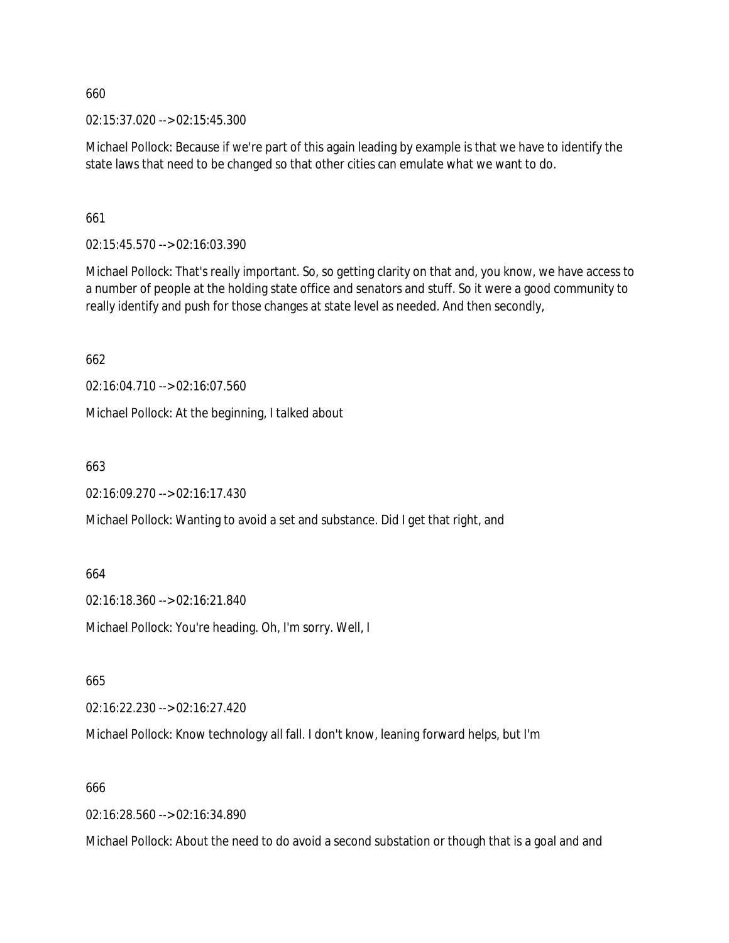02:15:37.020 --> 02:15:45.300

Michael Pollock: Because if we're part of this again leading by example is that we have to identify the state laws that need to be changed so that other cities can emulate what we want to do.

661

02:15:45.570 --> 02:16:03.390

Michael Pollock: That's really important. So, so getting clarity on that and, you know, we have access to a number of people at the holding state office and senators and stuff. So it were a good community to really identify and push for those changes at state level as needed. And then secondly,

662

02:16:04.710 --> 02:16:07.560

Michael Pollock: At the beginning, I talked about

663

02:16:09.270 --> 02:16:17.430

Michael Pollock: Wanting to avoid a set and substance. Did I get that right, and

664

02:16:18.360 --> 02:16:21.840

Michael Pollock: You're heading. Oh, I'm sorry. Well, I

665

02:16:22.230 --> 02:16:27.420

Michael Pollock: Know technology all fall. I don't know, leaning forward helps, but I'm

666

02:16:28.560 --> 02:16:34.890

Michael Pollock: About the need to do avoid a second substation or though that is a goal and and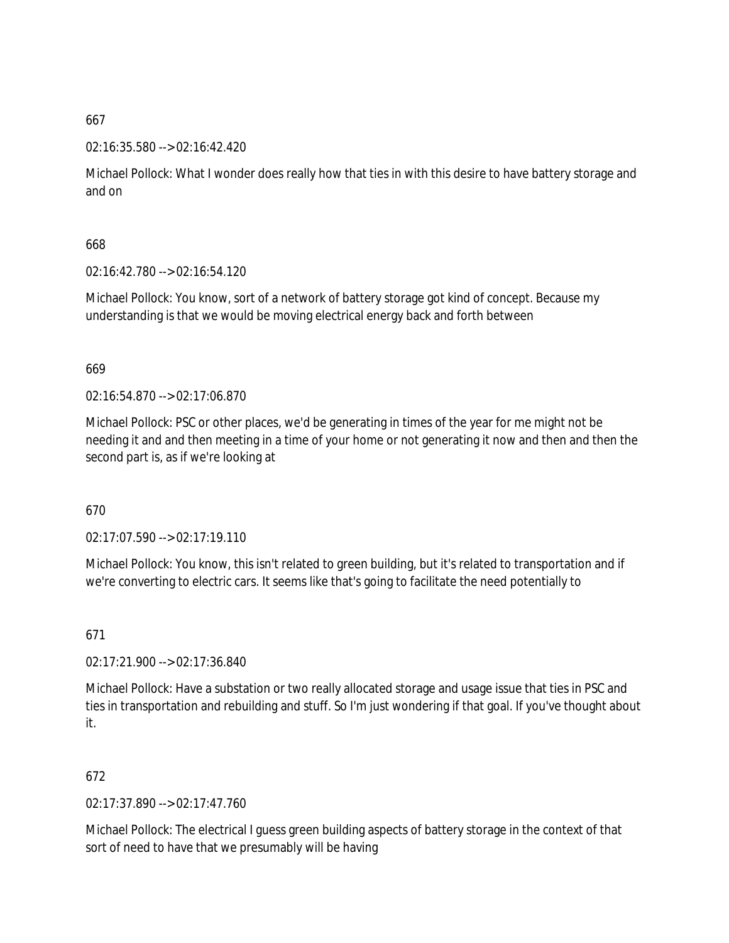#### 02:16:35.580 --> 02:16:42.420

Michael Pollock: What I wonder does really how that ties in with this desire to have battery storage and and on

# 668

02:16:42.780 --> 02:16:54.120

Michael Pollock: You know, sort of a network of battery storage got kind of concept. Because my understanding is that we would be moving electrical energy back and forth between

### 669

02:16:54.870 --> 02:17:06.870

Michael Pollock: PSC or other places, we'd be generating in times of the year for me might not be needing it and and then meeting in a time of your home or not generating it now and then and then the second part is, as if we're looking at

# 670

02:17:07.590 --> 02:17:19.110

Michael Pollock: You know, this isn't related to green building, but it's related to transportation and if we're converting to electric cars. It seems like that's going to facilitate the need potentially to

671

02:17:21.900 --> 02:17:36.840

Michael Pollock: Have a substation or two really allocated storage and usage issue that ties in PSC and ties in transportation and rebuilding and stuff. So I'm just wondering if that goal. If you've thought about it.

# 672

02:17:37.890 --> 02:17:47.760

Michael Pollock: The electrical I guess green building aspects of battery storage in the context of that sort of need to have that we presumably will be having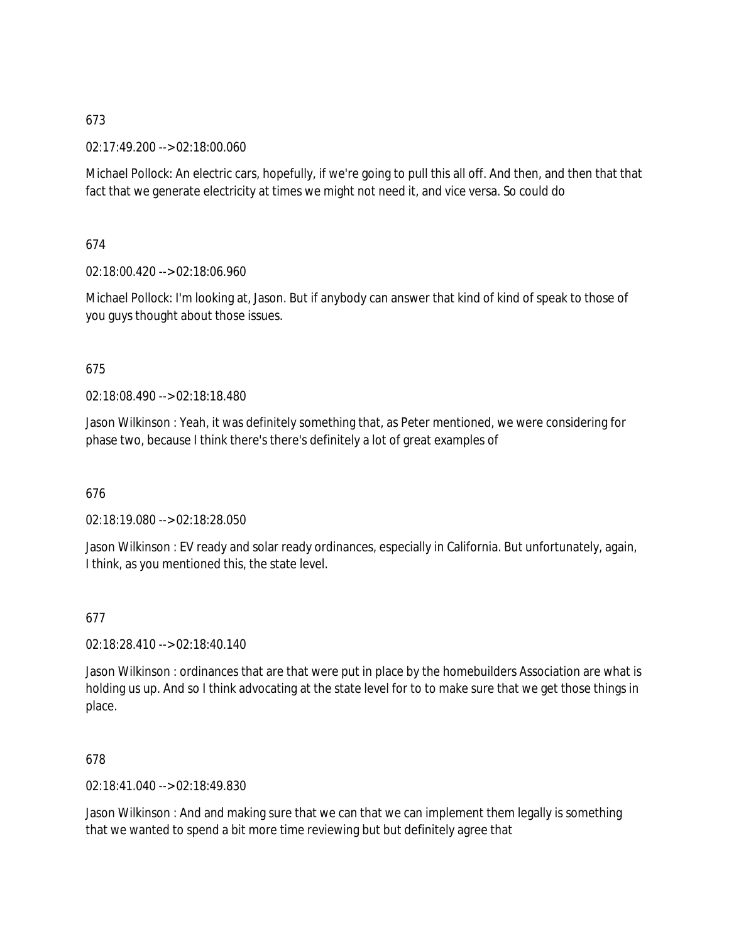02:17:49.200 --> 02:18:00.060

Michael Pollock: An electric cars, hopefully, if we're going to pull this all off. And then, and then that that fact that we generate electricity at times we might not need it, and vice versa. So could do

### 674

02:18:00.420 --> 02:18:06.960

Michael Pollock: I'm looking at, Jason. But if anybody can answer that kind of kind of speak to those of you guys thought about those issues.

### 675

02:18:08.490 --> 02:18:18.480

Jason Wilkinson : Yeah, it was definitely something that, as Peter mentioned, we were considering for phase two, because I think there's there's definitely a lot of great examples of

#### 676

02:18:19.080 --> 02:18:28.050

Jason Wilkinson : EV ready and solar ready ordinances, especially in California. But unfortunately, again, I think, as you mentioned this, the state level.

#### 677

02:18:28.410 --> 02:18:40.140

Jason Wilkinson : ordinances that are that were put in place by the homebuilders Association are what is holding us up. And so I think advocating at the state level for to to make sure that we get those things in place.

### 678

02:18:41.040 --> 02:18:49.830

Jason Wilkinson : And and making sure that we can that we can implement them legally is something that we wanted to spend a bit more time reviewing but but definitely agree that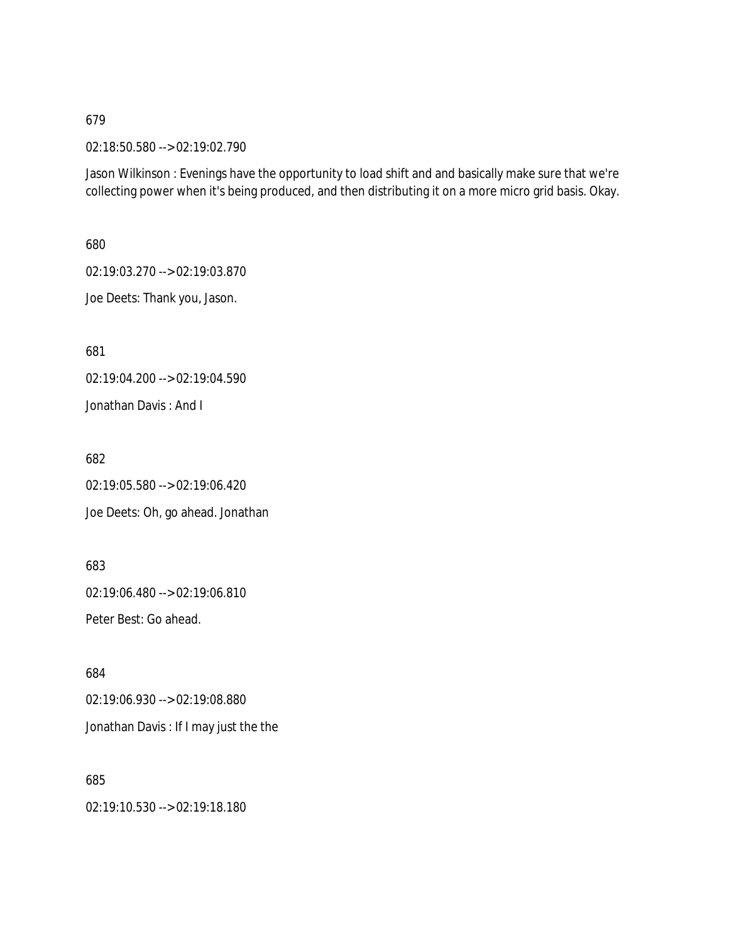02:18:50.580 --> 02:19:02.790

Jason Wilkinson : Evenings have the opportunity to load shift and and basically make sure that we're collecting power when it's being produced, and then distributing it on a more micro grid basis. Okay.

680

02:19:03.270 --> 02:19:03.870

Joe Deets: Thank you, Jason.

681

02:19:04.200 --> 02:19:04.590 Jonathan Davis : And I

682

02:19:05.580 --> 02:19:06.420 Joe Deets: Oh, go ahead. Jonathan

683

02:19:06.480 --> 02:19:06.810

Peter Best: Go ahead.

684 02:19:06.930 --> 02:19:08.880 Jonathan Davis : If I may just the the

685 02:19:10.530 --> 02:19:18.180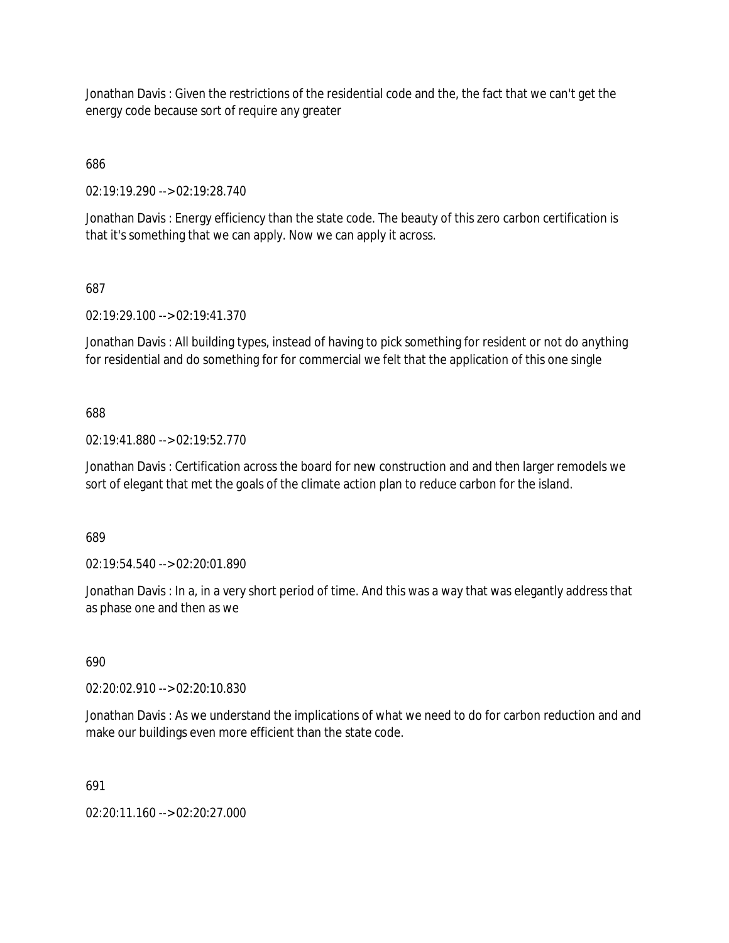Jonathan Davis : Given the restrictions of the residential code and the, the fact that we can't get the energy code because sort of require any greater

686

02:19:19.290 --> 02:19:28.740

Jonathan Davis : Energy efficiency than the state code. The beauty of this zero carbon certification is that it's something that we can apply. Now we can apply it across.

### 687

02:19:29.100 --> 02:19:41.370

Jonathan Davis : All building types, instead of having to pick something for resident or not do anything for residential and do something for for commercial we felt that the application of this one single

### 688

02:19:41.880 --> 02:19:52.770

Jonathan Davis : Certification across the board for new construction and and then larger remodels we sort of elegant that met the goals of the climate action plan to reduce carbon for the island.

689

02:19:54.540 --> 02:20:01.890

Jonathan Davis : In a, in a very short period of time. And this was a way that was elegantly address that as phase one and then as we

### 690

02:20:02.910 --> 02:20:10.830

Jonathan Davis : As we understand the implications of what we need to do for carbon reduction and and make our buildings even more efficient than the state code.

691

02:20:11.160 --> 02:20:27.000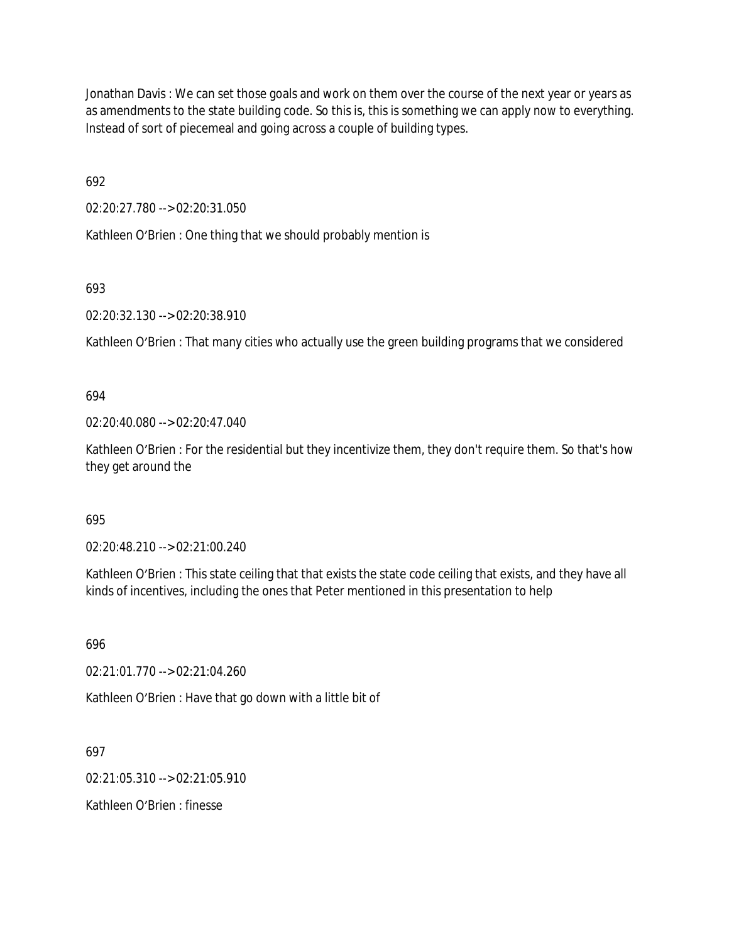Jonathan Davis : We can set those goals and work on them over the course of the next year or years as as amendments to the state building code. So this is, this is something we can apply now to everything. Instead of sort of piecemeal and going across a couple of building types.

692

02:20:27.780 --> 02:20:31.050

Kathleen O'Brien : One thing that we should probably mention is

693

02:20:32.130 --> 02:20:38.910

Kathleen O'Brien : That many cities who actually use the green building programs that we considered

694

02:20:40.080 --> 02:20:47.040

Kathleen O'Brien : For the residential but they incentivize them, they don't require them. So that's how they get around the

695

02:20:48.210 --> 02:21:00.240

Kathleen O'Brien : This state ceiling that that exists the state code ceiling that exists, and they have all kinds of incentives, including the ones that Peter mentioned in this presentation to help

696

02:21:01.770 --> 02:21:04.260

Kathleen O'Brien : Have that go down with a little bit of

697

02:21:05.310 --> 02:21:05.910

Kathleen O'Brien : finesse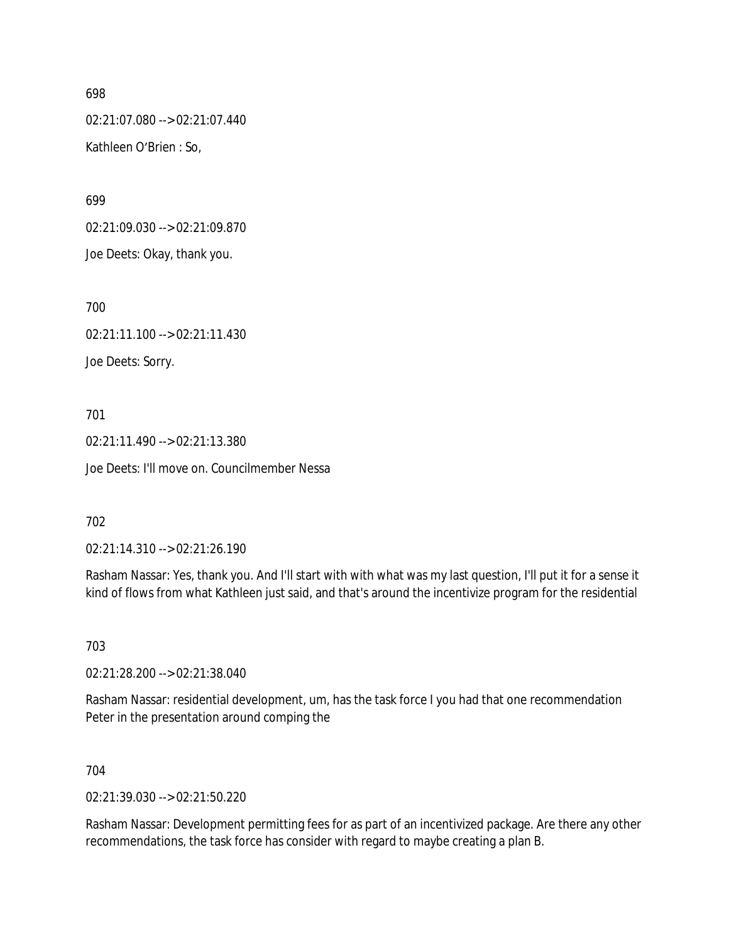02:21:07.080 --> 02:21:07.440 Kathleen O'Brien : So,

699

02:21:09.030 --> 02:21:09.870 Joe Deets: Okay, thank you.

700

02:21:11.100 --> 02:21:11.430 Joe Deets: Sorry.

701

02:21:11.490 --> 02:21:13.380 Joe Deets: I'll move on. Councilmember Nessa

702

02:21:14.310 --> 02:21:26.190

Rasham Nassar: Yes, thank you. And I'll start with with what was my last question, I'll put it for a sense it kind of flows from what Kathleen just said, and that's around the incentivize program for the residential

703

02:21:28.200 --> 02:21:38.040

Rasham Nassar: residential development, um, has the task force I you had that one recommendation Peter in the presentation around comping the

704

02:21:39.030 --> 02:21:50.220

Rasham Nassar: Development permitting fees for as part of an incentivized package. Are there any other recommendations, the task force has consider with regard to maybe creating a plan B.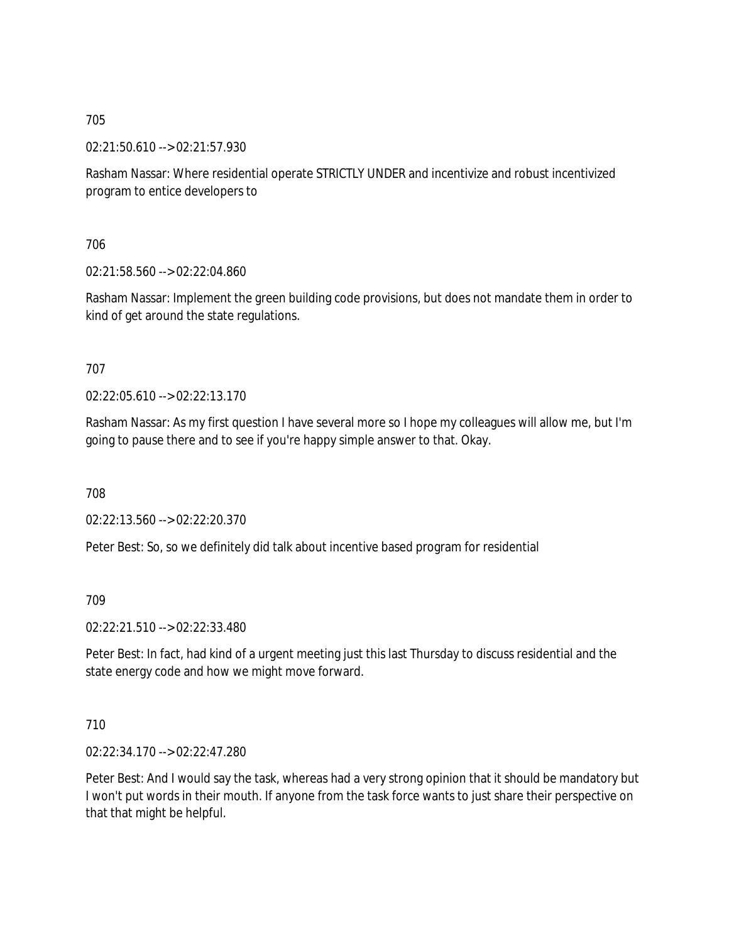02:21:50.610 --> 02:21:57.930

Rasham Nassar: Where residential operate STRICTLY UNDER and incentivize and robust incentivized program to entice developers to

706

02:21:58.560 --> 02:22:04.860

Rasham Nassar: Implement the green building code provisions, but does not mandate them in order to kind of get around the state regulations.

707

 $02.22.05.610 -5.02.22.13.170$ 

Rasham Nassar: As my first question I have several more so I hope my colleagues will allow me, but I'm going to pause there and to see if you're happy simple answer to that. Okay.

708

02:22:13.560 --> 02:22:20.370

Peter Best: So, so we definitely did talk about incentive based program for residential

709

02:22:21.510 --> 02:22:33.480

Peter Best: In fact, had kind of a urgent meeting just this last Thursday to discuss residential and the state energy code and how we might move forward.

710

02:22:34.170 --> 02:22:47.280

Peter Best: And I would say the task, whereas had a very strong opinion that it should be mandatory but I won't put words in their mouth. If anyone from the task force wants to just share their perspective on that that might be helpful.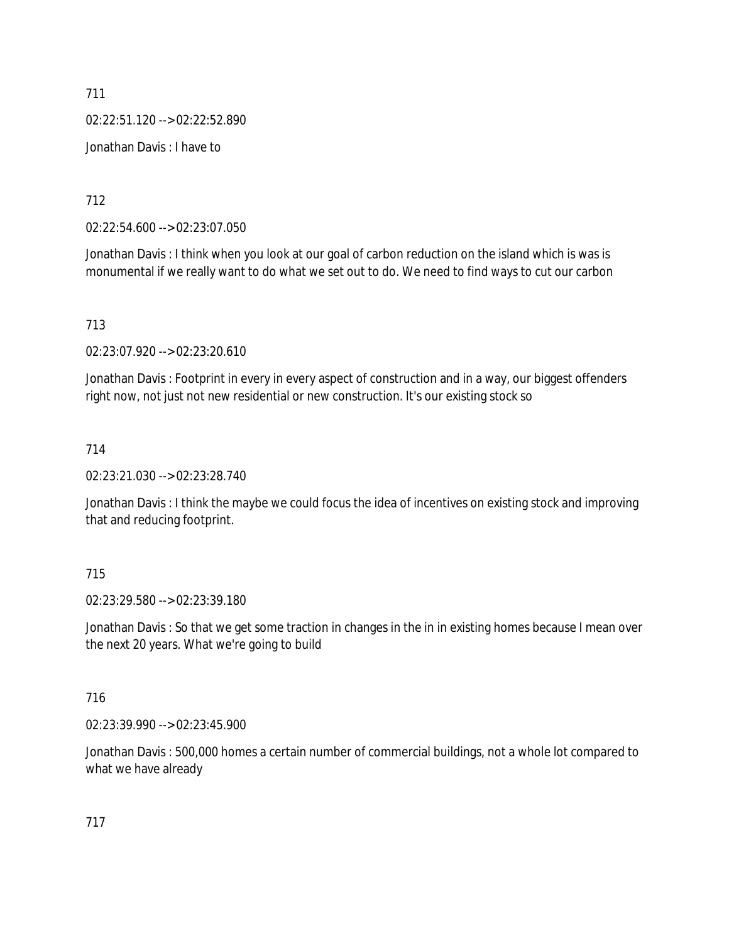711 02:22:51.120 --> 02:22:52.890 Jonathan Davis : I have to

712

02:22:54.600 --> 02:23:07.050

Jonathan Davis : I think when you look at our goal of carbon reduction on the island which is was is monumental if we really want to do what we set out to do. We need to find ways to cut our carbon

713

02:23:07.920 --> 02:23:20.610

Jonathan Davis : Footprint in every in every aspect of construction and in a way, our biggest offenders right now, not just not new residential or new construction. It's our existing stock so

714

02:23:21.030 --> 02:23:28.740

Jonathan Davis : I think the maybe we could focus the idea of incentives on existing stock and improving that and reducing footprint.

#### 715

02:23:29.580 --> 02:23:39.180

Jonathan Davis : So that we get some traction in changes in the in in existing homes because I mean over the next 20 years. What we're going to build

#### 716

02:23:39.990 --> 02:23:45.900

Jonathan Davis : 500,000 homes a certain number of commercial buildings, not a whole lot compared to what we have already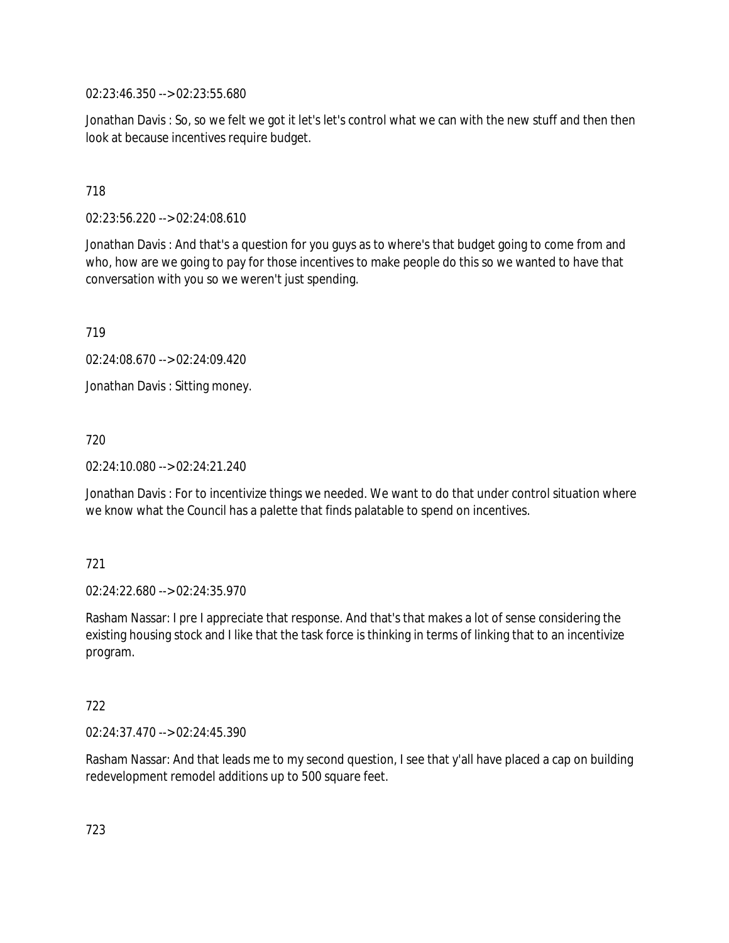02:23:46.350 --> 02:23:55.680

Jonathan Davis : So, so we felt we got it let's let's control what we can with the new stuff and then then look at because incentives require budget.

### 718

02:23:56.220 --> 02:24:08.610

Jonathan Davis : And that's a question for you guys as to where's that budget going to come from and who, how are we going to pay for those incentives to make people do this so we wanted to have that conversation with you so we weren't just spending.

719

02:24:08.670 --> 02:24:09.420

Jonathan Davis : Sitting money.

720

02:24:10.080 --> 02:24:21.240

Jonathan Davis : For to incentivize things we needed. We want to do that under control situation where we know what the Council has a palette that finds palatable to spend on incentives.

### 721

02:24:22.680 --> 02:24:35.970

Rasham Nassar: I pre I appreciate that response. And that's that makes a lot of sense considering the existing housing stock and I like that the task force is thinking in terms of linking that to an incentivize program.

### 722

02:24:37.470 --> 02:24:45.390

Rasham Nassar: And that leads me to my second question, I see that y'all have placed a cap on building redevelopment remodel additions up to 500 square feet.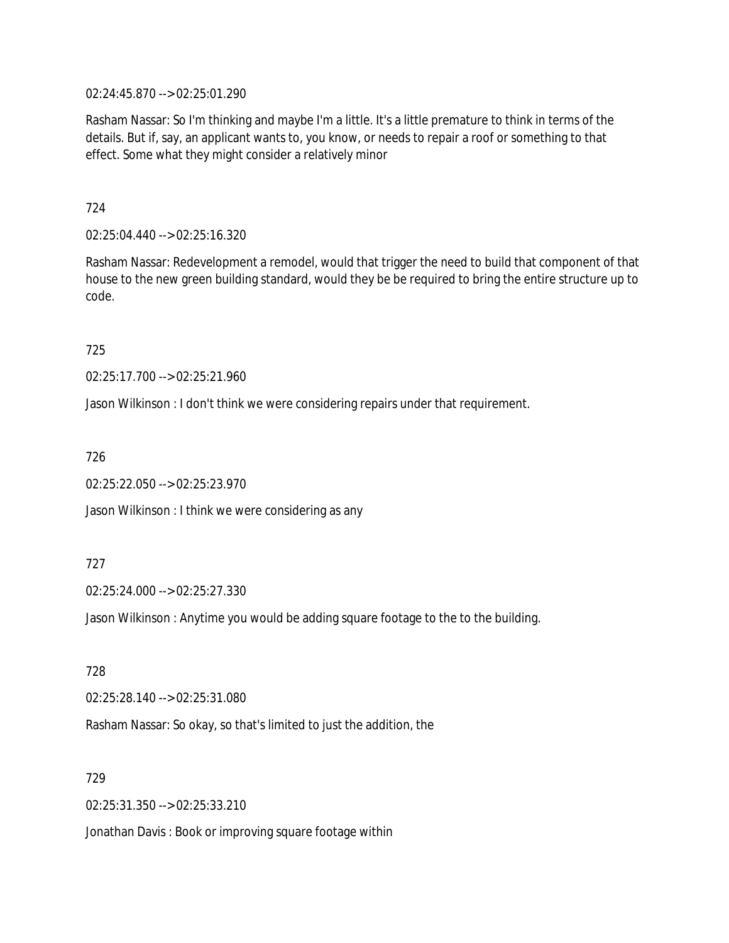02:24:45.870 --> 02:25:01.290

Rasham Nassar: So I'm thinking and maybe I'm a little. It's a little premature to think in terms of the details. But if, say, an applicant wants to, you know, or needs to repair a roof or something to that effect. Some what they might consider a relatively minor

724

02:25:04.440 --> 02:25:16.320

Rasham Nassar: Redevelopment a remodel, would that trigger the need to build that component of that house to the new green building standard, would they be be required to bring the entire structure up to code.

725

02:25:17.700 --> 02:25:21.960

Jason Wilkinson : I don't think we were considering repairs under that requirement.

726

02:25:22.050 --> 02:25:23.970

Jason Wilkinson : I think we were considering as any

727

02:25:24.000 --> 02:25:27.330

Jason Wilkinson : Anytime you would be adding square footage to the to the building.

728

02:25:28.140 --> 02:25:31.080

Rasham Nassar: So okay, so that's limited to just the addition, the

729

02:25:31.350 --> 02:25:33.210

Jonathan Davis : Book or improving square footage within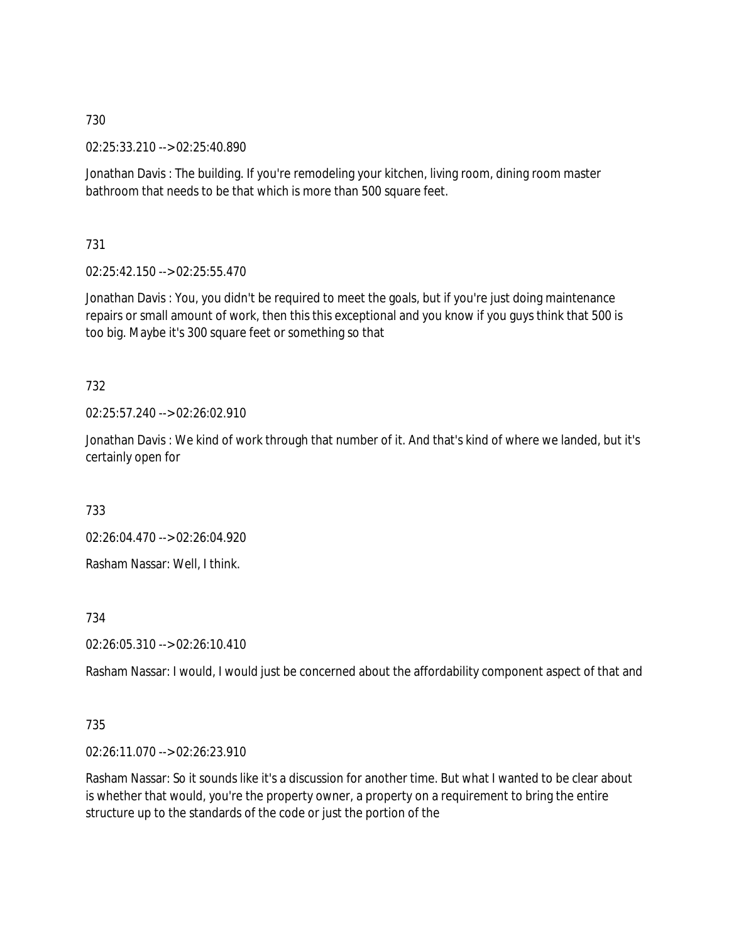02:25:33.210 --> 02:25:40.890

Jonathan Davis : The building. If you're remodeling your kitchen, living room, dining room master bathroom that needs to be that which is more than 500 square feet.

731

02:25:42.150 --> 02:25:55.470

Jonathan Davis : You, you didn't be required to meet the goals, but if you're just doing maintenance repairs or small amount of work, then this this exceptional and you know if you guys think that 500 is too big. Maybe it's 300 square feet or something so that

732

02:25:57.240 --> 02:26:02.910

Jonathan Davis : We kind of work through that number of it. And that's kind of where we landed, but it's certainly open for

733

02:26:04.470 --> 02:26:04.920

Rasham Nassar: Well, I think.

734

02:26:05.310 --> 02:26:10.410

Rasham Nassar: I would, I would just be concerned about the affordability component aspect of that and

### 735

02:26:11.070 --> 02:26:23.910

Rasham Nassar: So it sounds like it's a discussion for another time. But what I wanted to be clear about is whether that would, you're the property owner, a property on a requirement to bring the entire structure up to the standards of the code or just the portion of the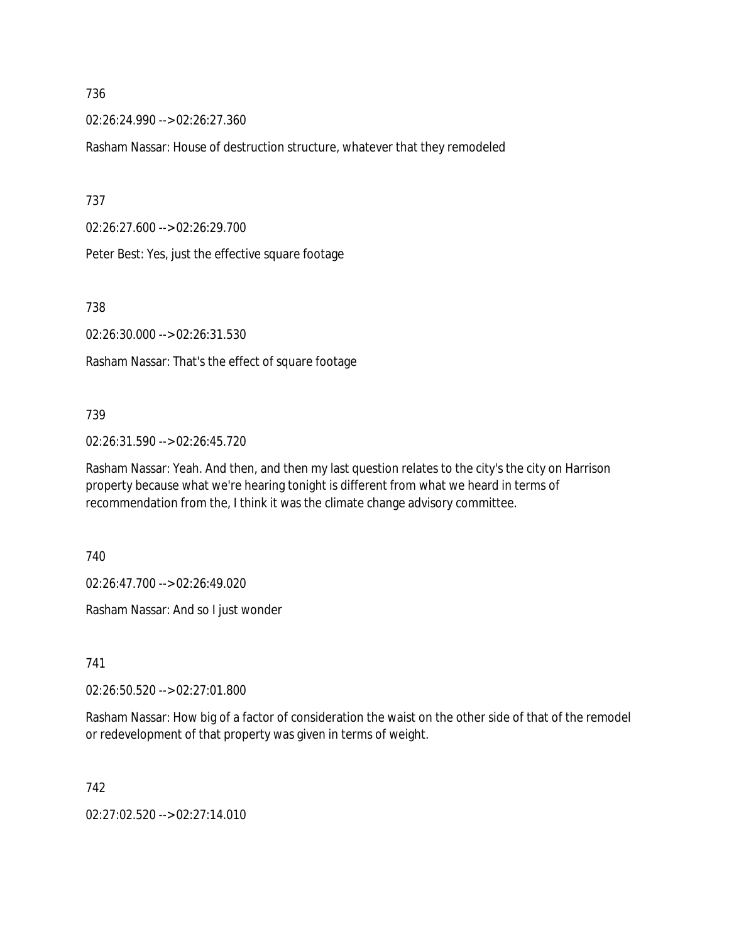02:26:24.990 --> 02:26:27.360

Rasham Nassar: House of destruction structure, whatever that they remodeled

737

02:26:27.600 --> 02:26:29.700

Peter Best: Yes, just the effective square footage

738

02:26:30.000 --> 02:26:31.530

Rasham Nassar: That's the effect of square footage

### 739

02:26:31.590 --> 02:26:45.720

Rasham Nassar: Yeah. And then, and then my last question relates to the city's the city on Harrison property because what we're hearing tonight is different from what we heard in terms of recommendation from the, I think it was the climate change advisory committee.

740

02:26:47.700 --> 02:26:49.020

Rasham Nassar: And so I just wonder

741

02:26:50.520 --> 02:27:01.800

Rasham Nassar: How big of a factor of consideration the waist on the other side of that of the remodel or redevelopment of that property was given in terms of weight.

742

02:27:02.520 --> 02:27:14.010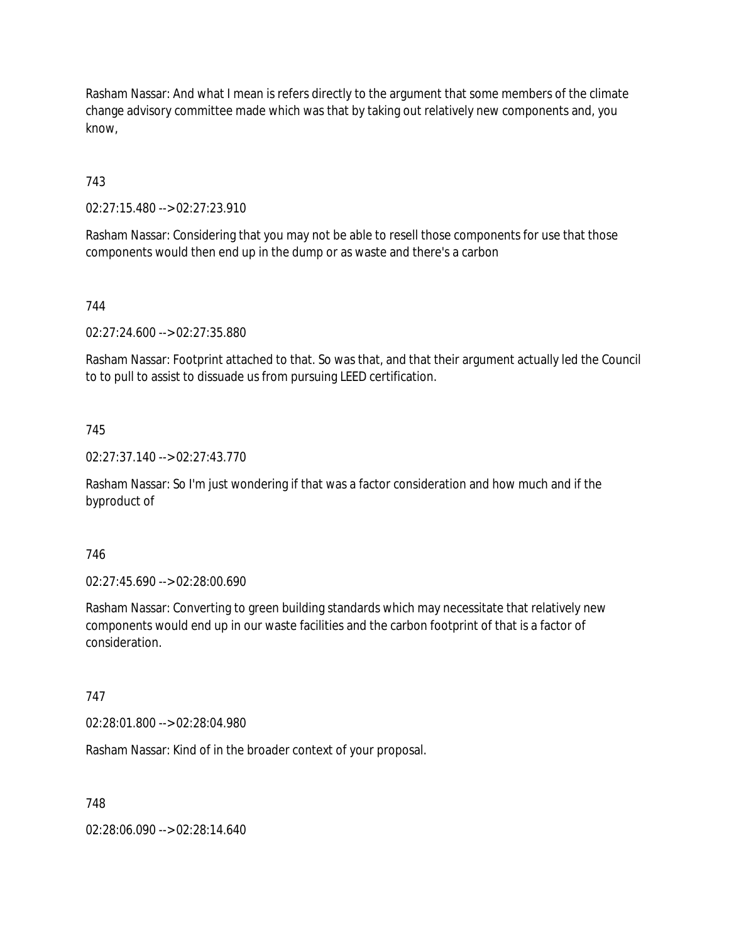Rasham Nassar: And what I mean is refers directly to the argument that some members of the climate change advisory committee made which was that by taking out relatively new components and, you know,

743

02:27:15.480 --> 02:27:23.910

Rasham Nassar: Considering that you may not be able to resell those components for use that those components would then end up in the dump or as waste and there's a carbon

744

02:27:24.600 --> 02:27:35.880

Rasham Nassar: Footprint attached to that. So was that, and that their argument actually led the Council to to pull to assist to dissuade us from pursuing LEED certification.

745

02:27:37.140 --> 02:27:43.770

Rasham Nassar: So I'm just wondering if that was a factor consideration and how much and if the byproduct of

746

02:27:45.690 --> 02:28:00.690

Rasham Nassar: Converting to green building standards which may necessitate that relatively new components would end up in our waste facilities and the carbon footprint of that is a factor of consideration.

747

02:28:01.800 --> 02:28:04.980

Rasham Nassar: Kind of in the broader context of your proposal.

748

02:28:06.090 --> 02:28:14.640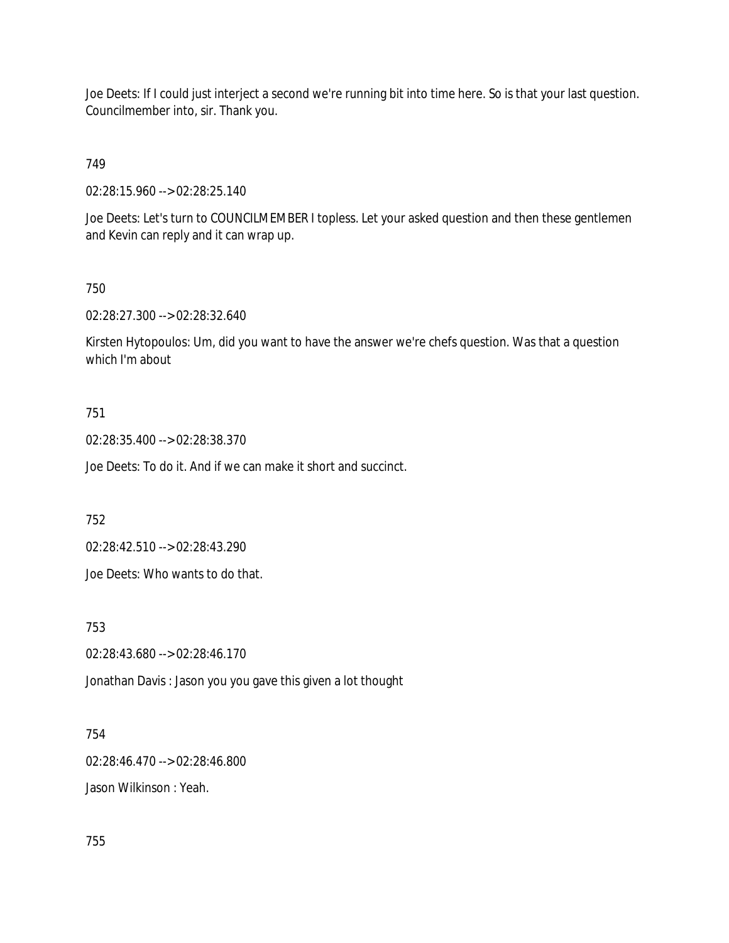Joe Deets: If I could just interject a second we're running bit into time here. So is that your last question. Councilmember into, sir. Thank you.

# 749

02:28:15.960 --> 02:28:25.140

Joe Deets: Let's turn to COUNCILMEMBER I topless. Let your asked question and then these gentlemen and Kevin can reply and it can wrap up.

## 750

02:28:27.300 --> 02:28:32.640

Kirsten Hytopoulos: Um, did you want to have the answer we're chefs question. Was that a question which I'm about

## 751

02:28:35.400 --> 02:28:38.370

Joe Deets: To do it. And if we can make it short and succinct.

752

02:28:42.510 --> 02:28:43.290

Joe Deets: Who wants to do that.

753

02:28:43.680 --> 02:28:46.170

Jonathan Davis : Jason you you gave this given a lot thought

### 754

02:28:46.470 --> 02:28:46.800

Jason Wilkinson : Yeah.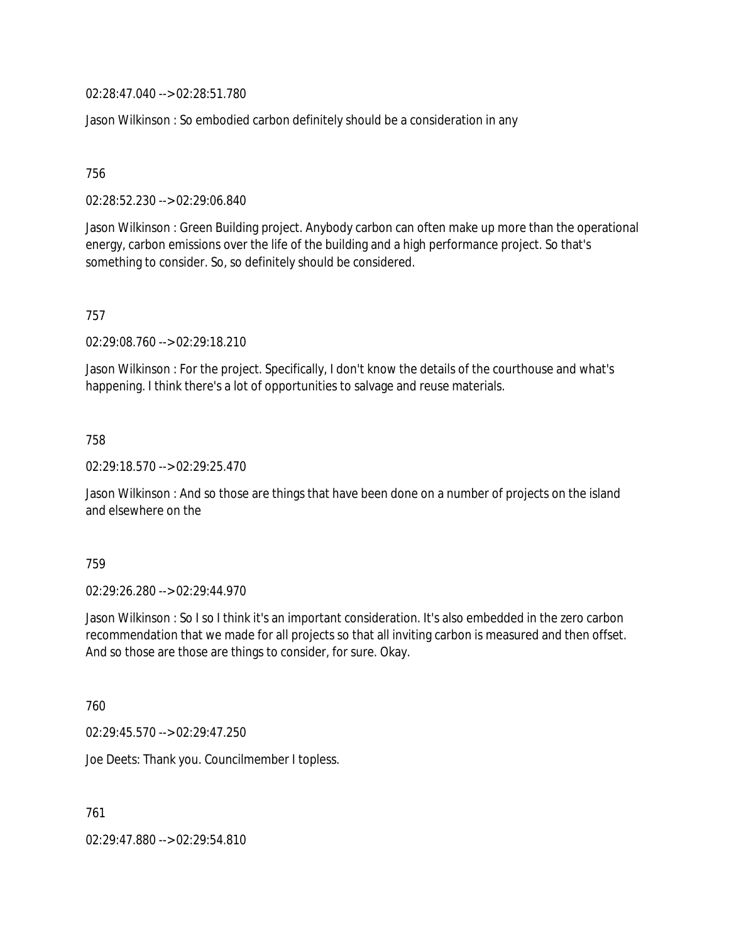02:28:47.040 --> 02:28:51.780

Jason Wilkinson : So embodied carbon definitely should be a consideration in any

756

02:28:52.230 --> 02:29:06.840

Jason Wilkinson : Green Building project. Anybody carbon can often make up more than the operational energy, carbon emissions over the life of the building and a high performance project. So that's something to consider. So, so definitely should be considered.

757

02:29:08.760 --> 02:29:18.210

Jason Wilkinson : For the project. Specifically, I don't know the details of the courthouse and what's happening. I think there's a lot of opportunities to salvage and reuse materials.

758

02:29:18.570 --> 02:29:25.470

Jason Wilkinson : And so those are things that have been done on a number of projects on the island and elsewhere on the

759

02:29:26.280 --> 02:29:44.970

Jason Wilkinson : So I so I think it's an important consideration. It's also embedded in the zero carbon recommendation that we made for all projects so that all inviting carbon is measured and then offset. And so those are those are things to consider, for sure. Okay.

760

02:29:45.570 --> 02:29:47.250

Joe Deets: Thank you. Councilmember I topless.

761

02:29:47.880 --> 02:29:54.810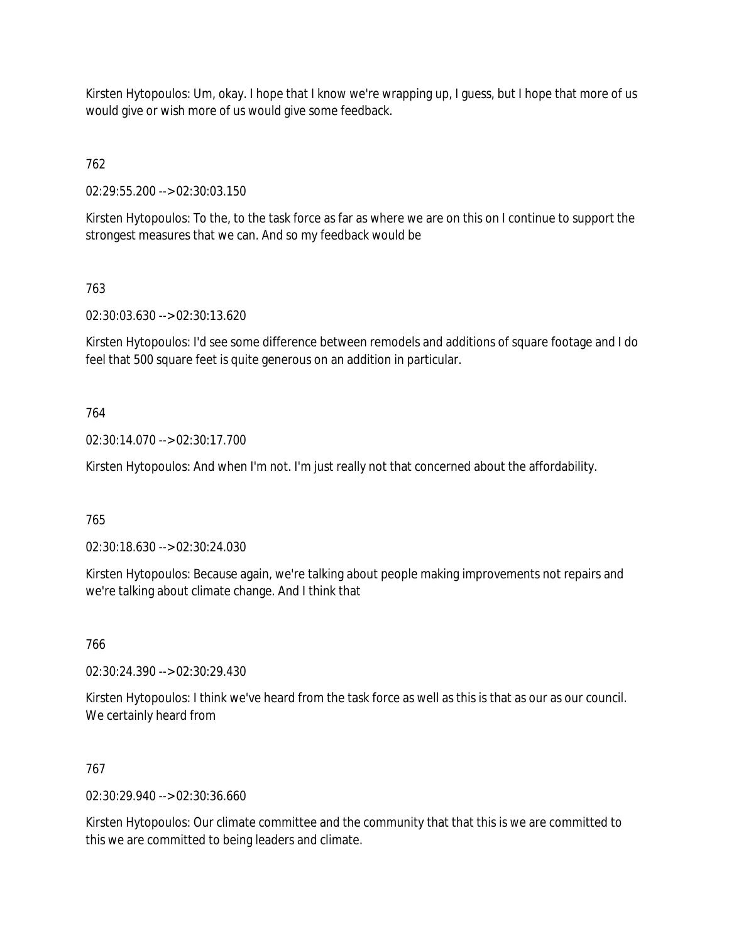Kirsten Hytopoulos: Um, okay. I hope that I know we're wrapping up, I guess, but I hope that more of us would give or wish more of us would give some feedback.

762

02:29:55.200 --> 02:30:03.150

Kirsten Hytopoulos: To the, to the task force as far as where we are on this on I continue to support the strongest measures that we can. And so my feedback would be

# 763

02:30:03.630 --> 02:30:13.620

Kirsten Hytopoulos: I'd see some difference between remodels and additions of square footage and I do feel that 500 square feet is quite generous on an addition in particular.

## 764

02:30:14.070 --> 02:30:17.700

Kirsten Hytopoulos: And when I'm not. I'm just really not that concerned about the affordability.

## 765

02:30:18.630 --> 02:30:24.030

Kirsten Hytopoulos: Because again, we're talking about people making improvements not repairs and we're talking about climate change. And I think that

766

02:30:24.390 --> 02:30:29.430

Kirsten Hytopoulos: I think we've heard from the task force as well as this is that as our as our council. We certainly heard from

## 767

02:30:29.940 --> 02:30:36.660

Kirsten Hytopoulos: Our climate committee and the community that that this is we are committed to this we are committed to being leaders and climate.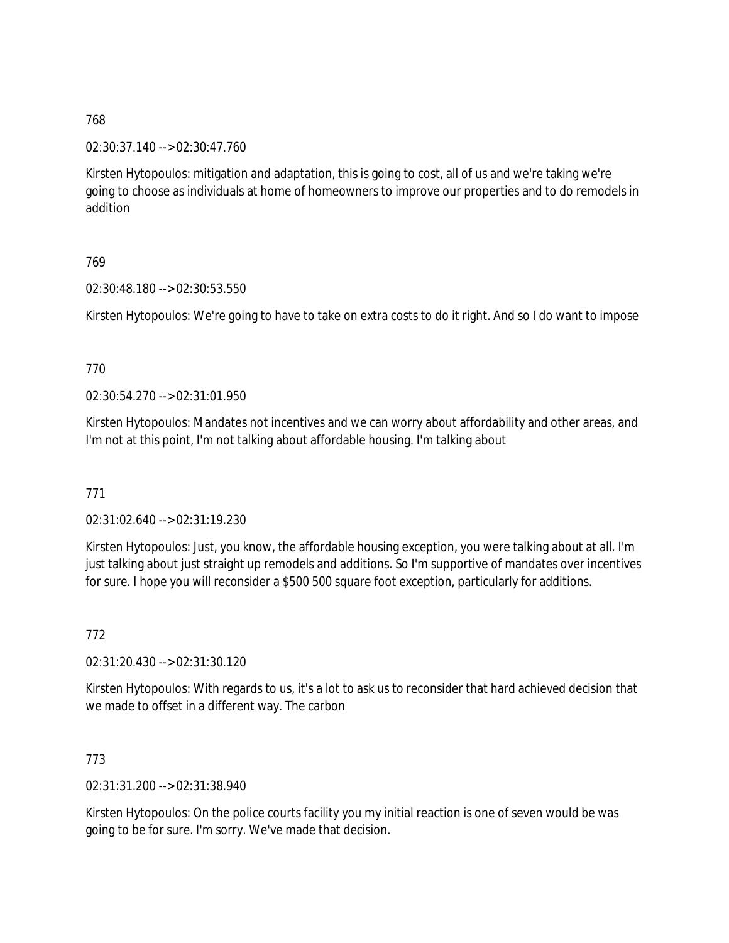02:30:37.140 --> 02:30:47.760

Kirsten Hytopoulos: mitigation and adaptation, this is going to cost, all of us and we're taking we're going to choose as individuals at home of homeowners to improve our properties and to do remodels in addition

## 769

02:30:48.180 --> 02:30:53.550

Kirsten Hytopoulos: We're going to have to take on extra costs to do it right. And so I do want to impose

### 770

02:30:54.270 --> 02:31:01.950

Kirsten Hytopoulos: Mandates not incentives and we can worry about affordability and other areas, and I'm not at this point, I'm not talking about affordable housing. I'm talking about

771

02:31:02.640 --> 02:31:19.230

Kirsten Hytopoulos: Just, you know, the affordable housing exception, you were talking about at all. I'm just talking about just straight up remodels and additions. So I'm supportive of mandates over incentives for sure. I hope you will reconsider a \$500 500 square foot exception, particularly for additions.

772

02:31:20.430 --> 02:31:30.120

Kirsten Hytopoulos: With regards to us, it's a lot to ask us to reconsider that hard achieved decision that we made to offset in a different way. The carbon

## 773

02:31:31.200 --> 02:31:38.940

Kirsten Hytopoulos: On the police courts facility you my initial reaction is one of seven would be was going to be for sure. I'm sorry. We've made that decision.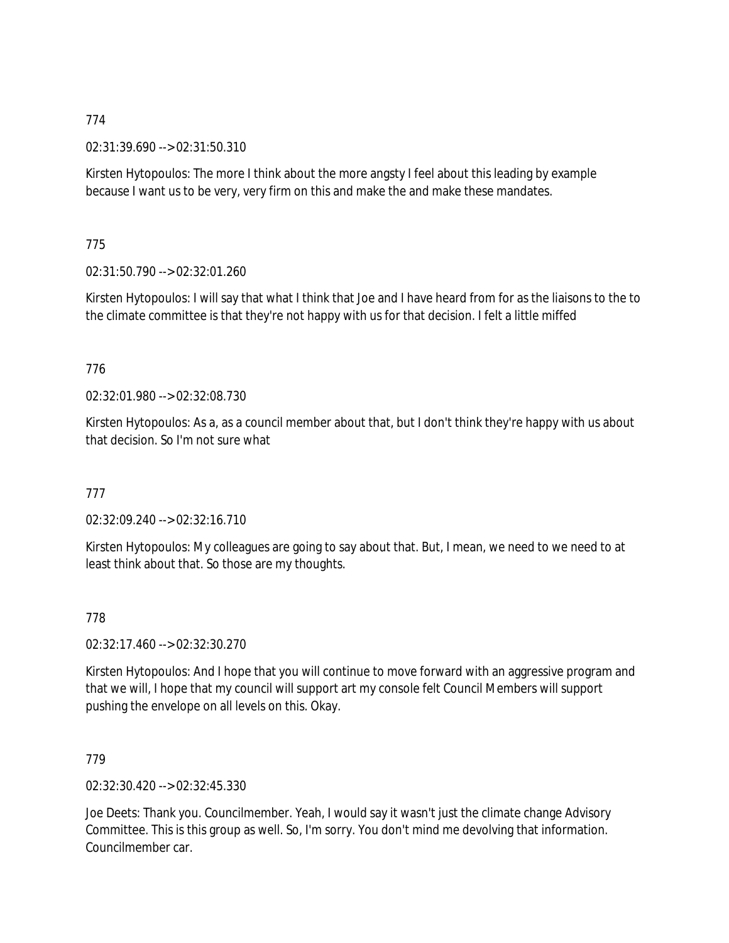02:31:39.690 --> 02:31:50.310

Kirsten Hytopoulos: The more I think about the more angsty I feel about this leading by example because I want us to be very, very firm on this and make the and make these mandates.

## 775

02:31:50.790 --> 02:32:01.260

Kirsten Hytopoulos: I will say that what I think that Joe and I have heard from for as the liaisons to the to the climate committee is that they're not happy with us for that decision. I felt a little miffed

### 776

02:32:01.980 --> 02:32:08.730

Kirsten Hytopoulos: As a, as a council member about that, but I don't think they're happy with us about that decision. So I'm not sure what

## 777

02:32:09.240 --> 02:32:16.710

Kirsten Hytopoulos: My colleagues are going to say about that. But, I mean, we need to we need to at least think about that. So those are my thoughts.

### 778

02:32:17.460 --> 02:32:30.270

Kirsten Hytopoulos: And I hope that you will continue to move forward with an aggressive program and that we will, I hope that my council will support art my console felt Council Members will support pushing the envelope on all levels on this. Okay.

### 779

02:32:30.420 --> 02:32:45.330

Joe Deets: Thank you. Councilmember. Yeah, I would say it wasn't just the climate change Advisory Committee. This is this group as well. So, I'm sorry. You don't mind me devolving that information. Councilmember car.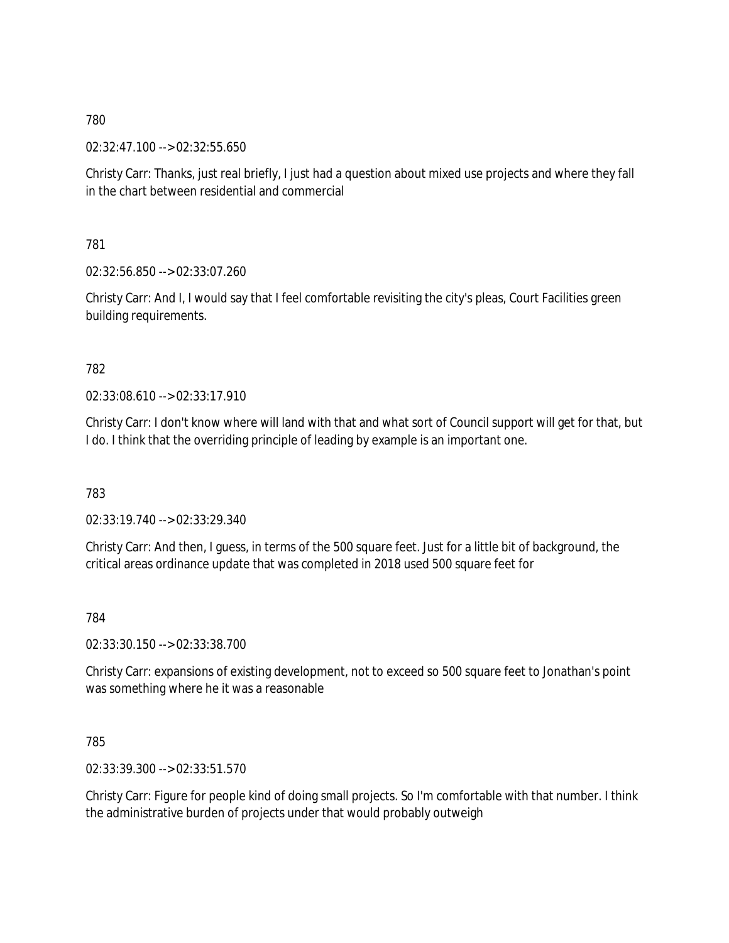02:32:47.100 --> 02:32:55.650

Christy Carr: Thanks, just real briefly, I just had a question about mixed use projects and where they fall in the chart between residential and commercial

781

02:32:56.850 --> 02:33:07.260

Christy Carr: And I, I would say that I feel comfortable revisiting the city's pleas, Court Facilities green building requirements.

### 782

02:33:08.610 --> 02:33:17.910

Christy Carr: I don't know where will land with that and what sort of Council support will get for that, but I do. I think that the overriding principle of leading by example is an important one.

783

02:33:19.740 --> 02:33:29.340

Christy Carr: And then, I guess, in terms of the 500 square feet. Just for a little bit of background, the critical areas ordinance update that was completed in 2018 used 500 square feet for

784

02:33:30.150 --> 02:33:38.700

Christy Carr: expansions of existing development, not to exceed so 500 square feet to Jonathan's point was something where he it was a reasonable

785

02:33:39.300 --> 02:33:51.570

Christy Carr: Figure for people kind of doing small projects. So I'm comfortable with that number. I think the administrative burden of projects under that would probably outweigh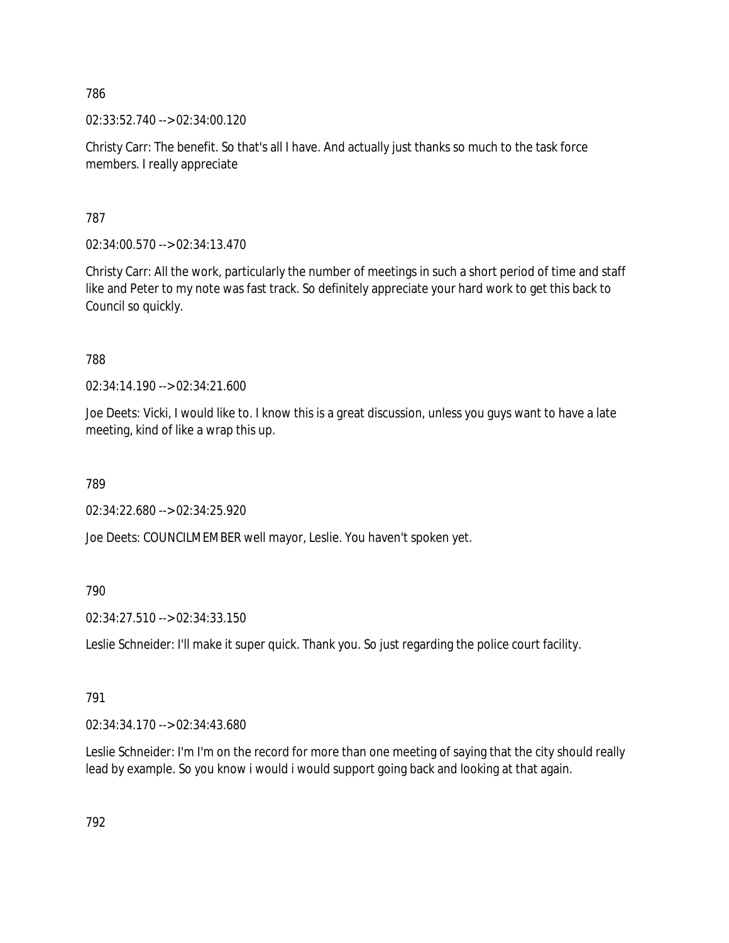02:33:52.740 --> 02:34:00.120

Christy Carr: The benefit. So that's all I have. And actually just thanks so much to the task force members. I really appreciate

787

02:34:00.570 --> 02:34:13.470

Christy Carr: All the work, particularly the number of meetings in such a short period of time and staff like and Peter to my note was fast track. So definitely appreciate your hard work to get this back to Council so quickly.

788

02:34:14.190 --> 02:34:21.600

Joe Deets: Vicki, I would like to. I know this is a great discussion, unless you guys want to have a late meeting, kind of like a wrap this up.

789

02:34:22.680 --> 02:34:25.920

Joe Deets: COUNCILMEMBER well mayor, Leslie. You haven't spoken yet.

790

02:34:27.510 --> 02:34:33.150

Leslie Schneider: I'll make it super quick. Thank you. So just regarding the police court facility.

791

02:34:34.170 --> 02:34:43.680

Leslie Schneider: I'm I'm on the record for more than one meeting of saying that the city should really lead by example. So you know i would i would support going back and looking at that again.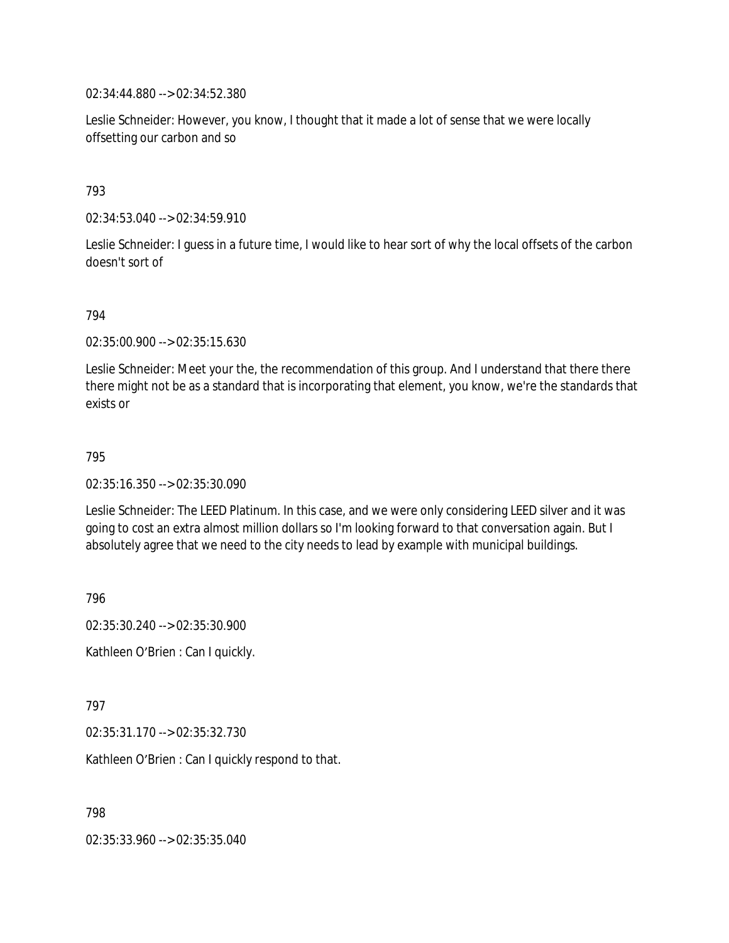02:34:44.880 --> 02:34:52.380

Leslie Schneider: However, you know, I thought that it made a lot of sense that we were locally offsetting our carbon and so

#### 793

02:34:53.040 --> 02:34:59.910

Leslie Schneider: I guess in a future time, I would like to hear sort of why the local offsets of the carbon doesn't sort of

#### 794

02:35:00.900 --> 02:35:15.630

Leslie Schneider: Meet your the, the recommendation of this group. And I understand that there there there might not be as a standard that is incorporating that element, you know, we're the standards that exists or

#### 795

02:35:16.350 --> 02:35:30.090

Leslie Schneider: The LEED Platinum. In this case, and we were only considering LEED silver and it was going to cost an extra almost million dollars so I'm looking forward to that conversation again. But I absolutely agree that we need to the city needs to lead by example with municipal buildings.

796

02:35:30.240 --> 02:35:30.900 Kathleen O'Brien : Can I quickly.

797

02:35:31.170 --> 02:35:32.730

Kathleen O'Brien : Can I quickly respond to that.

798

02:35:33.960 --> 02:35:35.040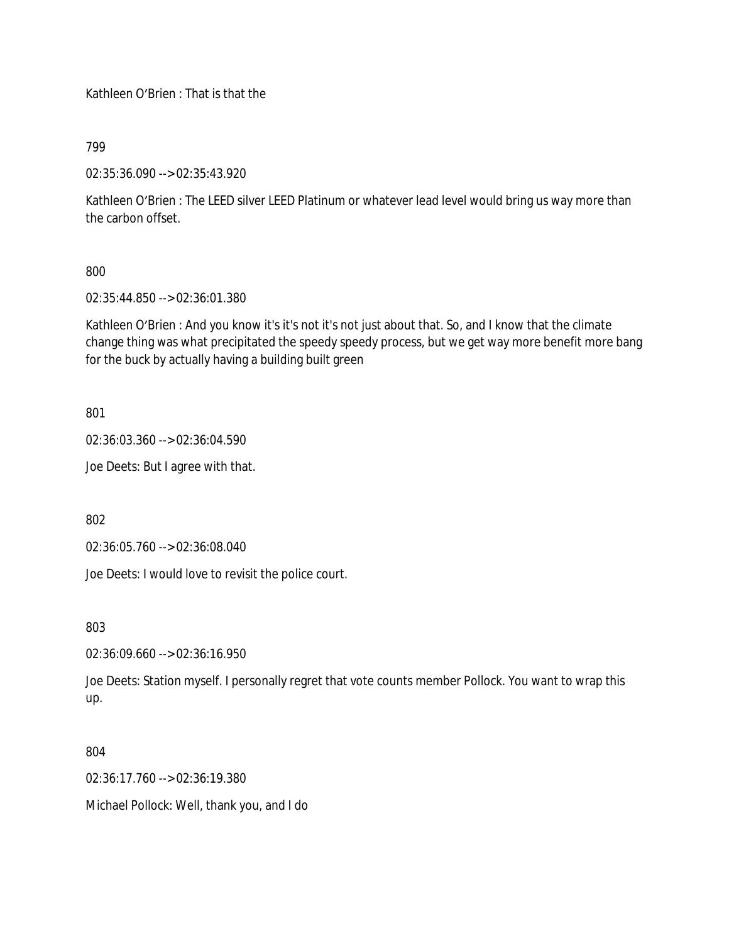Kathleen O'Brien : That is that the

799

02:35:36.090 --> 02:35:43.920

Kathleen O'Brien : The LEED silver LEED Platinum or whatever lead level would bring us way more than the carbon offset.

800

02:35:44.850 --> 02:36:01.380

Kathleen O'Brien : And you know it's it's not it's not just about that. So, and I know that the climate change thing was what precipitated the speedy speedy process, but we get way more benefit more bang for the buck by actually having a building built green

801

02:36:03.360 --> 02:36:04.590

Joe Deets: But I agree with that.

802

02:36:05.760 --> 02:36:08.040

Joe Deets: I would love to revisit the police court.

803

02:36:09.660 --> 02:36:16.950

Joe Deets: Station myself. I personally regret that vote counts member Pollock. You want to wrap this up.

804

02:36:17.760 --> 02:36:19.380

Michael Pollock: Well, thank you, and I do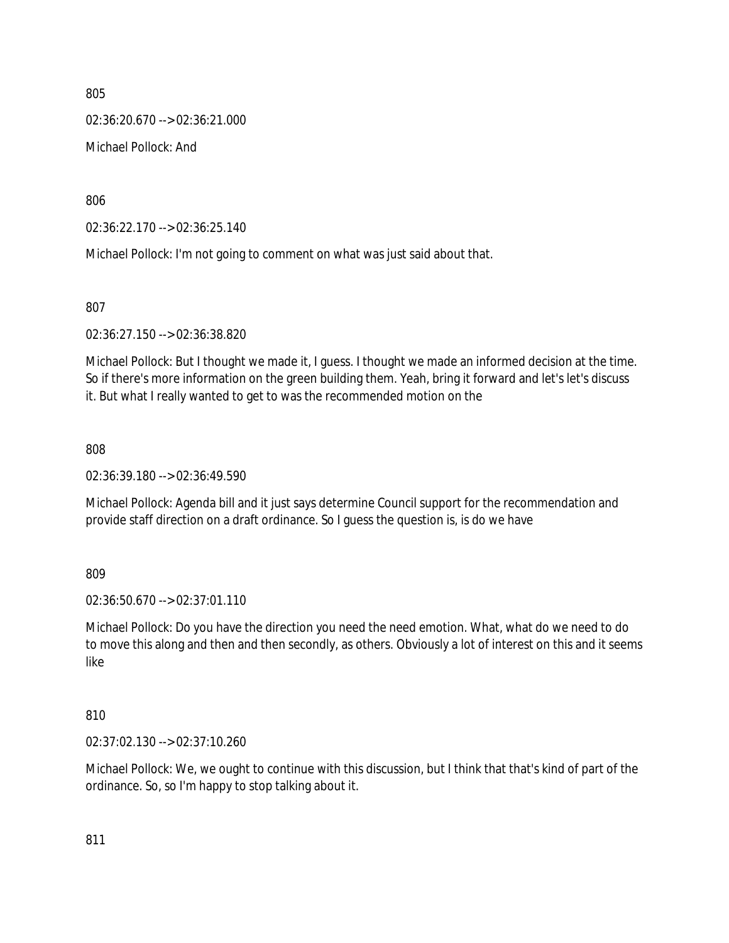02:36:20.670 --> 02:36:21.000

Michael Pollock: And

806

02:36:22.170 --> 02:36:25.140

Michael Pollock: I'm not going to comment on what was just said about that.

807

02:36:27.150 --> 02:36:38.820

Michael Pollock: But I thought we made it, I guess. I thought we made an informed decision at the time. So if there's more information on the green building them. Yeah, bring it forward and let's let's discuss it. But what I really wanted to get to was the recommended motion on the

808

02:36:39.180 --> 02:36:49.590

Michael Pollock: Agenda bill and it just says determine Council support for the recommendation and provide staff direction on a draft ordinance. So I guess the question is, is do we have

809

02:36:50.670 --> 02:37:01.110

Michael Pollock: Do you have the direction you need the need emotion. What, what do we need to do to move this along and then and then secondly, as others. Obviously a lot of interest on this and it seems like

810

02:37:02.130 --> 02:37:10.260

Michael Pollock: We, we ought to continue with this discussion, but I think that that's kind of part of the ordinance. So, so I'm happy to stop talking about it.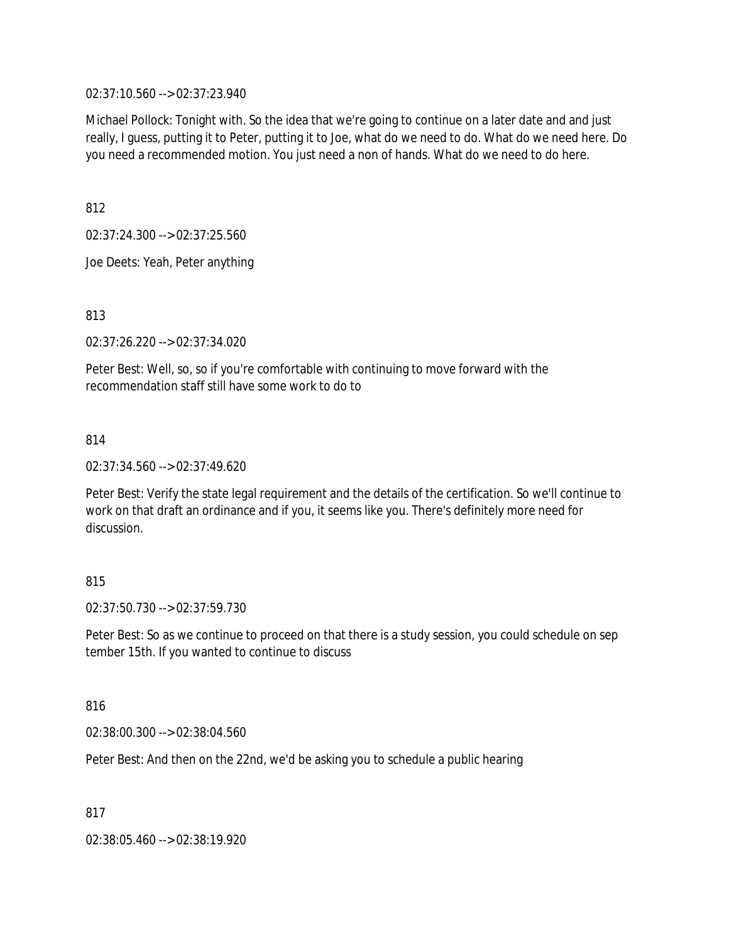02:37:10.560 --> 02:37:23.940

Michael Pollock: Tonight with. So the idea that we're going to continue on a later date and and just really, I guess, putting it to Peter, putting it to Joe, what do we need to do. What do we need here. Do you need a recommended motion. You just need a non of hands. What do we need to do here.

812

02:37:24.300 --> 02:37:25.560

Joe Deets: Yeah, Peter anything

813

02:37:26.220 --> 02:37:34.020

Peter Best: Well, so, so if you're comfortable with continuing to move forward with the recommendation staff still have some work to do to

814

02:37:34.560 --> 02:37:49.620

Peter Best: Verify the state legal requirement and the details of the certification. So we'll continue to work on that draft an ordinance and if you, it seems like you. There's definitely more need for discussion.

### 815

02:37:50.730 --> 02:37:59.730

Peter Best: So as we continue to proceed on that there is a study session, you could schedule on sep tember 15th. If you wanted to continue to discuss

816

02:38:00.300 --> 02:38:04.560

Peter Best: And then on the 22nd, we'd be asking you to schedule a public hearing

817

02:38:05.460 --> 02:38:19.920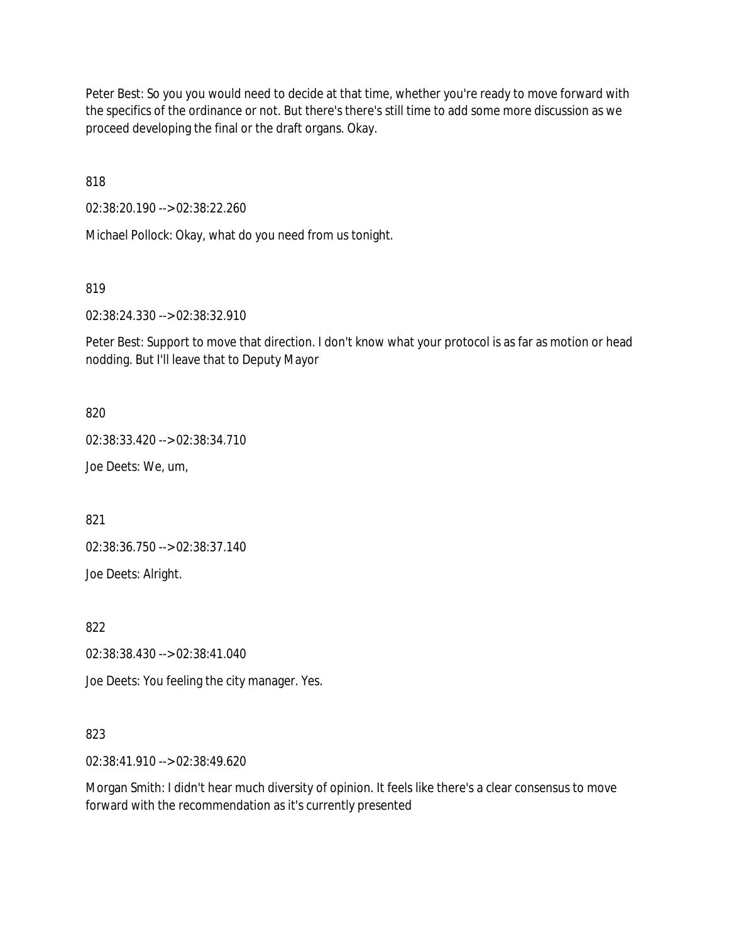Peter Best: So you you would need to decide at that time, whether you're ready to move forward with the specifics of the ordinance or not. But there's there's still time to add some more discussion as we proceed developing the final or the draft organs. Okay.

818

02:38:20.190 --> 02:38:22.260

Michael Pollock: Okay, what do you need from us tonight.

819

02:38:24.330 --> 02:38:32.910

Peter Best: Support to move that direction. I don't know what your protocol is as far as motion or head nodding. But I'll leave that to Deputy Mayor

820

02:38:33.420 --> 02:38:34.710

Joe Deets: We, um,

821

02:38:36.750 --> 02:38:37.140

Joe Deets: Alright.

822

02:38:38.430 --> 02:38:41.040

Joe Deets: You feeling the city manager. Yes.

### 823

02:38:41.910 --> 02:38:49.620

Morgan Smith: I didn't hear much diversity of opinion. It feels like there's a clear consensus to move forward with the recommendation as it's currently presented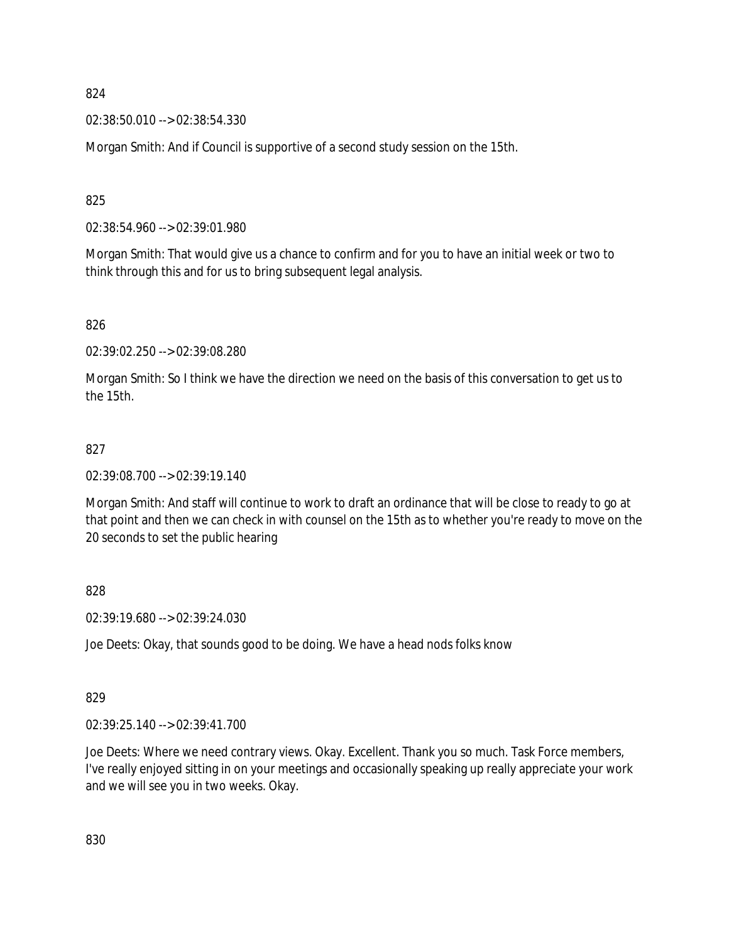02:38:50.010 --> 02:38:54.330

Morgan Smith: And if Council is supportive of a second study session on the 15th.

825

02:38:54.960 --> 02:39:01.980

Morgan Smith: That would give us a chance to confirm and for you to have an initial week or two to think through this and for us to bring subsequent legal analysis.

826

02:39:02.250 --> 02:39:08.280

Morgan Smith: So I think we have the direction we need on the basis of this conversation to get us to the 15th.

#### 827

02:39:08.700 --> 02:39:19.140

Morgan Smith: And staff will continue to work to draft an ordinance that will be close to ready to go at that point and then we can check in with counsel on the 15th as to whether you're ready to move on the 20 seconds to set the public hearing

828

02:39:19.680 --> 02:39:24.030

Joe Deets: Okay, that sounds good to be doing. We have a head nods folks know

#### 829

02:39:25.140 --> 02:39:41.700

Joe Deets: Where we need contrary views. Okay. Excellent. Thank you so much. Task Force members, I've really enjoyed sitting in on your meetings and occasionally speaking up really appreciate your work and we will see you in two weeks. Okay.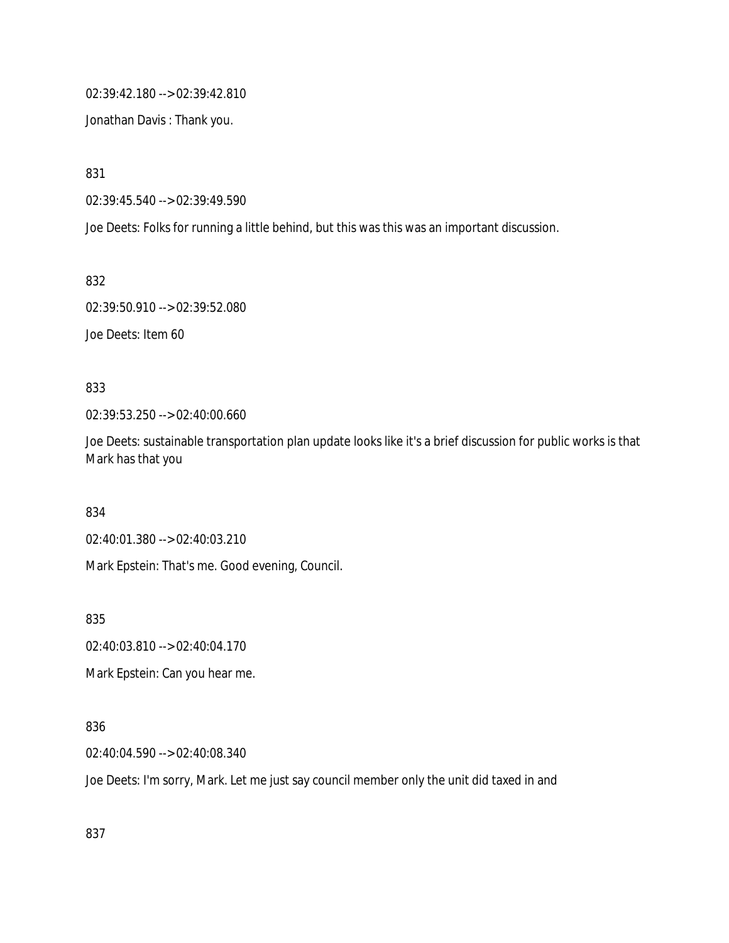02:39:42.180 --> 02:39:42.810

Jonathan Davis : Thank you.

831

02:39:45.540 --> 02:39:49.590

Joe Deets: Folks for running a little behind, but this was this was an important discussion.

832

02:39:50.910 --> 02:39:52.080

Joe Deets: Item 60

833

02:39:53.250 --> 02:40:00.660

Joe Deets: sustainable transportation plan update looks like it's a brief discussion for public works is that Mark has that you

834

02:40:01.380 --> 02:40:03.210

Mark Epstein: That's me. Good evening, Council.

835

02:40:03.810 --> 02:40:04.170

Mark Epstein: Can you hear me.

836

02:40:04.590 --> 02:40:08.340

Joe Deets: I'm sorry, Mark. Let me just say council member only the unit did taxed in and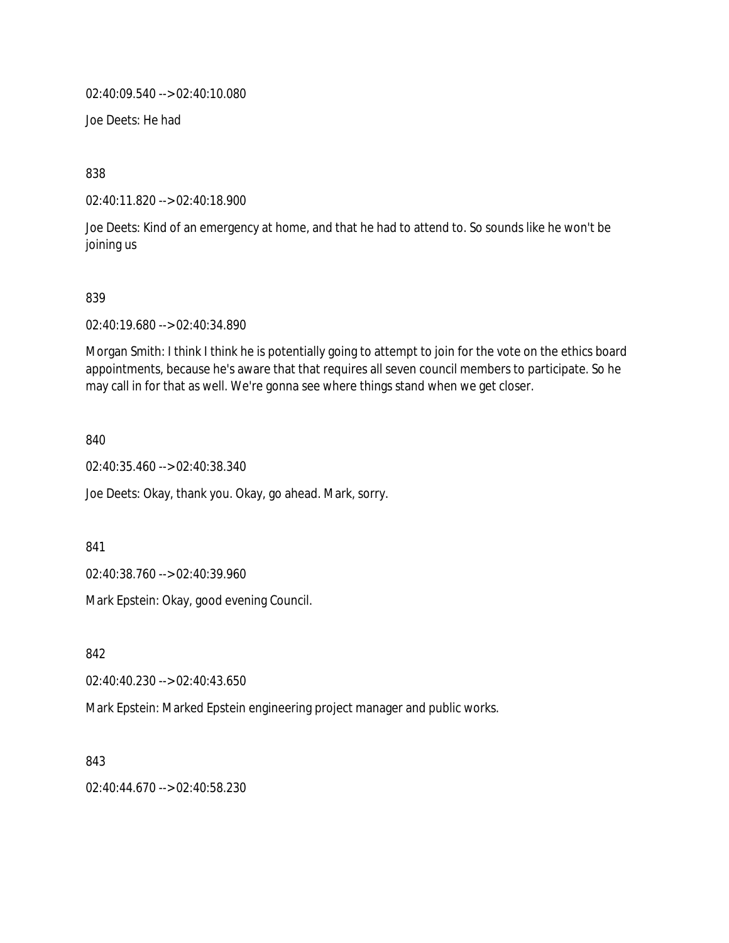02:40:09.540 --> 02:40:10.080

Joe Deets: He had

838

02:40:11.820 --> 02:40:18.900

Joe Deets: Kind of an emergency at home, and that he had to attend to. So sounds like he won't be joining us

#### 839

02:40:19.680 --> 02:40:34.890

Morgan Smith: I think I think he is potentially going to attempt to join for the vote on the ethics board appointments, because he's aware that that requires all seven council members to participate. So he may call in for that as well. We're gonna see where things stand when we get closer.

840

02:40:35.460 --> 02:40:38.340

Joe Deets: Okay, thank you. Okay, go ahead. Mark, sorry.

841

02:40:38.760 --> 02:40:39.960

Mark Epstein: Okay, good evening Council.

842

02:40:40.230 --> 02:40:43.650

Mark Epstein: Marked Epstein engineering project manager and public works.

843

02:40:44.670 --> 02:40:58.230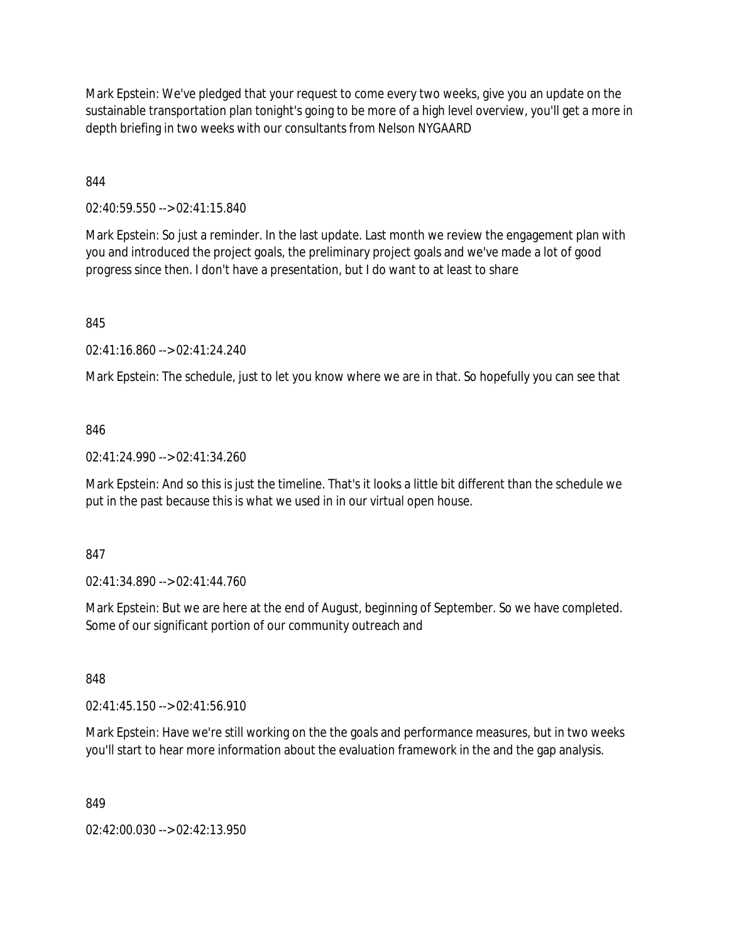Mark Epstein: We've pledged that your request to come every two weeks, give you an update on the sustainable transportation plan tonight's going to be more of a high level overview, you'll get a more in depth briefing in two weeks with our consultants from Nelson NYGAARD

844

02:40:59.550 --> 02:41:15.840

Mark Epstein: So just a reminder. In the last update. Last month we review the engagement plan with you and introduced the project goals, the preliminary project goals and we've made a lot of good progress since then. I don't have a presentation, but I do want to at least to share

845

02:41:16.860 --> 02:41:24.240

Mark Epstein: The schedule, just to let you know where we are in that. So hopefully you can see that

### 846

02:41:24.990 --> 02:41:34.260

Mark Epstein: And so this is just the timeline. That's it looks a little bit different than the schedule we put in the past because this is what we used in in our virtual open house.

#### 847

02:41:34.890 --> 02:41:44.760

Mark Epstein: But we are here at the end of August, beginning of September. So we have completed. Some of our significant portion of our community outreach and

848

02:41:45.150 --> 02:41:56.910

Mark Epstein: Have we're still working on the the goals and performance measures, but in two weeks you'll start to hear more information about the evaluation framework in the and the gap analysis.

849

02:42:00.030 --> 02:42:13.950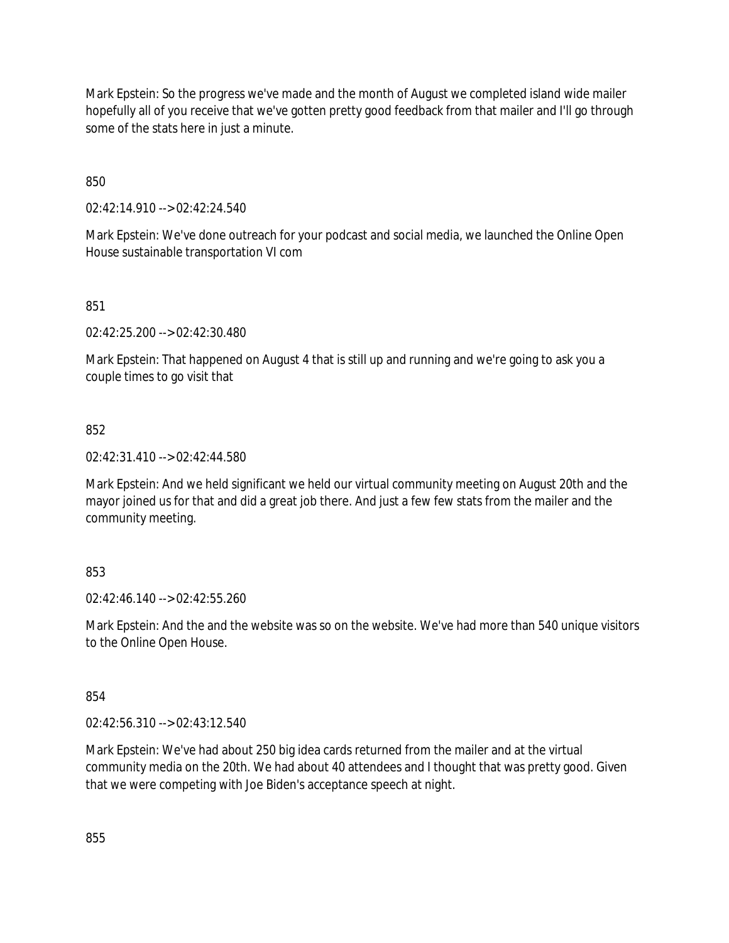Mark Epstein: So the progress we've made and the month of August we completed island wide mailer hopefully all of you receive that we've gotten pretty good feedback from that mailer and I'll go through some of the stats here in just a minute.

850

02:42:14.910 --> 02:42:24.540

Mark Epstein: We've done outreach for your podcast and social media, we launched the Online Open House sustainable transportation VI com

851

02:42:25.200 --> 02:42:30.480

Mark Epstein: That happened on August 4 that is still up and running and we're going to ask you a couple times to go visit that

852

02:42:31.410 --> 02:42:44.580

Mark Epstein: And we held significant we held our virtual community meeting on August 20th and the mayor joined us for that and did a great job there. And just a few few stats from the mailer and the community meeting.

### 853

02:42:46.140 --> 02:42:55.260

Mark Epstein: And the and the website was so on the website. We've had more than 540 unique visitors to the Online Open House.

854

02:42:56.310 --> 02:43:12.540

Mark Epstein: We've had about 250 big idea cards returned from the mailer and at the virtual community media on the 20th. We had about 40 attendees and I thought that was pretty good. Given that we were competing with Joe Biden's acceptance speech at night.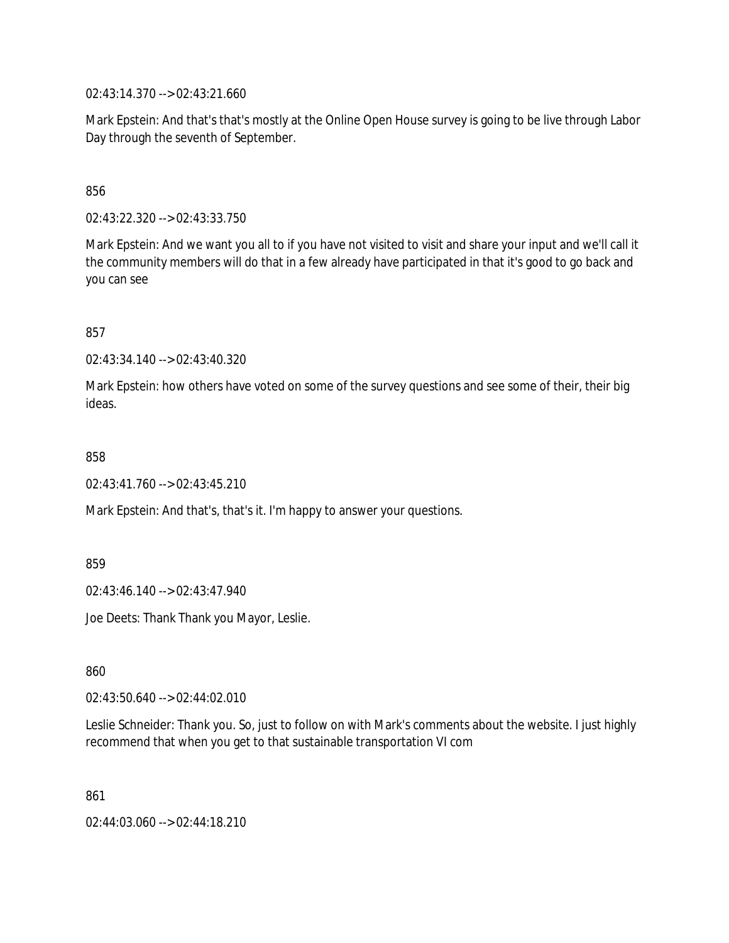02:43:14.370 --> 02:43:21.660

Mark Epstein: And that's that's mostly at the Online Open House survey is going to be live through Labor Day through the seventh of September.

856

02:43:22.320 --> 02:43:33.750

Mark Epstein: And we want you all to if you have not visited to visit and share your input and we'll call it the community members will do that in a few already have participated in that it's good to go back and you can see

857

02:43:34.140 --> 02:43:40.320

Mark Epstein: how others have voted on some of the survey questions and see some of their, their big ideas.

858

02:43:41.760 --> 02:43:45.210

Mark Epstein: And that's, that's it. I'm happy to answer your questions.

859

02:43:46.140 --> 02:43:47.940

Joe Deets: Thank Thank you Mayor, Leslie.

860

02:43:50.640 --> 02:44:02.010

Leslie Schneider: Thank you. So, just to follow on with Mark's comments about the website. I just highly recommend that when you get to that sustainable transportation VI com

861

02:44:03.060 --> 02:44:18.210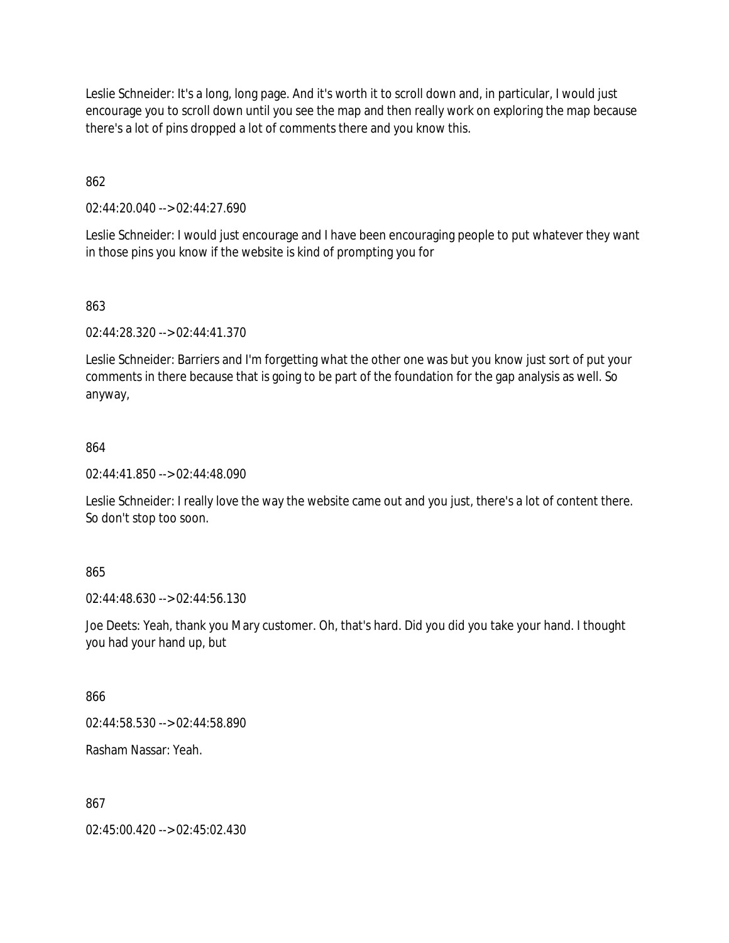Leslie Schneider: It's a long, long page. And it's worth it to scroll down and, in particular, I would just encourage you to scroll down until you see the map and then really work on exploring the map because there's a lot of pins dropped a lot of comments there and you know this.

862

02:44:20.040 --> 02:44:27.690

Leslie Schneider: I would just encourage and I have been encouraging people to put whatever they want in those pins you know if the website is kind of prompting you for

### 863

02:44:28.320 --> 02:44:41.370

Leslie Schneider: Barriers and I'm forgetting what the other one was but you know just sort of put your comments in there because that is going to be part of the foundation for the gap analysis as well. So anyway,

### 864

02:44:41.850 --> 02:44:48.090

Leslie Schneider: I really love the way the website came out and you just, there's a lot of content there. So don't stop too soon.

### 865

02:44:48.630 --> 02:44:56.130

Joe Deets: Yeah, thank you Mary customer. Oh, that's hard. Did you did you take your hand. I thought you had your hand up, but

### 866

02:44:58.530 --> 02:44:58.890

Rasham Nassar: Yeah.

### 867

02:45:00.420 --> 02:45:02.430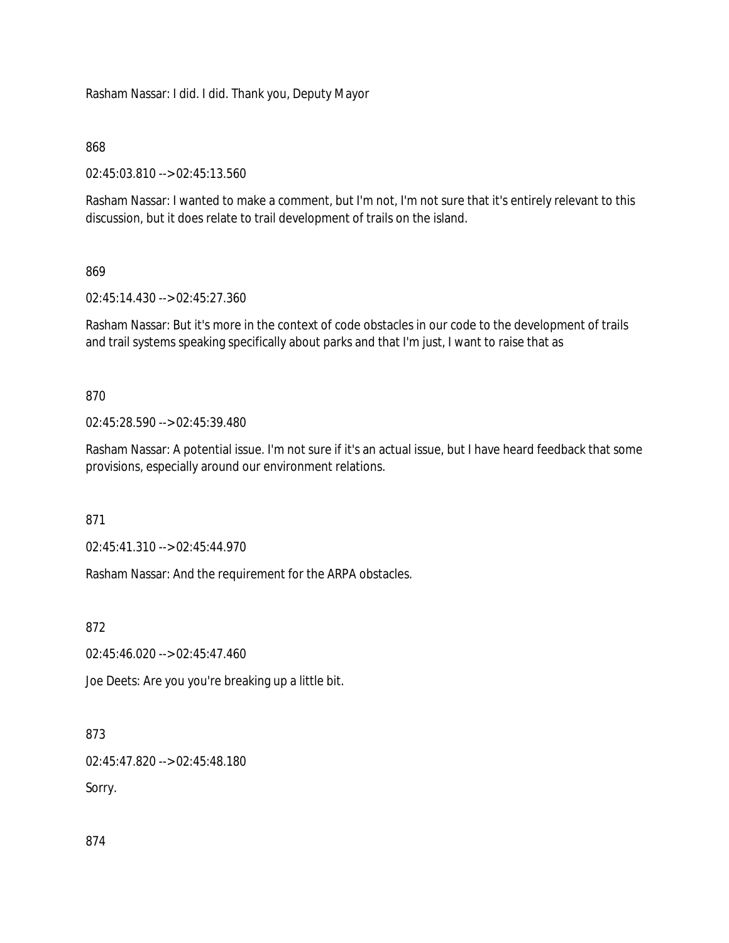Rasham Nassar: I did. I did. Thank you, Deputy Mayor

### 868

02:45:03.810 --> 02:45:13.560

Rasham Nassar: I wanted to make a comment, but I'm not, I'm not sure that it's entirely relevant to this discussion, but it does relate to trail development of trails on the island.

### 869

02:45:14.430 --> 02:45:27.360

Rasham Nassar: But it's more in the context of code obstacles in our code to the development of trails and trail systems speaking specifically about parks and that I'm just, I want to raise that as

### 870

02:45:28.590 --> 02:45:39.480

Rasham Nassar: A potential issue. I'm not sure if it's an actual issue, but I have heard feedback that some provisions, especially around our environment relations.

871

02:45:41.310 --> 02:45:44.970

Rasham Nassar: And the requirement for the ARPA obstacles.

872

02:45:46.020 --> 02:45:47.460

Joe Deets: Are you you're breaking up a little bit.

873

02:45:47.820 --> 02:45:48.180

Sorry.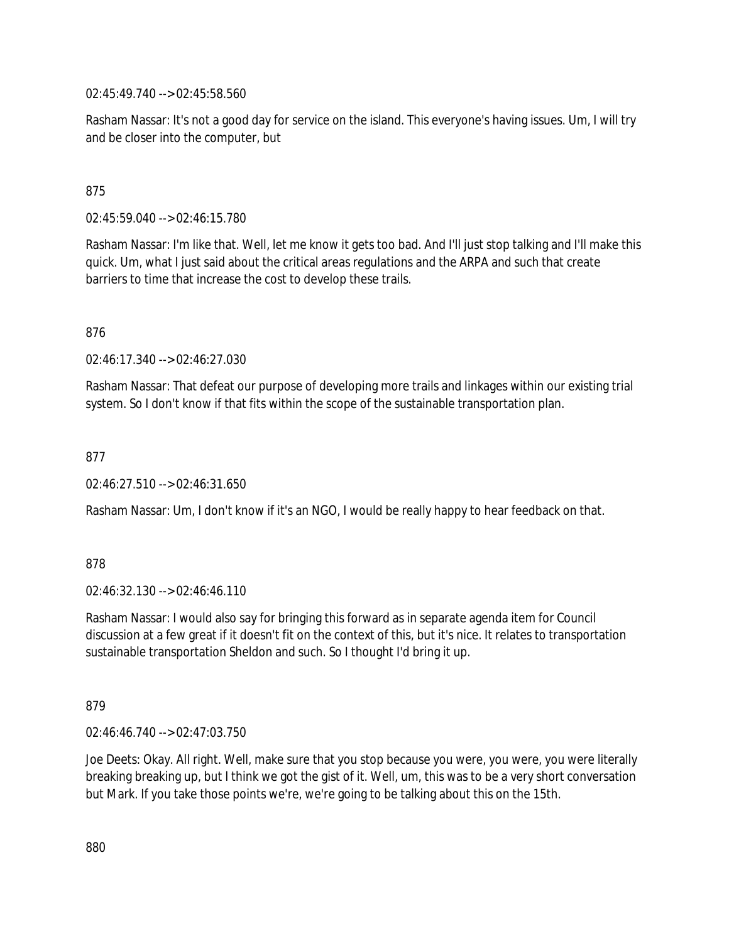02:45:49.740 --> 02:45:58.560

Rasham Nassar: It's not a good day for service on the island. This everyone's having issues. Um, I will try and be closer into the computer, but

### 875

02:45:59.040 --> 02:46:15.780

Rasham Nassar: I'm like that. Well, let me know it gets too bad. And I'll just stop talking and I'll make this quick. Um, what I just said about the critical areas regulations and the ARPA and such that create barriers to time that increase the cost to develop these trails.

876

02:46:17.340 --> 02:46:27.030

Rasham Nassar: That defeat our purpose of developing more trails and linkages within our existing trial system. So I don't know if that fits within the scope of the sustainable transportation plan.

877

02:46:27.510 --> 02:46:31.650

Rasham Nassar: Um, I don't know if it's an NGO, I would be really happy to hear feedback on that.

878

02:46:32.130 --> 02:46:46.110

Rasham Nassar: I would also say for bringing this forward as in separate agenda item for Council discussion at a few great if it doesn't fit on the context of this, but it's nice. It relates to transportation sustainable transportation Sheldon and such. So I thought I'd bring it up.

879

02:46:46.740 --> 02:47:03.750

Joe Deets: Okay. All right. Well, make sure that you stop because you were, you were, you were literally breaking breaking up, but I think we got the gist of it. Well, um, this was to be a very short conversation but Mark. If you take those points we're, we're going to be talking about this on the 15th.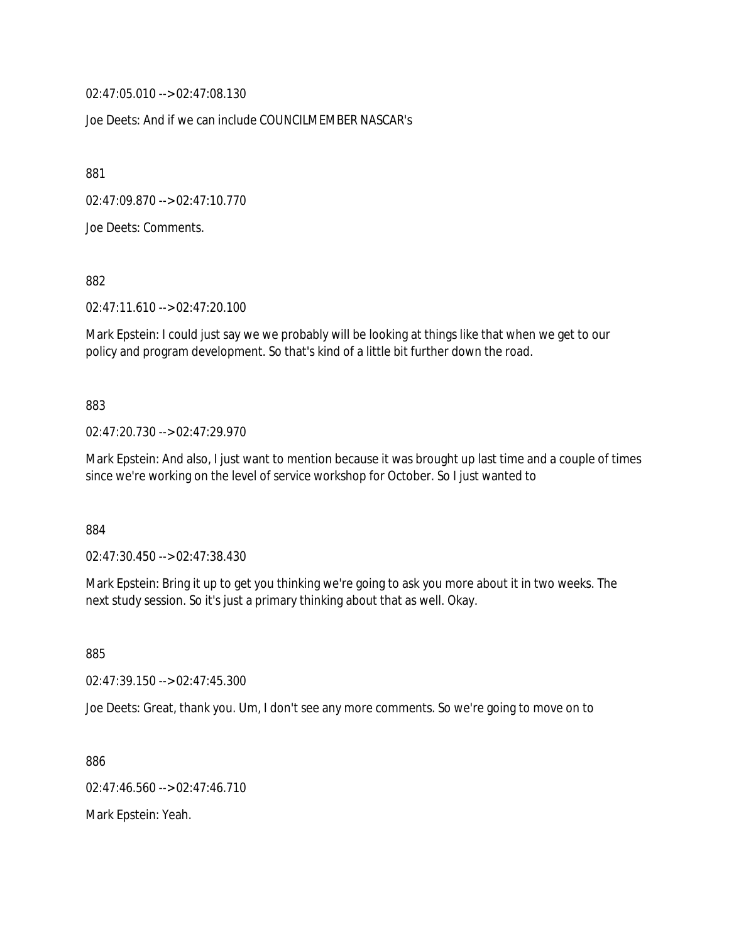02:47:05.010 --> 02:47:08.130

Joe Deets: And if we can include COUNCILMEMBER NASCAR's

881

02:47:09.870 --> 02:47:10.770

Joe Deets: Comments.

882

02:47:11.610 --> 02:47:20.100

Mark Epstein: I could just say we we probably will be looking at things like that when we get to our policy and program development. So that's kind of a little bit further down the road.

883

02:47:20.730 --> 02:47:29.970

Mark Epstein: And also, I just want to mention because it was brought up last time and a couple of times since we're working on the level of service workshop for October. So I just wanted to

884

02:47:30.450 --> 02:47:38.430

Mark Epstein: Bring it up to get you thinking we're going to ask you more about it in two weeks. The next study session. So it's just a primary thinking about that as well. Okay.

885

02:47:39.150 --> 02:47:45.300

Joe Deets: Great, thank you. Um, I don't see any more comments. So we're going to move on to

886

02:47:46.560 --> 02:47:46.710

Mark Epstein: Yeah.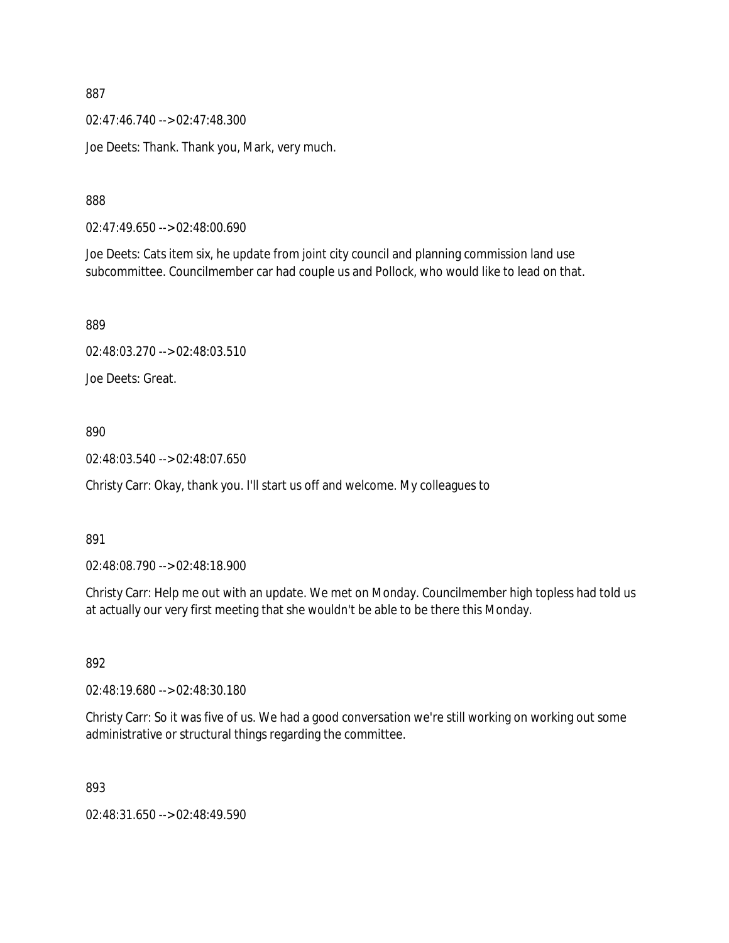02:47:46.740 --> 02:47:48.300

Joe Deets: Thank. Thank you, Mark, very much.

888

02:47:49.650 --> 02:48:00.690

Joe Deets: Cats item six, he update from joint city council and planning commission land use subcommittee. Councilmember car had couple us and Pollock, who would like to lead on that.

889

```
02:48:03.270 --> 02:48:03.510
```
Joe Deets: Great.

890

02:48:03.540 --> 02:48:07.650

Christy Carr: Okay, thank you. I'll start us off and welcome. My colleagues to

891

02:48:08.790 --> 02:48:18.900

Christy Carr: Help me out with an update. We met on Monday. Councilmember high topless had told us at actually our very first meeting that she wouldn't be able to be there this Monday.

892

02:48:19.680 --> 02:48:30.180

Christy Carr: So it was five of us. We had a good conversation we're still working on working out some administrative or structural things regarding the committee.

893

02:48:31.650 --> 02:48:49.590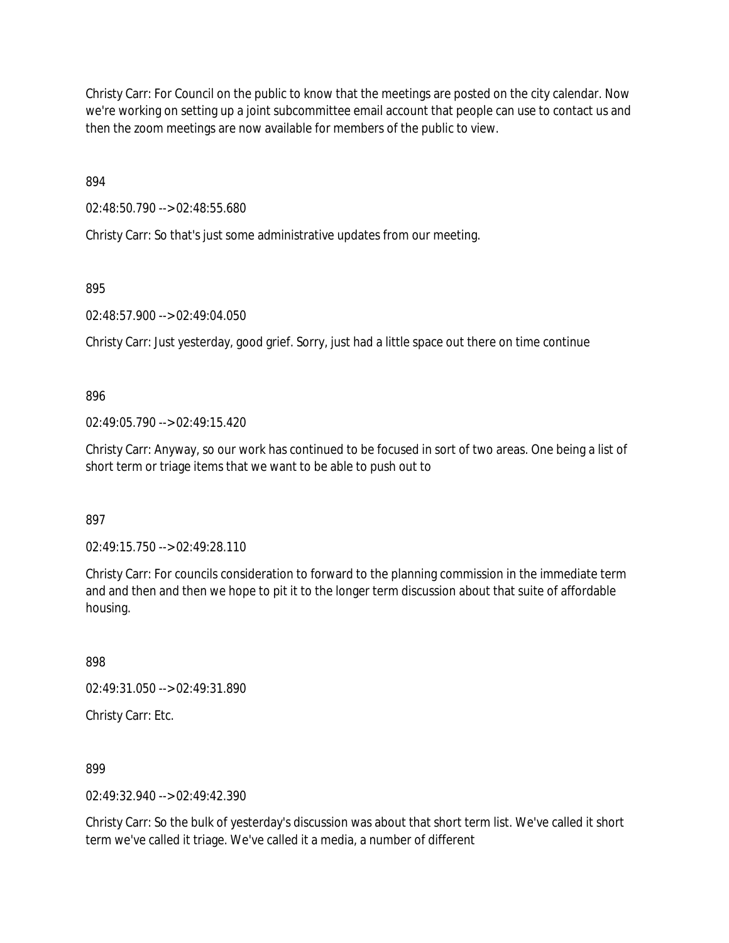Christy Carr: For Council on the public to know that the meetings are posted on the city calendar. Now we're working on setting up a joint subcommittee email account that people can use to contact us and then the zoom meetings are now available for members of the public to view.

894

02:48:50.790 --> 02:48:55.680

Christy Carr: So that's just some administrative updates from our meeting.

895

02:48:57.900 --> 02:49:04.050

Christy Carr: Just yesterday, good grief. Sorry, just had a little space out there on time continue

896

 $02.49.05$  790 -->  $02.49.15$  420

Christy Carr: Anyway, so our work has continued to be focused in sort of two areas. One being a list of short term or triage items that we want to be able to push out to

897

02:49:15.750 --> 02:49:28.110

Christy Carr: For councils consideration to forward to the planning commission in the immediate term and and then and then we hope to pit it to the longer term discussion about that suite of affordable housing.

898

02:49:31.050 --> 02:49:31.890

Christy Carr: Etc.

899

 $02.49.32.940 -5.02.49.42.390$ 

Christy Carr: So the bulk of yesterday's discussion was about that short term list. We've called it short term we've called it triage. We've called it a media, a number of different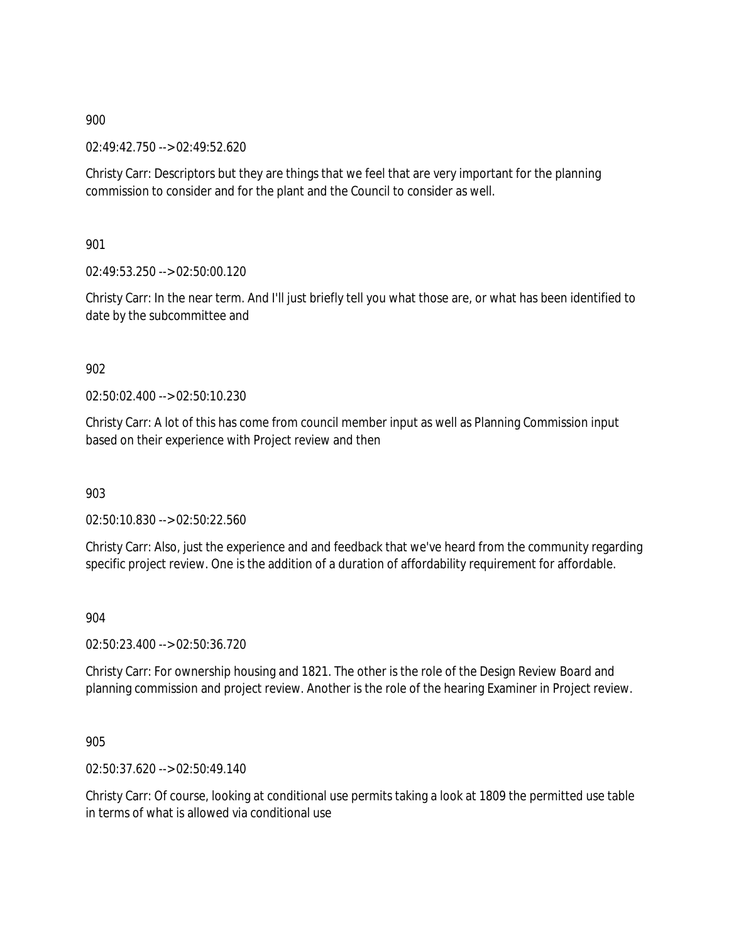02:49:42.750 --> 02:49:52.620

Christy Carr: Descriptors but they are things that we feel that are very important for the planning commission to consider and for the plant and the Council to consider as well.

901

02:49:53.250 --> 02:50:00.120

Christy Carr: In the near term. And I'll just briefly tell you what those are, or what has been identified to date by the subcommittee and

902

02:50:02.400 --> 02:50:10.230

Christy Carr: A lot of this has come from council member input as well as Planning Commission input based on their experience with Project review and then

903

02:50:10.830 --> 02:50:22.560

Christy Carr: Also, just the experience and and feedback that we've heard from the community regarding specific project review. One is the addition of a duration of affordability requirement for affordable.

904

02:50:23.400 --> 02:50:36.720

Christy Carr: For ownership housing and 1821. The other is the role of the Design Review Board and planning commission and project review. Another is the role of the hearing Examiner in Project review.

905

02:50:37.620 --> 02:50:49.140

Christy Carr: Of course, looking at conditional use permits taking a look at 1809 the permitted use table in terms of what is allowed via conditional use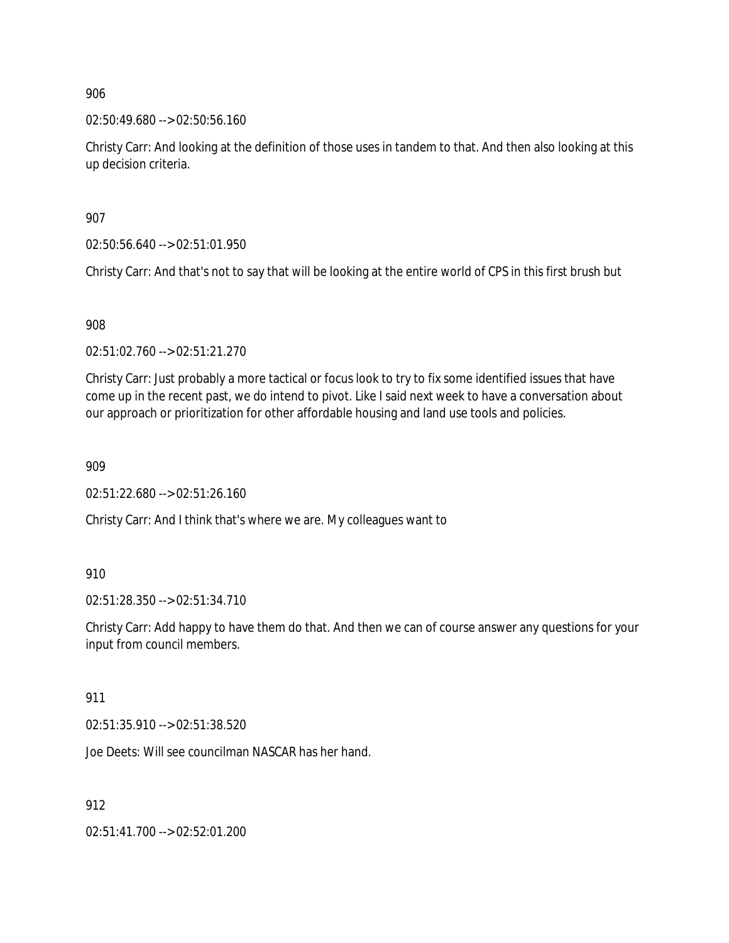02:50:49.680 --> 02:50:56.160

Christy Carr: And looking at the definition of those uses in tandem to that. And then also looking at this up decision criteria.

907

02:50:56.640 --> 02:51:01.950

Christy Carr: And that's not to say that will be looking at the entire world of CPS in this first brush but

908

02:51:02.760 --> 02:51:21.270

Christy Carr: Just probably a more tactical or focus look to try to fix some identified issues that have come up in the recent past, we do intend to pivot. Like I said next week to have a conversation about our approach or prioritization for other affordable housing and land use tools and policies.

909

02:51:22.680 --> 02:51:26.160

Christy Carr: And I think that's where we are. My colleagues want to

910

02:51:28.350 --> 02:51:34.710

Christy Carr: Add happy to have them do that. And then we can of course answer any questions for your input from council members.

911

02:51:35.910 --> 02:51:38.520

Joe Deets: Will see councilman NASCAR has her hand.

912

02:51:41.700 --> 02:52:01.200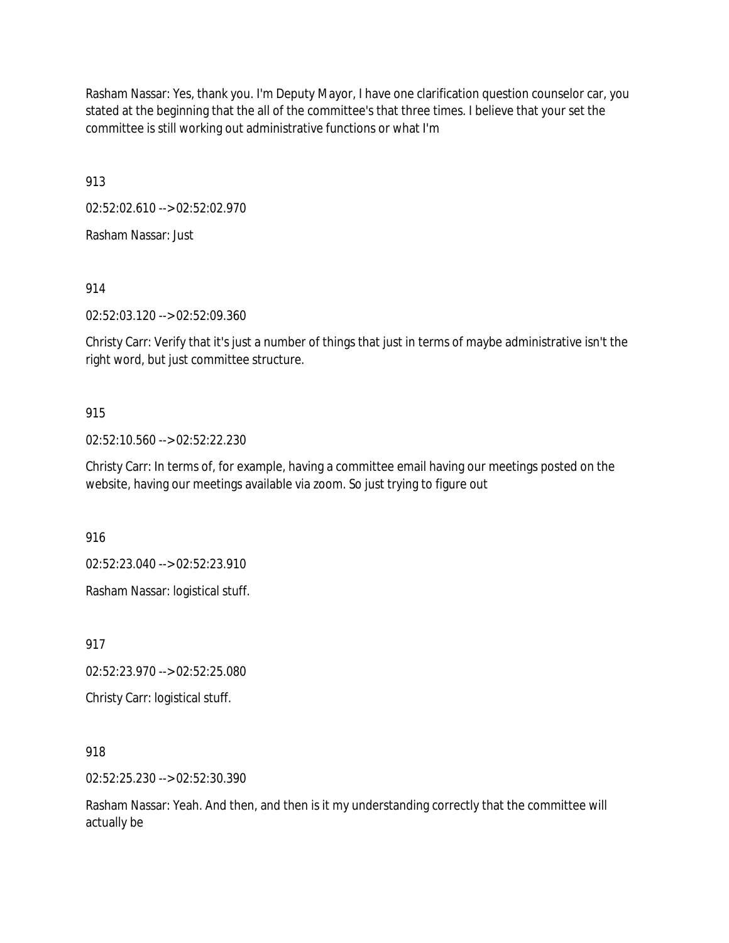Rasham Nassar: Yes, thank you. I'm Deputy Mayor, I have one clarification question counselor car, you stated at the beginning that the all of the committee's that three times. I believe that your set the committee is still working out administrative functions or what I'm

913

02:52:02.610 --> 02:52:02.970

Rasham Nassar: Just

914

02:52:03.120 --> 02:52:09.360

Christy Carr: Verify that it's just a number of things that just in terms of maybe administrative isn't the right word, but just committee structure.

# 915

02:52:10.560 --> 02:52:22.230

Christy Carr: In terms of, for example, having a committee email having our meetings posted on the website, having our meetings available via zoom. So just trying to figure out

916

02:52:23.040 --> 02:52:23.910

Rasham Nassar: logistical stuff.

917

02:52:23.970 --> 02:52:25.080

Christy Carr: logistical stuff.

918

02:52:25.230 --> 02:52:30.390

Rasham Nassar: Yeah. And then, and then is it my understanding correctly that the committee will actually be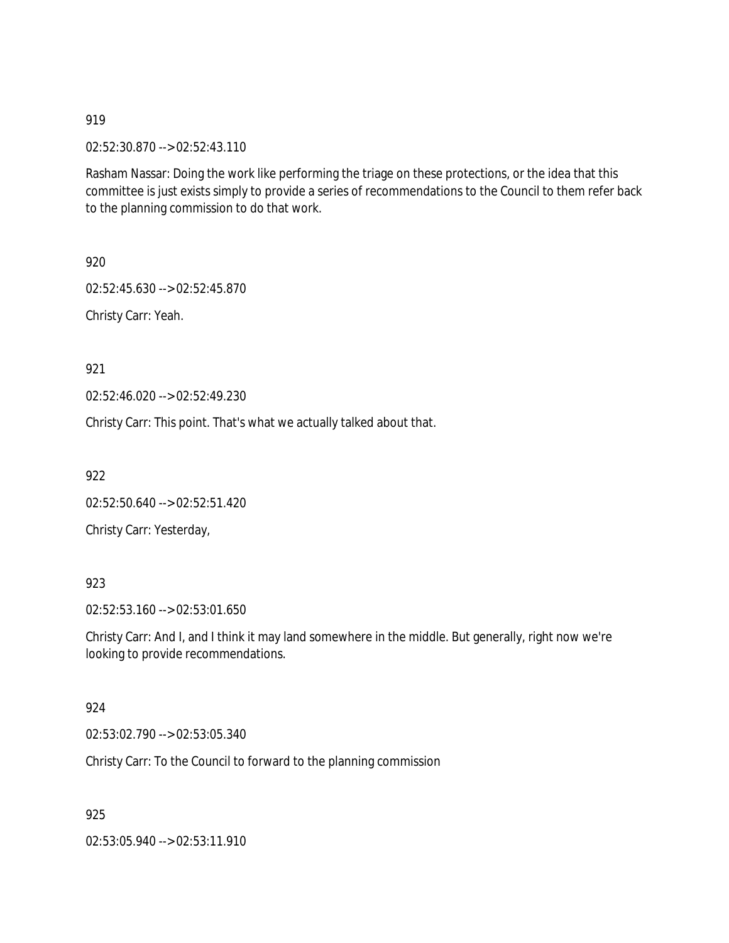02:52:30.870 --> 02:52:43.110

Rasham Nassar: Doing the work like performing the triage on these protections, or the idea that this committee is just exists simply to provide a series of recommendations to the Council to them refer back to the planning commission to do that work.

920

02:52:45.630 --> 02:52:45.870

Christy Carr: Yeah.

921

02:52:46.020 --> 02:52:49.230

Christy Carr: This point. That's what we actually talked about that.

922

02:52:50.640 --> 02:52:51.420

Christy Carr: Yesterday,

## 923

02:52:53.160 --> 02:53:01.650

Christy Carr: And I, and I think it may land somewhere in the middle. But generally, right now we're looking to provide recommendations.

#### 924

02:53:02.790 --> 02:53:05.340

Christy Carr: To the Council to forward to the planning commission

925

02:53:05.940 --> 02:53:11.910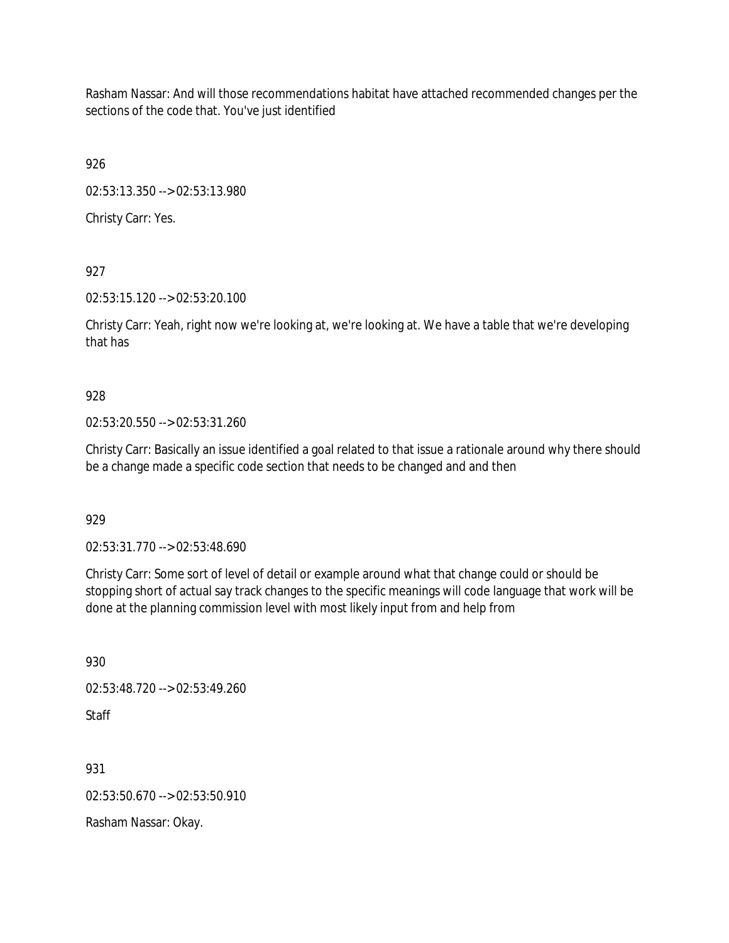Rasham Nassar: And will those recommendations habitat have attached recommended changes per the sections of the code that. You've just identified

926

02:53:13.350 --> 02:53:13.980

Christy Carr: Yes.

927

02:53:15.120 --> 02:53:20.100

Christy Carr: Yeah, right now we're looking at, we're looking at. We have a table that we're developing that has

928

02:53:20.550 --> 02:53:31.260

Christy Carr: Basically an issue identified a goal related to that issue a rationale around why there should be a change made a specific code section that needs to be changed and and then

929

02:53:31.770 --> 02:53:48.690

Christy Carr: Some sort of level of detail or example around what that change could or should be stopping short of actual say track changes to the specific meanings will code language that work will be done at the planning commission level with most likely input from and help from

930 02:53:48.720 --> 02:53:49.260 Staff

931

02:53:50.670 --> 02:53:50.910

Rasham Nassar: Okay.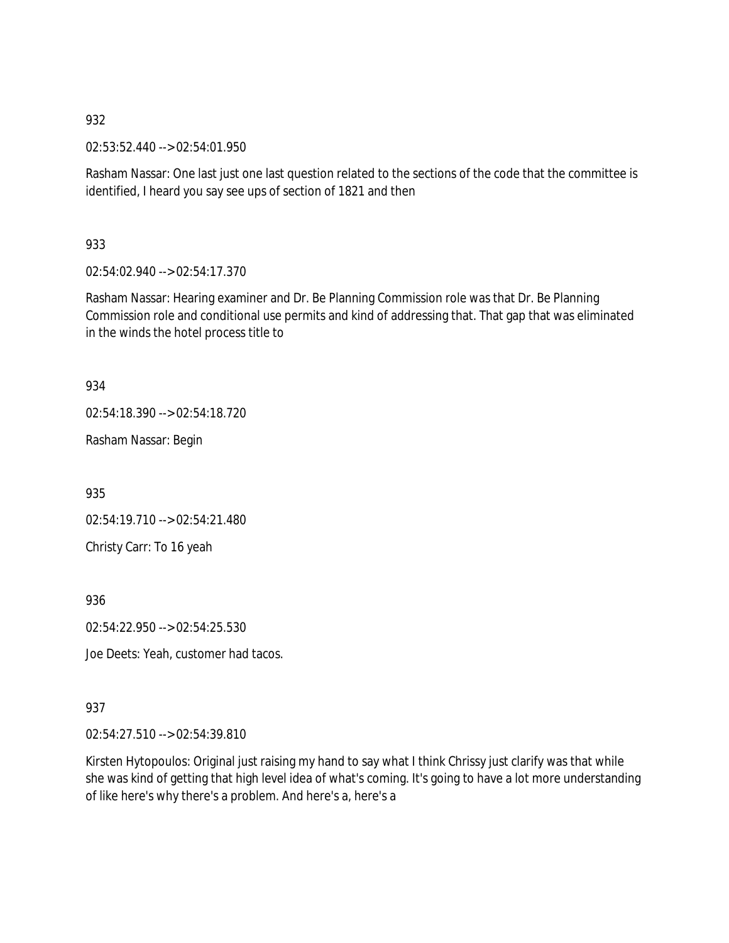02:53:52.440 --> 02:54:01.950

Rasham Nassar: One last just one last question related to the sections of the code that the committee is identified, I heard you say see ups of section of 1821 and then

933

02:54:02.940 --> 02:54:17.370

Rasham Nassar: Hearing examiner and Dr. Be Planning Commission role was that Dr. Be Planning Commission role and conditional use permits and kind of addressing that. That gap that was eliminated in the winds the hotel process title to

934

02:54:18.390 --> 02:54:18.720

Rasham Nassar: Begin

935

02:54:19.710 --> 02:54:21.480

Christy Carr: To 16 yeah

936

02:54:22.950 --> 02:54:25.530

Joe Deets: Yeah, customer had tacos.

## 937

02:54:27.510 --> 02:54:39.810

Kirsten Hytopoulos: Original just raising my hand to say what I think Chrissy just clarify was that while she was kind of getting that high level idea of what's coming. It's going to have a lot more understanding of like here's why there's a problem. And here's a, here's a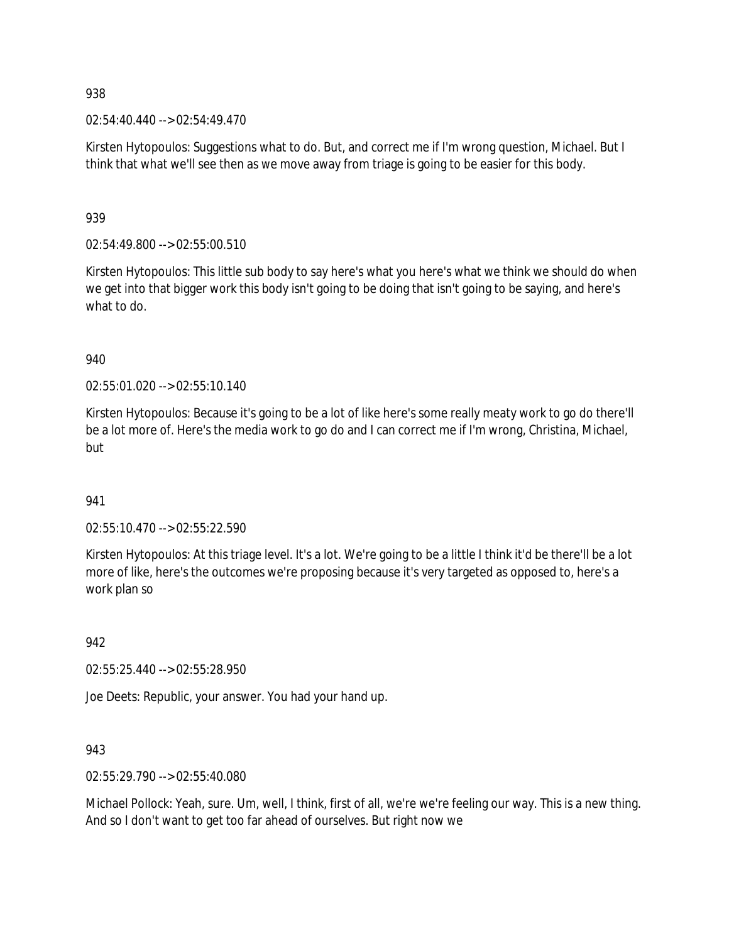$02:54:40.440 \rightarrow 02:54:49.470$ 

Kirsten Hytopoulos: Suggestions what to do. But, and correct me if I'm wrong question, Michael. But I think that what we'll see then as we move away from triage is going to be easier for this body.

939

02:54:49.800 --> 02:55:00.510

Kirsten Hytopoulos: This little sub body to say here's what you here's what we think we should do when we get into that bigger work this body isn't going to be doing that isn't going to be saying, and here's what to do.

940

02:55:01.020 --> 02:55:10.140

Kirsten Hytopoulos: Because it's going to be a lot of like here's some really meaty work to go do there'll be a lot more of. Here's the media work to go do and I can correct me if I'm wrong, Christina, Michael, but

## 941

02:55:10.470 --> 02:55:22.590

Kirsten Hytopoulos: At this triage level. It's a lot. We're going to be a little I think it'd be there'll be a lot more of like, here's the outcomes we're proposing because it's very targeted as opposed to, here's a work plan so

942

02:55:25.440 --> 02:55:28.950

Joe Deets: Republic, your answer. You had your hand up.

943

02:55:29.790 --> 02:55:40.080

Michael Pollock: Yeah, sure. Um, well, I think, first of all, we're we're feeling our way. This is a new thing. And so I don't want to get too far ahead of ourselves. But right now we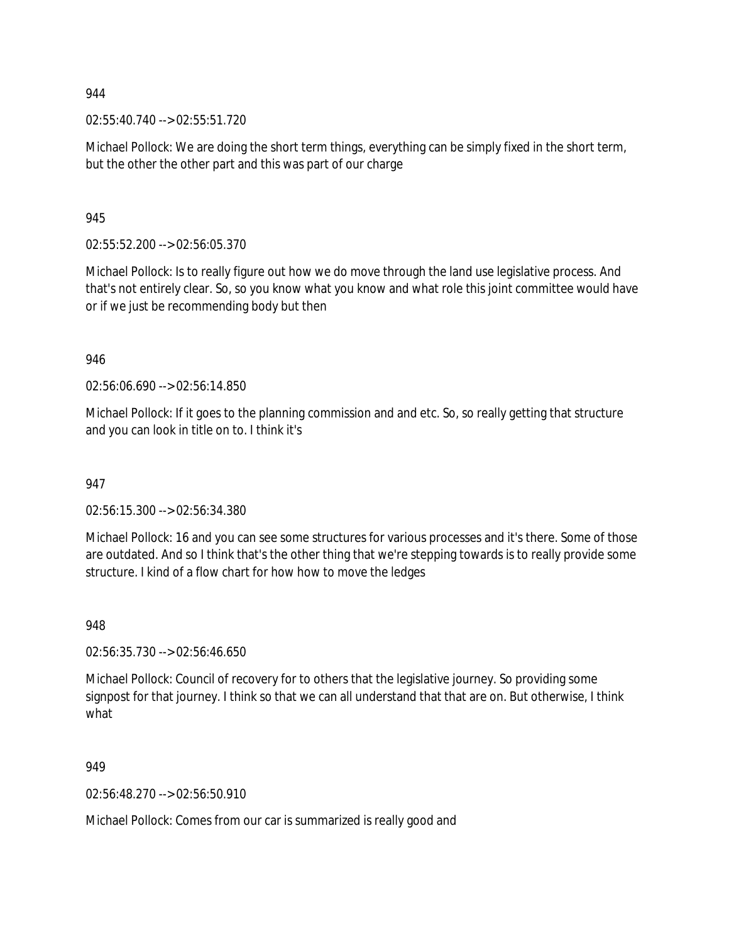02:55:40.740 --> 02:55:51.720

Michael Pollock: We are doing the short term things, everything can be simply fixed in the short term, but the other the other part and this was part of our charge

945

02:55:52.200 --> 02:56:05.370

Michael Pollock: Is to really figure out how we do move through the land use legislative process. And that's not entirely clear. So, so you know what you know and what role this joint committee would have or if we just be recommending body but then

946

02:56:06.690 --> 02:56:14.850

Michael Pollock: If it goes to the planning commission and and etc. So, so really getting that structure and you can look in title on to. I think it's

947

02:56:15.300 --> 02:56:34.380

Michael Pollock: 16 and you can see some structures for various processes and it's there. Some of those are outdated. And so I think that's the other thing that we're stepping towards is to really provide some structure. I kind of a flow chart for how how to move the ledges

948

02:56:35.730 --> 02:56:46.650

Michael Pollock: Council of recovery for to others that the legislative journey. So providing some signpost for that journey. I think so that we can all understand that that are on. But otherwise, I think what

949

02:56:48.270 --> 02:56:50.910

Michael Pollock: Comes from our car is summarized is really good and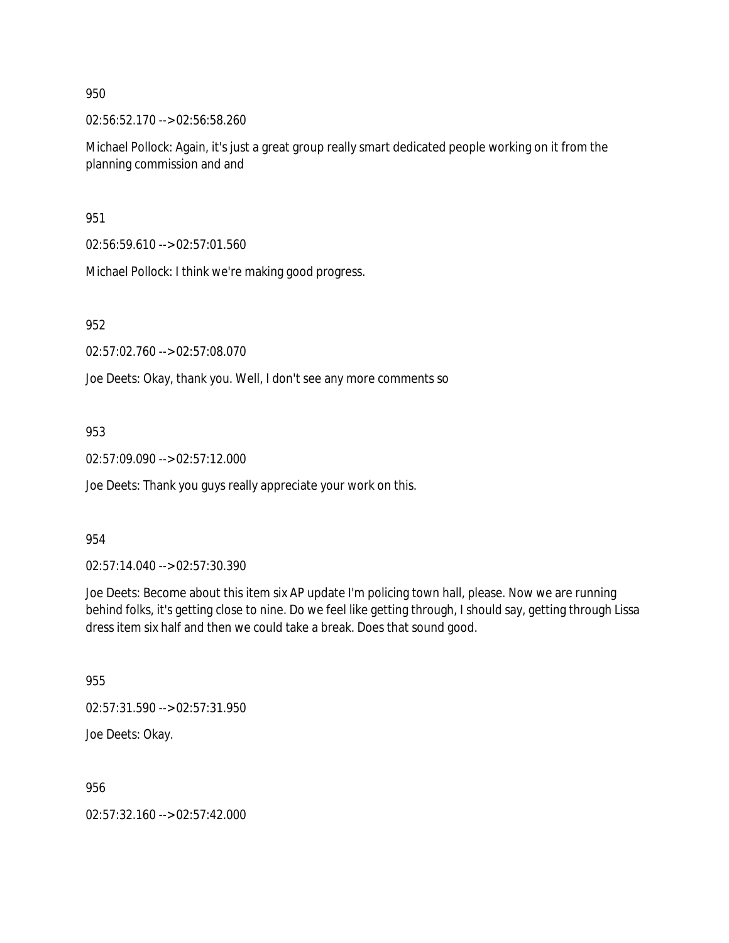02:56:52.170 --> 02:56:58.260

Michael Pollock: Again, it's just a great group really smart dedicated people working on it from the planning commission and and

951

02:56:59.610 --> 02:57:01.560

Michael Pollock: I think we're making good progress.

952

02:57:02.760 --> 02:57:08.070

Joe Deets: Okay, thank you. Well, I don't see any more comments so

953

02:57:09.090 --> 02:57:12.000

Joe Deets: Thank you guys really appreciate your work on this.

#### 954

02:57:14.040 --> 02:57:30.390

Joe Deets: Become about this item six AP update I'm policing town hall, please. Now we are running behind folks, it's getting close to nine. Do we feel like getting through, I should say, getting through Lissa dress item six half and then we could take a break. Does that sound good.

955

02:57:31.590 --> 02:57:31.950

Joe Deets: Okay.

956

02:57:32.160 --> 02:57:42.000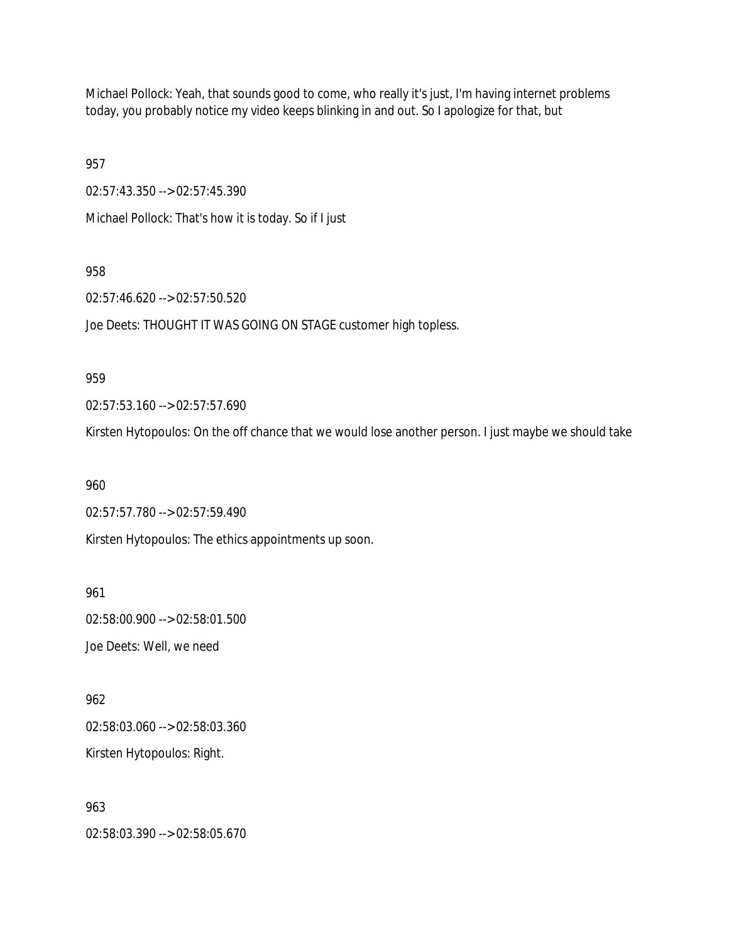Michael Pollock: Yeah, that sounds good to come, who really it's just, I'm having internet problems today, you probably notice my video keeps blinking in and out. So I apologize for that, but

957

02:57:43.350 --> 02:57:45.390

Michael Pollock: That's how it is today. So if I just

958

02:57:46.620 --> 02:57:50.520

Joe Deets: THOUGHT IT WAS GOING ON STAGE customer high topless.

959

02:57:53.160 --> 02:57:57.690

Kirsten Hytopoulos: On the off chance that we would lose another person. I just maybe we should take

960

02:57:57.780 --> 02:57:59.490

Kirsten Hytopoulos: The ethics appointments up soon.

961

02:58:00.900 --> 02:58:01.500 Joe Deets: Well, we need

962 02:58:03.060 --> 02:58:03.360 Kirsten Hytopoulos: Right.

963 02:58:03.390 --> 02:58:05.670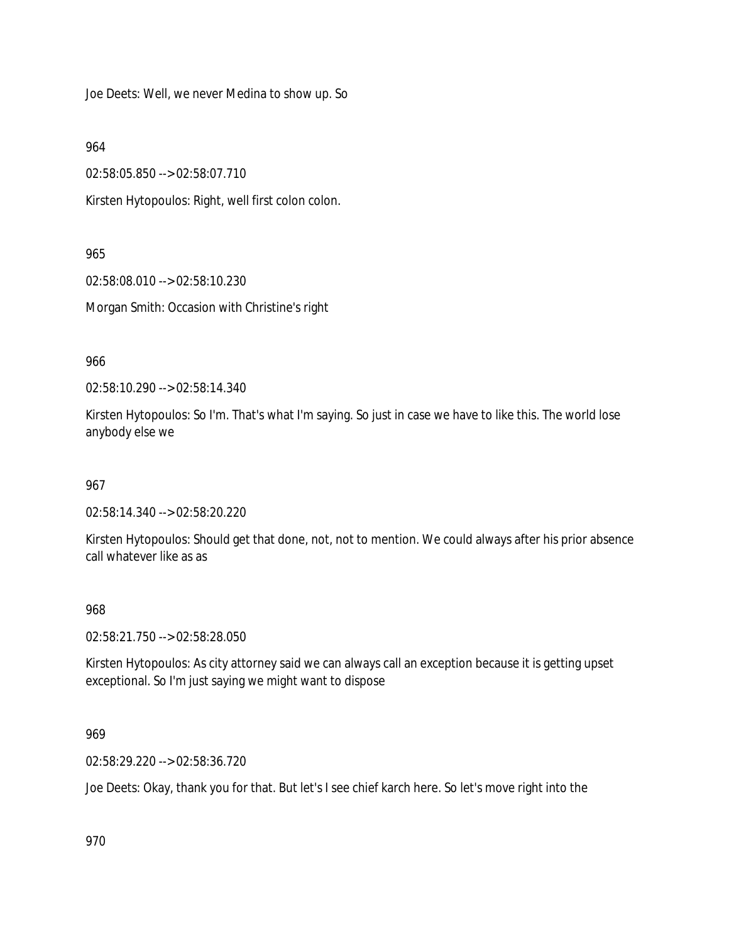Joe Deets: Well, we never Medina to show up. So

964

02:58:05.850 --> 02:58:07.710

Kirsten Hytopoulos: Right, well first colon colon.

965

02:58:08.010 --> 02:58:10.230 Morgan Smith: Occasion with Christine's right

966

02:58:10.290 --> 02:58:14.340

Kirsten Hytopoulos: So I'm. That's what I'm saying. So just in case we have to like this. The world lose anybody else we

967

02:58:14.340 --> 02:58:20.220

Kirsten Hytopoulos: Should get that done, not, not to mention. We could always after his prior absence call whatever like as as

# 968

02:58:21.750 --> 02:58:28.050

Kirsten Hytopoulos: As city attorney said we can always call an exception because it is getting upset exceptional. So I'm just saying we might want to dispose

## 969

02:58:29.220 --> 02:58:36.720

Joe Deets: Okay, thank you for that. But let's I see chief karch here. So let's move right into the

970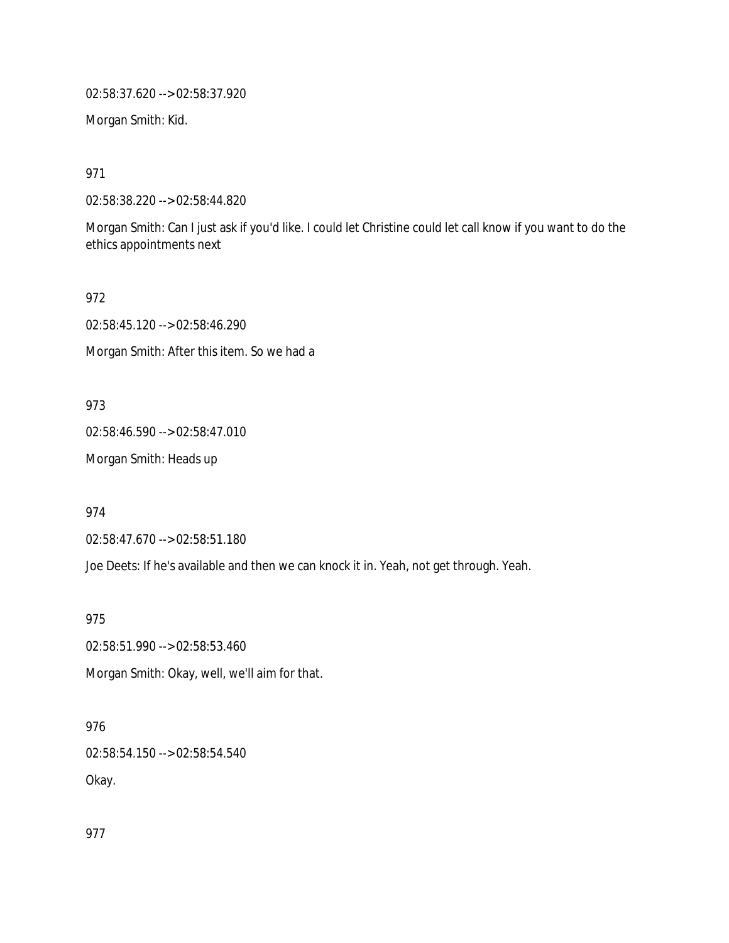02:58:37.620 --> 02:58:37.920

Morgan Smith: Kid.

971

02:58:38.220 --> 02:58:44.820

Morgan Smith: Can I just ask if you'd like. I could let Christine could let call know if you want to do the ethics appointments next

972

02:58:45.120 --> 02:58:46.290

Morgan Smith: After this item. So we had a

973

02:58:46.590 --> 02:58:47.010

Morgan Smith: Heads up

974

02:58:47.670 --> 02:58:51.180

Joe Deets: If he's available and then we can knock it in. Yeah, not get through. Yeah.

975

02:58:51.990 --> 02:58:53.460

Morgan Smith: Okay, well, we'll aim for that.

976

02:58:54.150 --> 02:58:54.540 Okay.

977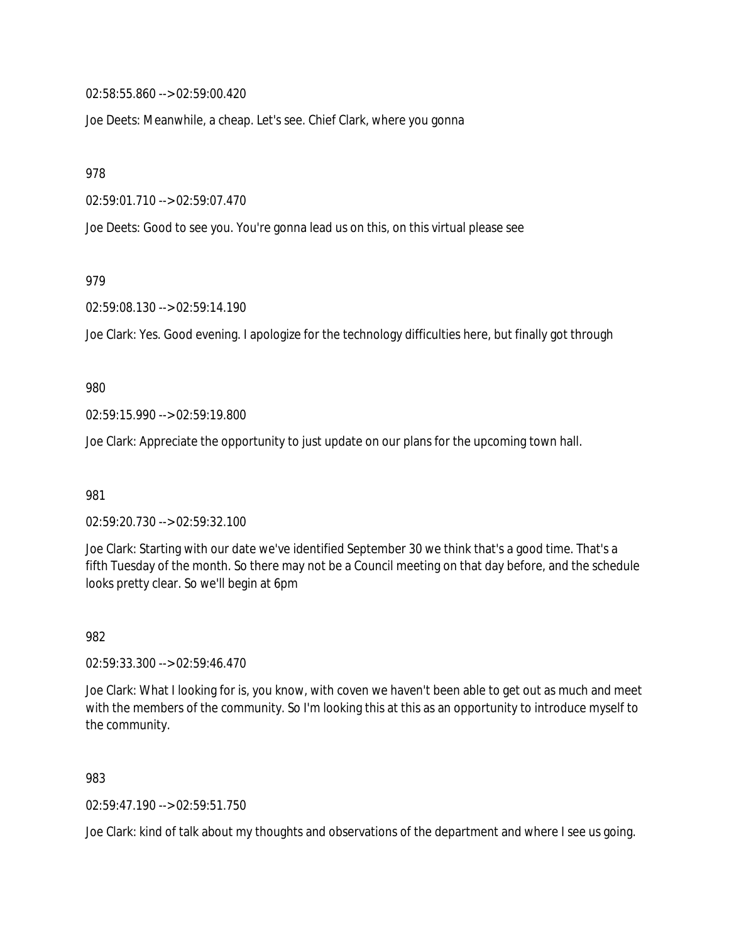02:58:55.860 --> 02:59:00.420

Joe Deets: Meanwhile, a cheap. Let's see. Chief Clark, where you gonna

978

02:59:01.710 --> 02:59:07.470

Joe Deets: Good to see you. You're gonna lead us on this, on this virtual please see

979

02:59:08.130 --> 02:59:14.190

Joe Clark: Yes. Good evening. I apologize for the technology difficulties here, but finally got through

980

02:59:15.990 --> 02:59:19.800

Joe Clark: Appreciate the opportunity to just update on our plans for the upcoming town hall.

981

02:59:20.730 --> 02:59:32.100

Joe Clark: Starting with our date we've identified September 30 we think that's a good time. That's a fifth Tuesday of the month. So there may not be a Council meeting on that day before, and the schedule looks pretty clear. So we'll begin at 6pm

982

02:59:33.300 --> 02:59:46.470

Joe Clark: What I looking for is, you know, with coven we haven't been able to get out as much and meet with the members of the community. So I'm looking this at this as an opportunity to introduce myself to the community.

983

02:59:47.190 --> 02:59:51.750

Joe Clark: kind of talk about my thoughts and observations of the department and where I see us going.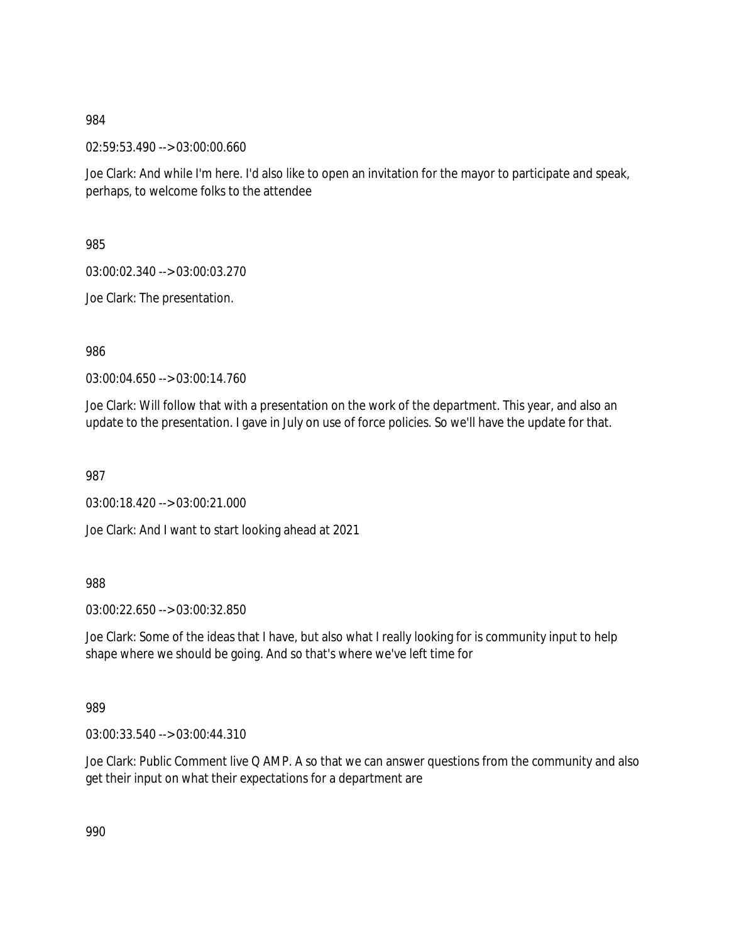02:59:53.490 --> 03:00:00.660

Joe Clark: And while I'm here. I'd also like to open an invitation for the mayor to participate and speak, perhaps, to welcome folks to the attendee

985

03:00:02.340 --> 03:00:03.270

Joe Clark: The presentation.

986

03:00:04.650 --> 03:00:14.760

Joe Clark: Will follow that with a presentation on the work of the department. This year, and also an update to the presentation. I gave in July on use of force policies. So we'll have the update for that.

987

03:00:18.420 --> 03:00:21.000

Joe Clark: And I want to start looking ahead at 2021

988

03:00:22.650 --> 03:00:32.850

Joe Clark: Some of the ideas that I have, but also what I really looking for is community input to help shape where we should be going. And so that's where we've left time for

989

03:00:33.540 --> 03:00:44.310

Joe Clark: Public Comment live Q AMP. A so that we can answer questions from the community and also get their input on what their expectations for a department are

990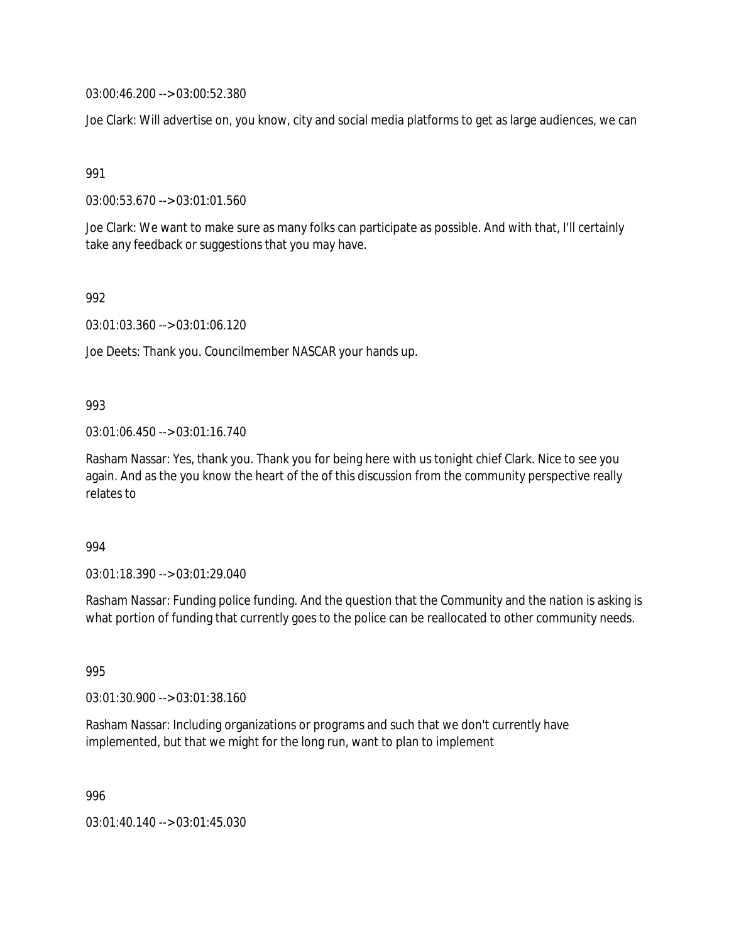03:00:46.200 --> 03:00:52.380

Joe Clark: Will advertise on, you know, city and social media platforms to get as large audiences, we can

991

03:00:53.670 --> 03:01:01.560

Joe Clark: We want to make sure as many folks can participate as possible. And with that, I'll certainly take any feedback or suggestions that you may have.

992

03:01:03.360 --> 03:01:06.120

Joe Deets: Thank you. Councilmember NASCAR your hands up.

#### 993

03:01:06.450 --> 03:01:16.740

Rasham Nassar: Yes, thank you. Thank you for being here with us tonight chief Clark. Nice to see you again. And as the you know the heart of the of this discussion from the community perspective really relates to

994

03:01:18.390 --> 03:01:29.040

Rasham Nassar: Funding police funding. And the question that the Community and the nation is asking is what portion of funding that currently goes to the police can be reallocated to other community needs.

995

03:01:30.900 --> 03:01:38.160

Rasham Nassar: Including organizations or programs and such that we don't currently have implemented, but that we might for the long run, want to plan to implement

996

03:01:40.140 --> 03:01:45.030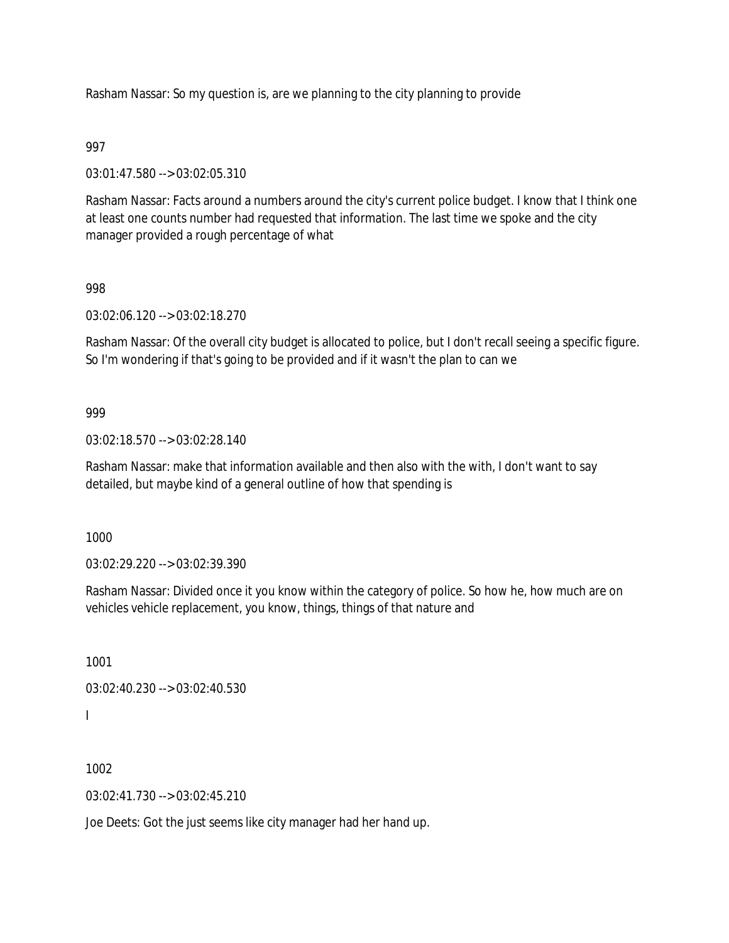Rasham Nassar: So my question is, are we planning to the city planning to provide

## 997

03:01:47.580 --> 03:02:05.310

Rasham Nassar: Facts around a numbers around the city's current police budget. I know that I think one at least one counts number had requested that information. The last time we spoke and the city manager provided a rough percentage of what

#### 998

03:02:06.120 --> 03:02:18.270

Rasham Nassar: Of the overall city budget is allocated to police, but I don't recall seeing a specific figure. So I'm wondering if that's going to be provided and if it wasn't the plan to can we

#### 999

03:02:18.570 --> 03:02:28.140

Rasham Nassar: make that information available and then also with the with, I don't want to say detailed, but maybe kind of a general outline of how that spending is

1000

03:02:29.220 --> 03:02:39.390

Rasham Nassar: Divided once it you know within the category of police. So how he, how much are on vehicles vehicle replacement, you know, things, things of that nature and

1001 03:02:40.230 --> 03:02:40.530 I

1002

 $03:02:41.730 \rightarrow 03:02:45.210$ 

Joe Deets: Got the just seems like city manager had her hand up.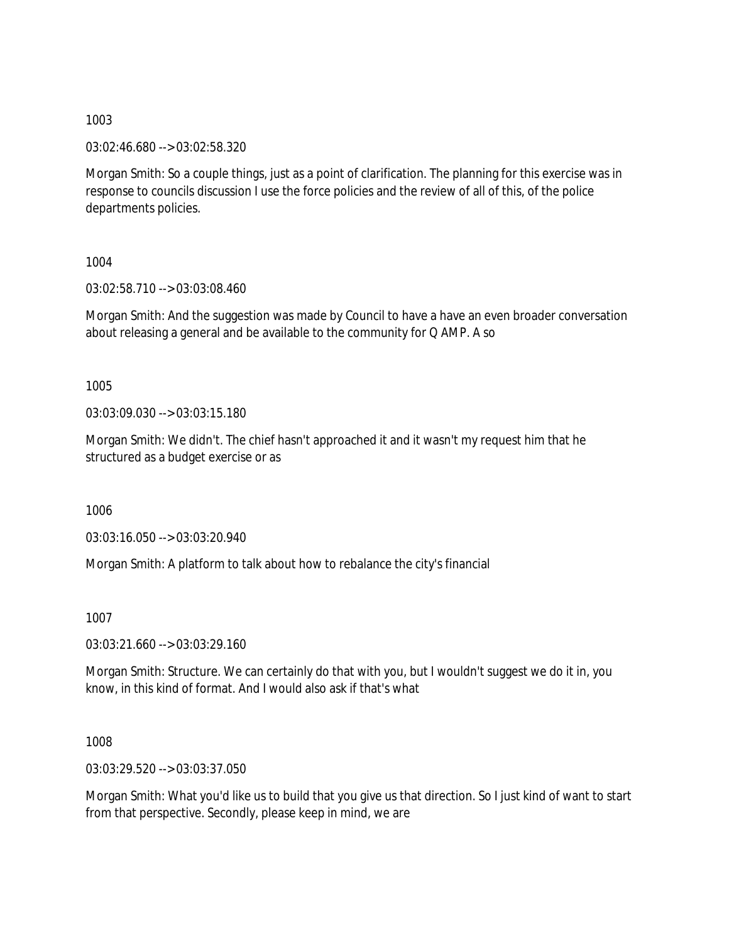03:02:46.680 --> 03:02:58.320

Morgan Smith: So a couple things, just as a point of clarification. The planning for this exercise was in response to councils discussion I use the force policies and the review of all of this, of the police departments policies.

1004

03:02:58.710 --> 03:03:08.460

Morgan Smith: And the suggestion was made by Council to have a have an even broader conversation about releasing a general and be available to the community for Q AMP. A so

1005

03:03:09.030 --> 03:03:15.180

Morgan Smith: We didn't. The chief hasn't approached it and it wasn't my request him that he structured as a budget exercise or as

1006

03:03:16.050 --> 03:03:20.940

Morgan Smith: A platform to talk about how to rebalance the city's financial

1007

03:03:21.660 --> 03:03:29.160

Morgan Smith: Structure. We can certainly do that with you, but I wouldn't suggest we do it in, you know, in this kind of format. And I would also ask if that's what

1008

03:03:29.520 --> 03:03:37.050

Morgan Smith: What you'd like us to build that you give us that direction. So I just kind of want to start from that perspective. Secondly, please keep in mind, we are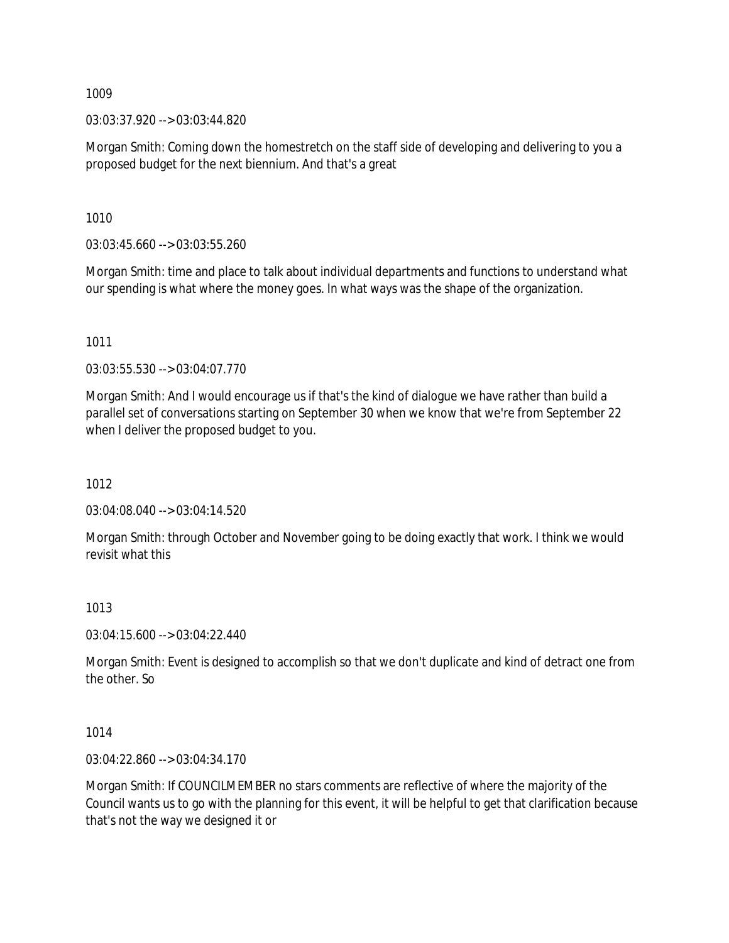03:03:37.920 --> 03:03:44.820

Morgan Smith: Coming down the homestretch on the staff side of developing and delivering to you a proposed budget for the next biennium. And that's a great

1010

03:03:45.660 --> 03:03:55.260

Morgan Smith: time and place to talk about individual departments and functions to understand what our spending is what where the money goes. In what ways was the shape of the organization.

1011

03:03:55.530 --> 03:04:07.770

Morgan Smith: And I would encourage us if that's the kind of dialogue we have rather than build a parallel set of conversations starting on September 30 when we know that we're from September 22 when I deliver the proposed budget to you.

1012

03:04:08.040 --> 03:04:14.520

Morgan Smith: through October and November going to be doing exactly that work. I think we would revisit what this

1013

03:04:15.600 --> 03:04:22.440

Morgan Smith: Event is designed to accomplish so that we don't duplicate and kind of detract one from the other. So

1014

03:04:22.860 --> 03:04:34.170

Morgan Smith: If COUNCILMEMBER no stars comments are reflective of where the majority of the Council wants us to go with the planning for this event, it will be helpful to get that clarification because that's not the way we designed it or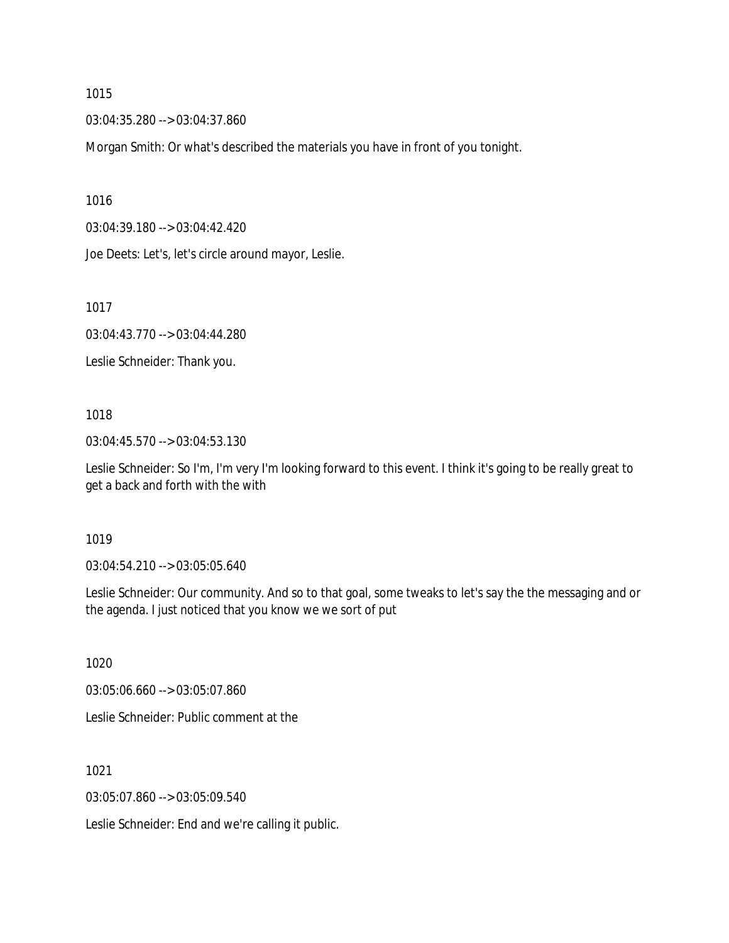03:04:35.280 --> 03:04:37.860

Morgan Smith: Or what's described the materials you have in front of you tonight.

1016

03:04:39.180 --> 03:04:42.420

Joe Deets: Let's, let's circle around mayor, Leslie.

1017

03:04:43.770 --> 03:04:44.280

Leslie Schneider: Thank you.

## 1018

03:04:45.570 --> 03:04:53.130

Leslie Schneider: So I'm, I'm very I'm looking forward to this event. I think it's going to be really great to get a back and forth with the with

#### 1019

03:04:54.210 --> 03:05:05.640

Leslie Schneider: Our community. And so to that goal, some tweaks to let's say the the messaging and or the agenda. I just noticed that you know we we sort of put

1020

03:05:06.660 --> 03:05:07.860

Leslie Schneider: Public comment at the

1021

03:05:07.860 --> 03:05:09.540

Leslie Schneider: End and we're calling it public.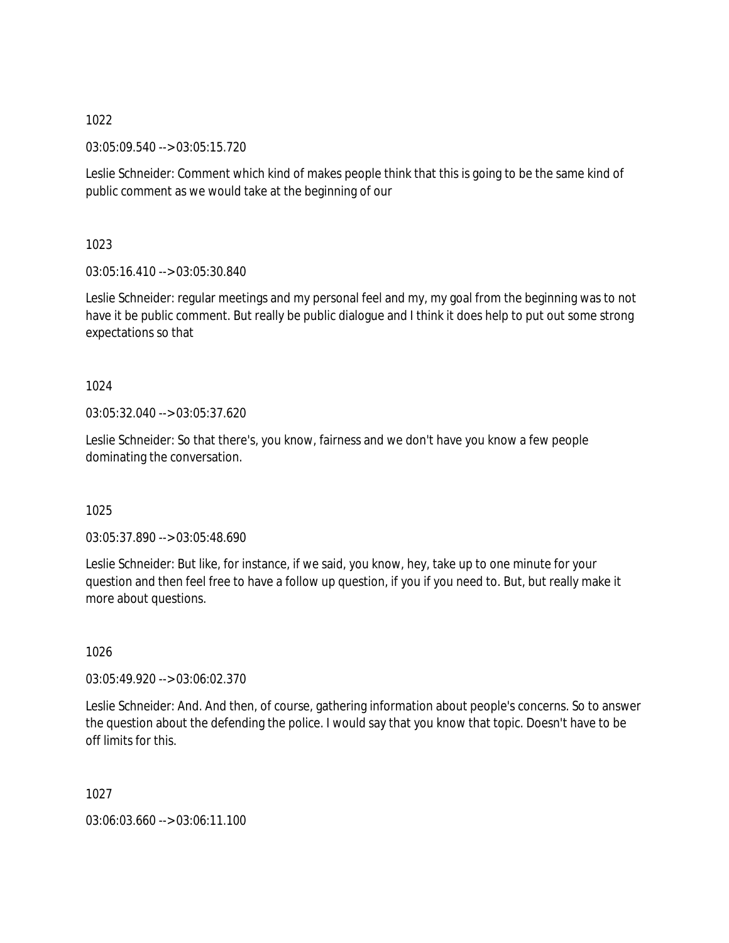03:05:09.540 --> 03:05:15.720

Leslie Schneider: Comment which kind of makes people think that this is going to be the same kind of public comment as we would take at the beginning of our

1023

03:05:16.410 --> 03:05:30.840

Leslie Schneider: regular meetings and my personal feel and my, my goal from the beginning was to not have it be public comment. But really be public dialogue and I think it does help to put out some strong expectations so that

# 1024

03:05:32.040 --> 03:05:37.620

Leslie Schneider: So that there's, you know, fairness and we don't have you know a few people dominating the conversation.

## 1025

03:05:37.890 --> 03:05:48.690

Leslie Schneider: But like, for instance, if we said, you know, hey, take up to one minute for your question and then feel free to have a follow up question, if you if you need to. But, but really make it more about questions.

1026

03:05:49.920 --> 03:06:02.370

Leslie Schneider: And. And then, of course, gathering information about people's concerns. So to answer the question about the defending the police. I would say that you know that topic. Doesn't have to be off limits for this.

1027

03:06:03.660 --> 03:06:11.100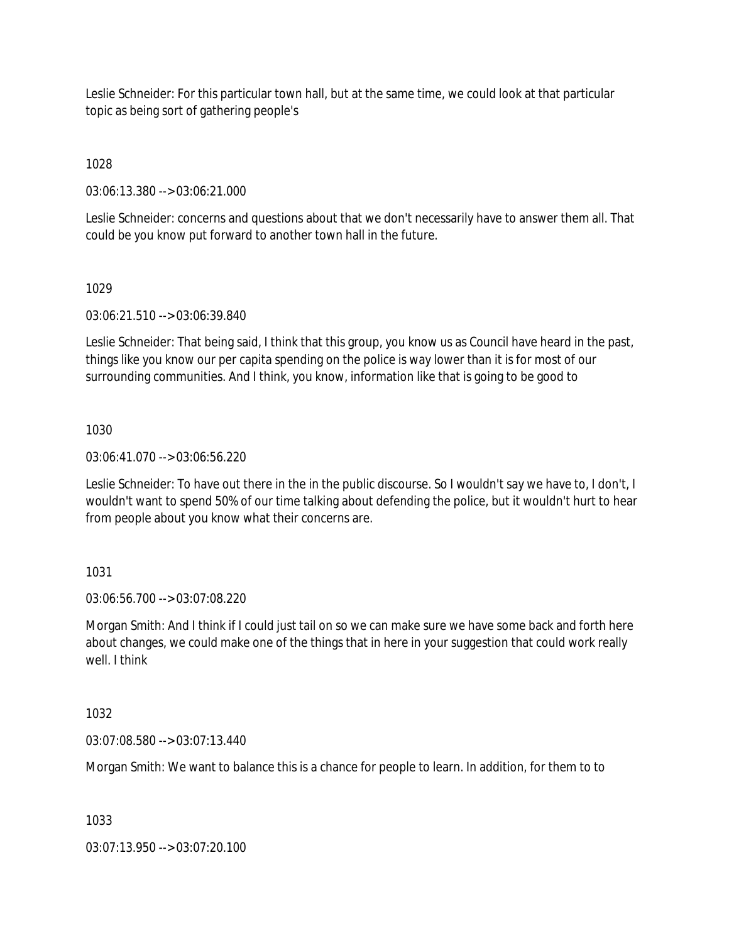Leslie Schneider: For this particular town hall, but at the same time, we could look at that particular topic as being sort of gathering people's

1028

03:06:13.380 --> 03:06:21.000

Leslie Schneider: concerns and questions about that we don't necessarily have to answer them all. That could be you know put forward to another town hall in the future.

## 1029

03:06:21.510 --> 03:06:39.840

Leslie Schneider: That being said, I think that this group, you know us as Council have heard in the past, things like you know our per capita spending on the police is way lower than it is for most of our surrounding communities. And I think, you know, information like that is going to be good to

# 1030

03:06:41.070 --> 03:06:56.220

Leslie Schneider: To have out there in the in the public discourse. So I wouldn't say we have to, I don't, I wouldn't want to spend 50% of our time talking about defending the police, but it wouldn't hurt to hear from people about you know what their concerns are.

# 1031

03:06:56.700 --> 03:07:08.220

Morgan Smith: And I think if I could just tail on so we can make sure we have some back and forth here about changes, we could make one of the things that in here in your suggestion that could work really well. I think

## 1032

03:07:08.580 --> 03:07:13.440

Morgan Smith: We want to balance this is a chance for people to learn. In addition, for them to to

1033

03:07:13.950 --> 03:07:20.100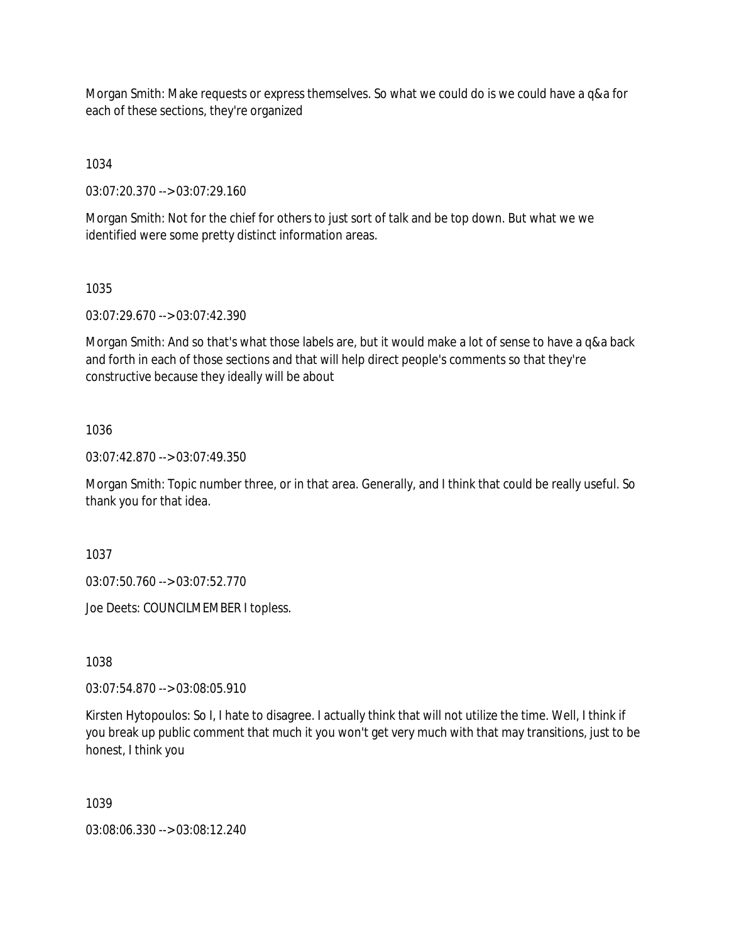Morgan Smith: Make requests or express themselves. So what we could do is we could have a q&a for each of these sections, they're organized

1034

03:07:20.370 --> 03:07:29.160

Morgan Smith: Not for the chief for others to just sort of talk and be top down. But what we we identified were some pretty distinct information areas.

1035

03:07:29.670 --> 03:07:42.390

Morgan Smith: And so that's what those labels are, but it would make a lot of sense to have a q&a back and forth in each of those sections and that will help direct people's comments so that they're constructive because they ideally will be about

1036

03:07:42.870 --> 03:07:49.350

Morgan Smith: Topic number three, or in that area. Generally, and I think that could be really useful. So thank you for that idea.

1037

03:07:50.760 --> 03:07:52.770

Joe Deets: COUNCILMEMBER I topless.

1038

03:07:54.870 --> 03:08:05.910

Kirsten Hytopoulos: So I, I hate to disagree. I actually think that will not utilize the time. Well, I think if you break up public comment that much it you won't get very much with that may transitions, just to be honest, I think you

1039

03:08:06.330 --> 03:08:12.240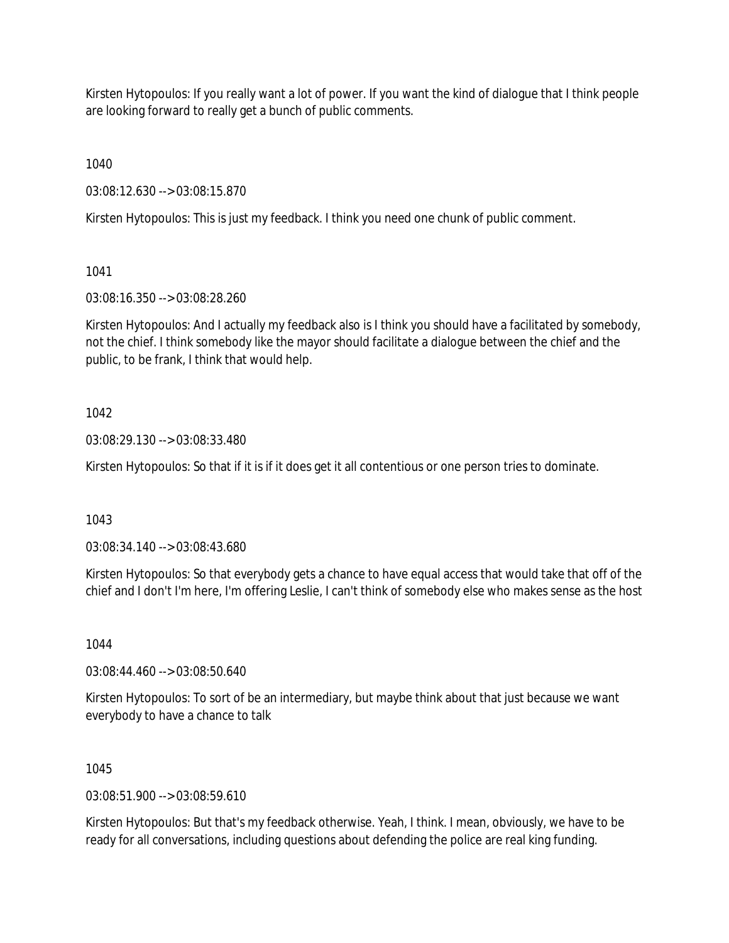Kirsten Hytopoulos: If you really want a lot of power. If you want the kind of dialogue that I think people are looking forward to really get a bunch of public comments.

1040

03:08:12.630 --> 03:08:15.870

Kirsten Hytopoulos: This is just my feedback. I think you need one chunk of public comment.

1041

03:08:16.350 --> 03:08:28.260

Kirsten Hytopoulos: And I actually my feedback also is I think you should have a facilitated by somebody, not the chief. I think somebody like the mayor should facilitate a dialogue between the chief and the public, to be frank, I think that would help.

# 1042

03:08:29.130 --> 03:08:33.480

Kirsten Hytopoulos: So that if it is if it does get it all contentious or one person tries to dominate.

1043

03:08:34.140 --> 03:08:43.680

Kirsten Hytopoulos: So that everybody gets a chance to have equal access that would take that off of the chief and I don't I'm here, I'm offering Leslie, I can't think of somebody else who makes sense as the host

1044

03:08:44.460 --> 03:08:50.640

Kirsten Hytopoulos: To sort of be an intermediary, but maybe think about that just because we want everybody to have a chance to talk

1045

03:08:51.900 --> 03:08:59.610

Kirsten Hytopoulos: But that's my feedback otherwise. Yeah, I think. I mean, obviously, we have to be ready for all conversations, including questions about defending the police are real king funding.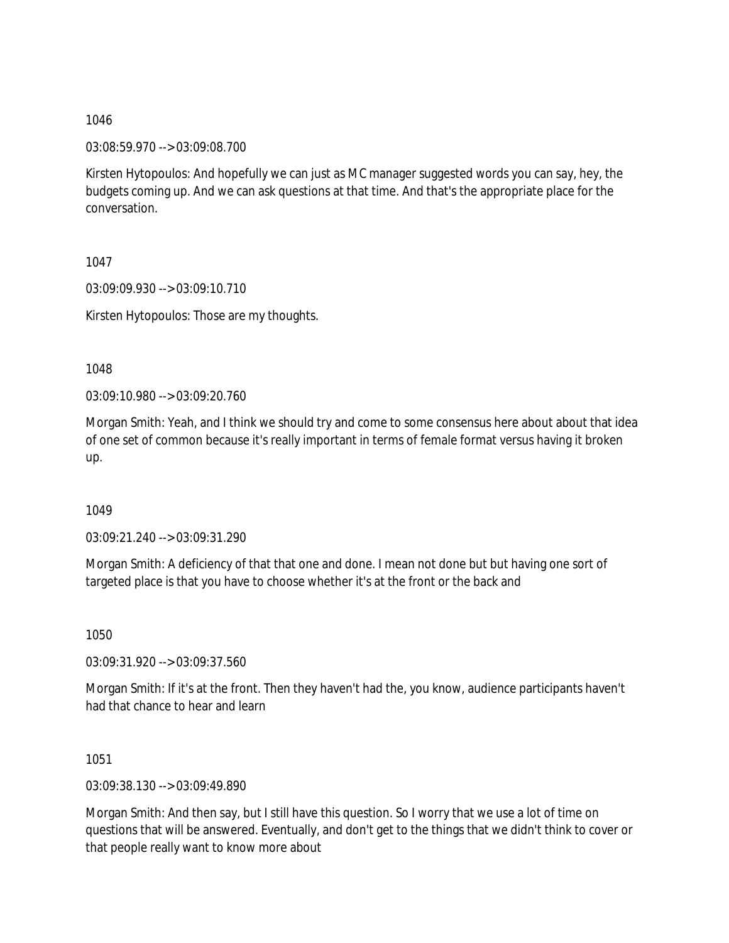03:08:59.970 --> 03:09:08.700

Kirsten Hytopoulos: And hopefully we can just as MC manager suggested words you can say, hey, the budgets coming up. And we can ask questions at that time. And that's the appropriate place for the conversation.

1047

03:09:09.930 --> 03:09:10.710

Kirsten Hytopoulos: Those are my thoughts.

1048

03:09:10.980 --> 03:09:20.760

Morgan Smith: Yeah, and I think we should try and come to some consensus here about about that idea of one set of common because it's really important in terms of female format versus having it broken up.

1049

03:09:21.240 --> 03:09:31.290

Morgan Smith: A deficiency of that that one and done. I mean not done but but having one sort of targeted place is that you have to choose whether it's at the front or the back and

1050

03:09:31.920 --> 03:09:37.560

Morgan Smith: If it's at the front. Then they haven't had the, you know, audience participants haven't had that chance to hear and learn

1051

03:09:38.130 --> 03:09:49.890

Morgan Smith: And then say, but I still have this question. So I worry that we use a lot of time on questions that will be answered. Eventually, and don't get to the things that we didn't think to cover or that people really want to know more about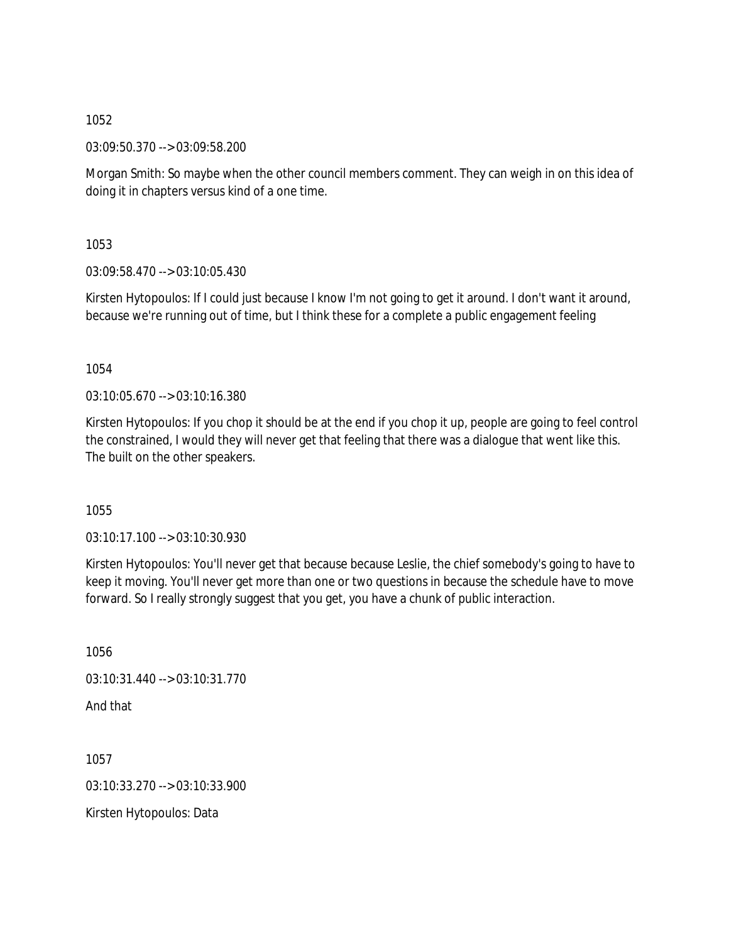03:09:50.370 --> 03:09:58.200

Morgan Smith: So maybe when the other council members comment. They can weigh in on this idea of doing it in chapters versus kind of a one time.

1053

03:09:58.470 --> 03:10:05.430

Kirsten Hytopoulos: If I could just because I know I'm not going to get it around. I don't want it around, because we're running out of time, but I think these for a complete a public engagement feeling

1054

03:10:05.670 --> 03:10:16.380

Kirsten Hytopoulos: If you chop it should be at the end if you chop it up, people are going to feel control the constrained, I would they will never get that feeling that there was a dialogue that went like this. The built on the other speakers.

1055

03:10:17.100 --> 03:10:30.930

Kirsten Hytopoulos: You'll never get that because because Leslie, the chief somebody's going to have to keep it moving. You'll never get more than one or two questions in because the schedule have to move forward. So I really strongly suggest that you get, you have a chunk of public interaction.

1056 03:10:31.440 --> 03:10:31.770 And that 1057

03:10:33.270 --> 03:10:33.900

Kirsten Hytopoulos: Data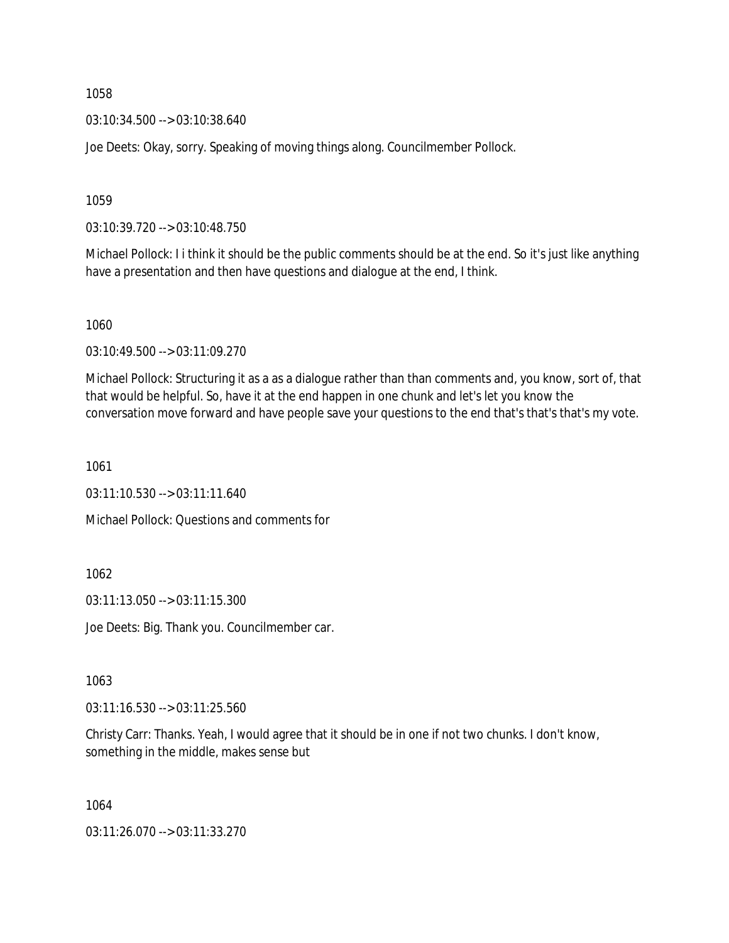03:10:34.500 --> 03:10:38.640

Joe Deets: Okay, sorry. Speaking of moving things along. Councilmember Pollock.

1059

03:10:39.720 --> 03:10:48.750

Michael Pollock: I i think it should be the public comments should be at the end. So it's just like anything have a presentation and then have questions and dialogue at the end, I think.

1060

03:10:49.500 --> 03:11:09.270

Michael Pollock: Structuring it as a as a dialogue rather than than comments and, you know, sort of, that that would be helpful. So, have it at the end happen in one chunk and let's let you know the conversation move forward and have people save your questions to the end that's that's that's my vote.

1061

 $03:11:10.530 \rightarrow 03:11:11.640$ 

Michael Pollock: Questions and comments for

1062

03:11:13.050 --> 03:11:15.300

Joe Deets: Big. Thank you. Councilmember car.

1063

03:11:16.530 --> 03:11:25.560

Christy Carr: Thanks. Yeah, I would agree that it should be in one if not two chunks. I don't know, something in the middle, makes sense but

1064

03:11:26.070 --> 03:11:33.270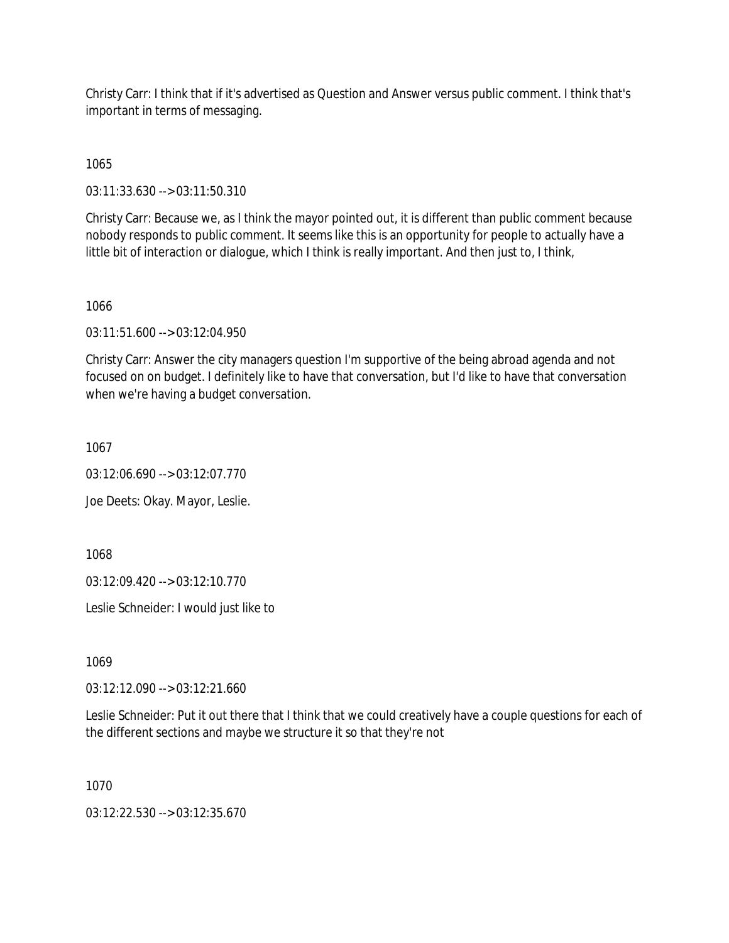Christy Carr: I think that if it's advertised as Question and Answer versus public comment. I think that's important in terms of messaging.

1065

03:11:33.630 --> 03:11:50.310

Christy Carr: Because we, as I think the mayor pointed out, it is different than public comment because nobody responds to public comment. It seems like this is an opportunity for people to actually have a little bit of interaction or dialogue, which I think is really important. And then just to, I think,

#### 1066

03:11:51.600 --> 03:12:04.950

Christy Carr: Answer the city managers question I'm supportive of the being abroad agenda and not focused on on budget. I definitely like to have that conversation, but I'd like to have that conversation when we're having a budget conversation.

1067

03:12:06.690 --> 03:12:07.770

Joe Deets: Okay. Mayor, Leslie.

1068

03:12:09.420 --> 03:12:10.770

Leslie Schneider: I would just like to

1069

03:12:12.090 --> 03:12:21.660

Leslie Schneider: Put it out there that I think that we could creatively have a couple questions for each of the different sections and maybe we structure it so that they're not

1070

03:12:22.530 --> 03:12:35.670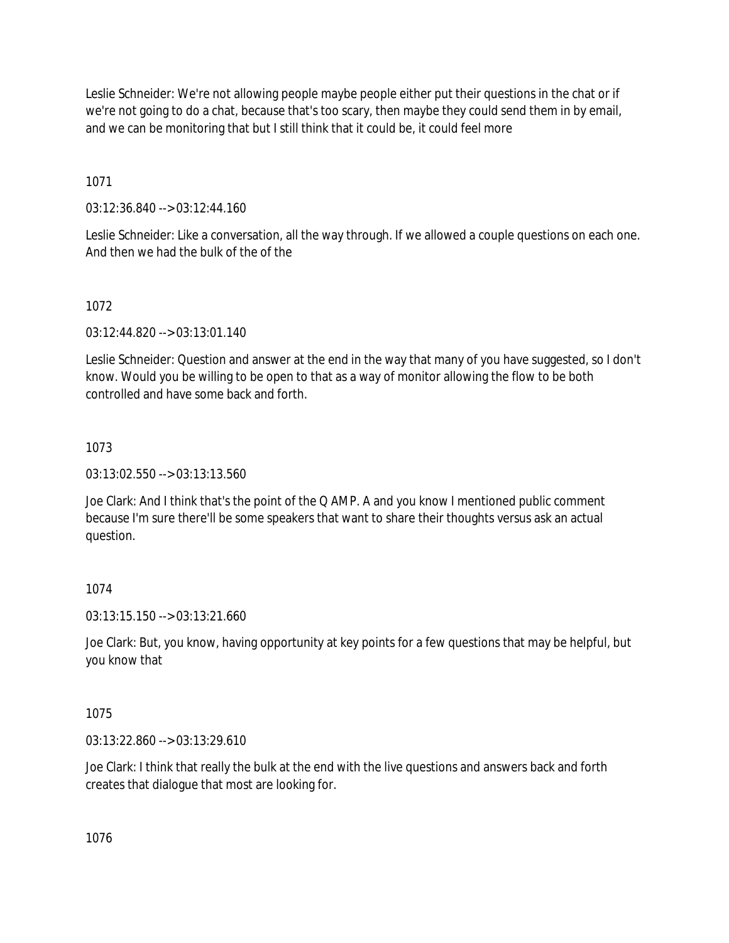Leslie Schneider: We're not allowing people maybe people either put their questions in the chat or if we're not going to do a chat, because that's too scary, then maybe they could send them in by email, and we can be monitoring that but I still think that it could be, it could feel more

1071

03:12:36.840 --> 03:12:44.160

Leslie Schneider: Like a conversation, all the way through. If we allowed a couple questions on each one. And then we had the bulk of the of the

# 1072

03:12:44.820 --> 03:13:01.140

Leslie Schneider: Question and answer at the end in the way that many of you have suggested, so I don't know. Would you be willing to be open to that as a way of monitor allowing the flow to be both controlled and have some back and forth.

# 1073

03:13:02.550 --> 03:13:13.560

Joe Clark: And I think that's the point of the Q AMP. A and you know I mentioned public comment because I'm sure there'll be some speakers that want to share their thoughts versus ask an actual question.

# 1074

03:13:15.150 --> 03:13:21.660

Joe Clark: But, you know, having opportunity at key points for a few questions that may be helpful, but you know that

# 1075

03:13:22.860 --> 03:13:29.610

Joe Clark: I think that really the bulk at the end with the live questions and answers back and forth creates that dialogue that most are looking for.

1076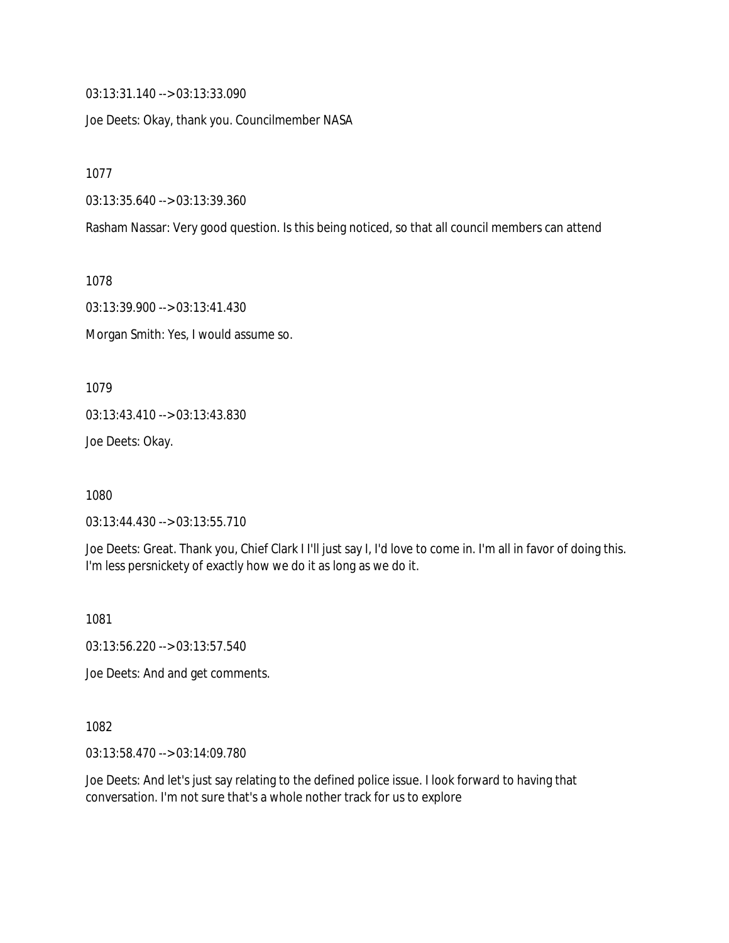03:13:31.140 --> 03:13:33.090

Joe Deets: Okay, thank you. Councilmember NASA

1077

03:13:35.640 --> 03:13:39.360

Rasham Nassar: Very good question. Is this being noticed, so that all council members can attend

1078

03:13:39.900 --> 03:13:41.430

Morgan Smith: Yes, I would assume so.

1079

03:13:43.410 --> 03:13:43.830

Joe Deets: Okay.

1080

03:13:44.430 --> 03:13:55.710

Joe Deets: Great. Thank you, Chief Clark I I'll just say I, I'd love to come in. I'm all in favor of doing this. I'm less persnickety of exactly how we do it as long as we do it.

1081

03:13:56.220 --> 03:13:57.540

Joe Deets: And and get comments.

1082

03:13:58.470 --> 03:14:09.780

Joe Deets: And let's just say relating to the defined police issue. I look forward to having that conversation. I'm not sure that's a whole nother track for us to explore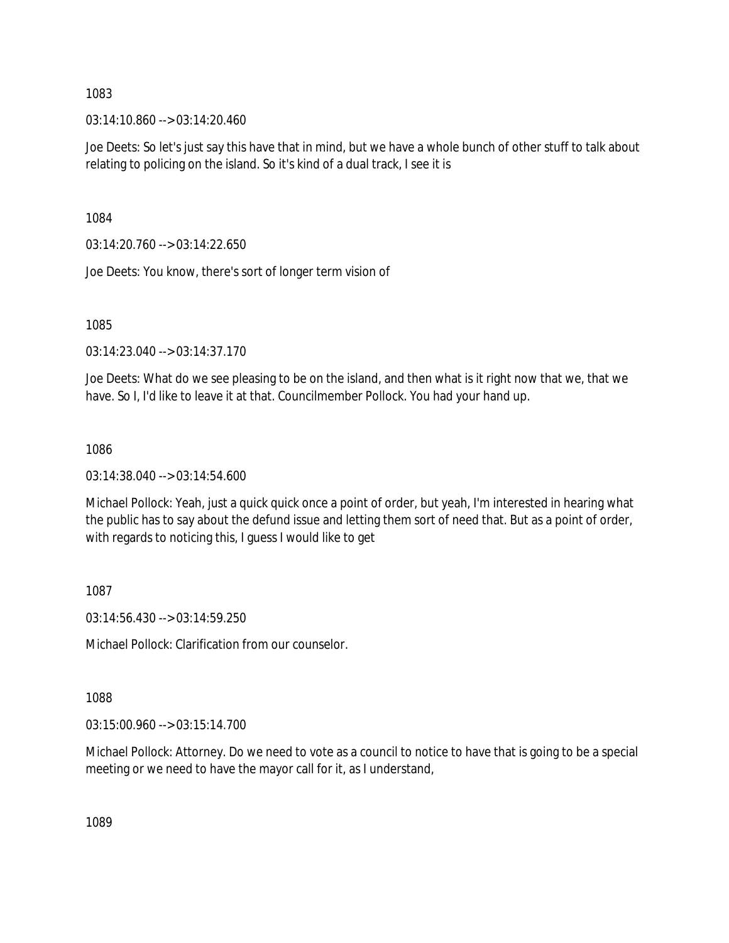03:14:10.860 --> 03:14:20.460

Joe Deets: So let's just say this have that in mind, but we have a whole bunch of other stuff to talk about relating to policing on the island. So it's kind of a dual track, I see it is

1084

 $03:14:20.760 \rightarrow 03:14:22.650$ 

Joe Deets: You know, there's sort of longer term vision of

1085

03:14:23.040 --> 03:14:37.170

Joe Deets: What do we see pleasing to be on the island, and then what is it right now that we, that we have. So I, I'd like to leave it at that. Councilmember Pollock. You had your hand up.

1086

03:14:38.040 --> 03:14:54.600

Michael Pollock: Yeah, just a quick quick once a point of order, but yeah, I'm interested in hearing what the public has to say about the defund issue and letting them sort of need that. But as a point of order, with regards to noticing this, I guess I would like to get

1087

03:14:56.430 --> 03:14:59.250

Michael Pollock: Clarification from our counselor.

1088

03:15:00.960 --> 03:15:14.700

Michael Pollock: Attorney. Do we need to vote as a council to notice to have that is going to be a special meeting or we need to have the mayor call for it, as I understand,

1089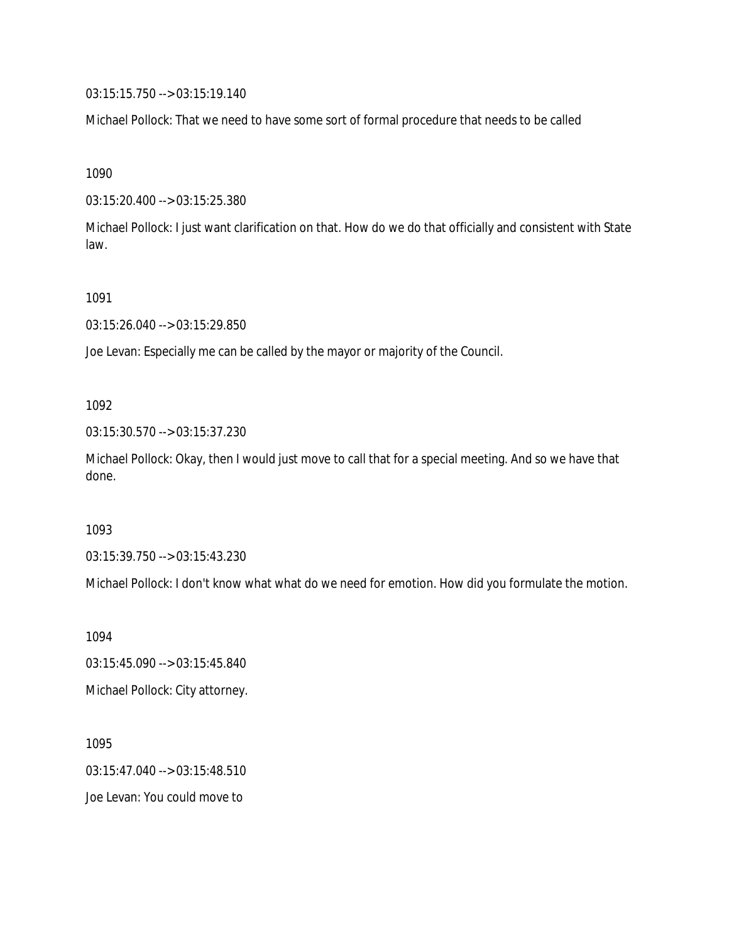03:15:15.750 --> 03:15:19.140

Michael Pollock: That we need to have some sort of formal procedure that needs to be called

1090

03:15:20.400 --> 03:15:25.380

Michael Pollock: I just want clarification on that. How do we do that officially and consistent with State law.

1091

03:15:26.040 --> 03:15:29.850

Joe Levan: Especially me can be called by the mayor or majority of the Council.

1092

03:15:30.570 --> 03:15:37.230

Michael Pollock: Okay, then I would just move to call that for a special meeting. And so we have that done.

1093

03:15:39.750 --> 03:15:43.230

Michael Pollock: I don't know what what do we need for emotion. How did you formulate the motion.

1094 03:15:45.090 --> 03:15:45.840 Michael Pollock: City attorney.

1095 03:15:47.040 --> 03:15:48.510 Joe Levan: You could move to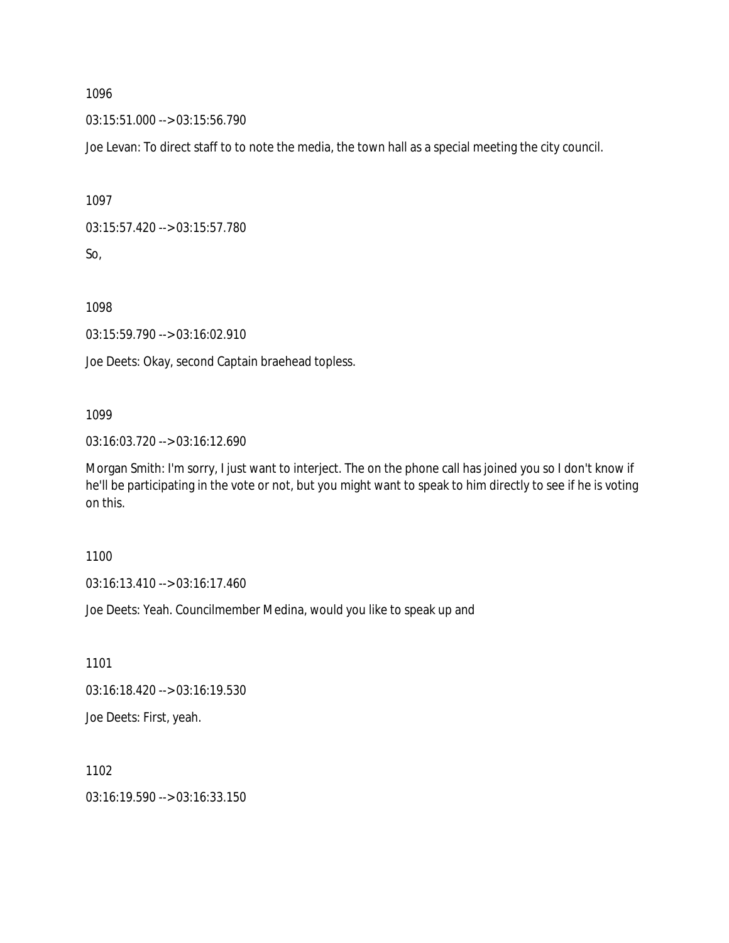03:15:51.000 --> 03:15:56.790

Joe Levan: To direct staff to to note the media, the town hall as a special meeting the city council.

1097

```
03:15:57.420 --> 03:15:57.780
```
So,

1098

03:15:59.790 --> 03:16:02.910

Joe Deets: Okay, second Captain braehead topless.

# 1099

03:16:03.720 --> 03:16:12.690

Morgan Smith: I'm sorry, I just want to interject. The on the phone call has joined you so I don't know if he'll be participating in the vote or not, but you might want to speak to him directly to see if he is voting on this.

1100

03:16:13.410 --> 03:16:17.460

Joe Deets: Yeah. Councilmember Medina, would you like to speak up and

1101

03:16:18.420 --> 03:16:19.530

Joe Deets: First, yeah.

1102

03:16:19.590 --> 03:16:33.150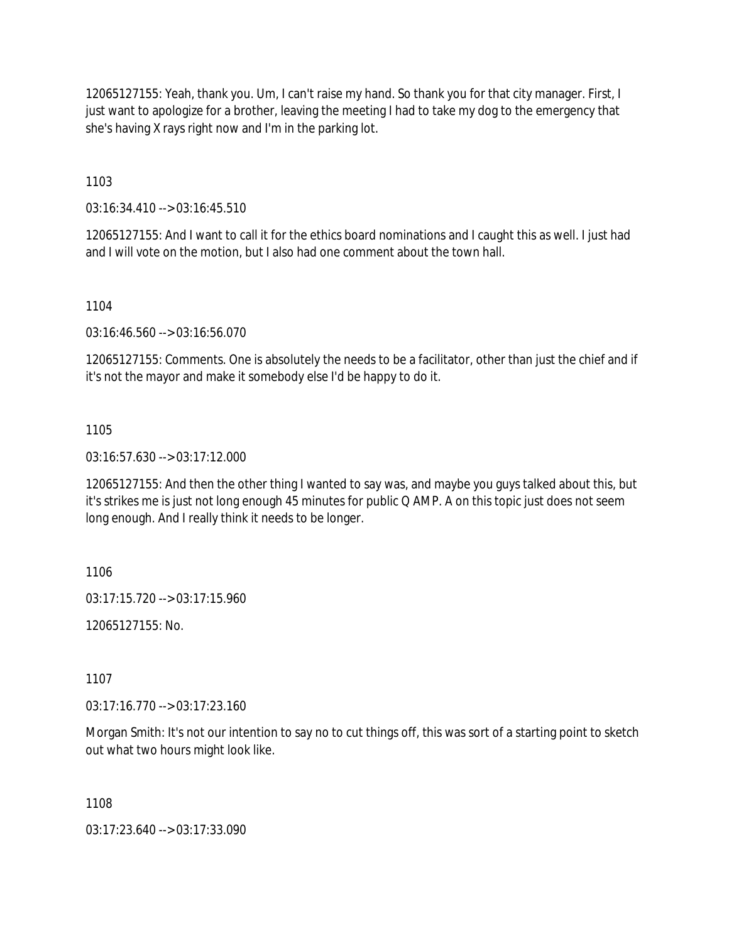12065127155: Yeah, thank you. Um, I can't raise my hand. So thank you for that city manager. First, I just want to apologize for a brother, leaving the meeting I had to take my dog to the emergency that she's having X rays right now and I'm in the parking lot.

1103

03:16:34.410 --> 03:16:45.510

12065127155: And I want to call it for the ethics board nominations and I caught this as well. I just had and I will vote on the motion, but I also had one comment about the town hall.

1104

03:16:46.560 --> 03:16:56.070

12065127155: Comments. One is absolutely the needs to be a facilitator, other than just the chief and if it's not the mayor and make it somebody else I'd be happy to do it.

## 1105

03:16:57.630 --> 03:17:12.000

12065127155: And then the other thing I wanted to say was, and maybe you guys talked about this, but it's strikes me is just not long enough 45 minutes for public Q AMP. A on this topic just does not seem long enough. And I really think it needs to be longer.

1106

03:17:15.720 --> 03:17:15.960

12065127155: No.

1107

03:17:16.770 --> 03:17:23.160

Morgan Smith: It's not our intention to say no to cut things off, this was sort of a starting point to sketch out what two hours might look like.

1108

03:17:23.640 --> 03:17:33.090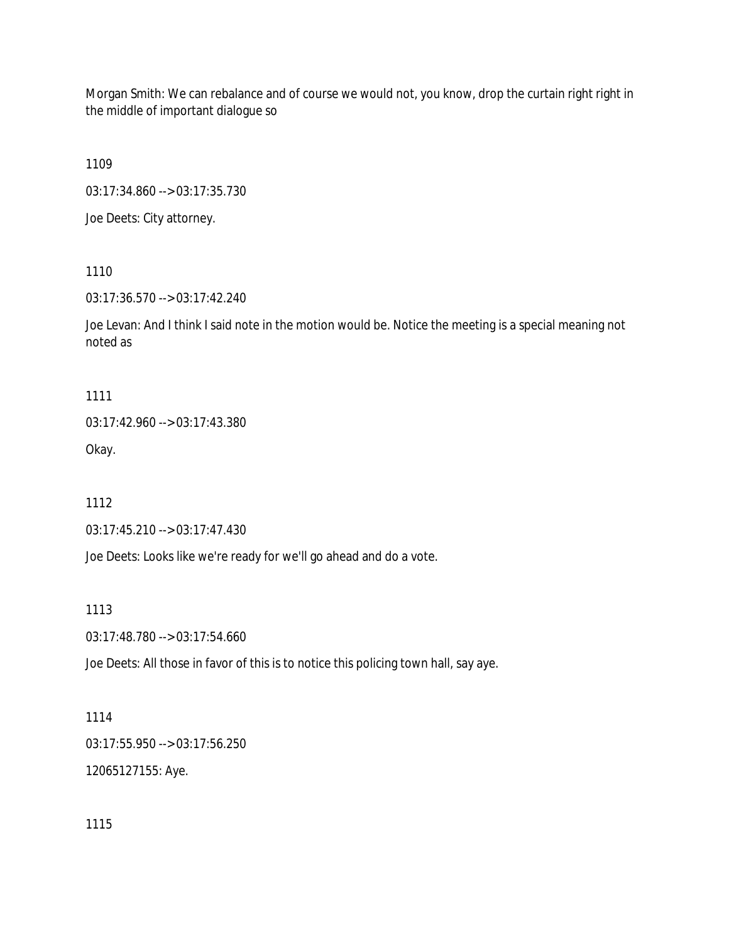Morgan Smith: We can rebalance and of course we would not, you know, drop the curtain right right in the middle of important dialogue so

1109

03:17:34.860 --> 03:17:35.730

Joe Deets: City attorney.

1110

03:17:36.570 --> 03:17:42.240

Joe Levan: And I think I said note in the motion would be. Notice the meeting is a special meaning not noted as

1111

03:17:42.960 --> 03:17:43.380 Okay.

1112

03:17:45.210 --> 03:17:47.430

Joe Deets: Looks like we're ready for we'll go ahead and do a vote.

1113

03:17:48.780 --> 03:17:54.660

Joe Deets: All those in favor of this is to notice this policing town hall, say aye.

1114

03:17:55.950 --> 03:17:56.250 12065127155: Aye.

1115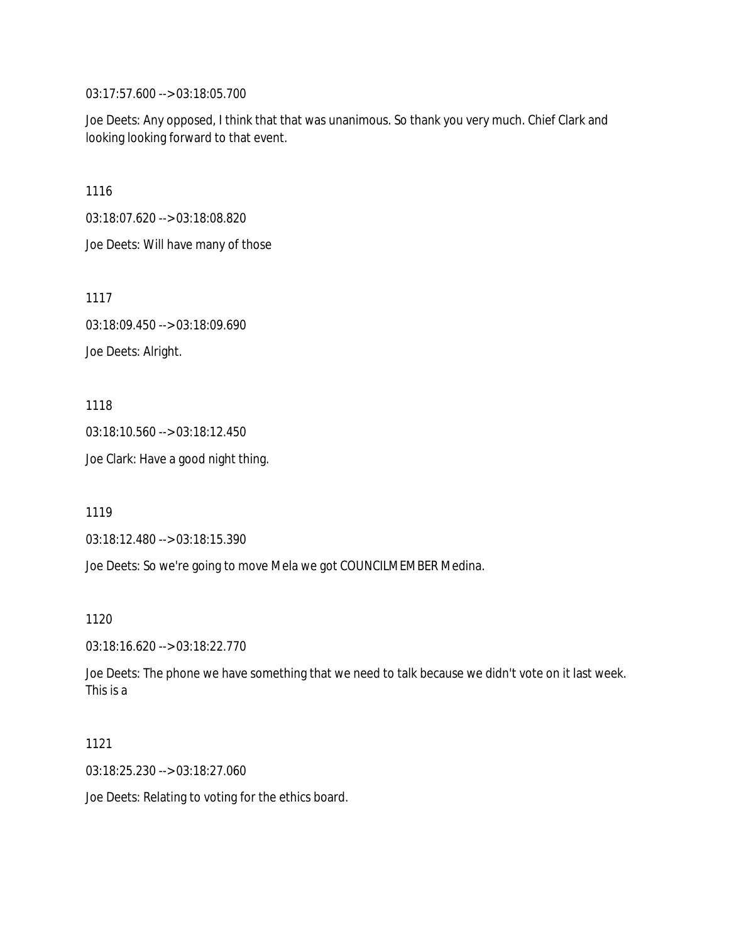03:17:57.600 --> 03:18:05.700

Joe Deets: Any opposed, I think that that was unanimous. So thank you very much. Chief Clark and looking looking forward to that event.

1116

03:18:07.620 --> 03:18:08.820

Joe Deets: Will have many of those

1117

03:18:09.450 --> 03:18:09.690

Joe Deets: Alright.

1118

03:18:10.560 --> 03:18:12.450

Joe Clark: Have a good night thing.

1119

03:18:12.480 --> 03:18:15.390

Joe Deets: So we're going to move Mela we got COUNCILMEMBER Medina.

1120

03:18:16.620 --> 03:18:22.770

Joe Deets: The phone we have something that we need to talk because we didn't vote on it last week. This is a

1121

03:18:25.230 --> 03:18:27.060

Joe Deets: Relating to voting for the ethics board.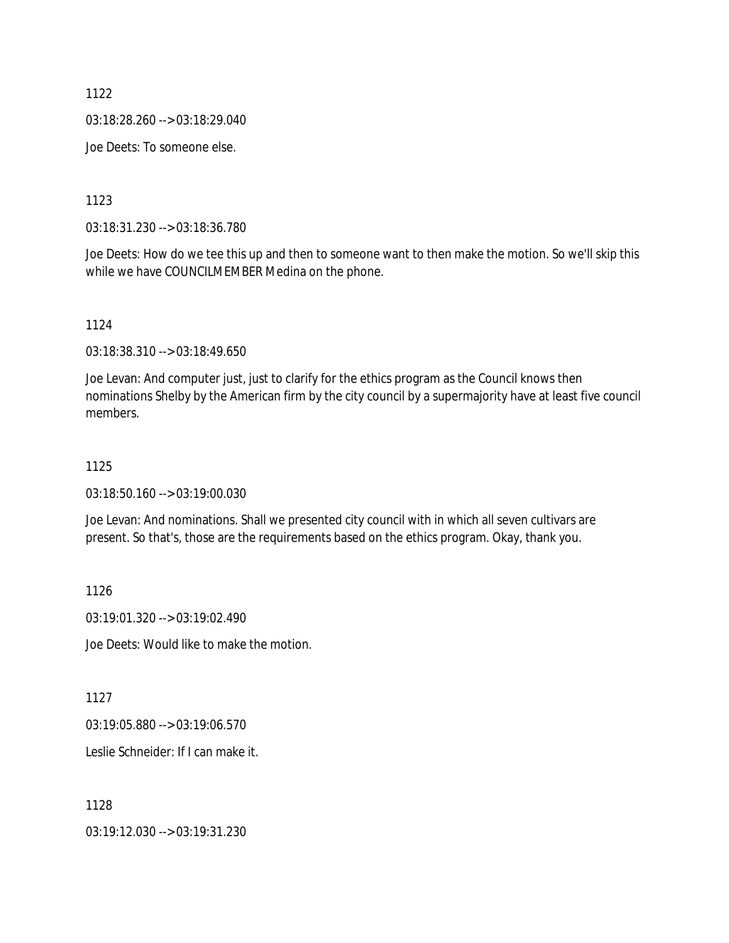03:18:28.260 --> 03:18:29.040

Joe Deets: To someone else.

1123

03:18:31.230 --> 03:18:36.780

Joe Deets: How do we tee this up and then to someone want to then make the motion. So we'll skip this while we have COUNCILMEMBER Medina on the phone.

1124

03:18:38.310 --> 03:18:49.650

Joe Levan: And computer just, just to clarify for the ethics program as the Council knows then nominations Shelby by the American firm by the city council by a supermajority have at least five council members.

#### 1125

03:18:50.160 --> 03:19:00.030

Joe Levan: And nominations. Shall we presented city council with in which all seven cultivars are present. So that's, those are the requirements based on the ethics program. Okay, thank you.

1126

03:19:01.320 --> 03:19:02.490

Joe Deets: Would like to make the motion.

1127

03:19:05.880 --> 03:19:06.570

Leslie Schneider: If I can make it.

1128

03:19:12.030 --> 03:19:31.230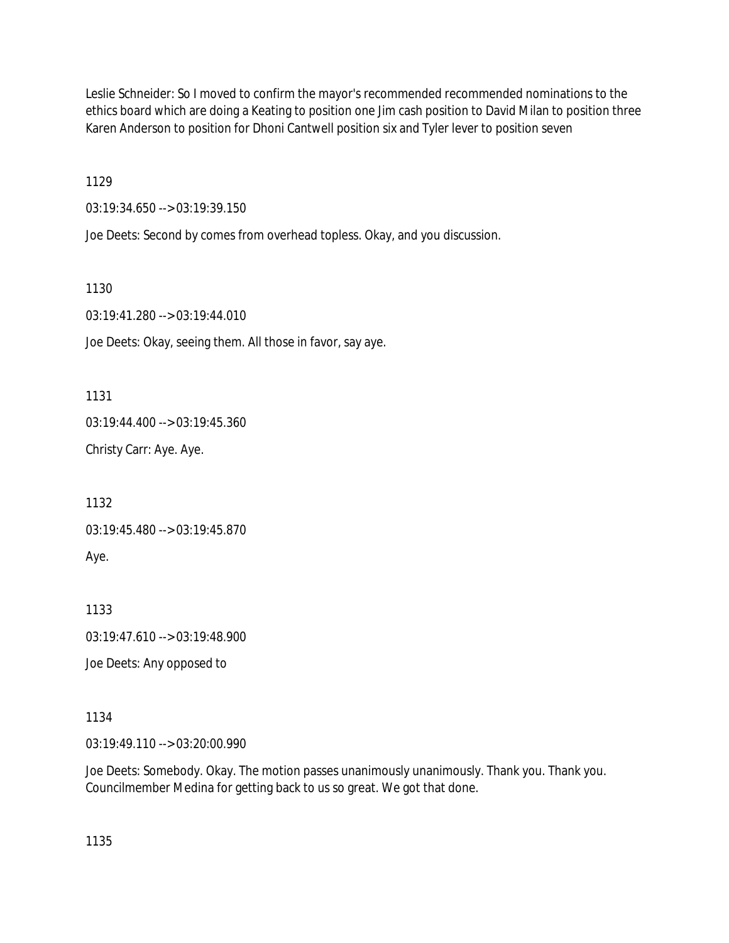Leslie Schneider: So I moved to confirm the mayor's recommended recommended nominations to the ethics board which are doing a Keating to position one Jim cash position to David Milan to position three Karen Anderson to position for Dhoni Cantwell position six and Tyler lever to position seven

1129

03:19:34.650 --> 03:19:39.150

Joe Deets: Second by comes from overhead topless. Okay, and you discussion.

1130

03:19:41.280 --> 03:19:44.010

Joe Deets: Okay, seeing them. All those in favor, say aye.

1131

03:19:44.400 --> 03:19:45.360

Christy Carr: Aye. Aye.

1132

03:19:45.480 --> 03:19:45.870

Aye.

1133

03:19:47.610 --> 03:19:48.900

Joe Deets: Any opposed to

1134

03:19:49.110 --> 03:20:00.990

Joe Deets: Somebody. Okay. The motion passes unanimously unanimously. Thank you. Thank you. Councilmember Medina for getting back to us so great. We got that done.

1135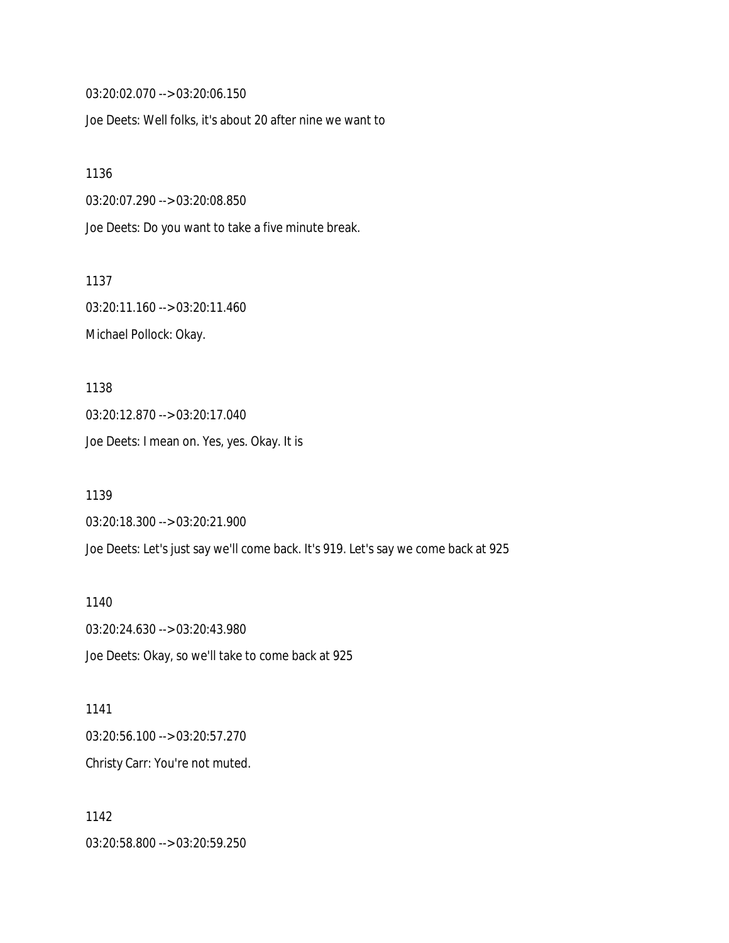03:20:02.070 --> 03:20:06.150

Joe Deets: Well folks, it's about 20 after nine we want to

1136 03:20:07.290 --> 03:20:08.850 Joe Deets: Do you want to take a five minute break.

1137 03:20:11.160 --> 03:20:11.460 Michael Pollock: Okay.

1138 03:20:12.870 --> 03:20:17.040 Joe Deets: I mean on. Yes, yes. Okay. It is

1139 03:20:18.300 --> 03:20:21.900 Joe Deets: Let's just say we'll come back. It's 919. Let's say we come back at 925

1140 03:20:24.630 --> 03:20:43.980 Joe Deets: Okay, so we'll take to come back at 925

1141 03:20:56.100 --> 03:20:57.270 Christy Carr: You're not muted.

1142 03:20:58.800 --> 03:20:59.250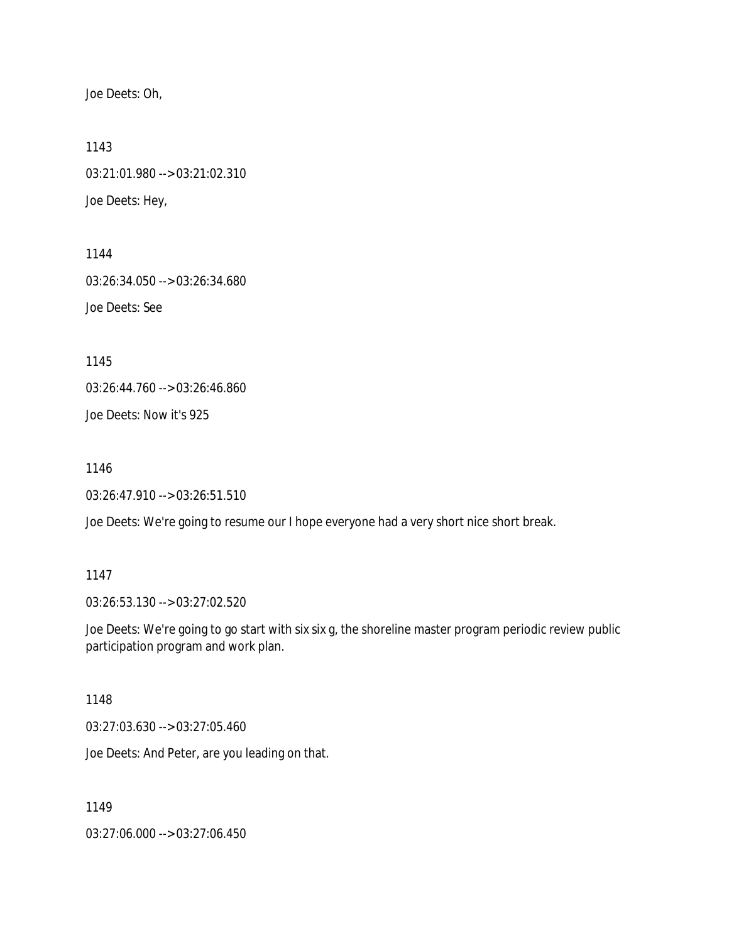Joe Deets: Oh,

1143 03:21:01.980 --> 03:21:02.310 Joe Deets: Hey,

1144 03:26:34.050 --> 03:26:34.680 Joe Deets: See

1145

03:26:44.760 --> 03:26:46.860

Joe Deets: Now it's 925

1146

03:26:47.910 --> 03:26:51.510

Joe Deets: We're going to resume our I hope everyone had a very short nice short break.

### 1147

03:26:53.130 --> 03:27:02.520

Joe Deets: We're going to go start with six six g, the shoreline master program periodic review public participation program and work plan.

1148

03:27:03.630 --> 03:27:05.460

Joe Deets: And Peter, are you leading on that.

1149

03:27:06.000 --> 03:27:06.450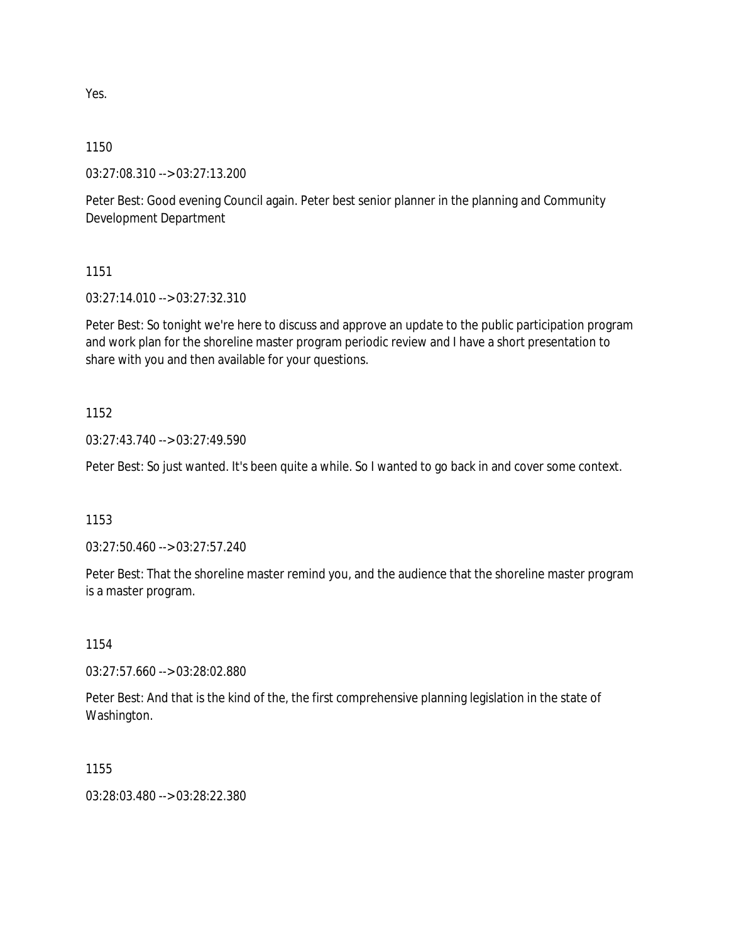Yes.

## 1150

03:27:08.310 --> 03:27:13.200

Peter Best: Good evening Council again. Peter best senior planner in the planning and Community Development Department

1151

03:27:14.010 --> 03:27:32.310

Peter Best: So tonight we're here to discuss and approve an update to the public participation program and work plan for the shoreline master program periodic review and I have a short presentation to share with you and then available for your questions.

### 1152

03:27:43.740 --> 03:27:49.590

Peter Best: So just wanted. It's been quite a while. So I wanted to go back in and cover some context.

## 1153

03:27:50.460 --> 03:27:57.240

Peter Best: That the shoreline master remind you, and the audience that the shoreline master program is a master program.

### 1154

03:27:57.660 --> 03:28:02.880

Peter Best: And that is the kind of the, the first comprehensive planning legislation in the state of Washington.

### 1155

03:28:03.480 --> 03:28:22.380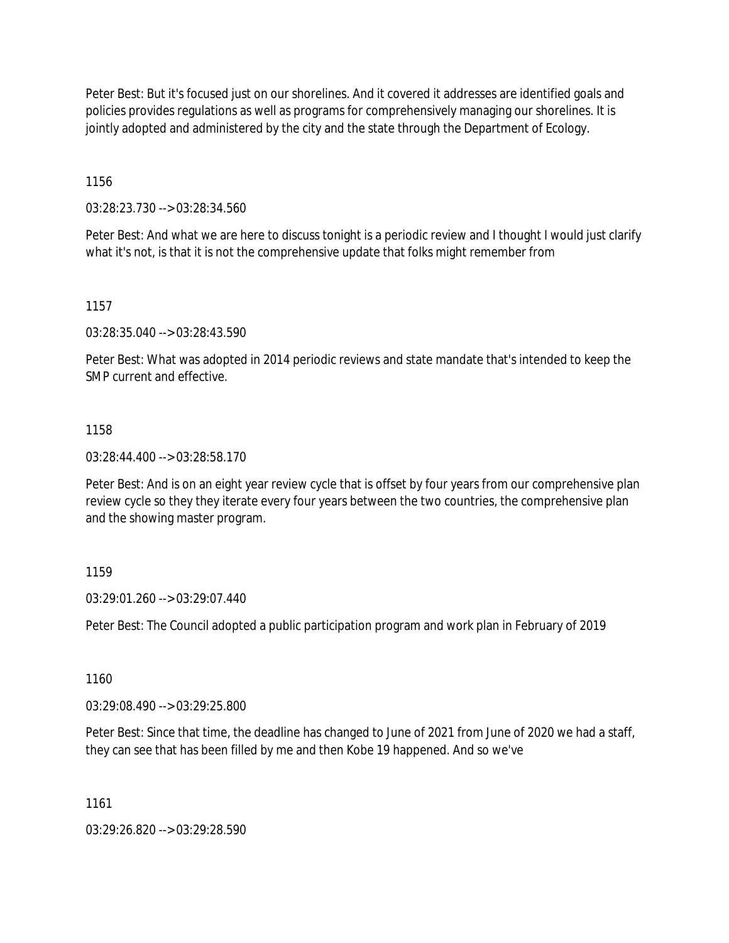Peter Best: But it's focused just on our shorelines. And it covered it addresses are identified goals and policies provides regulations as well as programs for comprehensively managing our shorelines. It is jointly adopted and administered by the city and the state through the Department of Ecology.

1156

03:28:23.730 --> 03:28:34.560

Peter Best: And what we are here to discuss tonight is a periodic review and I thought I would just clarify what it's not, is that it is not the comprehensive update that folks might remember from

1157

03:28:35.040 --> 03:28:43.590

Peter Best: What was adopted in 2014 periodic reviews and state mandate that's intended to keep the SMP current and effective.

### 1158

03:28:44.400 --> 03:28:58.170

Peter Best: And is on an eight year review cycle that is offset by four years from our comprehensive plan review cycle so they they iterate every four years between the two countries, the comprehensive plan and the showing master program.

### 1159

03:29:01.260 --> 03:29:07.440

Peter Best: The Council adopted a public participation program and work plan in February of 2019

1160

03:29:08.490 --> 03:29:25.800

Peter Best: Since that time, the deadline has changed to June of 2021 from June of 2020 we had a staff, they can see that has been filled by me and then Kobe 19 happened. And so we've

1161

03:29:26.820 --> 03:29:28.590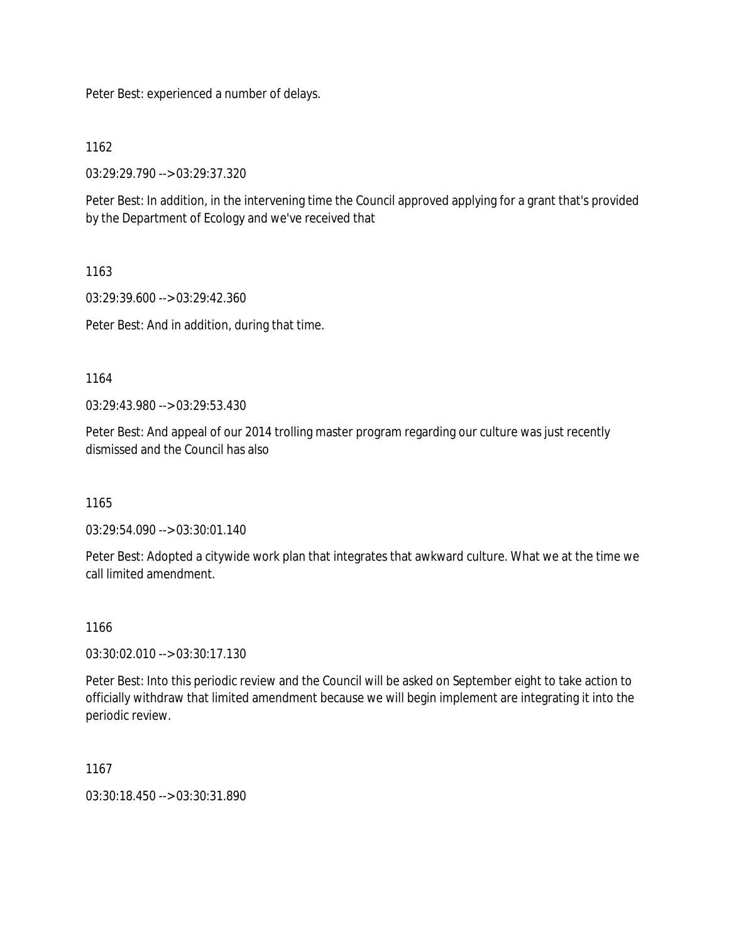Peter Best: experienced a number of delays.

1162

03:29:29.790 --> 03:29:37.320

Peter Best: In addition, in the intervening time the Council approved applying for a grant that's provided by the Department of Ecology and we've received that

1163

03:29:39.600 --> 03:29:42.360

Peter Best: And in addition, during that time.

1164

03:29:43.980 --> 03:29:53.430

Peter Best: And appeal of our 2014 trolling master program regarding our culture was just recently dismissed and the Council has also

1165

03:29:54.090 --> 03:30:01.140

Peter Best: Adopted a citywide work plan that integrates that awkward culture. What we at the time we call limited amendment.

1166

03:30:02.010 --> 03:30:17.130

Peter Best: Into this periodic review and the Council will be asked on September eight to take action to officially withdraw that limited amendment because we will begin implement are integrating it into the periodic review.

1167

03:30:18.450 --> 03:30:31.890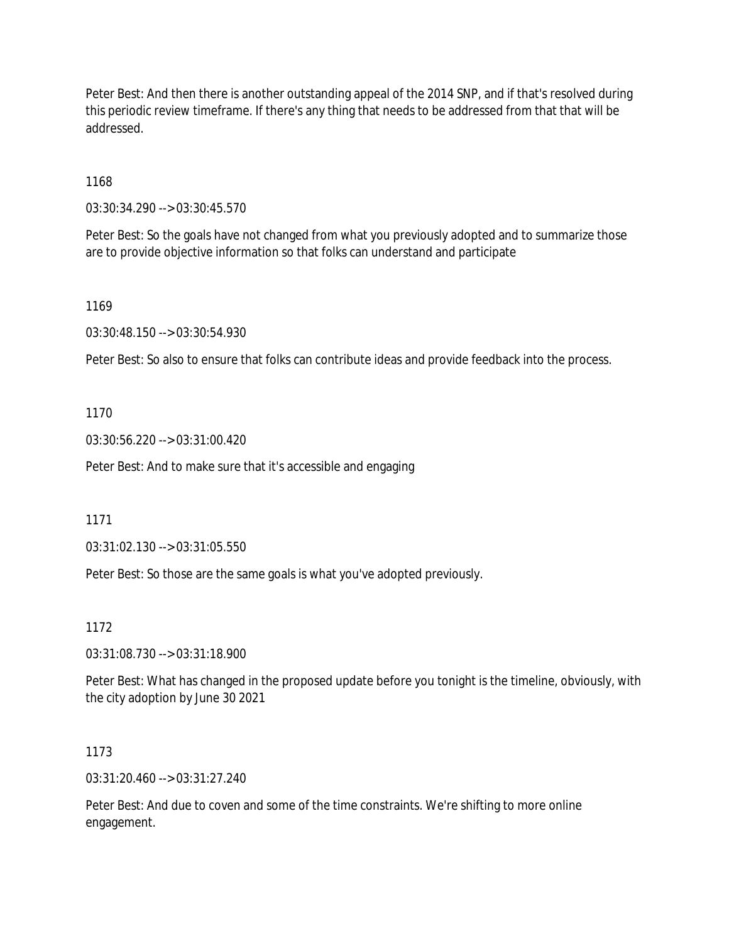Peter Best: And then there is another outstanding appeal of the 2014 SNP, and if that's resolved during this periodic review timeframe. If there's any thing that needs to be addressed from that that will be addressed.

1168

03:30:34.290 --> 03:30:45.570

Peter Best: So the goals have not changed from what you previously adopted and to summarize those are to provide objective information so that folks can understand and participate

1169

03:30:48.150 --> 03:30:54.930

Peter Best: So also to ensure that folks can contribute ideas and provide feedback into the process.

1170

03:30:56.220 --> 03:31:00.420

Peter Best: And to make sure that it's accessible and engaging

1171

03:31:02.130 --> 03:31:05.550

Peter Best: So those are the same goals is what you've adopted previously.

1172

03:31:08.730 --> 03:31:18.900

Peter Best: What has changed in the proposed update before you tonight is the timeline, obviously, with the city adoption by June 30 2021

1173

03:31:20.460 --> 03:31:27.240

Peter Best: And due to coven and some of the time constraints. We're shifting to more online engagement.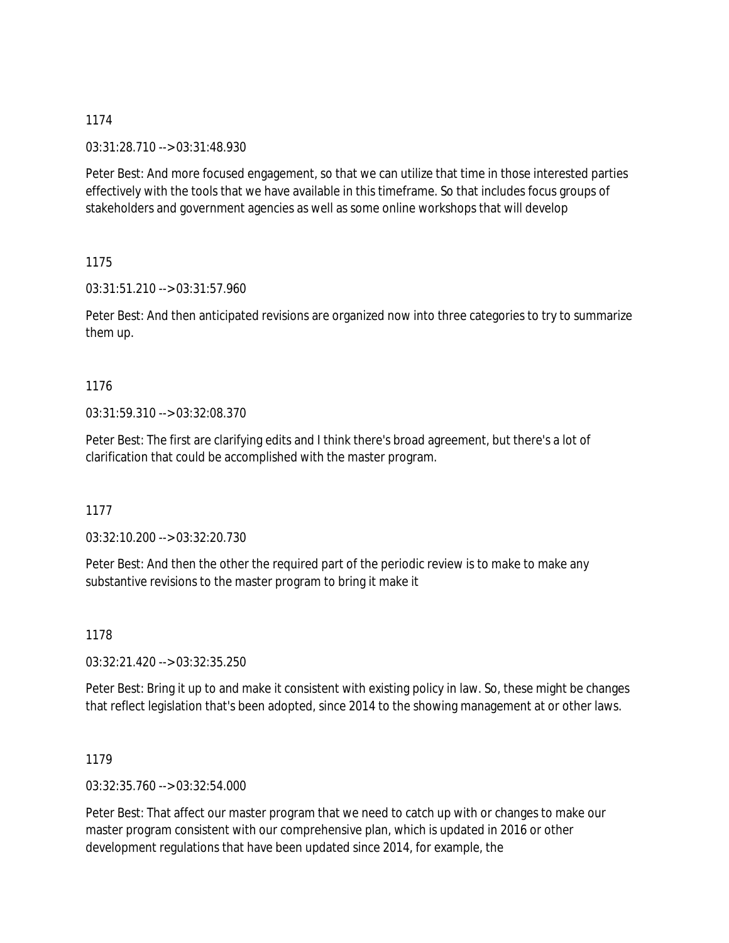03:31:28.710 --> 03:31:48.930

Peter Best: And more focused engagement, so that we can utilize that time in those interested parties effectively with the tools that we have available in this timeframe. So that includes focus groups of stakeholders and government agencies as well as some online workshops that will develop

1175

03:31:51.210 --> 03:31:57.960

Peter Best: And then anticipated revisions are organized now into three categories to try to summarize them up.

## 1176

03:31:59.310 --> 03:32:08.370

Peter Best: The first are clarifying edits and I think there's broad agreement, but there's a lot of clarification that could be accomplished with the master program.

1177

03:32:10.200 --> 03:32:20.730

Peter Best: And then the other the required part of the periodic review is to make to make any substantive revisions to the master program to bring it make it

1178

03:32:21.420 --> 03:32:35.250

Peter Best: Bring it up to and make it consistent with existing policy in law. So, these might be changes that reflect legislation that's been adopted, since 2014 to the showing management at or other laws.

1179

03:32:35.760 --> 03:32:54.000

Peter Best: That affect our master program that we need to catch up with or changes to make our master program consistent with our comprehensive plan, which is updated in 2016 or other development regulations that have been updated since 2014, for example, the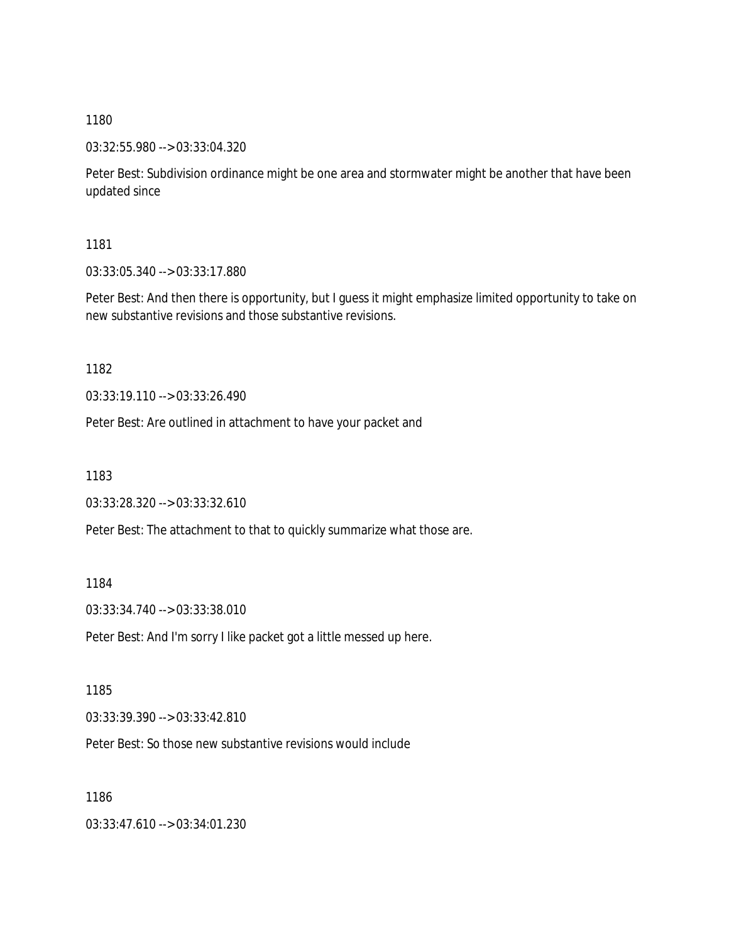03:32:55.980 --> 03:33:04.320

Peter Best: Subdivision ordinance might be one area and stormwater might be another that have been updated since

1181

03:33:05.340 --> 03:33:17.880

Peter Best: And then there is opportunity, but I guess it might emphasize limited opportunity to take on new substantive revisions and those substantive revisions.

1182

03:33:19.110 --> 03:33:26.490

Peter Best: Are outlined in attachment to have your packet and

1183

03:33:28.320 --> 03:33:32.610

Peter Best: The attachment to that to quickly summarize what those are.

1184

03:33:34.740 --> 03:33:38.010

Peter Best: And I'm sorry I like packet got a little messed up here.

1185

03:33:39.390 --> 03:33:42.810

Peter Best: So those new substantive revisions would include

1186

03:33:47.610 --> 03:34:01.230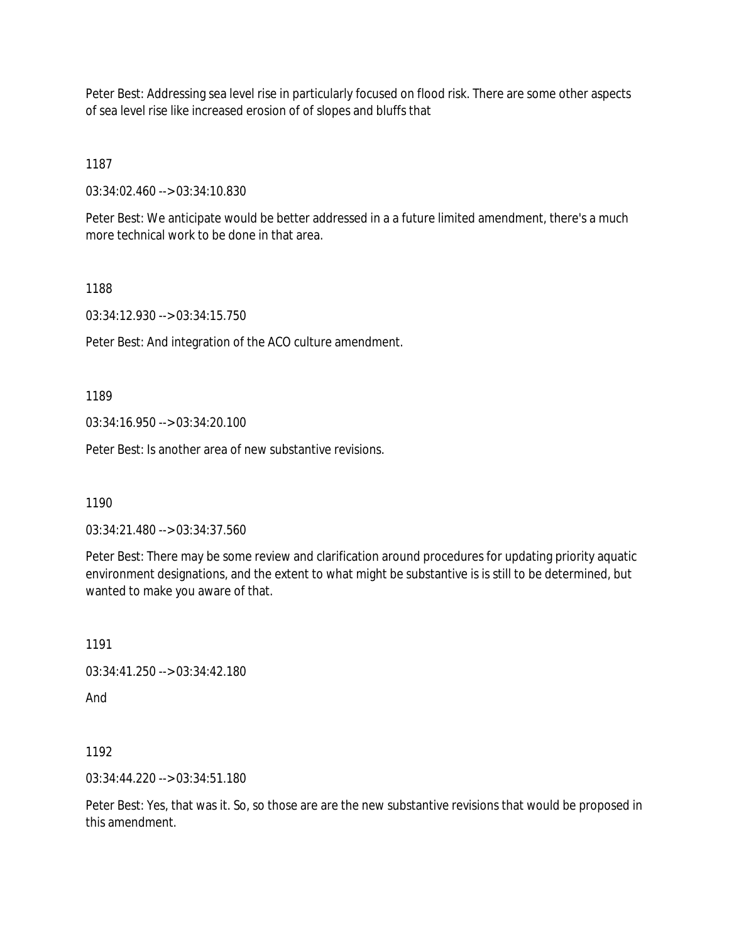Peter Best: Addressing sea level rise in particularly focused on flood risk. There are some other aspects of sea level rise like increased erosion of of slopes and bluffs that

1187

03:34:02.460 --> 03:34:10.830

Peter Best: We anticipate would be better addressed in a a future limited amendment, there's a much more technical work to be done in that area.

1188

03:34:12.930 --> 03:34:15.750

Peter Best: And integration of the ACO culture amendment.

1189

03:34:16.950 --> 03:34:20.100

Peter Best: Is another area of new substantive revisions.

1190

03:34:21.480 --> 03:34:37.560

Peter Best: There may be some review and clarification around procedures for updating priority aquatic environment designations, and the extent to what might be substantive is is still to be determined, but wanted to make you aware of that.

1191

03:34:41.250 --> 03:34:42.180

And

1192

03:34:44.220 --> 03:34:51.180

Peter Best: Yes, that was it. So, so those are are the new substantive revisions that would be proposed in this amendment.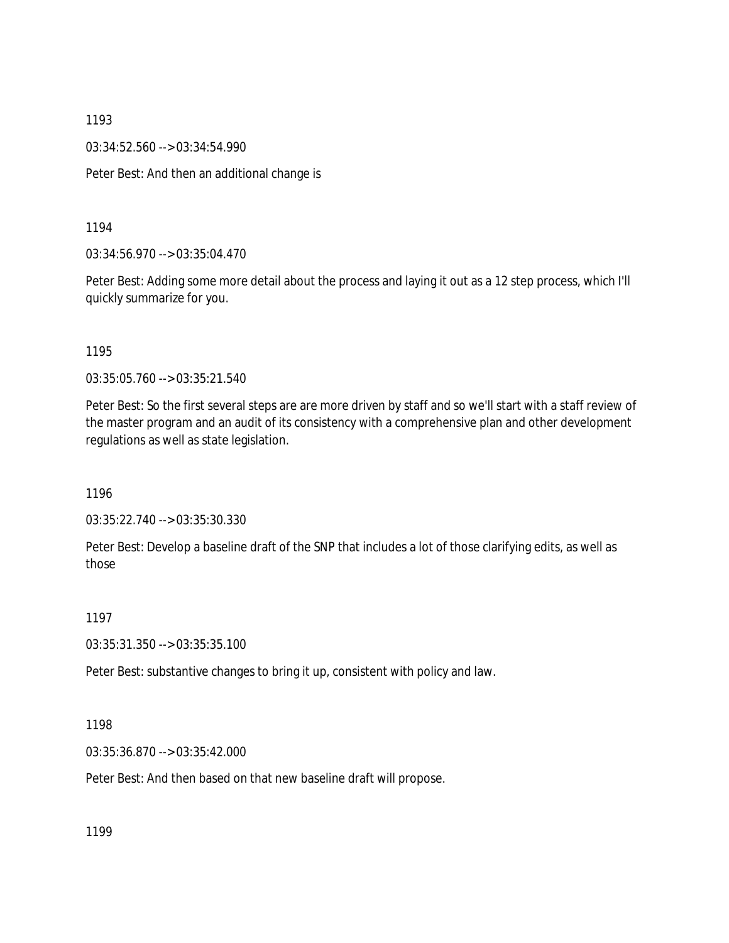03:34:52.560 --> 03:34:54.990

Peter Best: And then an additional change is

1194

03:34:56.970 --> 03:35:04.470

Peter Best: Adding some more detail about the process and laying it out as a 12 step process, which I'll quickly summarize for you.

1195

03:35:05.760 --> 03:35:21.540

Peter Best: So the first several steps are are more driven by staff and so we'll start with a staff review of the master program and an audit of its consistency with a comprehensive plan and other development regulations as well as state legislation.

1196

03:35:22.740 --> 03:35:30.330

Peter Best: Develop a baseline draft of the SNP that includes a lot of those clarifying edits, as well as those

1197

03:35:31.350 --> 03:35:35.100

Peter Best: substantive changes to bring it up, consistent with policy and law.

1198

03:35:36.870 --> 03:35:42.000

Peter Best: And then based on that new baseline draft will propose.

1199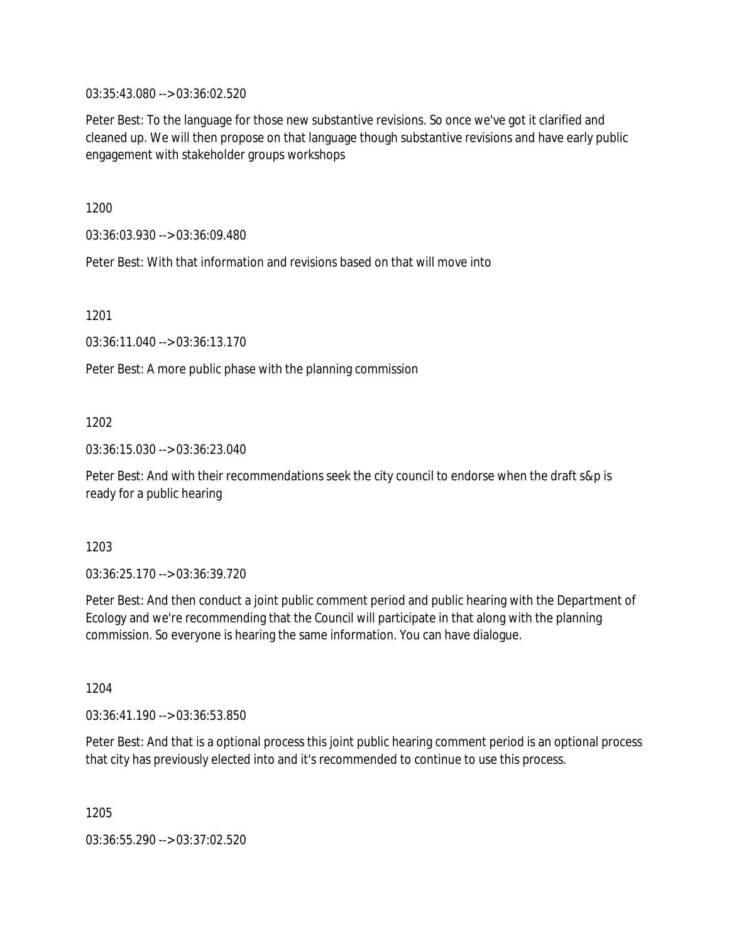03:35:43.080 --> 03:36:02.520

Peter Best: To the language for those new substantive revisions. So once we've got it clarified and cleaned up. We will then propose on that language though substantive revisions and have early public engagement with stakeholder groups workshops

1200

03:36:03.930 --> 03:36:09.480

Peter Best: With that information and revisions based on that will move into

1201

03:36:11.040 --> 03:36:13.170

Peter Best: A more public phase with the planning commission

1202

03:36:15.030 --> 03:36:23.040

Peter Best: And with their recommendations seek the city council to endorse when the draft s&p is ready for a public hearing

1203

03:36:25.170 --> 03:36:39.720

Peter Best: And then conduct a joint public comment period and public hearing with the Department of Ecology and we're recommending that the Council will participate in that along with the planning commission. So everyone is hearing the same information. You can have dialogue.

1204

03:36:41.190 --> 03:36:53.850

Peter Best: And that is a optional process this joint public hearing comment period is an optional process that city has previously elected into and it's recommended to continue to use this process.

1205

03:36:55.290 --> 03:37:02.520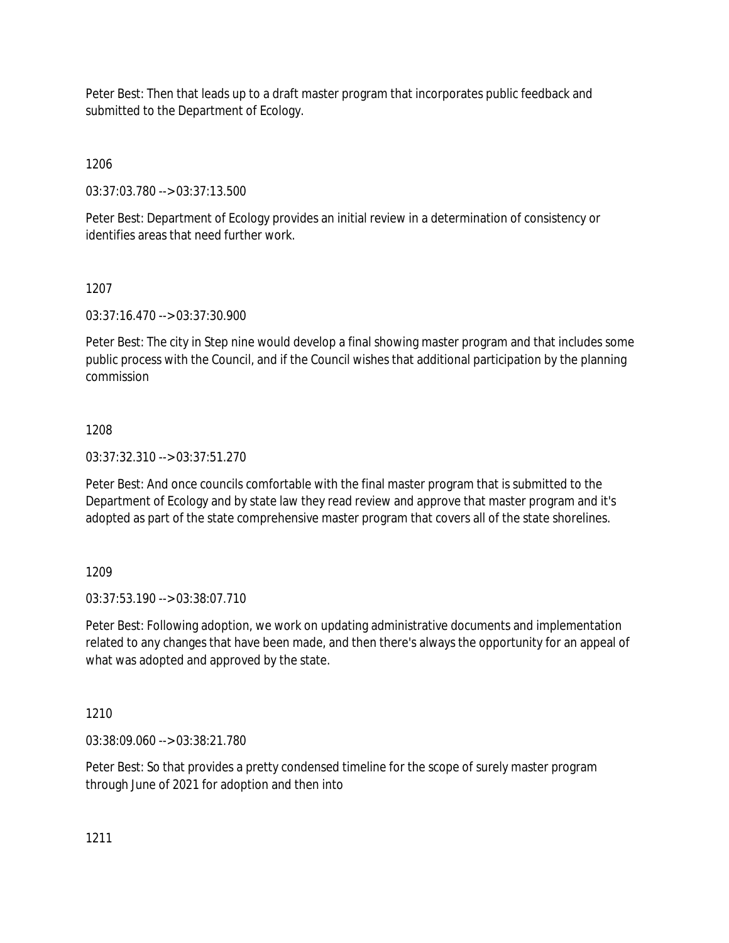Peter Best: Then that leads up to a draft master program that incorporates public feedback and submitted to the Department of Ecology.

1206

03:37:03.780 --> 03:37:13.500

Peter Best: Department of Ecology provides an initial review in a determination of consistency or identifies areas that need further work.

1207

03:37:16.470 --> 03:37:30.900

Peter Best: The city in Step nine would develop a final showing master program and that includes some public process with the Council, and if the Council wishes that additional participation by the planning commission

## 1208

03:37:32.310 --> 03:37:51.270

Peter Best: And once councils comfortable with the final master program that is submitted to the Department of Ecology and by state law they read review and approve that master program and it's adopted as part of the state comprehensive master program that covers all of the state shorelines.

1209

03:37:53.190 --> 03:38:07.710

Peter Best: Following adoption, we work on updating administrative documents and implementation related to any changes that have been made, and then there's always the opportunity for an appeal of what was adopted and approved by the state.

1210

03:38:09.060 --> 03:38:21.780

Peter Best: So that provides a pretty condensed timeline for the scope of surely master program through June of 2021 for adoption and then into

1211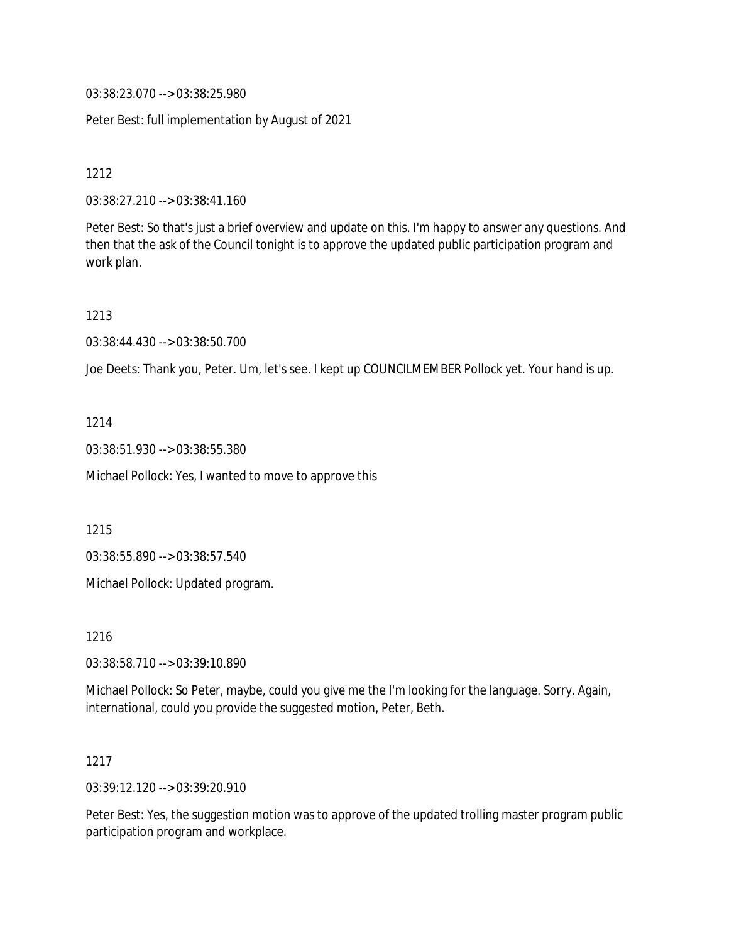03:38:23.070 --> 03:38:25.980

Peter Best: full implementation by August of 2021

1212

03:38:27.210 --> 03:38:41.160

Peter Best: So that's just a brief overview and update on this. I'm happy to answer any questions. And then that the ask of the Council tonight is to approve the updated public participation program and work plan.

1213

03:38:44.430 --> 03:38:50.700

Joe Deets: Thank you, Peter. Um, let's see. I kept up COUNCILMEMBER Pollock yet. Your hand is up.

1214

03:38:51.930 --> 03:38:55.380

Michael Pollock: Yes, I wanted to move to approve this

1215

03:38:55.890 --> 03:38:57.540

Michael Pollock: Updated program.

1216

03:38:58.710 --> 03:39:10.890

Michael Pollock: So Peter, maybe, could you give me the I'm looking for the language. Sorry. Again, international, could you provide the suggested motion, Peter, Beth.

1217

03:39:12.120 --> 03:39:20.910

Peter Best: Yes, the suggestion motion was to approve of the updated trolling master program public participation program and workplace.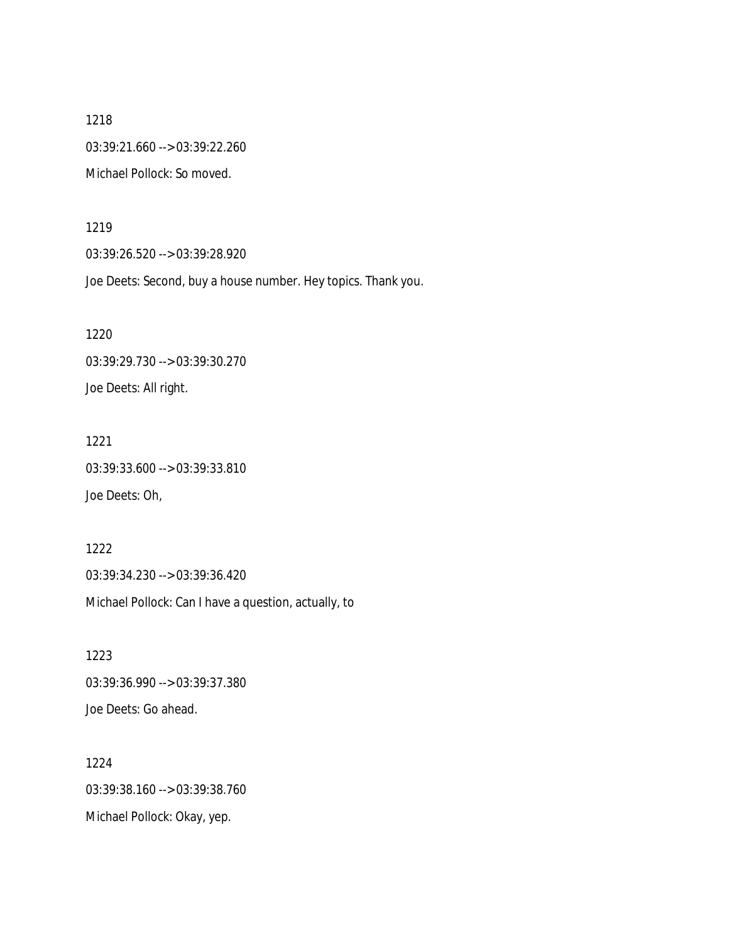1218 03:39:21.660 --> 03:39:22.260 Michael Pollock: So moved.

1219

1221

03:39:26.520 --> 03:39:28.920

Joe Deets: Second, buy a house number. Hey topics. Thank you.

1220 03:39:29.730 --> 03:39:30.270 Joe Deets: All right.

03:39:33.600 --> 03:39:33.810 Joe Deets: Oh,

1222 03:39:34.230 --> 03:39:36.420 Michael Pollock: Can I have a question, actually, to

1223 03:39:36.990 --> 03:39:37.380 Joe Deets: Go ahead.

1224 03:39:38.160 --> 03:39:38.760 Michael Pollock: Okay, yep.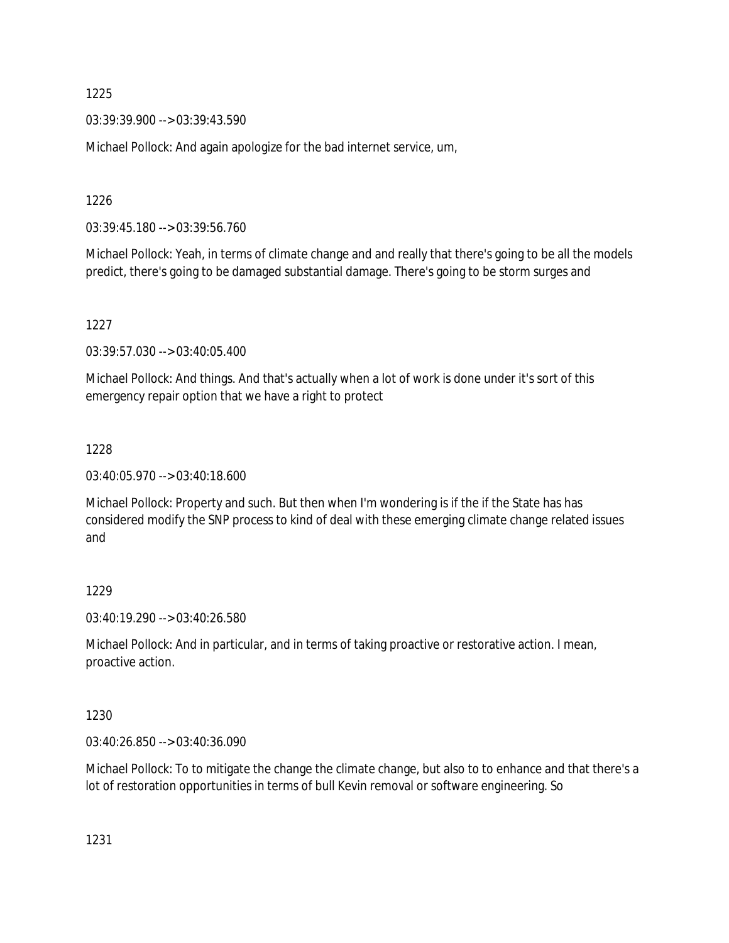03:39:39.900 --> 03:39:43.590

Michael Pollock: And again apologize for the bad internet service, um,

1226

03:39:45.180 --> 03:39:56.760

Michael Pollock: Yeah, in terms of climate change and and really that there's going to be all the models predict, there's going to be damaged substantial damage. There's going to be storm surges and

1227

03:39:57.030 --> 03:40:05.400

Michael Pollock: And things. And that's actually when a lot of work is done under it's sort of this emergency repair option that we have a right to protect

## 1228

03:40:05.970 --> 03:40:18.600

Michael Pollock: Property and such. But then when I'm wondering is if the if the State has has considered modify the SNP process to kind of deal with these emerging climate change related issues and

# 1229

03:40:19.290 --> 03:40:26.580

Michael Pollock: And in particular, and in terms of taking proactive or restorative action. I mean, proactive action.

## 1230

03:40:26.850 --> 03:40:36.090

Michael Pollock: To to mitigate the change the climate change, but also to to enhance and that there's a lot of restoration opportunities in terms of bull Kevin removal or software engineering. So

1231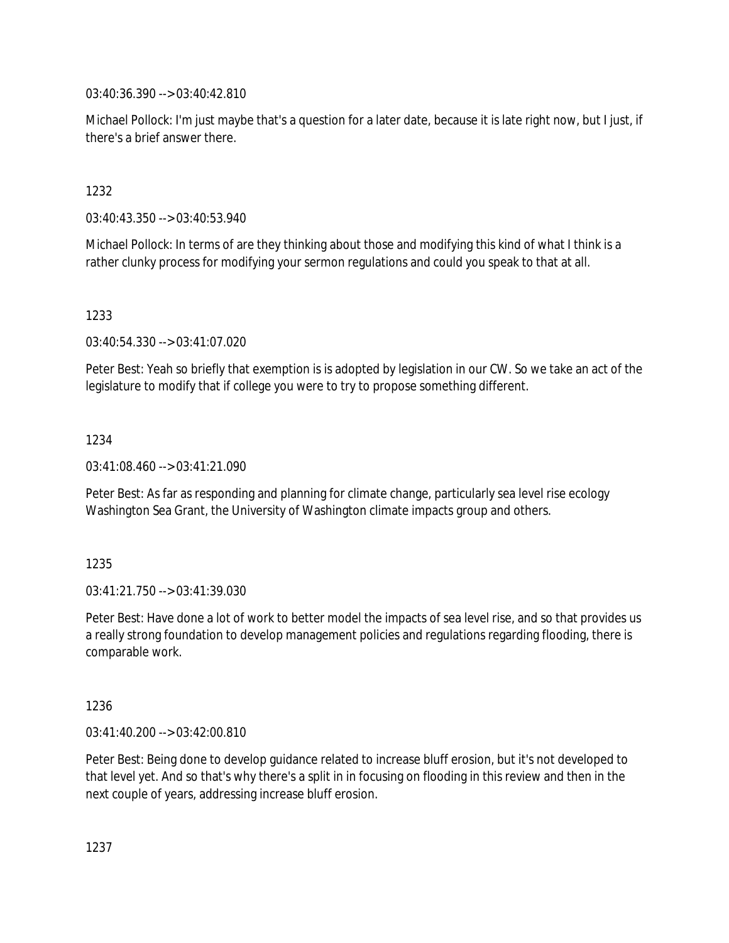03:40:36.390 --> 03:40:42.810

Michael Pollock: I'm just maybe that's a question for a later date, because it is late right now, but I just, if there's a brief answer there.

1232

03:40:43.350 --> 03:40:53.940

Michael Pollock: In terms of are they thinking about those and modifying this kind of what I think is a rather clunky process for modifying your sermon regulations and could you speak to that at all.

1233

03:40:54.330 --> 03:41:07.020

Peter Best: Yeah so briefly that exemption is is adopted by legislation in our CW. So we take an act of the legislature to modify that if college you were to try to propose something different.

1234

03:41:08.460 --> 03:41:21.090

Peter Best: As far as responding and planning for climate change, particularly sea level rise ecology Washington Sea Grant, the University of Washington climate impacts group and others.

1235

03:41:21.750 --> 03:41:39.030

Peter Best: Have done a lot of work to better model the impacts of sea level rise, and so that provides us a really strong foundation to develop management policies and regulations regarding flooding, there is comparable work.

1236

03:41:40.200 --> 03:42:00.810

Peter Best: Being done to develop guidance related to increase bluff erosion, but it's not developed to that level yet. And so that's why there's a split in in focusing on flooding in this review and then in the next couple of years, addressing increase bluff erosion.

1237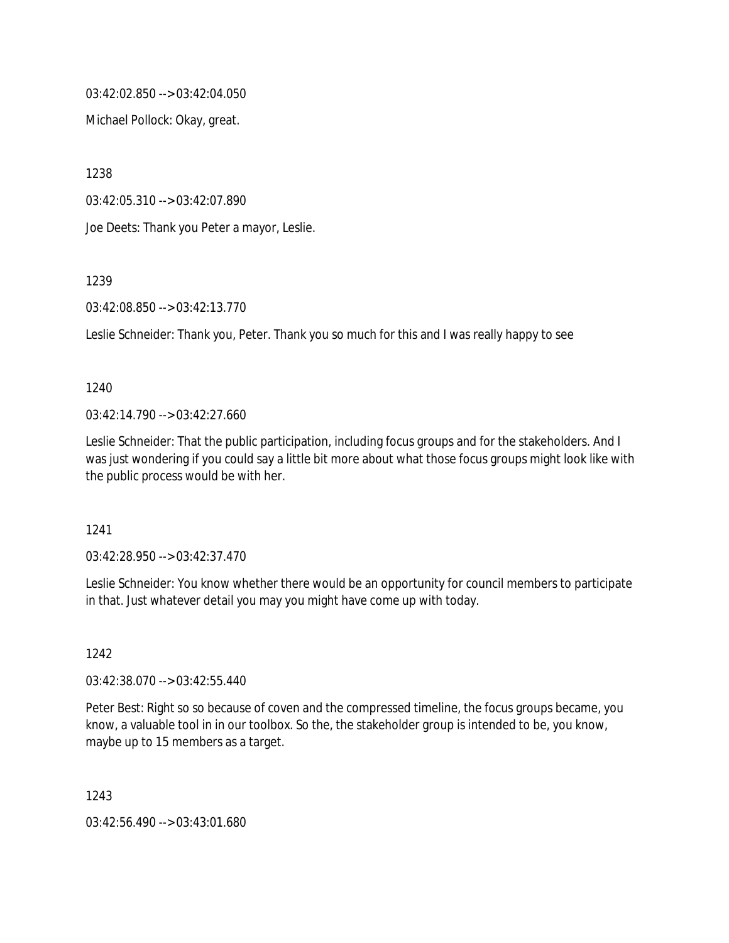03:42:02.850 --> 03:42:04.050

Michael Pollock: Okay, great.

1238

03:42:05.310 --> 03:42:07.890

Joe Deets: Thank you Peter a mayor, Leslie.

1239

03:42:08.850 --> 03:42:13.770

Leslie Schneider: Thank you, Peter. Thank you so much for this and I was really happy to see

#### 1240

 $03:42:14.790 \rightarrow 03:42:27.660$ 

Leslie Schneider: That the public participation, including focus groups and for the stakeholders. And I was just wondering if you could say a little bit more about what those focus groups might look like with the public process would be with her.

1241

03:42:28.950 --> 03:42:37.470

Leslie Schneider: You know whether there would be an opportunity for council members to participate in that. Just whatever detail you may you might have come up with today.

1242

03:42:38.070 --> 03:42:55.440

Peter Best: Right so so because of coven and the compressed timeline, the focus groups became, you know, a valuable tool in in our toolbox. So the, the stakeholder group is intended to be, you know, maybe up to 15 members as a target.

1243

03:42:56.490 --> 03:43:01.680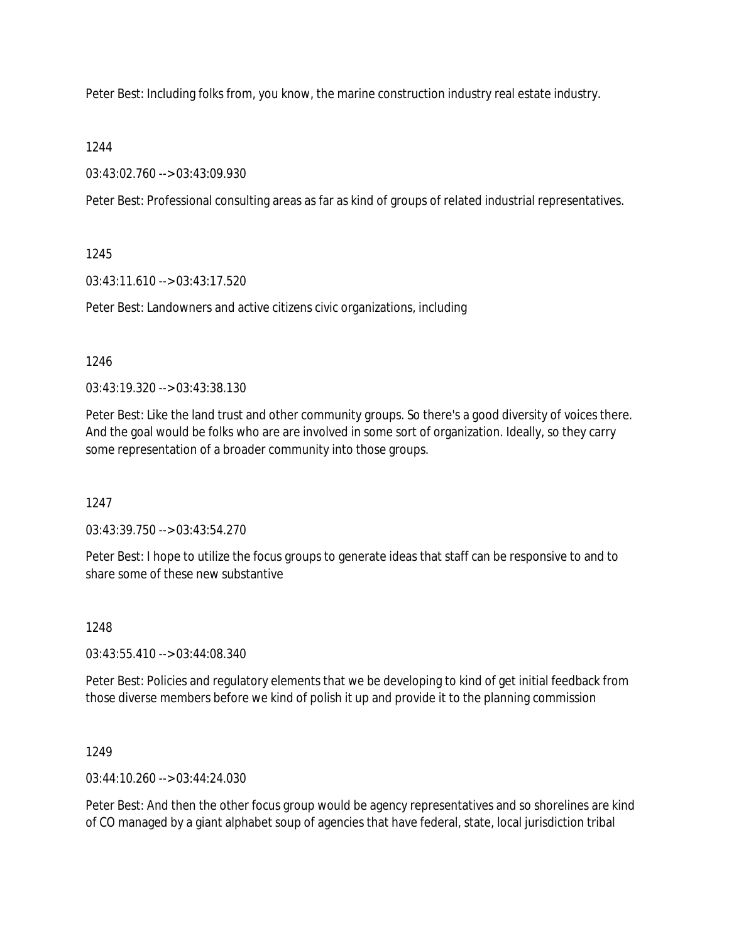Peter Best: Including folks from, you know, the marine construction industry real estate industry.

## 1244

03:43:02.760 --> 03:43:09.930

Peter Best: Professional consulting areas as far as kind of groups of related industrial representatives.

## 1245

03:43:11.610 --> 03:43:17.520

Peter Best: Landowners and active citizens civic organizations, including

## 1246

03:43:19.320 --> 03:43:38.130

Peter Best: Like the land trust and other community groups. So there's a good diversity of voices there. And the goal would be folks who are are involved in some sort of organization. Ideally, so they carry some representation of a broader community into those groups.

# 1247

03:43:39.750 --> 03:43:54.270

Peter Best: I hope to utilize the focus groups to generate ideas that staff can be responsive to and to share some of these new substantive

# 1248

03:43:55.410 --> 03:44:08.340

Peter Best: Policies and regulatory elements that we be developing to kind of get initial feedback from those diverse members before we kind of polish it up and provide it to the planning commission

1249

03:44:10.260 --> 03:44:24.030

Peter Best: And then the other focus group would be agency representatives and so shorelines are kind of CO managed by a giant alphabet soup of agencies that have federal, state, local jurisdiction tribal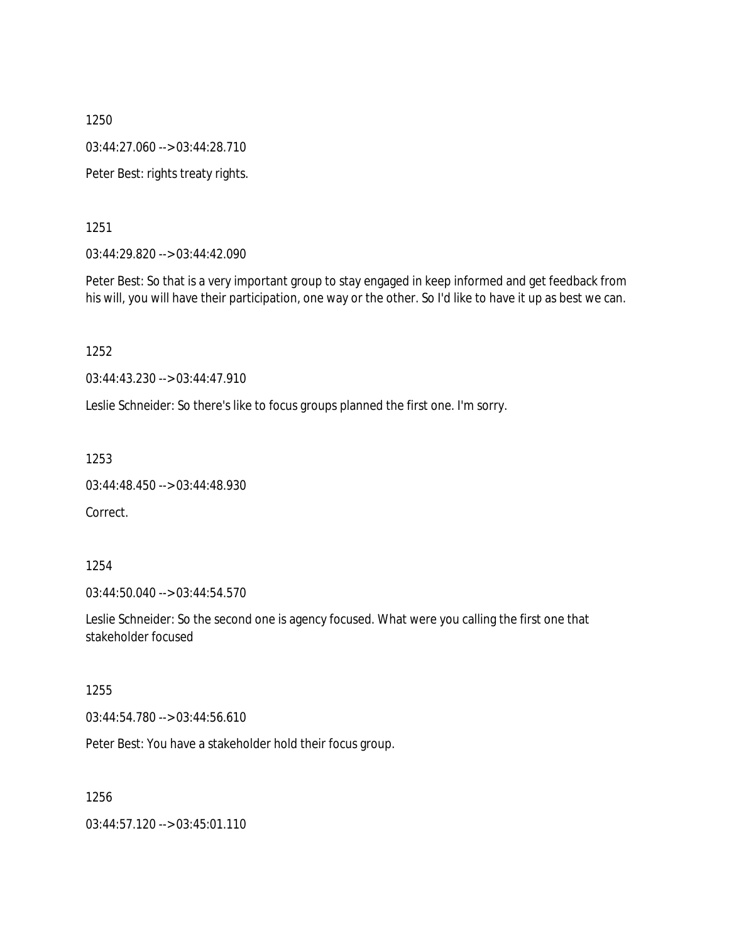1250 03:44:27.060 --> 03:44:28.710 Peter Best: rights treaty rights.

1251

03:44:29.820 --> 03:44:42.090

Peter Best: So that is a very important group to stay engaged in keep informed and get feedback from his will, you will have their participation, one way or the other. So I'd like to have it up as best we can.

1252

03:44:43.230 --> 03:44:47.910

Leslie Schneider: So there's like to focus groups planned the first one. I'm sorry.

1253

```
03:44:48.450 --> 03:44:48.930
```
Correct.

1254

03:44:50.040 --> 03:44:54.570

Leslie Schneider: So the second one is agency focused. What were you calling the first one that stakeholder focused

1255

03:44:54.780 --> 03:44:56.610

Peter Best: You have a stakeholder hold their focus group.

1256

03:44:57.120 --> 03:45:01.110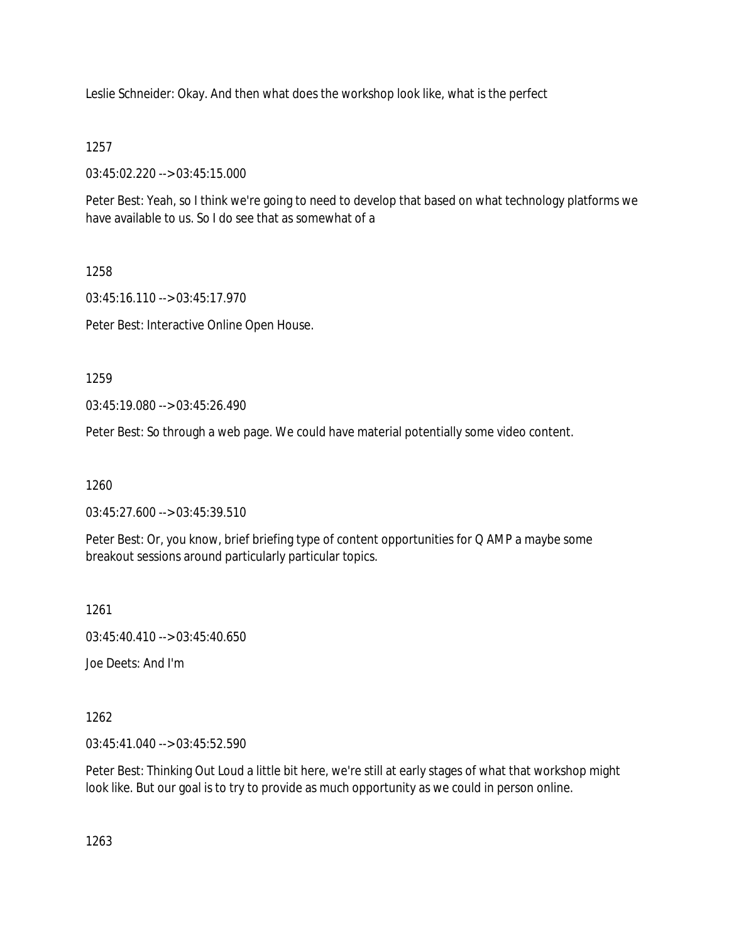Leslie Schneider: Okay. And then what does the workshop look like, what is the perfect

## 1257

03:45:02.220 --> 03:45:15.000

Peter Best: Yeah, so I think we're going to need to develop that based on what technology platforms we have available to us. So I do see that as somewhat of a

## 1258

03:45:16.110 --> 03:45:17.970

Peter Best: Interactive Online Open House.

1259

03:45:19.080 --> 03:45:26.490

Peter Best: So through a web page. We could have material potentially some video content.

1260

03:45:27.600 --> 03:45:39.510

Peter Best: Or, you know, brief briefing type of content opportunities for Q AMP a maybe some breakout sessions around particularly particular topics.

1261

03:45:40.410 --> 03:45:40.650

Joe Deets: And I'm

1262

03:45:41.040 --> 03:45:52.590

Peter Best: Thinking Out Loud a little bit here, we're still at early stages of what that workshop might look like. But our goal is to try to provide as much opportunity as we could in person online.

1263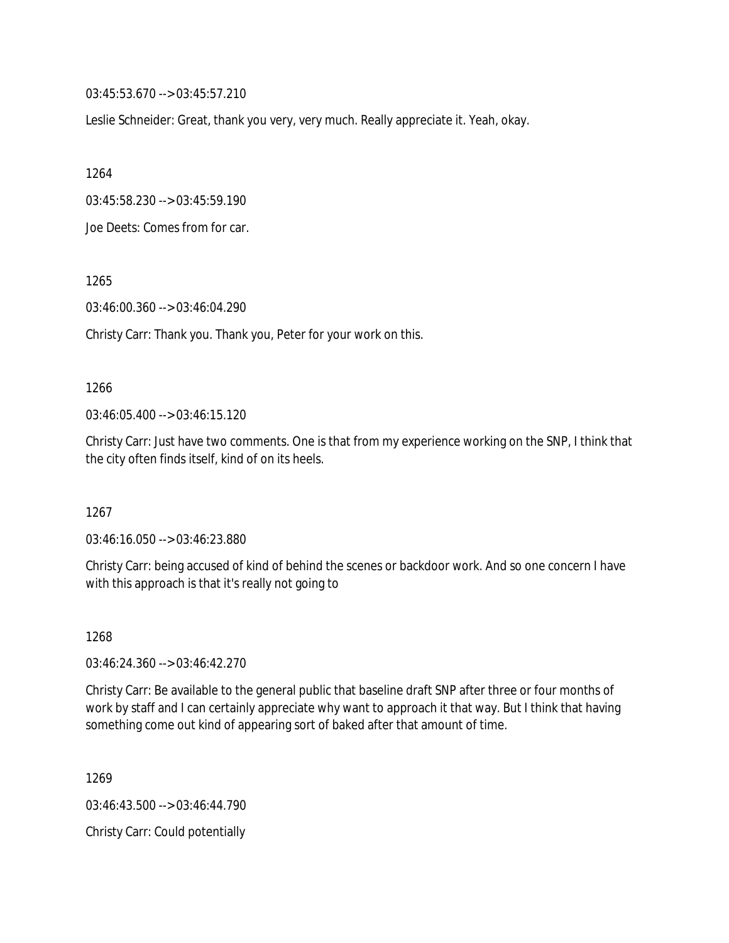03:45:53.670 --> 03:45:57.210

Leslie Schneider: Great, thank you very, very much. Really appreciate it. Yeah, okay.

1264

03:45:58.230 --> 03:45:59.190

Joe Deets: Comes from for car.

1265

03:46:00.360 --> 03:46:04.290

Christy Carr: Thank you. Thank you, Peter for your work on this.

#### 1266

 $03:46:05.400 \rightarrow 03:46:15.120$ 

Christy Carr: Just have two comments. One is that from my experience working on the SNP, I think that the city often finds itself, kind of on its heels.

1267

03:46:16.050 --> 03:46:23.880

Christy Carr: being accused of kind of behind the scenes or backdoor work. And so one concern I have with this approach is that it's really not going to

1268

03:46:24.360 --> 03:46:42.270

Christy Carr: Be available to the general public that baseline draft SNP after three or four months of work by staff and I can certainly appreciate why want to approach it that way. But I think that having something come out kind of appearing sort of baked after that amount of time.

1269

03:46:43.500 --> 03:46:44.790

Christy Carr: Could potentially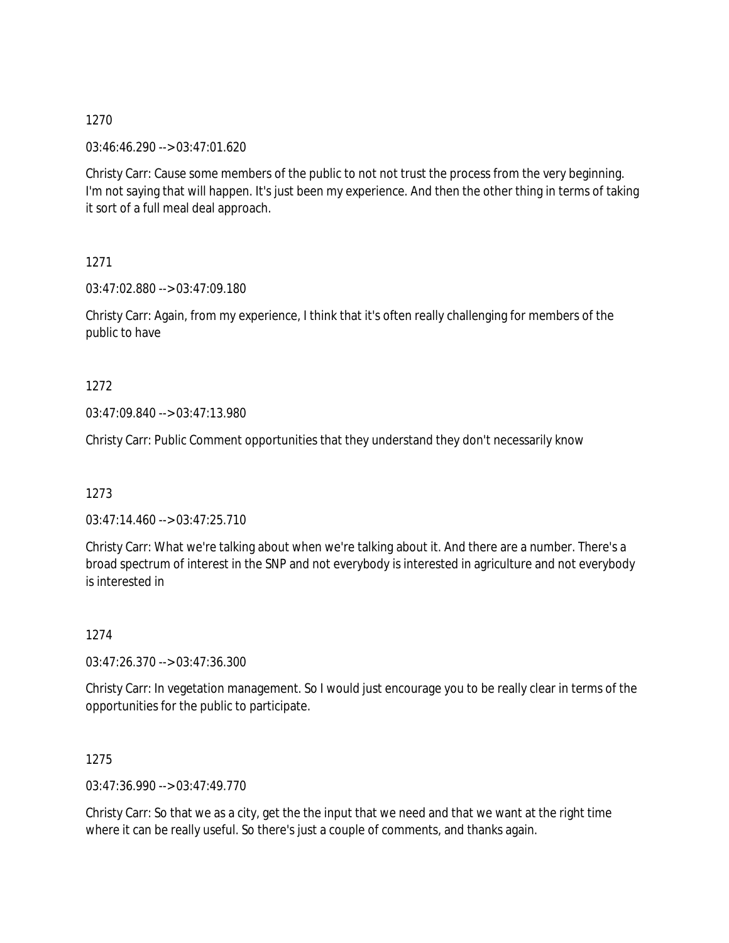03:46:46.290 --> 03:47:01.620

Christy Carr: Cause some members of the public to not not trust the process from the very beginning. I'm not saying that will happen. It's just been my experience. And then the other thing in terms of taking it sort of a full meal deal approach.

1271

03:47:02.880 --> 03:47:09.180

Christy Carr: Again, from my experience, I think that it's often really challenging for members of the public to have

1272

03:47:09.840 --> 03:47:13.980

Christy Carr: Public Comment opportunities that they understand they don't necessarily know

1273

03:47:14.460 --> 03:47:25.710

Christy Carr: What we're talking about when we're talking about it. And there are a number. There's a broad spectrum of interest in the SNP and not everybody is interested in agriculture and not everybody is interested in

1274

03:47:26.370 --> 03:47:36.300

Christy Carr: In vegetation management. So I would just encourage you to be really clear in terms of the opportunities for the public to participate.

1275

03:47:36.990 --> 03:47:49.770

Christy Carr: So that we as a city, get the the input that we need and that we want at the right time where it can be really useful. So there's just a couple of comments, and thanks again.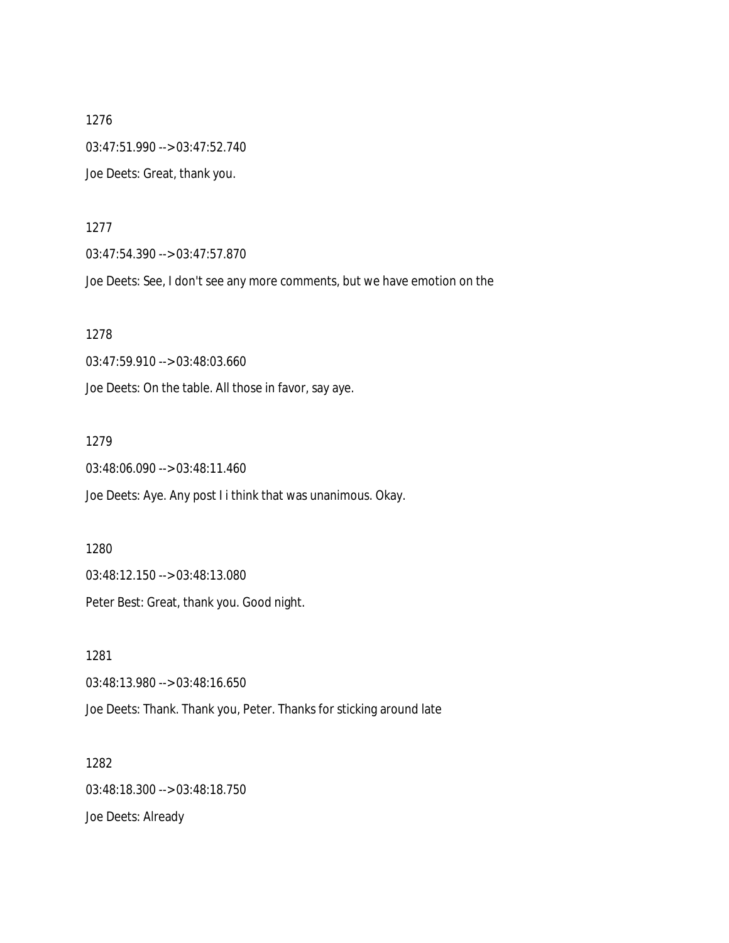1276 03:47:51.990 --> 03:47:52.740 Joe Deets: Great, thank you.

1277

03:47:54.390 --> 03:47:57.870

Joe Deets: See, I don't see any more comments, but we have emotion on the

1278

03:47:59.910 --> 03:48:03.660

Joe Deets: On the table. All those in favor, say aye.

1279

03:48:06.090 --> 03:48:11.460

Joe Deets: Aye. Any post I i think that was unanimous. Okay.

1280

03:48:12.150 --> 03:48:13.080

Peter Best: Great, thank you. Good night.

1281 03:48:13.980 --> 03:48:16.650 Joe Deets: Thank. Thank you, Peter. Thanks for sticking around late

1282 03:48:18.300 --> 03:48:18.750 Joe Deets: Already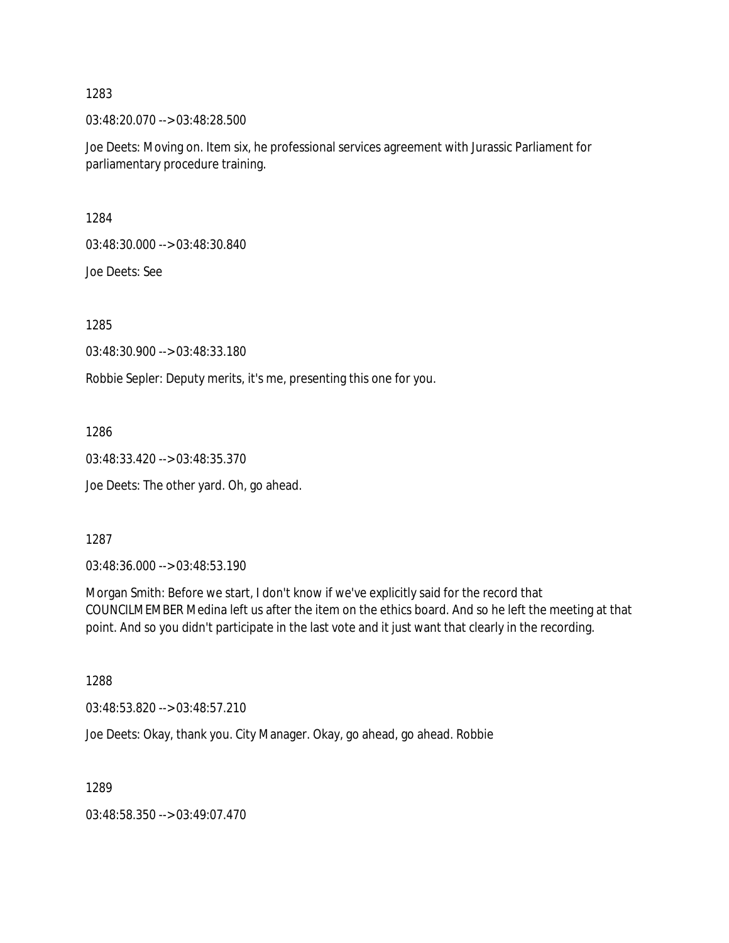03:48:20.070 --> 03:48:28.500

Joe Deets: Moving on. Item six, he professional services agreement with Jurassic Parliament for parliamentary procedure training.

1284

03:48:30.000 --> 03:48:30.840

Joe Deets: See

1285

03:48:30.900 --> 03:48:33.180

Robbie Sepler: Deputy merits, it's me, presenting this one for you.

1286

03:48:33.420 --> 03:48:35.370

Joe Deets: The other yard. Oh, go ahead.

1287

03:48:36.000 --> 03:48:53.190

Morgan Smith: Before we start, I don't know if we've explicitly said for the record that COUNCILMEMBER Medina left us after the item on the ethics board. And so he left the meeting at that point. And so you didn't participate in the last vote and it just want that clearly in the recording.

1288

03:48:53.820 --> 03:48:57.210

Joe Deets: Okay, thank you. City Manager. Okay, go ahead, go ahead. Robbie

1289

03:48:58.350 --> 03:49:07.470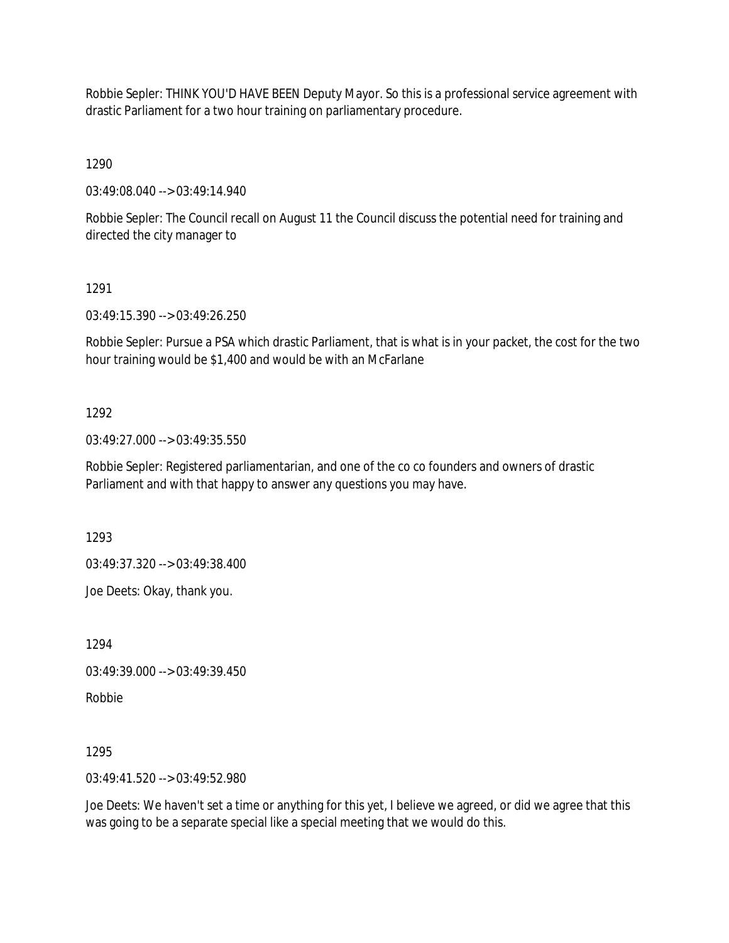Robbie Sepler: THINK YOU'D HAVE BEEN Deputy Mayor. So this is a professional service agreement with drastic Parliament for a two hour training on parliamentary procedure.

1290

03:49:08.040 --> 03:49:14.940

Robbie Sepler: The Council recall on August 11 the Council discuss the potential need for training and directed the city manager to

1291

03:49:15.390 --> 03:49:26.250

Robbie Sepler: Pursue a PSA which drastic Parliament, that is what is in your packet, the cost for the two hour training would be \$1,400 and would be with an McFarlane

## 1292

03:49:27.000 --> 03:49:35.550

Robbie Sepler: Registered parliamentarian, and one of the co co founders and owners of drastic Parliament and with that happy to answer any questions you may have.

1293

03:49:37.320 --> 03:49:38.400

Joe Deets: Okay, thank you.

1294

03:49:39.000 --> 03:49:39.450

Robbie

1295

03:49:41.520 --> 03:49:52.980

Joe Deets: We haven't set a time or anything for this yet, I believe we agreed, or did we agree that this was going to be a separate special like a special meeting that we would do this.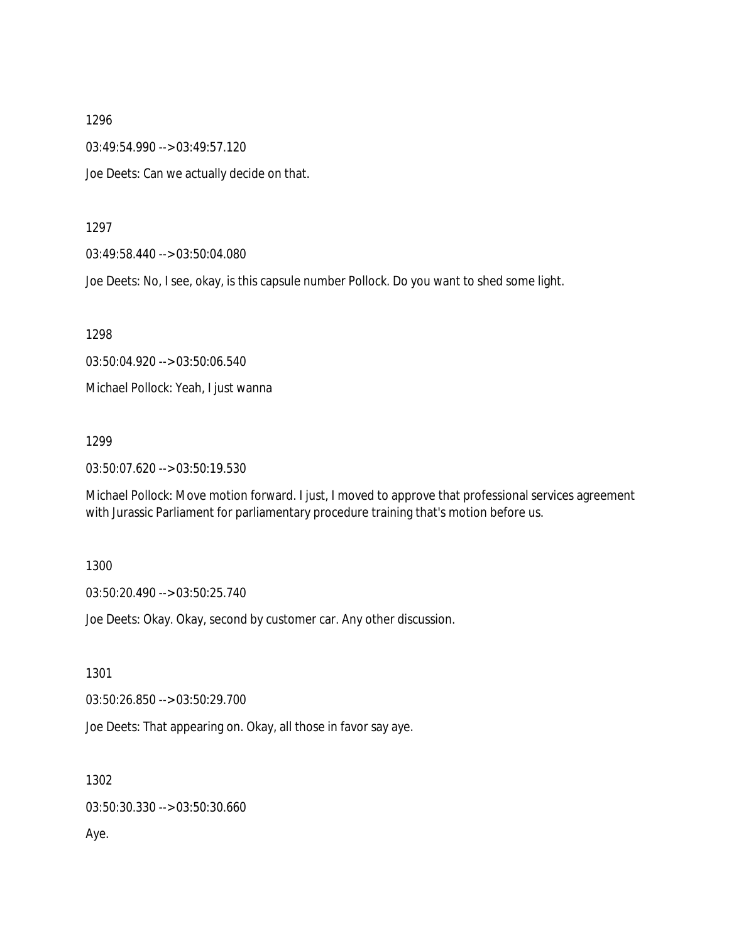03:49:54.990 --> 03:49:57.120

Joe Deets: Can we actually decide on that.

### 1297

03:49:58.440 --> 03:50:04.080

Joe Deets: No, I see, okay, is this capsule number Pollock. Do you want to shed some light.

1298

03:50:04.920 --> 03:50:06.540

Michael Pollock: Yeah, I just wanna

#### 1299

03:50:07.620 --> 03:50:19.530

Michael Pollock: Move motion forward. I just, I moved to approve that professional services agreement with Jurassic Parliament for parliamentary procedure training that's motion before us.

### 1300

03:50:20.490 --> 03:50:25.740

Joe Deets: Okay. Okay, second by customer car. Any other discussion.

1301

03:50:26.850 --> 03:50:29.700

Joe Deets: That appearing on. Okay, all those in favor say aye.

1302

03:50:30.330 --> 03:50:30.660

Aye.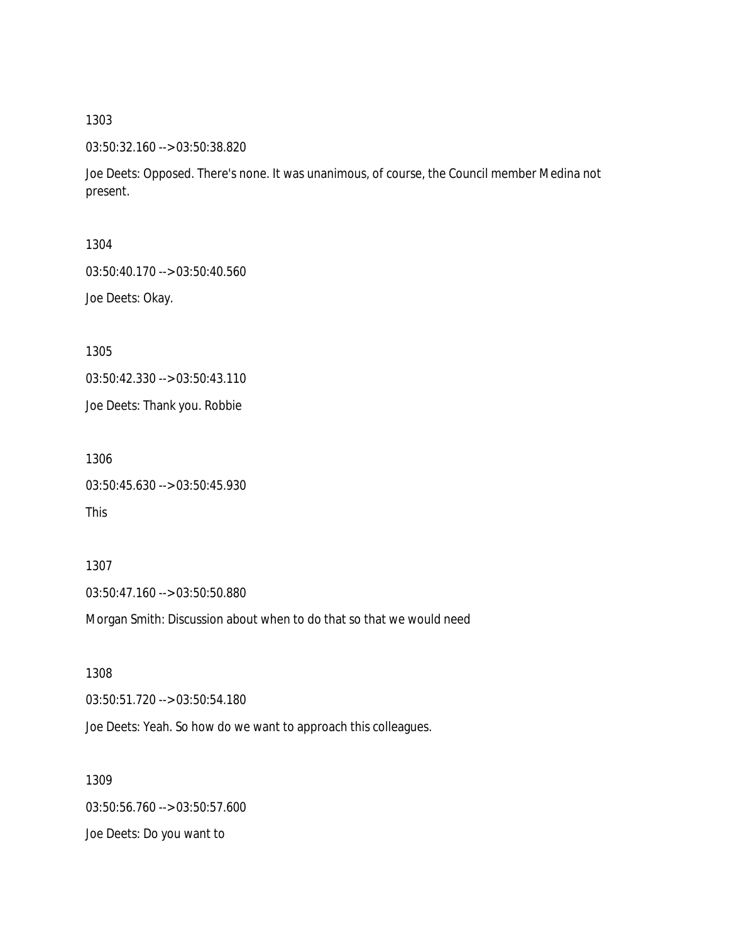03:50:32.160 --> 03:50:38.820

Joe Deets: Opposed. There's none. It was unanimous, of course, the Council member Medina not present.

1304

03:50:40.170 --> 03:50:40.560

Joe Deets: Okay.

1305

03:50:42.330 --> 03:50:43.110

Joe Deets: Thank you. Robbie

1306

03:50:45.630 --> 03:50:45.930

This

1307 03:50:47.160 --> 03:50:50.880

Morgan Smith: Discussion about when to do that so that we would need

1308 03:50:51.720 --> 03:50:54.180

Joe Deets: Yeah. So how do we want to approach this colleagues.

1309 03:50:56.760 --> 03:50:57.600 Joe Deets: Do you want to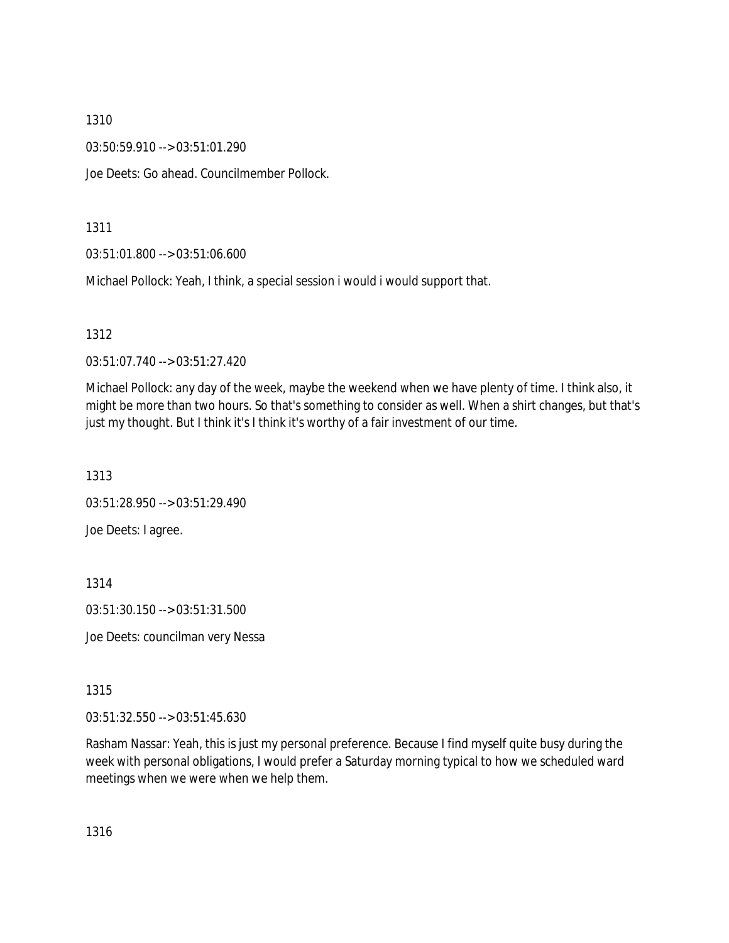03:50:59.910 --> 03:51:01.290

Joe Deets: Go ahead. Councilmember Pollock.

### 1311

03:51:01.800 --> 03:51:06.600

Michael Pollock: Yeah, I think, a special session i would i would support that.

### 1312

03:51:07.740 --> 03:51:27.420

Michael Pollock: any day of the week, maybe the weekend when we have plenty of time. I think also, it might be more than two hours. So that's something to consider as well. When a shirt changes, but that's just my thought. But I think it's I think it's worthy of a fair investment of our time.

1313

03:51:28.950 --> 03:51:29.490 Joe Deets: I agree.

### 1314

03:51:30.150 --> 03:51:31.500

Joe Deets: councilman very Nessa

## 1315

03:51:32.550 --> 03:51:45.630

Rasham Nassar: Yeah, this is just my personal preference. Because I find myself quite busy during the week with personal obligations, I would prefer a Saturday morning typical to how we scheduled ward meetings when we were when we help them.

1316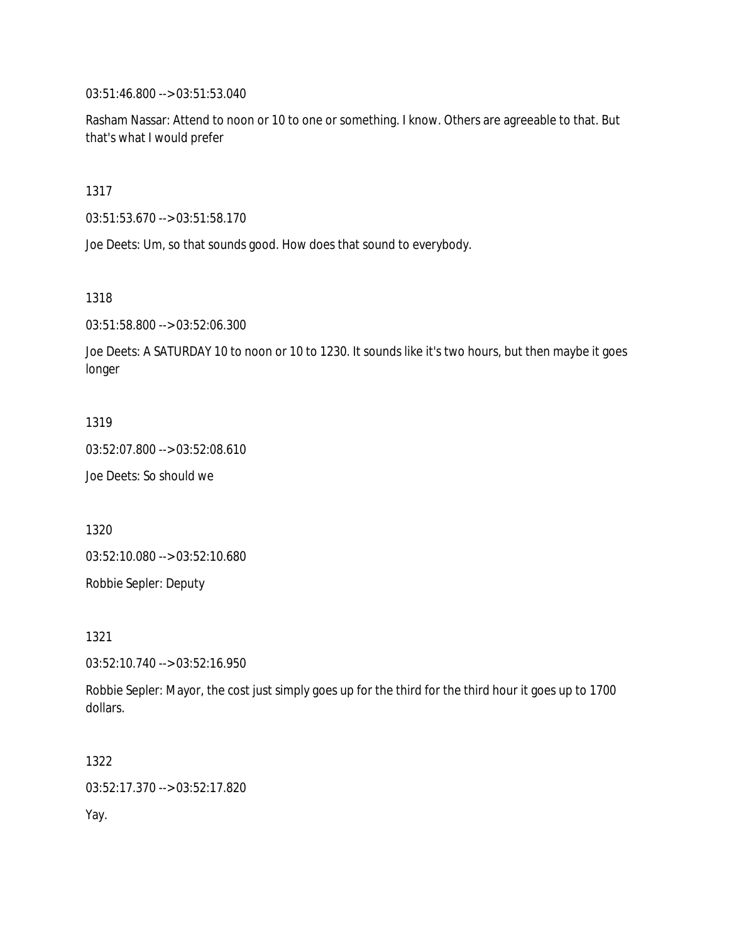03:51:46.800 --> 03:51:53.040

Rasham Nassar: Attend to noon or 10 to one or something. I know. Others are agreeable to that. But that's what I would prefer

1317

03:51:53.670 --> 03:51:58.170

Joe Deets: Um, so that sounds good. How does that sound to everybody.

1318

03:51:58.800 --> 03:52:06.300

Joe Deets: A SATURDAY 10 to noon or 10 to 1230. It sounds like it's two hours, but then maybe it goes longer

1319

03:52:07.800 --> 03:52:08.610

Joe Deets: So should we

1320

03:52:10.080 --> 03:52:10.680

Robbie Sepler: Deputy

1321

03:52:10.740 --> 03:52:16.950

Robbie Sepler: Mayor, the cost just simply goes up for the third for the third hour it goes up to 1700 dollars.

1322 03:52:17.370 --> 03:52:17.820 Yay.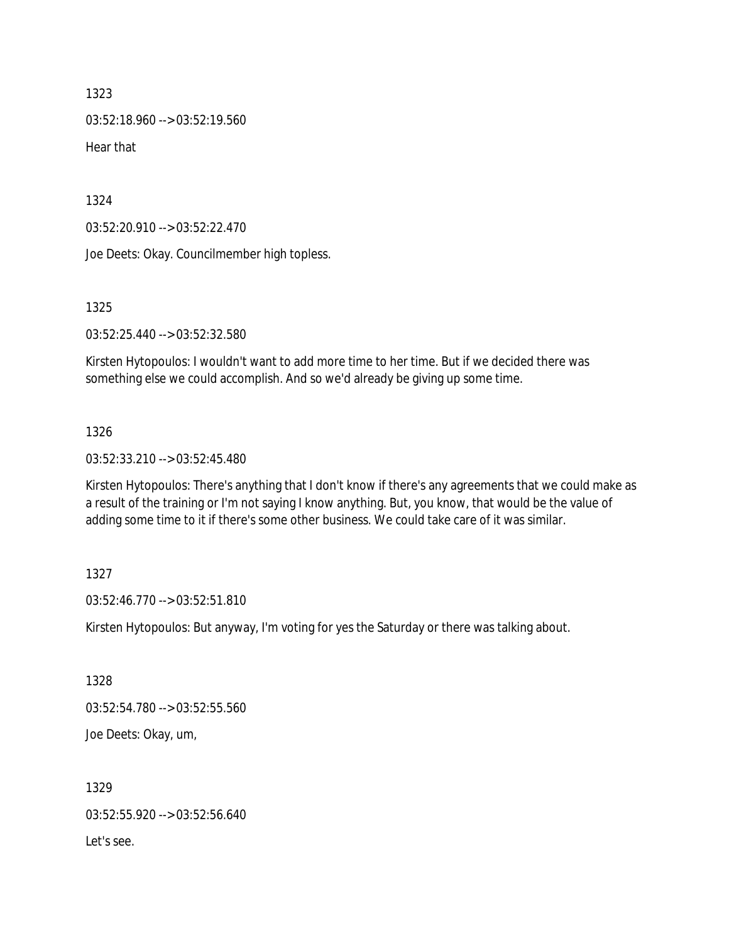03:52:18.960 --> 03:52:19.560

Hear that

1324

03:52:20.910 --> 03:52:22.470

Joe Deets: Okay. Councilmember high topless.

1325

03:52:25.440 --> 03:52:32.580

Kirsten Hytopoulos: I wouldn't want to add more time to her time. But if we decided there was something else we could accomplish. And so we'd already be giving up some time.

### 1326

03:52:33.210 --> 03:52:45.480

Kirsten Hytopoulos: There's anything that I don't know if there's any agreements that we could make as a result of the training or I'm not saying I know anything. But, you know, that would be the value of adding some time to it if there's some other business. We could take care of it was similar.

1327

03:52:46.770 --> 03:52:51.810

Kirsten Hytopoulos: But anyway, I'm voting for yes the Saturday or there was talking about.

1328 03:52:54.780 --> 03:52:55.560 Joe Deets: Okay, um,

1329 03:52:55.920 --> 03:52:56.640 Let's see.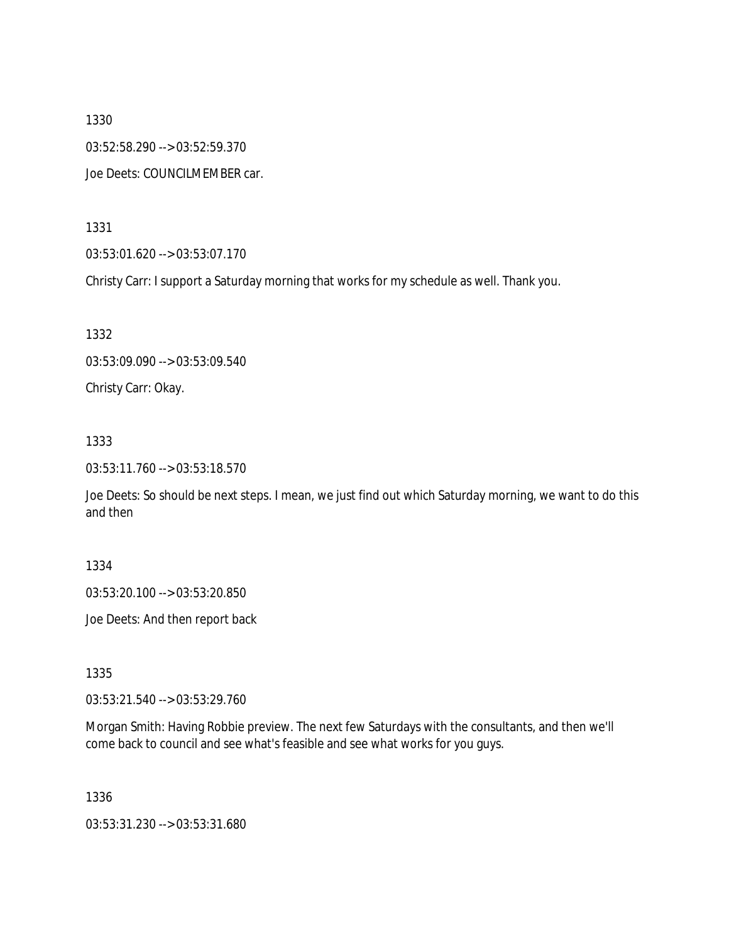1330 03:52:58.290 --> 03:52:59.370 Joe Deets: COUNCILMEMBER car.

1331

03:53:01.620 --> 03:53:07.170

Christy Carr: I support a Saturday morning that works for my schedule as well. Thank you.

1332

03:53:09.090 --> 03:53:09.540

Christy Carr: Okay.

1333

03:53:11.760 --> 03:53:18.570

Joe Deets: So should be next steps. I mean, we just find out which Saturday morning, we want to do this and then

1334

03:53:20.100 --> 03:53:20.850

Joe Deets: And then report back

1335

03:53:21.540 --> 03:53:29.760

Morgan Smith: Having Robbie preview. The next few Saturdays with the consultants, and then we'll come back to council and see what's feasible and see what works for you guys.

1336

03:53:31.230 --> 03:53:31.680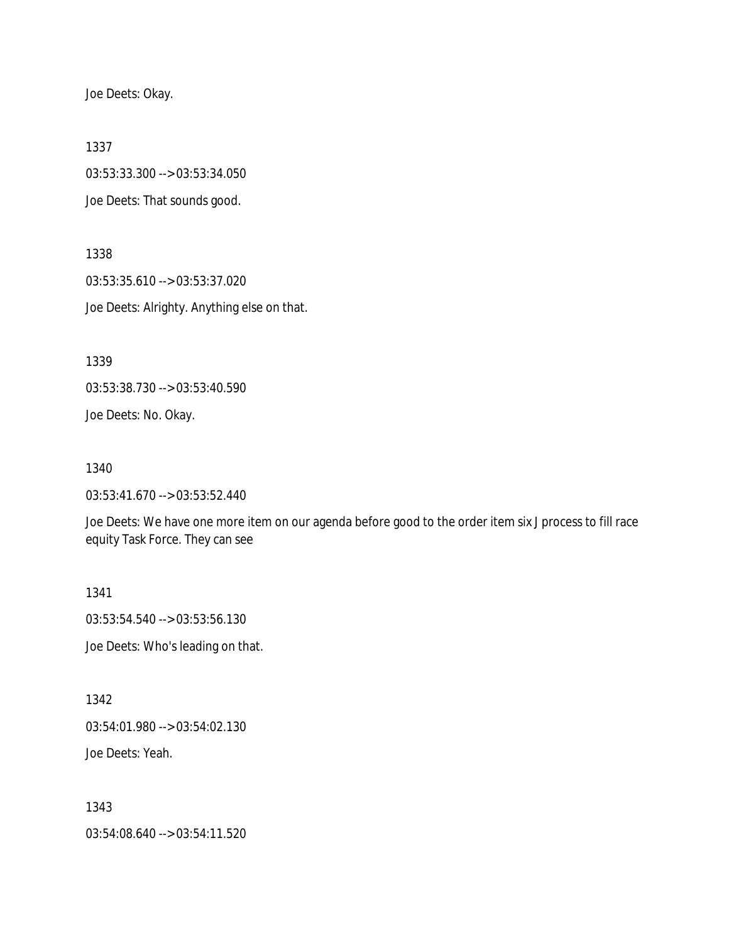Joe Deets: Okay.

1337

03:53:33.300 --> 03:53:34.050 Joe Deets: That sounds good.

1338 03:53:35.610 --> 03:53:37.020 Joe Deets: Alrighty. Anything else on that.

1339

03:53:38.730 --> 03:53:40.590

Joe Deets: No. Okay.

1340

03:53:41.670 --> 03:53:52.440

Joe Deets: We have one more item on our agenda before good to the order item six J process to fill race equity Task Force. They can see

1341 03:53:54.540 --> 03:53:56.130 Joe Deets: Who's leading on that.

1342 03:54:01.980 --> 03:54:02.130 Joe Deets: Yeah.

1343

03:54:08.640 --> 03:54:11.520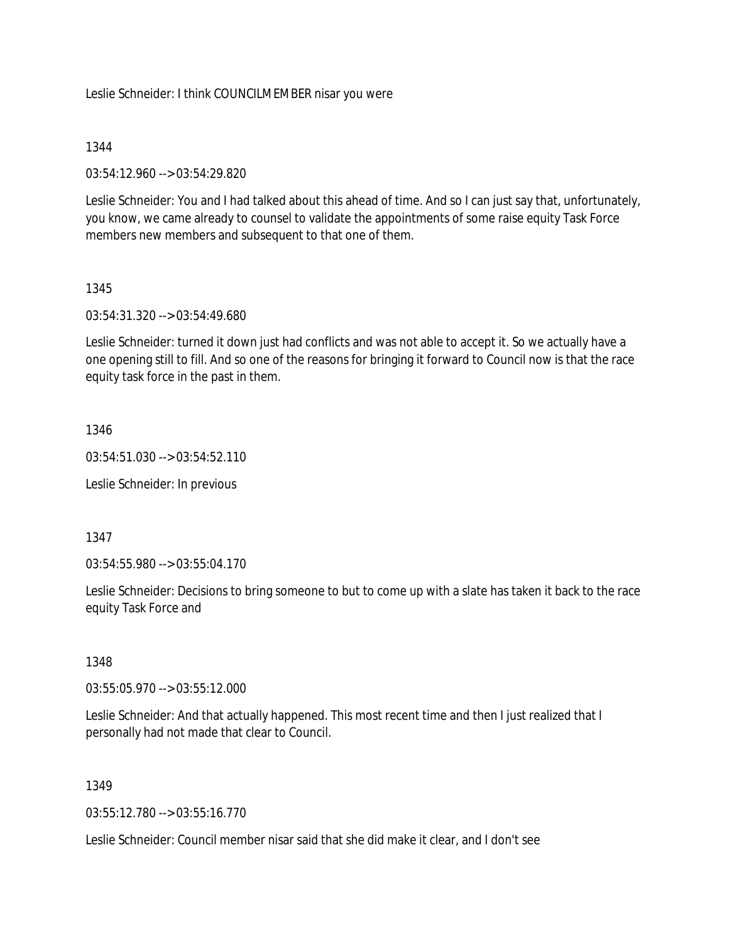Leslie Schneider: I think COUNCILMEMBER nisar you were

## 1344

03:54:12.960 --> 03:54:29.820

Leslie Schneider: You and I had talked about this ahead of time. And so I can just say that, unfortunately, you know, we came already to counsel to validate the appointments of some raise equity Task Force members new members and subsequent to that one of them.

## 1345

03:54:31.320 --> 03:54:49.680

Leslie Schneider: turned it down just had conflicts and was not able to accept it. So we actually have a one opening still to fill. And so one of the reasons for bringing it forward to Council now is that the race equity task force in the past in them.

## 1346

 $03:54:51.030 \rightarrow 03:54:52.110$ 

Leslie Schneider: In previous

## 1347

03:54:55.980 --> 03:55:04.170

Leslie Schneider: Decisions to bring someone to but to come up with a slate has taken it back to the race equity Task Force and

### 1348

03:55:05.970 --> 03:55:12.000

Leslie Schneider: And that actually happened. This most recent time and then I just realized that I personally had not made that clear to Council.

# 1349

03:55:12.780 --> 03:55:16.770

Leslie Schneider: Council member nisar said that she did make it clear, and I don't see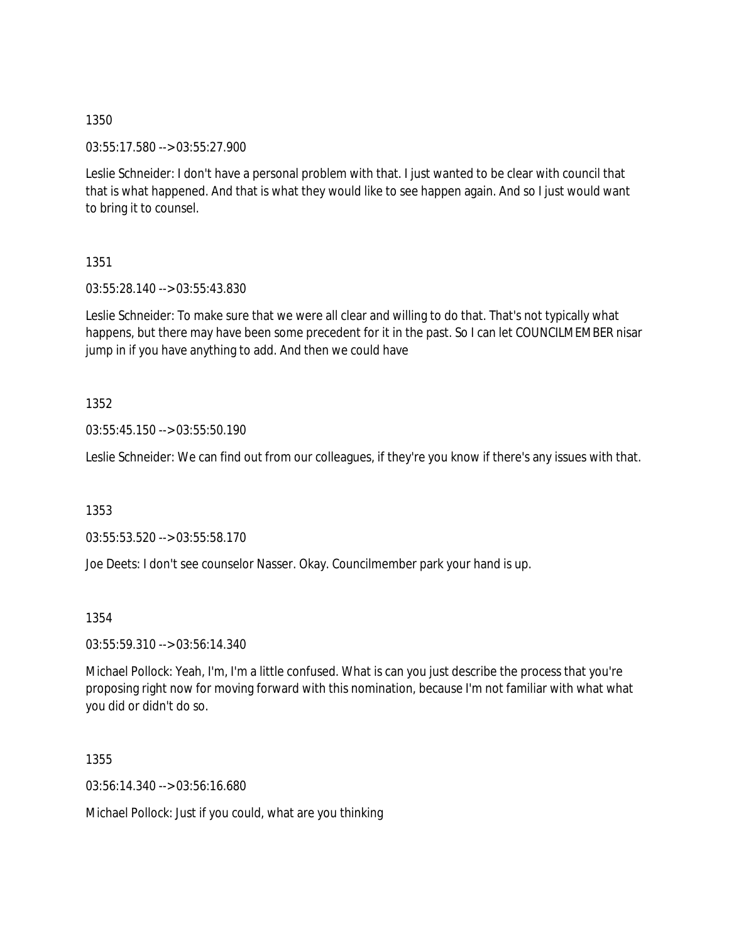03:55:17.580 --> 03:55:27.900

Leslie Schneider: I don't have a personal problem with that. I just wanted to be clear with council that that is what happened. And that is what they would like to see happen again. And so I just would want to bring it to counsel.

1351

03:55:28.140 --> 03:55:43.830

Leslie Schneider: To make sure that we were all clear and willing to do that. That's not typically what happens, but there may have been some precedent for it in the past. So I can let COUNCILMEMBER nisar jump in if you have anything to add. And then we could have

1352

03:55:45.150 --> 03:55:50.190

Leslie Schneider: We can find out from our colleagues, if they're you know if there's any issues with that.

1353

03:55:53.520 --> 03:55:58.170

Joe Deets: I don't see counselor Nasser. Okay. Councilmember park your hand is up.

1354

03:55:59.310 --> 03:56:14.340

Michael Pollock: Yeah, I'm, I'm a little confused. What is can you just describe the process that you're proposing right now for moving forward with this nomination, because I'm not familiar with what what you did or didn't do so.

1355

03:56:14.340 --> 03:56:16.680

Michael Pollock: Just if you could, what are you thinking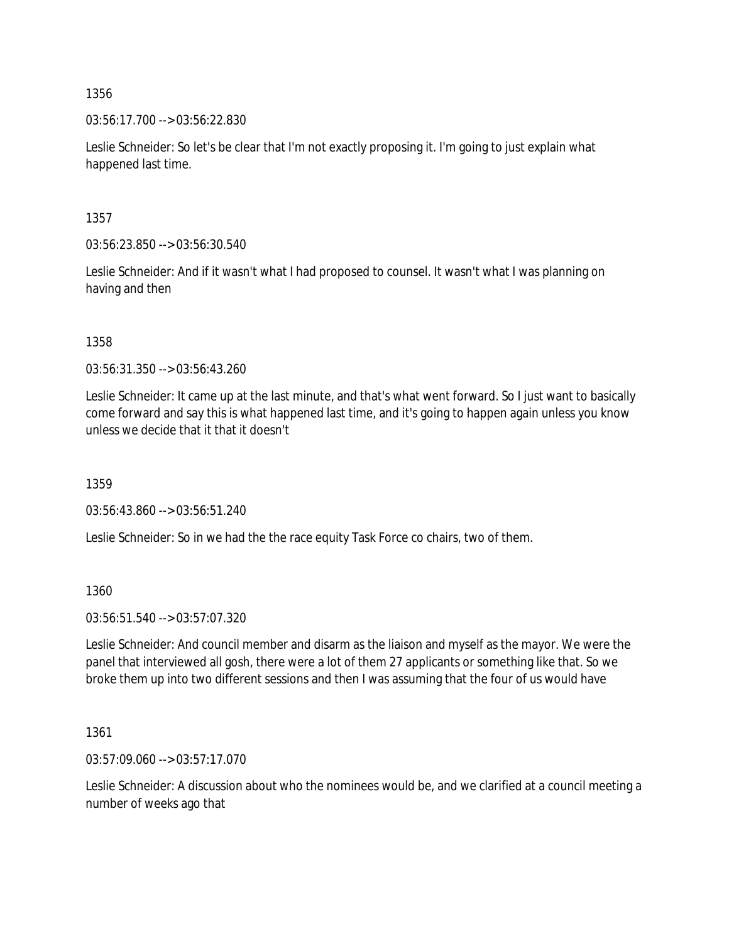03:56:17.700 --> 03:56:22.830

Leslie Schneider: So let's be clear that I'm not exactly proposing it. I'm going to just explain what happened last time.

1357

03:56:23.850 --> 03:56:30.540

Leslie Schneider: And if it wasn't what I had proposed to counsel. It wasn't what I was planning on having and then

1358

03:56:31.350 --> 03:56:43.260

Leslie Schneider: It came up at the last minute, and that's what went forward. So I just want to basically come forward and say this is what happened last time, and it's going to happen again unless you know unless we decide that it that it doesn't

1359

03:56:43.860 --> 03:56:51.240

Leslie Schneider: So in we had the the race equity Task Force co chairs, two of them.

1360

03:56:51.540 --> 03:57:07.320

Leslie Schneider: And council member and disarm as the liaison and myself as the mayor. We were the panel that interviewed all gosh, there were a lot of them 27 applicants or something like that. So we broke them up into two different sessions and then I was assuming that the four of us would have

1361

03:57:09.060 --> 03:57:17.070

Leslie Schneider: A discussion about who the nominees would be, and we clarified at a council meeting a number of weeks ago that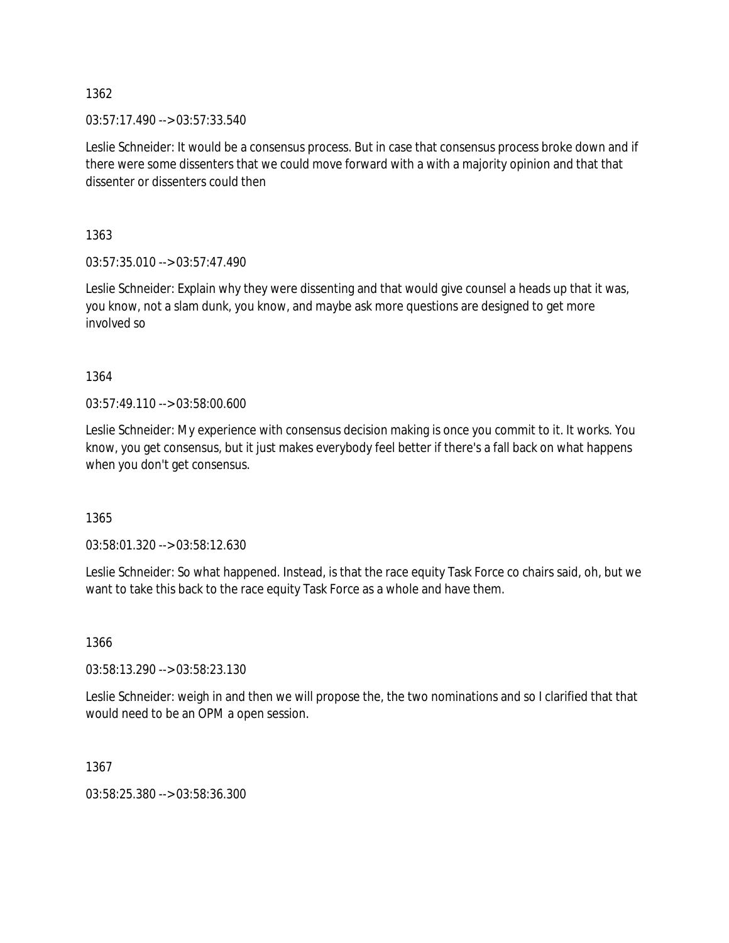$03:57:17.490 \rightarrow 03:57:33.540$ 

Leslie Schneider: It would be a consensus process. But in case that consensus process broke down and if there were some dissenters that we could move forward with a with a majority opinion and that that dissenter or dissenters could then

1363

03:57:35.010 --> 03:57:47.490

Leslie Schneider: Explain why they were dissenting and that would give counsel a heads up that it was, you know, not a slam dunk, you know, and maybe ask more questions are designed to get more involved so

1364

03:57:49.110 --> 03:58:00.600

Leslie Schneider: My experience with consensus decision making is once you commit to it. It works. You know, you get consensus, but it just makes everybody feel better if there's a fall back on what happens when you don't get consensus.

1365

03:58:01.320 --> 03:58:12.630

Leslie Schneider: So what happened. Instead, is that the race equity Task Force co chairs said, oh, but we want to take this back to the race equity Task Force as a whole and have them.

1366

03:58:13.290 --> 03:58:23.130

Leslie Schneider: weigh in and then we will propose the, the two nominations and so I clarified that that would need to be an OPM a open session.

1367

03:58:25.380 --> 03:58:36.300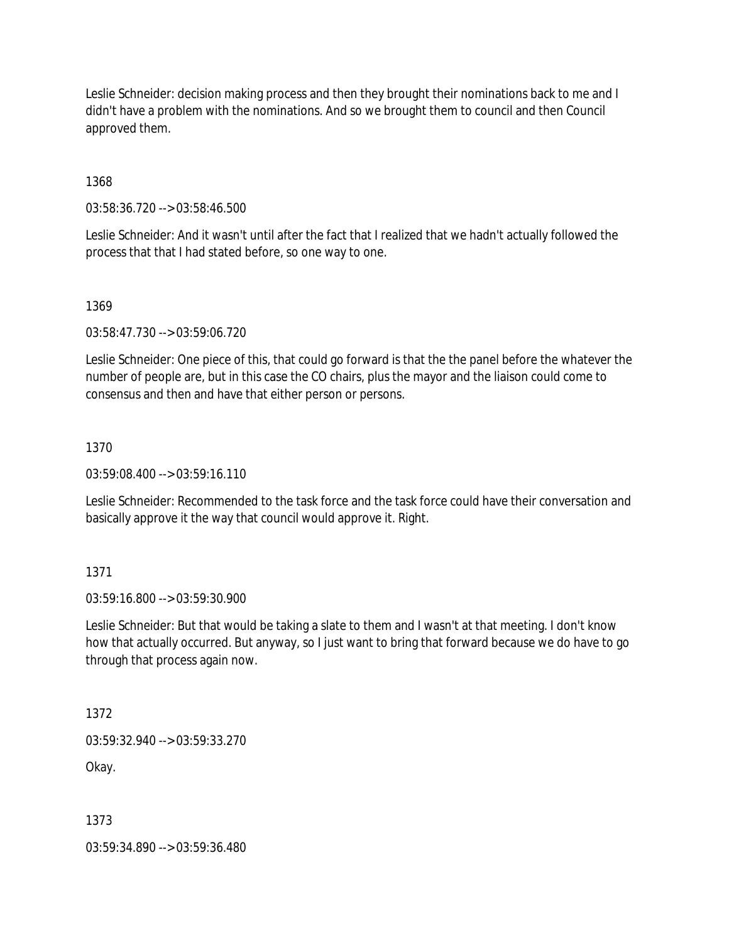Leslie Schneider: decision making process and then they brought their nominations back to me and I didn't have a problem with the nominations. And so we brought them to council and then Council approved them.

1368

03:58:36.720 --> 03:58:46.500

Leslie Schneider: And it wasn't until after the fact that I realized that we hadn't actually followed the process that that I had stated before, so one way to one.

1369

03:58:47.730 --> 03:59:06.720

Leslie Schneider: One piece of this, that could go forward is that the the panel before the whatever the number of people are, but in this case the CO chairs, plus the mayor and the liaison could come to consensus and then and have that either person or persons.

1370

 $03:59:08.400 \rightarrow 03:59:16.110$ 

Leslie Schneider: Recommended to the task force and the task force could have their conversation and basically approve it the way that council would approve it. Right.

1371

03:59:16.800 --> 03:59:30.900

Leslie Schneider: But that would be taking a slate to them and I wasn't at that meeting. I don't know how that actually occurred. But anyway, so I just want to bring that forward because we do have to go through that process again now.

1372

03:59:32.940 --> 03:59:33.270

Okay.

1373

03:59:34.890 --> 03:59:36.480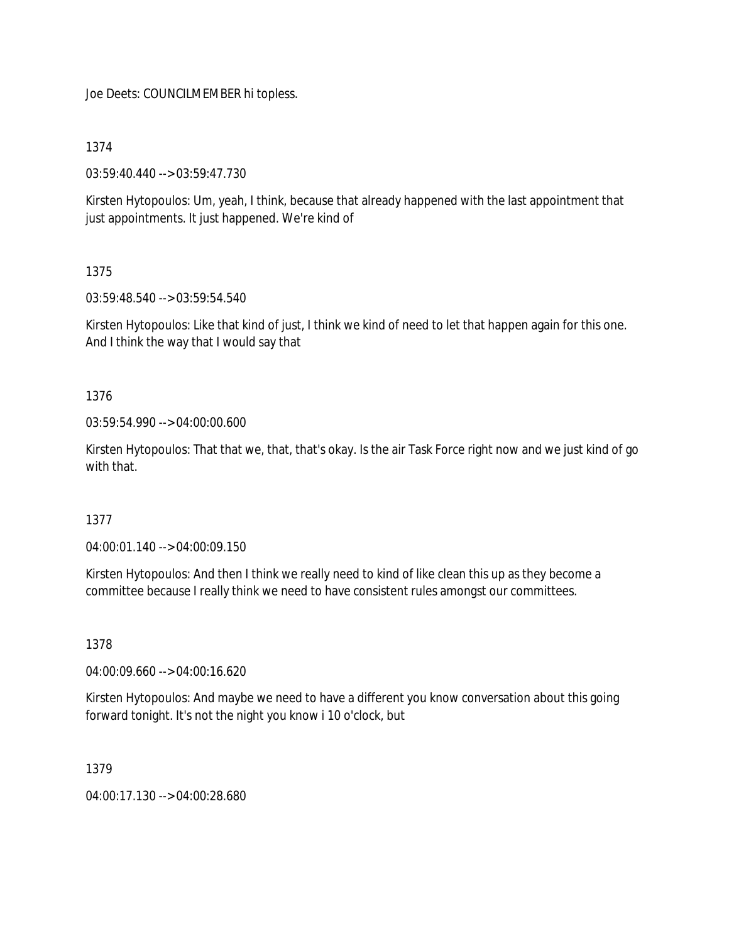Joe Deets: COUNCILMEMBER hi topless.

# 1374

03:59:40.440 --> 03:59:47.730

Kirsten Hytopoulos: Um, yeah, I think, because that already happened with the last appointment that just appointments. It just happened. We're kind of

# 1375

03:59:48.540 --> 03:59:54.540

Kirsten Hytopoulos: Like that kind of just, I think we kind of need to let that happen again for this one. And I think the way that I would say that

# 1376

03:59:54.990 --> 04:00:00.600

Kirsten Hytopoulos: That that we, that, that's okay. Is the air Task Force right now and we just kind of go with that.

# 1377

04:00:01.140 --> 04:00:09.150

Kirsten Hytopoulos: And then I think we really need to kind of like clean this up as they become a committee because I really think we need to have consistent rules amongst our committees.

# 1378

04:00:09.660 --> 04:00:16.620

Kirsten Hytopoulos: And maybe we need to have a different you know conversation about this going forward tonight. It's not the night you know i 10 o'clock, but

## 1379

04:00:17.130 --> 04:00:28.680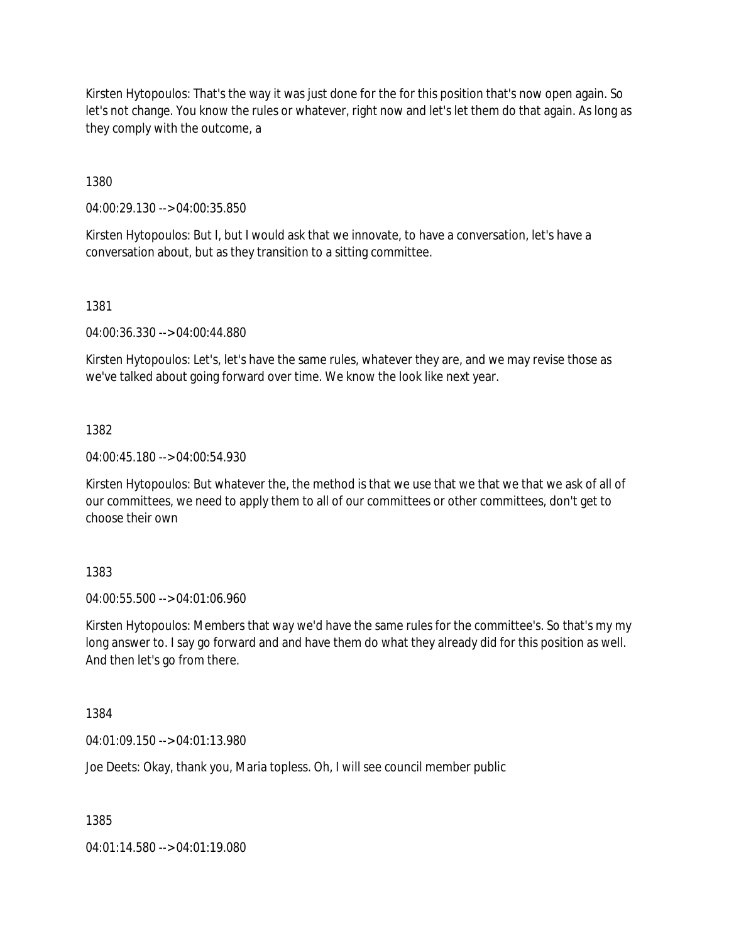Kirsten Hytopoulos: That's the way it was just done for the for this position that's now open again. So let's not change. You know the rules or whatever, right now and let's let them do that again. As long as they comply with the outcome, a

1380

04:00:29.130 --> 04:00:35.850

Kirsten Hytopoulos: But I, but I would ask that we innovate, to have a conversation, let's have a conversation about, but as they transition to a sitting committee.

1381

04:00:36.330 --> 04:00:44.880

Kirsten Hytopoulos: Let's, let's have the same rules, whatever they are, and we may revise those as we've talked about going forward over time. We know the look like next year.

1382

04:00:45.180 --> 04:00:54.930

Kirsten Hytopoulos: But whatever the, the method is that we use that we that we that we ask of all of our committees, we need to apply them to all of our committees or other committees, don't get to choose their own

1383

04:00:55.500 --> 04:01:06.960

Kirsten Hytopoulos: Members that way we'd have the same rules for the committee's. So that's my my long answer to. I say go forward and and have them do what they already did for this position as well. And then let's go from there.

1384

04:01:09.150 --> 04:01:13.980

Joe Deets: Okay, thank you, Maria topless. Oh, I will see council member public

1385

04:01:14.580 --> 04:01:19.080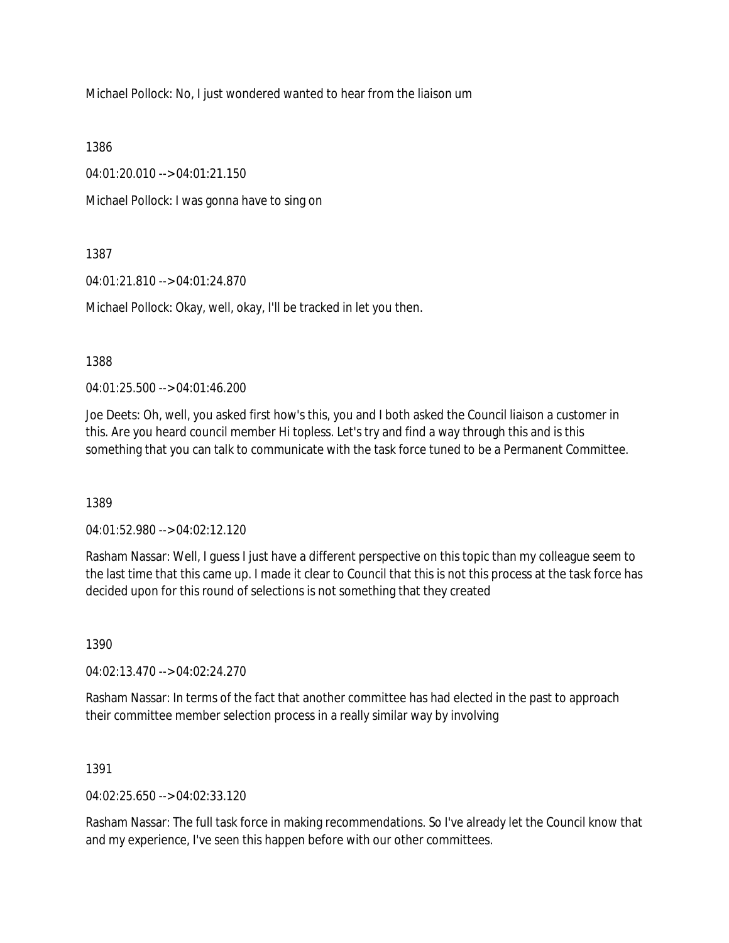Michael Pollock: No, I just wondered wanted to hear from the liaison um

1386

04:01:20.010 --> 04:01:21.150

Michael Pollock: I was gonna have to sing on

1387

04:01:21.810 --> 04:01:24.870

Michael Pollock: Okay, well, okay, I'll be tracked in let you then.

1388

04:01:25.500 --> 04:01:46.200

Joe Deets: Oh, well, you asked first how's this, you and I both asked the Council liaison a customer in this. Are you heard council member Hi topless. Let's try and find a way through this and is this something that you can talk to communicate with the task force tuned to be a Permanent Committee.

1389

 $04.01.52.980 -5.04.02.12.120$ 

Rasham Nassar: Well, I guess I just have a different perspective on this topic than my colleague seem to the last time that this came up. I made it clear to Council that this is not this process at the task force has decided upon for this round of selections is not something that they created

1390

04:02:13.470 --> 04:02:24.270

Rasham Nassar: In terms of the fact that another committee has had elected in the past to approach their committee member selection process in a really similar way by involving

1391

04:02:25.650 --> 04:02:33.120

Rasham Nassar: The full task force in making recommendations. So I've already let the Council know that and my experience, I've seen this happen before with our other committees.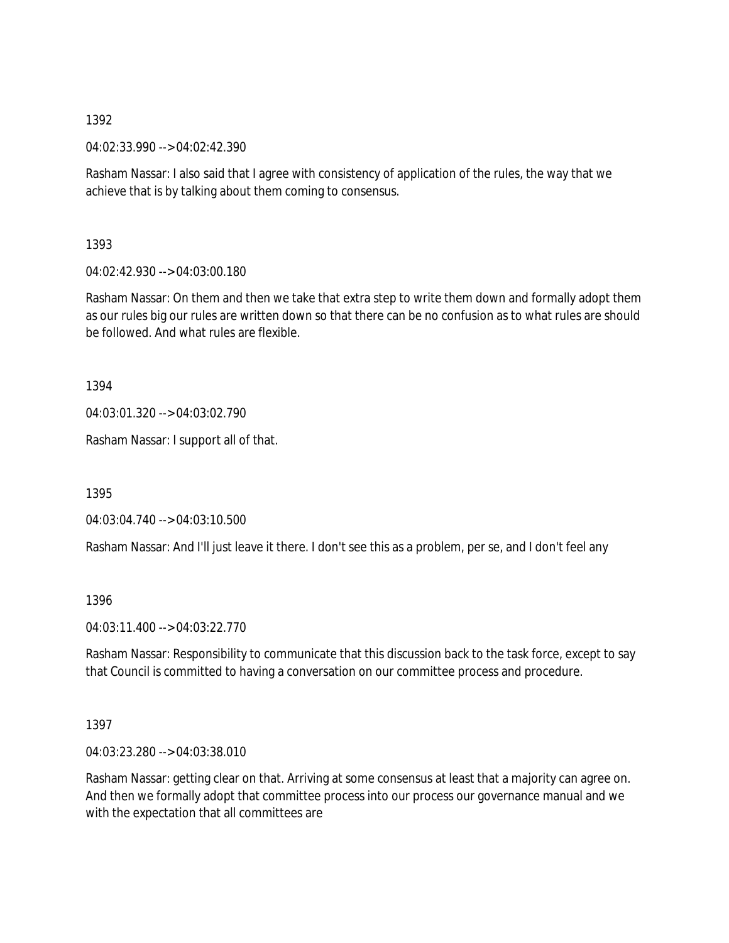04:02:33.990 --> 04:02:42.390

Rasham Nassar: I also said that I agree with consistency of application of the rules, the way that we achieve that is by talking about them coming to consensus.

1393

04:02:42.930 --> 04:03:00.180

Rasham Nassar: On them and then we take that extra step to write them down and formally adopt them as our rules big our rules are written down so that there can be no confusion as to what rules are should be followed. And what rules are flexible.

1394

04:03:01.320 --> 04:03:02.790

Rasham Nassar: I support all of that.

1395

04:03:04.740 --> 04:03:10.500

Rasham Nassar: And I'll just leave it there. I don't see this as a problem, per se, and I don't feel any

1396

04:03:11.400 --> 04:03:22.770

Rasham Nassar: Responsibility to communicate that this discussion back to the task force, except to say that Council is committed to having a conversation on our committee process and procedure.

1397

04:03:23.280 --> 04:03:38.010

Rasham Nassar: getting clear on that. Arriving at some consensus at least that a majority can agree on. And then we formally adopt that committee process into our process our governance manual and we with the expectation that all committees are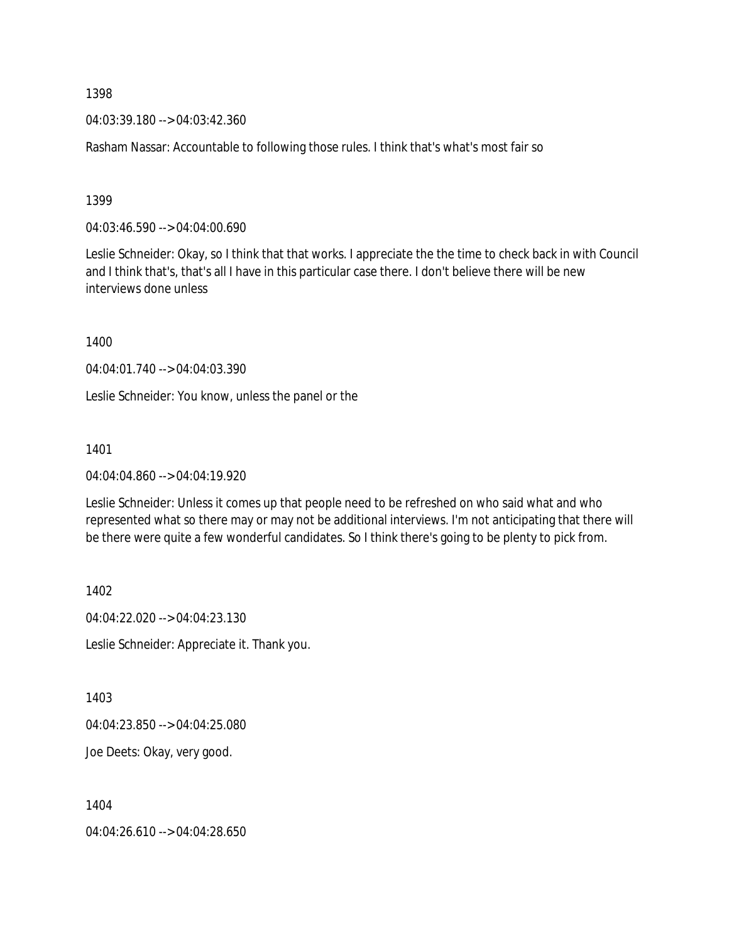04:03:39.180 --> 04:03:42.360

Rasham Nassar: Accountable to following those rules. I think that's what's most fair so

1399

04:03:46.590 --> 04:04:00.690

Leslie Schneider: Okay, so I think that that works. I appreciate the the time to check back in with Council and I think that's, that's all I have in this particular case there. I don't believe there will be new interviews done unless

1400

04:04:01.740 --> 04:04:03.390

Leslie Schneider: You know, unless the panel or the

1401

04:04:04.860 --> 04:04:19.920

Leslie Schneider: Unless it comes up that people need to be refreshed on who said what and who represented what so there may or may not be additional interviews. I'm not anticipating that there will be there were quite a few wonderful candidates. So I think there's going to be plenty to pick from.

1402

04:04:22.020 --> 04:04:23.130

Leslie Schneider: Appreciate it. Thank you.

1403

04:04:23.850 --> 04:04:25.080

Joe Deets: Okay, very good.

1404

04:04:26.610 --> 04:04:28.650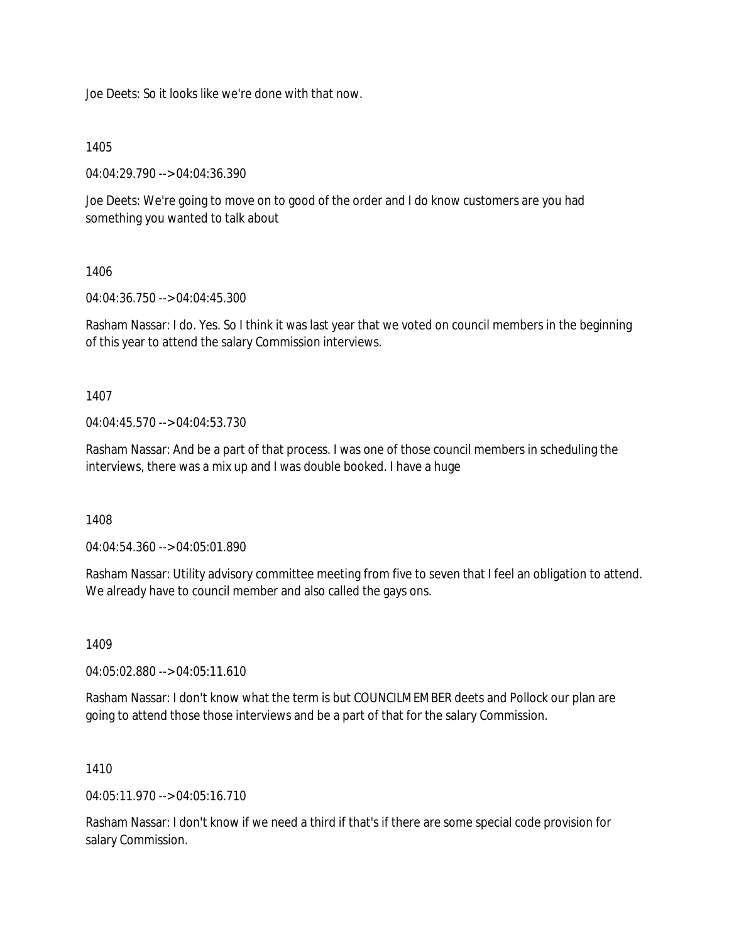Joe Deets: So it looks like we're done with that now.

1405

04:04:29.790 --> 04:04:36.390

Joe Deets: We're going to move on to good of the order and I do know customers are you had something you wanted to talk about

1406

04:04:36.750 --> 04:04:45.300

Rasham Nassar: I do. Yes. So I think it was last year that we voted on council members in the beginning of this year to attend the salary Commission interviews.

1407

04:04:45.570 --> 04:04:53.730

Rasham Nassar: And be a part of that process. I was one of those council members in scheduling the interviews, there was a mix up and I was double booked. I have a huge

1408

04:04:54.360 --> 04:05:01.890

Rasham Nassar: Utility advisory committee meeting from five to seven that I feel an obligation to attend. We already have to council member and also called the gays ons.

1409

04:05:02.880 --> 04:05:11.610

Rasham Nassar: I don't know what the term is but COUNCILMEMBER deets and Pollock our plan are going to attend those those interviews and be a part of that for the salary Commission.

#### 1410

 $04.05.11.970 -> 04.05.16.710$ 

Rasham Nassar: I don't know if we need a third if that's if there are some special code provision for salary Commission.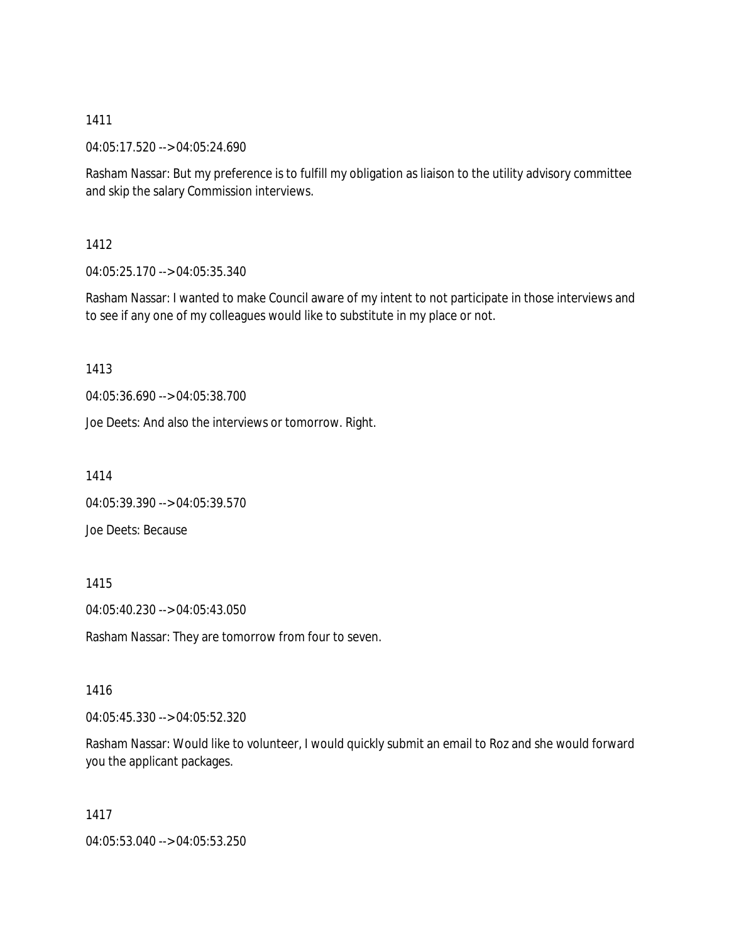04:05:17.520 --> 04:05:24.690

Rasham Nassar: But my preference is to fulfill my obligation as liaison to the utility advisory committee and skip the salary Commission interviews.

## 1412

04:05:25.170 --> 04:05:35.340

Rasham Nassar: I wanted to make Council aware of my intent to not participate in those interviews and to see if any one of my colleagues would like to substitute in my place or not.

# 1413

04:05:36.690 --> 04:05:38.700

Joe Deets: And also the interviews or tomorrow. Right.

1414

04:05:39.390 --> 04:05:39.570

Joe Deets: Because

## 1415

04:05:40.230 --> 04:05:43.050

Rasham Nassar: They are tomorrow from four to seven.

## 1416

04:05:45.330 --> 04:05:52.320

Rasham Nassar: Would like to volunteer, I would quickly submit an email to Roz and she would forward you the applicant packages.

1417

04:05:53.040 --> 04:05:53.250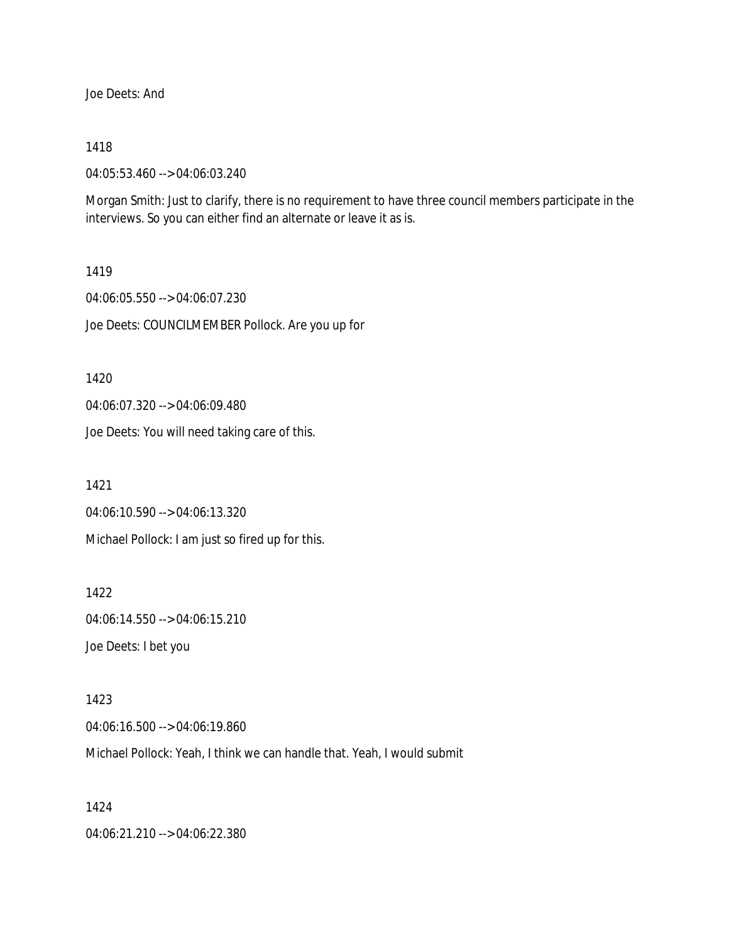Joe Deets: And

#### 1418

04:05:53.460 --> 04:06:03.240

Morgan Smith: Just to clarify, there is no requirement to have three council members participate in the interviews. So you can either find an alternate or leave it as is.

#### 1419

04:06:05.550 --> 04:06:07.230 Joe Deets: COUNCILMEMBER Pollock. Are you up for

#### 1420

04:06:07.320 --> 04:06:09.480

Joe Deets: You will need taking care of this.

1421

04:06:10.590 --> 04:06:13.320

Michael Pollock: I am just so fired up for this.

1422 04:06:14.550 --> 04:06:15.210 Joe Deets: I bet you

1423 04:06:16.500 --> 04:06:19.860 Michael Pollock: Yeah, I think we can handle that. Yeah, I would submit

1424

04:06:21.210 --> 04:06:22.380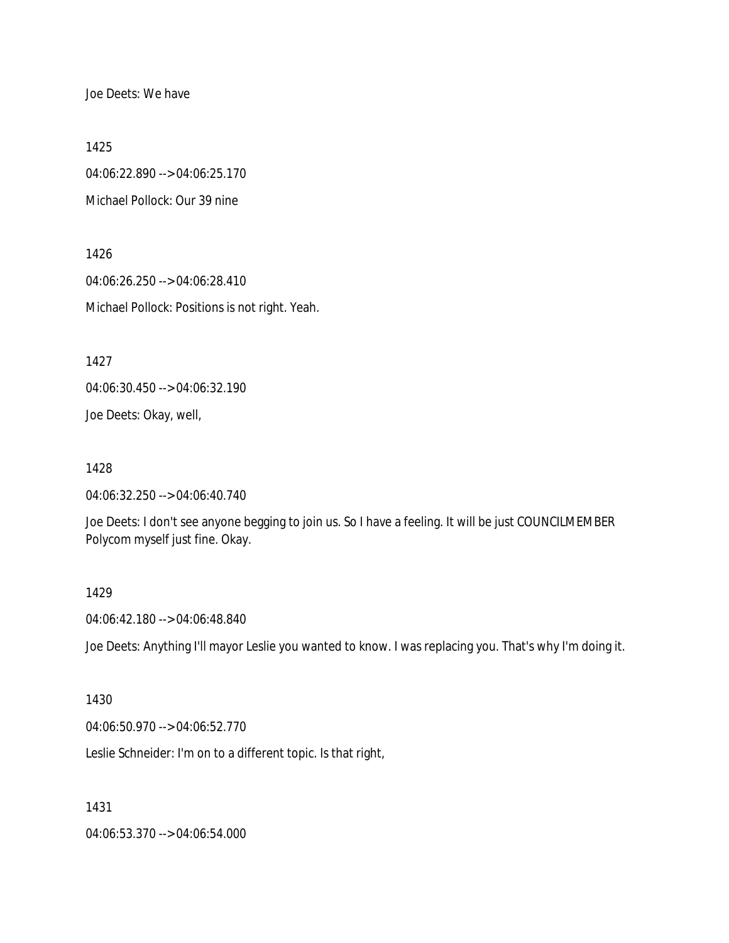Joe Deets: We have

1425

04:06:22.890 --> 04:06:25.170 Michael Pollock: Our 39 nine

1426 04:06:26.250 --> 04:06:28.410 Michael Pollock: Positions is not right. Yeah.

1427

04:06:30.450 --> 04:06:32.190

Joe Deets: Okay, well,

1428

04:06:32.250 --> 04:06:40.740

Joe Deets: I don't see anyone begging to join us. So I have a feeling. It will be just COUNCILMEMBER Polycom myself just fine. Okay.

#### 1429

04:06:42.180 --> 04:06:48.840

Joe Deets: Anything I'll mayor Leslie you wanted to know. I was replacing you. That's why I'm doing it.

#### 1430

04:06:50.970 --> 04:06:52.770

Leslie Schneider: I'm on to a different topic. Is that right,

1431

04:06:53.370 --> 04:06:54.000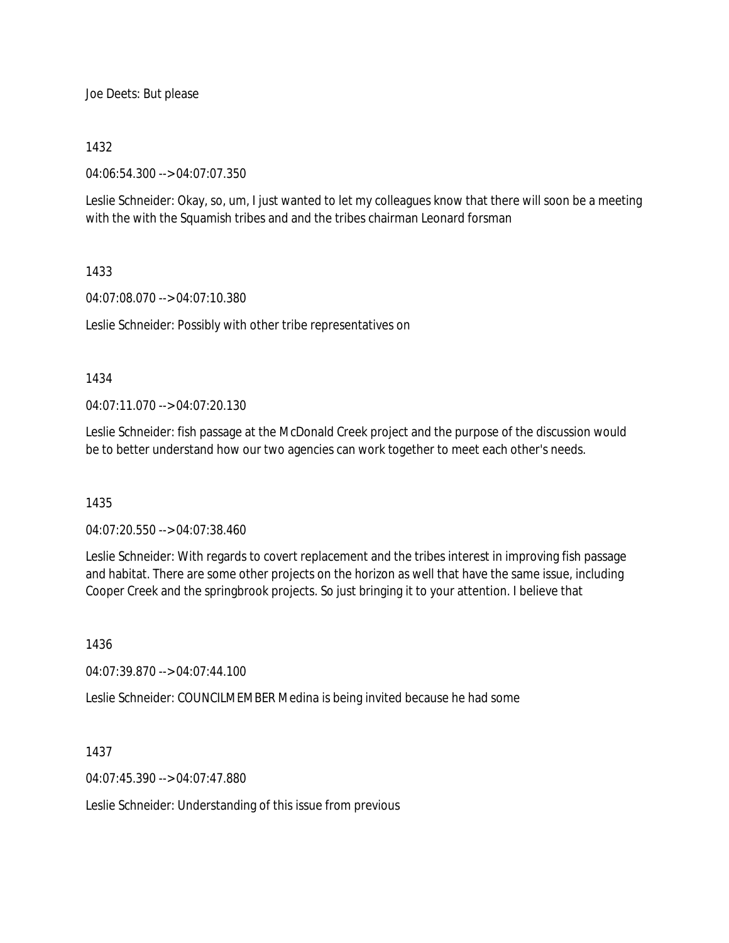Joe Deets: But please

#### 1432

04:06:54.300 --> 04:07:07.350

Leslie Schneider: Okay, so, um, I just wanted to let my colleagues know that there will soon be a meeting with the with the Squamish tribes and and the tribes chairman Leonard forsman

## 1433

04:07:08.070 --> 04:07:10.380

Leslie Schneider: Possibly with other tribe representatives on

#### 1434

04:07:11.070 --> 04:07:20.130

Leslie Schneider: fish passage at the McDonald Creek project and the purpose of the discussion would be to better understand how our two agencies can work together to meet each other's needs.

## 1435

04:07:20.550 --> 04:07:38.460

Leslie Schneider: With regards to covert replacement and the tribes interest in improving fish passage and habitat. There are some other projects on the horizon as well that have the same issue, including Cooper Creek and the springbrook projects. So just bringing it to your attention. I believe that

1436

04:07:39.870 --> 04:07:44.100

Leslie Schneider: COUNCILMEMBER Medina is being invited because he had some

1437

04:07:45.390 --> 04:07:47.880

Leslie Schneider: Understanding of this issue from previous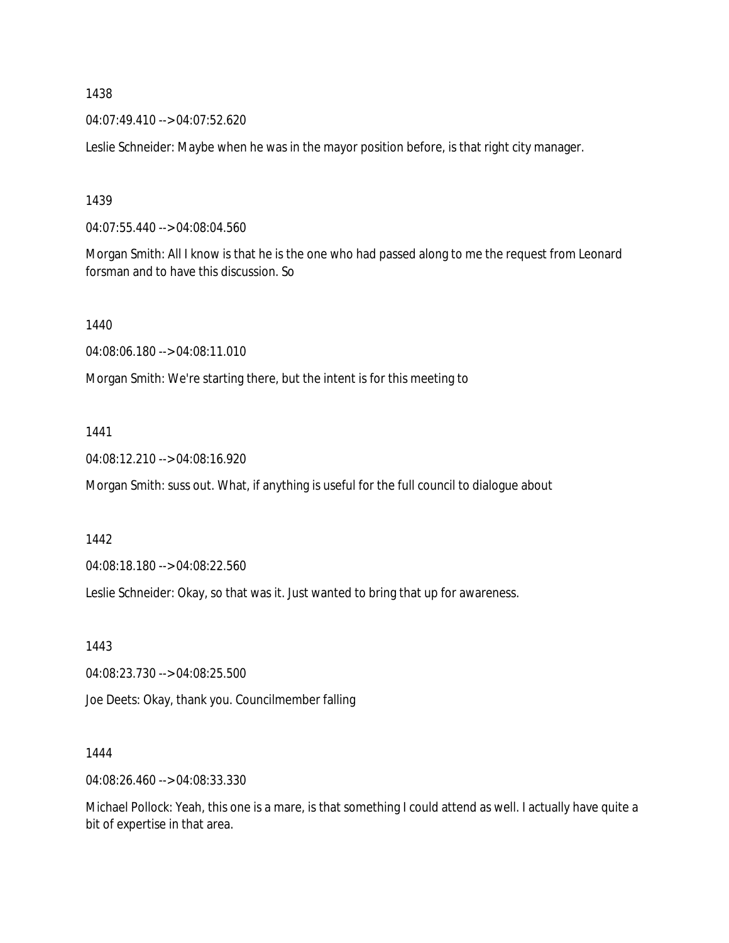04:07:49.410 --> 04:07:52.620

Leslie Schneider: Maybe when he was in the mayor position before, is that right city manager.

1439

04:07:55.440 --> 04:08:04.560

Morgan Smith: All I know is that he is the one who had passed along to me the request from Leonard forsman and to have this discussion. So

1440

04:08:06.180 --> 04:08:11.010

Morgan Smith: We're starting there, but the intent is for this meeting to

1441

04:08:12.210 --> 04:08:16.920

Morgan Smith: suss out. What, if anything is useful for the full council to dialogue about

1442

04:08:18.180 --> 04:08:22.560

Leslie Schneider: Okay, so that was it. Just wanted to bring that up for awareness.

1443

04:08:23.730 --> 04:08:25.500

Joe Deets: Okay, thank you. Councilmember falling

1444

04:08:26.460 --> 04:08:33.330

Michael Pollock: Yeah, this one is a mare, is that something I could attend as well. I actually have quite a bit of expertise in that area.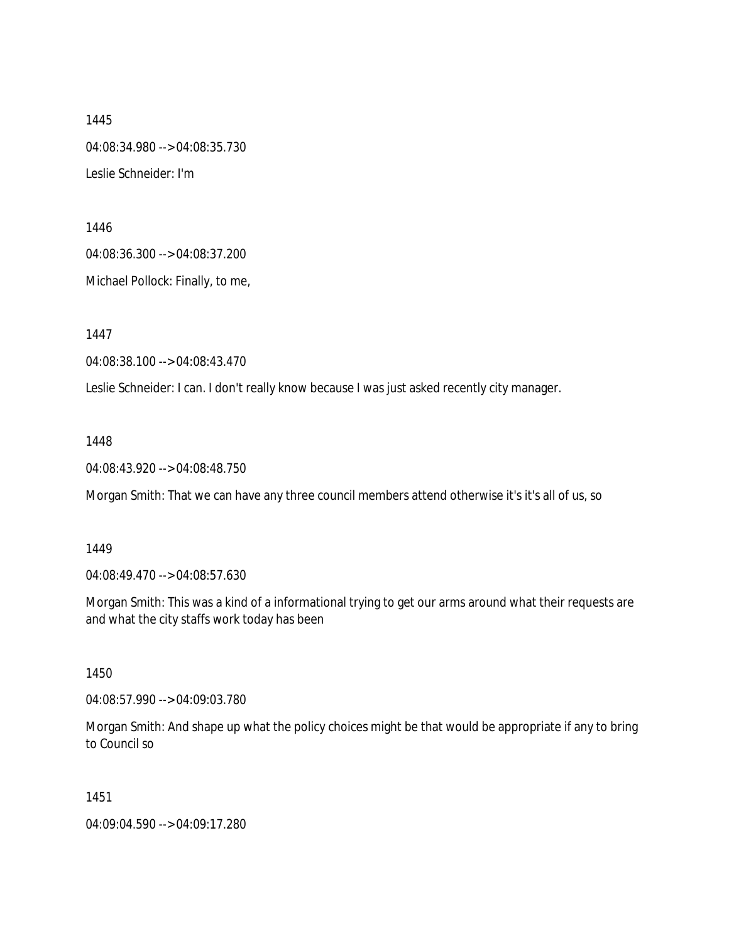1445 04:08:34.980 --> 04:08:35.730 Leslie Schneider: I'm

1446 04:08:36.300 --> 04:08:37.200

Michael Pollock: Finally, to me,

1447

04:08:38.100 --> 04:08:43.470

Leslie Schneider: I can. I don't really know because I was just asked recently city manager.

1448

04:08:43.920 --> 04:08:48.750

Morgan Smith: That we can have any three council members attend otherwise it's it's all of us, so

1449

04:08:49.470 --> 04:08:57.630

Morgan Smith: This was a kind of a informational trying to get our arms around what their requests are and what the city staffs work today has been

1450

04:08:57.990 --> 04:09:03.780

Morgan Smith: And shape up what the policy choices might be that would be appropriate if any to bring to Council so

1451

04:09:04.590 --> 04:09:17.280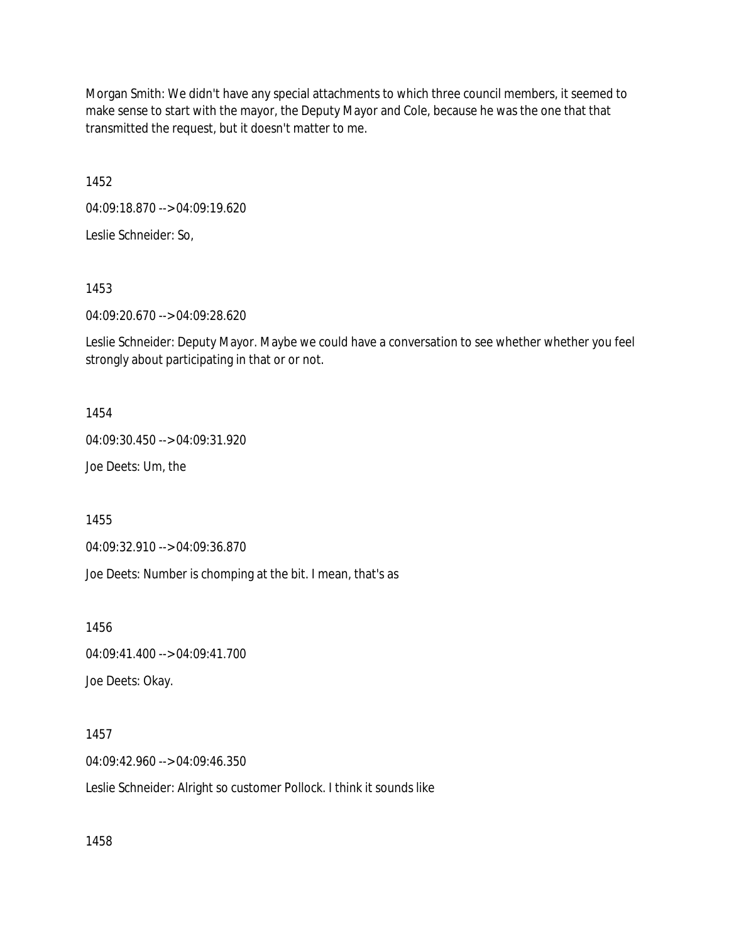Morgan Smith: We didn't have any special attachments to which three council members, it seemed to make sense to start with the mayor, the Deputy Mayor and Cole, because he was the one that that transmitted the request, but it doesn't matter to me.

1452

04:09:18.870 --> 04:09:19.620

Leslie Schneider: So,

1453

04:09:20.670 --> 04:09:28.620

Leslie Schneider: Deputy Mayor. Maybe we could have a conversation to see whether whether you feel strongly about participating in that or or not.

1454

04:09:30.450 --> 04:09:31.920

Joe Deets: Um, the

1455

04:09:32.910 --> 04:09:36.870

Joe Deets: Number is chomping at the bit. I mean, that's as

1456

04:09:41.400 --> 04:09:41.700

Joe Deets: Okay.

1457

04:09:42.960 --> 04:09:46.350

Leslie Schneider: Alright so customer Pollock. I think it sounds like

1458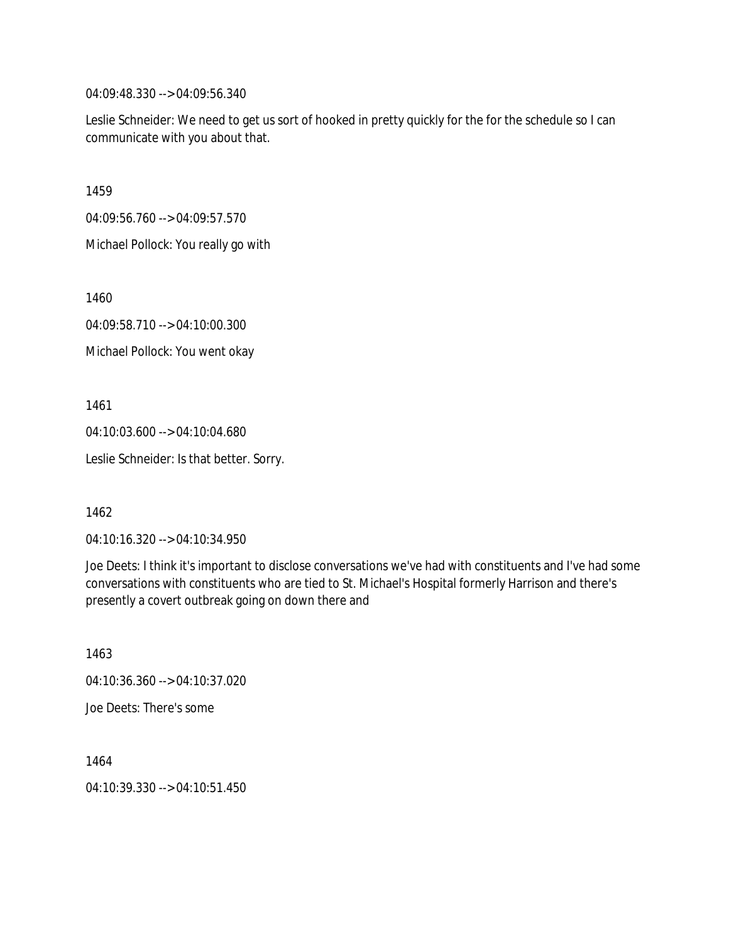04:09:48.330 --> 04:09:56.340

Leslie Schneider: We need to get us sort of hooked in pretty quickly for the for the schedule so I can communicate with you about that.

1459

04:09:56.760 --> 04:09:57.570

Michael Pollock: You really go with

1460

04:09:58.710 --> 04:10:00.300

Michael Pollock: You went okay

1461

04:10:03.600 --> 04:10:04.680

Leslie Schneider: Is that better. Sorry.

1462

04:10:16.320 --> 04:10:34.950

Joe Deets: I think it's important to disclose conversations we've had with constituents and I've had some conversations with constituents who are tied to St. Michael's Hospital formerly Harrison and there's presently a covert outbreak going on down there and

1463 04:10:36.360 --> 04:10:37.020 Joe Deets: There's some

1464 04:10:39.330 --> 04:10:51.450